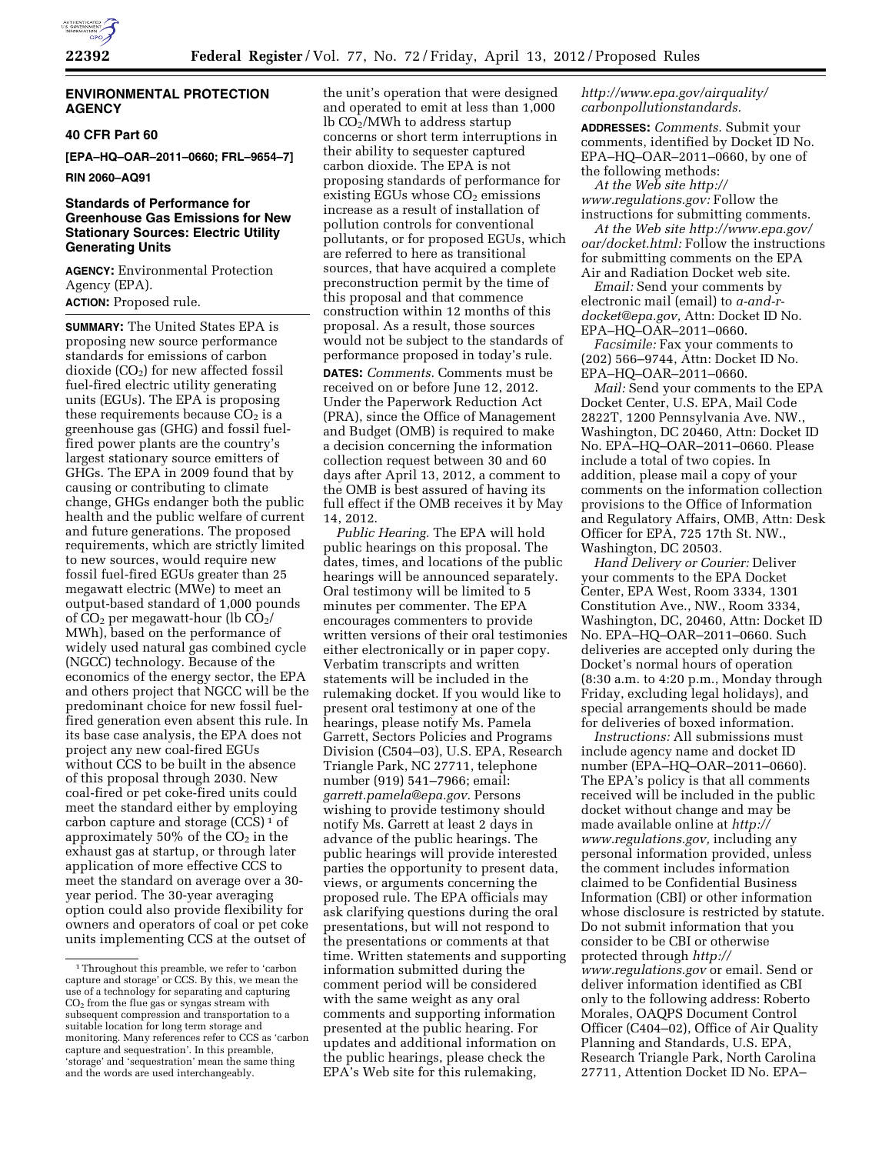

# **ENVIRONMENTAL PROTECTION AGENCY**

# **40 CFR Part 60**

**[EPA–HQ–OAR–2011–0660; FRL–9654–7]** 

**RIN 2060–AQ91** 

# **Standards of Performance for Greenhouse Gas Emissions for New Stationary Sources: Electric Utility Generating Units**

**AGENCY:** Environmental Protection Agency (EPA).

# **ACTION:** Proposed rule.

**SUMMARY:** The United States EPA is proposing new source performance standards for emissions of carbon dioxide  $(CO<sub>2</sub>)$  for new affected fossil fuel-fired electric utility generating units (EGUs). The EPA is proposing these requirements because  $CO<sub>2</sub>$  is a greenhouse gas (GHG) and fossil fuelfired power plants are the country's largest stationary source emitters of GHGs. The EPA in 2009 found that by causing or contributing to climate change, GHGs endanger both the public health and the public welfare of current and future generations. The proposed requirements, which are strictly limited to new sources, would require new fossil fuel-fired EGUs greater than 25 megawatt electric (MWe) to meet an output-based standard of 1,000 pounds of  $CO<sub>2</sub>$  per megawatt-hour (lb  $CO<sub>2</sub>$ / MWh), based on the performance of widely used natural gas combined cycle (NGCC) technology. Because of the economics of the energy sector, the EPA and others project that NGCC will be the predominant choice for new fossil fuelfired generation even absent this rule. In its base case analysis, the EPA does not project any new coal-fired EGUs without CCS to be built in the absence of this proposal through 2030. New coal-fired or pet coke-fired units could meet the standard either by employing carbon capture and storage (CCS) 1 of approximately 50% of the  $CO<sub>2</sub>$  in the exhaust gas at startup, or through later application of more effective CCS to meet the standard on average over a 30 year period. The 30-year averaging option could also provide flexibility for owners and operators of coal or pet coke units implementing CCS at the outset of

the unit's operation that were designed and operated to emit at less than 1,000  $lb$  CO<sub>2</sub>/MWh to address startup concerns or short term interruptions in their ability to sequester captured carbon dioxide. The EPA is not proposing standards of performance for existing EGUs whose  $CO<sub>2</sub>$  emissions increase as a result of installation of pollution controls for conventional pollutants, or for proposed EGUs, which are referred to here as transitional sources, that have acquired a complete preconstruction permit by the time of this proposal and that commence construction within 12 months of this proposal. As a result, those sources would not be subject to the standards of performance proposed in today's rule.

**DATES:** *Comments.* Comments must be received on or before June 12, 2012. Under the Paperwork Reduction Act (PRA), since the Office of Management and Budget (OMB) is required to make a decision concerning the information collection request between 30 and 60 days after April 13, 2012, a comment to the OMB is best assured of having its full effect if the OMB receives it by May 14, 2012.

*Public Hearing.* The EPA will hold public hearings on this proposal. The dates, times, and locations of the public hearings will be announced separately. Oral testimony will be limited to 5 minutes per commenter. The EPA encourages commenters to provide written versions of their oral testimonies either electronically or in paper copy. Verbatim transcripts and written statements will be included in the rulemaking docket. If you would like to present oral testimony at one of the hearings, please notify Ms. Pamela Garrett, Sectors Policies and Programs Division (C504–03), U.S. EPA, Research Triangle Park, NC 27711, telephone number (919) 541–7966; email: *[garrett.pamela@epa.gov.](mailto:garrett.pamela@epa.gov)* Persons wishing to provide testimony should notify Ms. Garrett at least 2 days in advance of the public hearings. The public hearings will provide interested parties the opportunity to present data, views, or arguments concerning the proposed rule. The EPA officials may ask clarifying questions during the oral presentations, but will not respond to the presentations or comments at that time. Written statements and supporting information submitted during the comment period will be considered with the same weight as any oral comments and supporting information presented at the public hearing. For updates and additional information on the public hearings, please check the EPA's Web site for this rulemaking,

# *[http://www.epa.gov/airquality/](http://www.epa.gov/airquality/carbonpollutionstandards) [carbonpollutionstandards.](http://www.epa.gov/airquality/carbonpollutionstandards)*

**ADDRESSES:** *Comments.* Submit your comments, identified by Docket ID No. EPA–HQ–OAR–2011–0660, by one of the following methods:

*At the Web site [http://](http://www.regulations.gov) [www.regulations.gov:](http://www.regulations.gov)* Follow the instructions for submitting comments.

*At the Web site<http://www.epa.gov/> oar/docket.html:* Follow the instructions for submitting comments on the EPA Air and Radiation Docket web site.

*Email:* Send your comments by electronic mail (email) to *[a-and-r](mailto:a-and-r-docket@epa.gov)[docket@epa.gov,](mailto:a-and-r-docket@epa.gov)* Attn: Docket ID No. EPA–HQ–OAR–2011–0660.

*Facsimile:* Fax your comments to (202) 566–9744, Attn: Docket ID No. EPA–HQ–OAR–2011–0660.

*Mail:* Send your comments to the EPA Docket Center, U.S. EPA, Mail Code 2822T, 1200 Pennsylvania Ave. NW., Washington, DC 20460, Attn: Docket ID No. EPA–HQ–OAR–2011–0660. Please include a total of two copies. In addition, please mail a copy of your comments on the information collection provisions to the Office of Information and Regulatory Affairs, OMB, Attn: Desk Officer for EPA, 725 17th St. NW., Washington, DC 20503.

*Hand Delivery or Courier:* Deliver your comments to the EPA Docket Center, EPA West, Room 3334, 1301 Constitution Ave., NW., Room 3334, Washington, DC, 20460, Attn: Docket ID No. EPA–HQ–OAR–2011–0660. Such deliveries are accepted only during the Docket's normal hours of operation (8:30 a.m. to 4:20 p.m., Monday through Friday, excluding legal holidays), and special arrangements should be made for deliveries of boxed information.

*Instructions:* All submissions must include agency name and docket ID number (EPA–HQ–OAR–2011–0660). The EPA's policy is that all comments received will be included in the public docket without change and may be made available online at *[http://](http://www.regulations.gov)  [www.regulations.gov,](http://www.regulations.gov)* including any personal information provided, unless the comment includes information claimed to be Confidential Business Information (CBI) or other information whose disclosure is restricted by statute. Do not submit information that you consider to be CBI or otherwise protected through *[http://](http://www.regulations.gov)  [www.regulations.gov](http://www.regulations.gov)* or email. Send or deliver information identified as CBI only to the following address: Roberto Morales, OAQPS Document Control Officer (C404–02), Office of Air Quality Planning and Standards, U.S. EPA, Research Triangle Park, North Carolina 27711, Attention Docket ID No. EPA–

<sup>1</sup>Throughout this preamble, we refer to 'carbon capture and storage' or CCS. By this, we mean the use of a technology for separating and capturing CO2 from the flue gas or syngas stream with subsequent compression and transportation to a suitable location for long term storage and monitoring. Many references refer to CCS as 'carbon capture and sequestration'. In this preamble, 'storage' and 'sequestration' mean the same thing and the words are used interchangeably.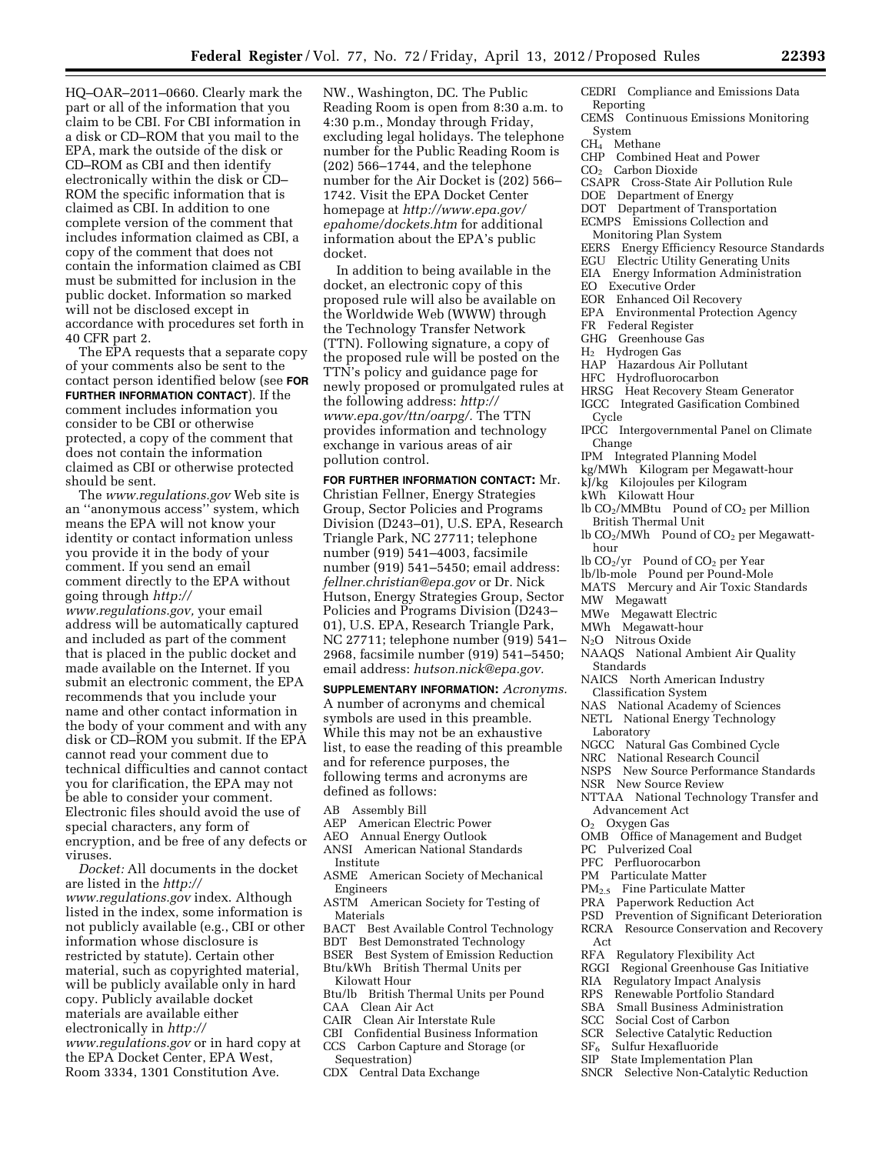HQ–OAR–2011–0660. Clearly mark the part or all of the information that you claim to be CBI. For CBI information in a disk or CD–ROM that you mail to the EPA, mark the outside of the disk or CD–ROM as CBI and then identify electronically within the disk or CD– ROM the specific information that is claimed as CBI. In addition to one complete version of the comment that includes information claimed as CBI, a copy of the comment that does not contain the information claimed as CBI must be submitted for inclusion in the public docket. Information so marked will not be disclosed except in accordance with procedures set forth in 40 CFR part 2.

The EPA requests that a separate copy of your comments also be sent to the contact person identified below (see **FOR FURTHER INFORMATION CONTACT**). If the comment includes information you consider to be CBI or otherwise protected, a copy of the comment that does not contain the information claimed as CBI or otherwise protected should be sent.

The *[www.regulations.gov](http://www.regulations.gov)* Web site is an ''anonymous access'' system, which means the EPA will not know your identity or contact information unless you provide it in the body of your comment. If you send an email comment directly to the EPA without going through *[http://](http://www.regulations.gov)* 

*[www.regulations.gov,](http://www.regulations.gov)* your email address will be automatically captured and included as part of the comment that is placed in the public docket and made available on the Internet. If you submit an electronic comment, the EPA recommends that you include your name and other contact information in the body of your comment and with any disk or CD–ROM you submit. If the EPA cannot read your comment due to technical difficulties and cannot contact you for clarification, the EPA may not be able to consider your comment. Electronic files should avoid the use of special characters, any form of encryption, and be free of any defects or viruses.

*Docket:* All documents in the docket are listed in the *[http://](http://www.regulations.gov) [www.regulations.gov](http://www.regulations.gov)* index. Although listed in the index, some information is not publicly available (e.g., CBI or other information whose disclosure is restricted by statute). Certain other material, such as copyrighted material, will be publicly available only in hard copy. Publicly available docket materials are available either electronically in *[http://](http://www.regulations.gov) [www.regulations.gov](http://www.regulations.gov)* or in hard copy at

the EPA Docket Center, EPA West, Room 3334, 1301 Constitution Ave. NW., Washington, DC. The Public Reading Room is open from 8:30 a.m. to 4:30 p.m., Monday through Friday, excluding legal holidays. The telephone number for the Public Reading Room is (202) 566–1744, and the telephone number for the Air Docket is (202) 566– 1742. Visit the EPA Docket Center homepage at *[http://www.epa.gov/](http://www.epa.gov/epahome/dockets.htm) [epahome/dockets.htm](http://www.epa.gov/epahome/dockets.htm)* for additional information about the EPA's public docket.

In addition to being available in the docket, an electronic copy of this proposed rule will also be available on the Worldwide Web (WWW) through the Technology Transfer Network (TTN). Following signature, a copy of the proposed rule will be posted on the TTN's policy and guidance page for newly proposed or promulgated rules at the following address: *[http://](http://www.epa.gov/ttn/oarpg/) [www.epa.gov/ttn/oarpg/.](http://www.epa.gov/ttn/oarpg/)* The TTN provides information and technology exchange in various areas of air pollution control.

**FOR FURTHER INFORMATION CONTACT:** Mr. Christian Fellner, Energy Strategies Group, Sector Policies and Programs Division (D243–01), U.S. EPA, Research Triangle Park, NC 27711; telephone number (919) 541–4003, facsimile number (919) 541–5450; email address: *[fellner.christian@epa.gov](mailto:fellner.christian@epa.gov)* or Dr. Nick Hutson, Energy Strategies Group, Sector Policies and Programs Division (D243– 01), U.S. EPA, Research Triangle Park, NC 27711; telephone number (919) 541– 2968, facsimile number (919) 541–5450; email address: *[hutson.nick@epa.gov.](mailto:hutson.nick@epa.gov)* 

**SUPPLEMENTARY INFORMATION:** *Acronyms.*  A number of acronyms and chemical symbols are used in this preamble. While this may not be an exhaustive list, to ease the reading of this preamble and for reference purposes, the following terms and acronyms are defined as follows:

- AB Assembly Bill
- AEP American Electric Power
- AEO Annual Energy Outlook
- ANSI American National Standards Institute
- ASME American Society of Mechanical Engineers
- ASTM American Society for Testing of Materials
- BACT Best Available Control Technology
- BDT Best Demonstrated Technology
- BSER Best System of Emission Reduction Btu/kWh British Thermal Units per Kilowatt Hour
- Btu/lb British Thermal Units per Pound CAA Clean Air Act
- CAIR Clean Air Interstate Rule
- CBI Confidential Business Information
- CCS Carbon Capture and Storage (or Sequestration)
- CDX Central Data Exchange
- CEDRI Compliance and Emissions Data Reporting
- CEMS Continuous Emissions Monitoring System
- CH4 Methane
- CHP Combined Heat and Power
	- CO<sub>2</sub> Carbon Dioxide
- CSAPR Cross-State Air Pollution Rule
- DOE Department of Energy
- DOT Department of Transportation
- ECMPS Emissions Collection and
- Monitoring Plan System
- EERS Energy Efficiency Resource Standards
- EGU Electric Utility Generating Units
- EIA Energy Information Administration
- EO Executive Order
- EOR Enhanced Oil Recovery
- EPA Environmental Protection Agency
- FR Federal Register
- GHG Greenhouse Gas
- H2 Hydrogen Gas
- HAP Hazardous Air Pollutant
- HFC Hydrofluorocarbon
- HRSG Heat Recovery Steam Generator
- IGCC Integrated Gasification Combined Cycle
- IPCC Intergovernmental Panel on Climate
- Change
- IPM Integrated Planning Model
- kg/MWh Kilogram per Megawatt-hour
- kJ/kg Kilojoules per Kilogram
- kWh Kilowatt Hour
- lb CO2/MMBtu Pound of CO2 per Million British Thermal Unit
- lb CO<sub>2</sub>/MWh Pound of CO<sub>2</sub> per Megawatthour
- lb CO2/yr Pound of CO2 per Year
- lb/lb-mole Pound per Pound-Mole
- MATS Mercury and Air Toxic Standards
- MW Megawatt
- MWe Megawatt Electric
- MWh Megawatt-hour
- N<sub>2</sub>O Nitrous Oxide
- NAAQS National Ambient Air Quality Standards
- NAICS North American Industry
- Classification System
- NAS National Academy of Sciences
- NETL National Energy Technology
- Laboratory
- NGCC Natural Gas Combined Cycle
- NRC National Research Council
- NSPS New Source Performance Standards
- NSR New Source Review
- NTTAA National Technology Transfer and Advancement Act
- O2 Oxygen Gas
- OMB Office of Management and Budget
- PC Pulverized Coal
- PFC Perfluorocarbon
- PM Particulate Matter
- PM2.5 Fine Particulate Matter
- PRA Paperwork Reduction Act
- PSD Prevention of Significant Deterioration
- RCRA Resource Conservation and Recovery Act
- RFA Regulatory Flexibility Act
- RGGI Regional Greenhouse Gas Initiative<br>RIA Regulatory Impact Analysis
- 
- RIA Regulatory Impact Analysis<br>RPS Renewable Portfolio Standa
- RPS Renewable Portfolio Standard
- SBA Small Business Administration<br>SCC Social Cost of Carbon
- SCC Social Cost of Carbon<br>SCR Selective Catalytic Re
- SCR Selective Catalytic Reduction<br> $SF<sub>6</sub>$  Sulfur Hexafluoride
- $SF<sub>6</sub>$  Sulfur Hexafluoride<br>SIP State Implementatio
- State Implementation Plan
- SNCR Selective Non-Catalytic Reduction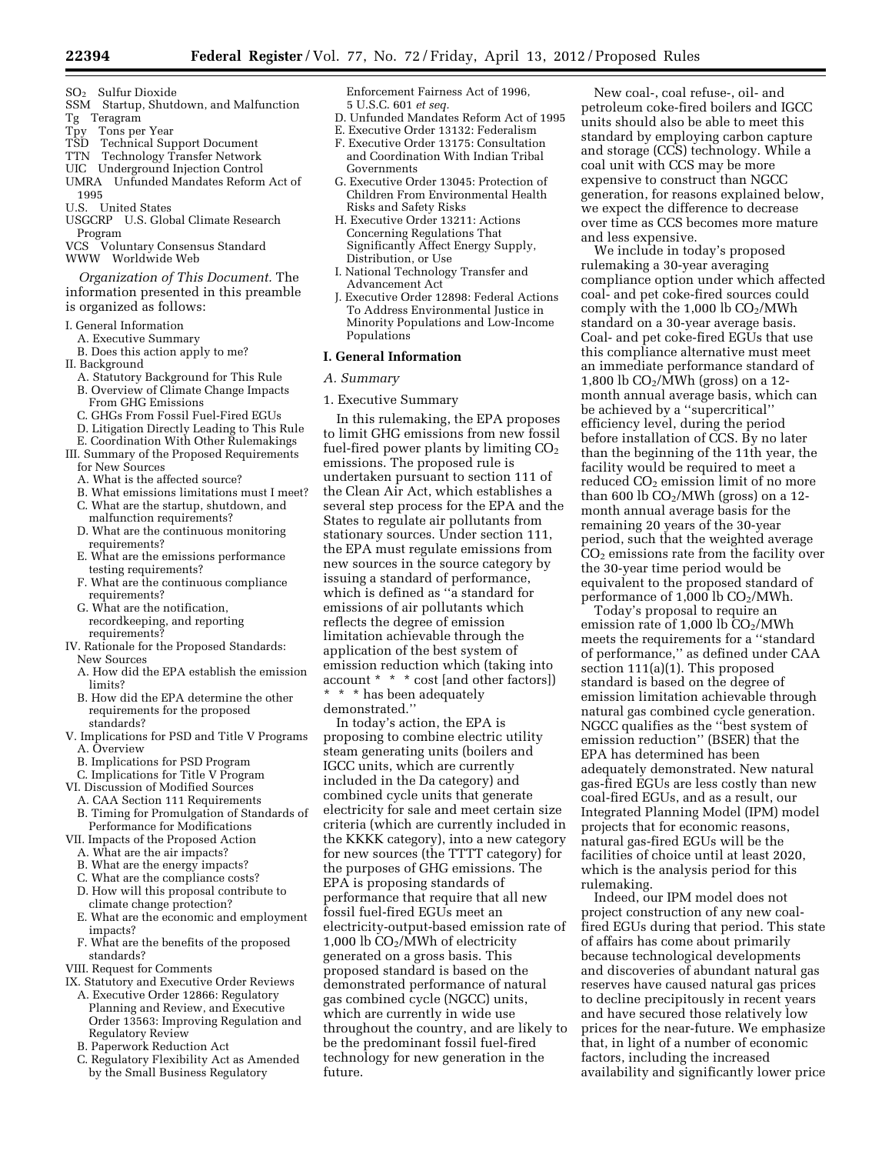- SO2 Sulfur Dioxide
- SSM Startup, Shutdown, and Malfunction Tg Teragram<br>Tpy Tons per
- Tons per Year
- TSD Technical Support Document
- TTN Technology Transfer Network
- UIC Underground Injection Control UMRA Unfunded Mandates Reform Act of
- 1995
- U.S. United States
- USGCRP U.S. Global Climate Research Program<br>VCS Volu
- Voluntary Consensus Standard
- WWW Worldwide Web

*Organization of This Document.* The information presented in this preamble is organized as follows:

- I. General Information
	- A. Executive Summary
	- B. Does this action apply to me?
- II. Background
	- A. Statutory Background for This Rule B. Overview of Climate Change Impacts
	- From GHG Emissions
	- C. GHGs From Fossil Fuel-Fired EGUs
	- D. Litigation Directly Leading to This Rule
- E. Coordination With Other Rulemakings III. Summary of the Proposed Requirements
- for New Sources
- A. What is the affected source?
- B. What emissions limitations must I meet? C. What are the startup, shutdown, and
- malfunction requirements? D. What are the continuous monitoring
- requirements?
- E. What are the emissions performance testing requirements?
- F. What are the continuous compliance requirements?
- G. What are the notification, recordkeeping, and reporting requirements?
- IV. Rationale for the Proposed Standards: New Sources
	- A. How did the EPA establish the emission limits?
	- B. How did the EPA determine the other requirements for the proposed standards?
- V. Implications for PSD and Title V Programs A. Overview
	- B. Implications for PSD Program
- C. Implications for Title V Program
- VI. Discussion of Modified Sources
- A. CAA Section 111 Requirements
- B. Timing for Promulgation of Standards of Performance for Modifications
- VII. Impacts of the Proposed Action
- A. What are the air impacts?
- B. What are the energy impacts?
- C. What are the compliance costs?
- D. How will this proposal contribute to climate change protection?
- E. What are the economic and employment impacts?
- F. What are the benefits of the proposed standards?
- VIII. Request for Comments
- IX. Statutory and Executive Order Reviews A. Executive Order 12866: Regulatory Planning and Review, and Executive Order 13563: Improving Regulation and Regulatory Review
	- B. Paperwork Reduction Act
	- C. Regulatory Flexibility Act as Amended by the Small Business Regulatory

Enforcement Fairness Act of 1996, 5 U.S.C. 601 *et seq.* 

- D. Unfunded Mandates Reform Act of 1995
- E. Executive Order 13132: Federalism
- F. Executive Order 13175: Consultation and Coordination With Indian Tribal Governments
- G. Executive Order 13045: Protection of Children From Environmental Health Risks and Safety Risks
- H. Executive Order 13211: Actions Concerning Regulations That Significantly Affect Energy Supply, Distribution, or Use
- I. National Technology Transfer and Advancement Act
- J. Executive Order 12898: Federal Actions To Address Environmental Justice in Minority Populations and Low-Income Populations

# **I. General Information**

- *A. Summary*
- 1. Executive Summary

In this rulemaking, the EPA proposes to limit GHG emissions from new fossil fuel-fired power plants by limiting  $CO<sub>2</sub>$ emissions. The proposed rule is undertaken pursuant to section 111 of the Clean Air Act, which establishes a several step process for the EPA and the States to regulate air pollutants from stationary sources. Under section 111, the EPA must regulate emissions from new sources in the source category by issuing a standard of performance, which is defined as ''a standard for emissions of air pollutants which reflects the degree of emission limitation achievable through the application of the best system of emission reduction which (taking into account \* \* \* cost [and other factors]) \* \* \* has been adequately demonstrated.''

In today's action, the EPA is proposing to combine electric utility steam generating units (boilers and IGCC units, which are currently included in the Da category) and combined cycle units that generate electricity for sale and meet certain size criteria (which are currently included in the KKKK category), into a new category for new sources (the TTTT category) for the purposes of GHG emissions. The EPA is proposing standards of performance that require that all new fossil fuel-fired EGUs meet an electricity-output-based emission rate of 1,000 lb  $CO<sub>2</sub>/MWh$  of electricity generated on a gross basis. This proposed standard is based on the demonstrated performance of natural gas combined cycle (NGCC) units, which are currently in wide use throughout the country, and are likely to be the predominant fossil fuel-fired technology for new generation in the future.

New coal-, coal refuse-, oil- and petroleum coke-fired boilers and IGCC units should also be able to meet this standard by employing carbon capture and storage (CCS) technology. While a coal unit with CCS may be more expensive to construct than NGCC generation, for reasons explained below, we expect the difference to decrease over time as CCS becomes more mature and less expensive.

We include in today's proposed rulemaking a 30-year averaging compliance option under which affected coal- and pet coke-fired sources could comply with the 1,000 lb  $CO<sub>2</sub>/MWh$ standard on a 30-year average basis. Coal- and pet coke-fired EGUs that use this compliance alternative must meet an immediate performance standard of 1,800 lb  $CO<sub>2</sub>/MWh$  (gross) on a 12month annual average basis, which can be achieved by a ''supercritical'' efficiency level, during the period before installation of CCS. By no later than the beginning of the 11th year, the facility would be required to meet a reduced CO2 emission limit of no more than 600 lb  $CO<sub>2</sub>/MWh$  (gross) on a 12month annual average basis for the remaining 20 years of the 30-year period, such that the weighted average CO2 emissions rate from the facility over the 30-year time period would be equivalent to the proposed standard of performance of  $1,000$  lb  $CO<sub>2</sub>/MWh$ .

Today's proposal to require an emission rate of  $1,000$  lb  $CO<sub>2</sub>/MWh$ meets the requirements for a ''standard of performance,'' as defined under CAA section 111(a)(1). This proposed standard is based on the degree of emission limitation achievable through natural gas combined cycle generation. NGCC qualifies as the ''best system of emission reduction'' (BSER) that the EPA has determined has been adequately demonstrated. New natural gas-fired EGUs are less costly than new coal-fired EGUs, and as a result, our Integrated Planning Model (IPM) model projects that for economic reasons, natural gas-fired EGUs will be the facilities of choice until at least 2020, which is the analysis period for this rulemaking.

Indeed, our IPM model does not project construction of any new coalfired EGUs during that period. This state of affairs has come about primarily because technological developments and discoveries of abundant natural gas reserves have caused natural gas prices to decline precipitously in recent years and have secured those relatively low prices for the near-future. We emphasize that, in light of a number of economic factors, including the increased availability and significantly lower price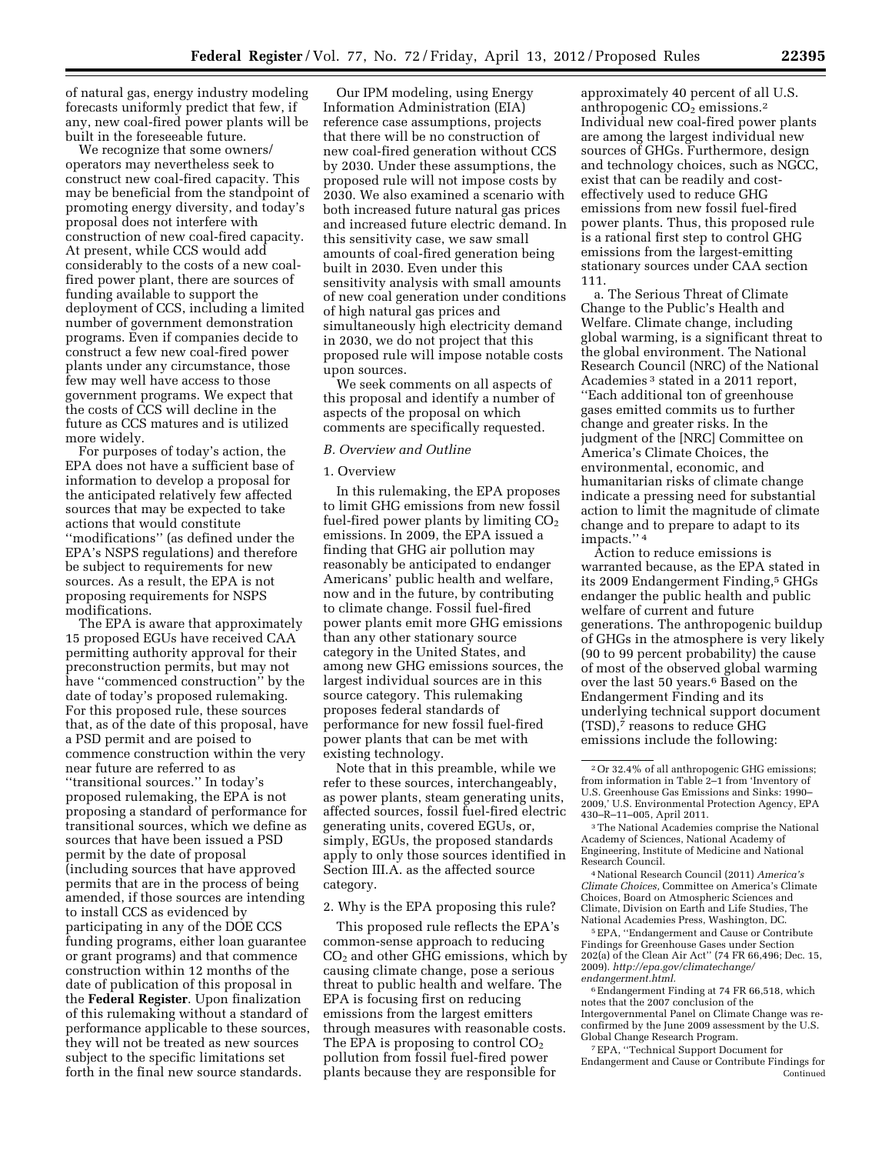of natural gas, energy industry modeling forecasts uniformly predict that few, if any, new coal-fired power plants will be built in the foreseeable future.

We recognize that some owners/ operators may nevertheless seek to construct new coal-fired capacity. This may be beneficial from the standpoint of promoting energy diversity, and today's proposal does not interfere with construction of new coal-fired capacity. At present, while CCS would add considerably to the costs of a new coalfired power plant, there are sources of funding available to support the deployment of CCS, including a limited number of government demonstration programs. Even if companies decide to construct a few new coal-fired power plants under any circumstance, those few may well have access to those government programs. We expect that the costs of CCS will decline in the future as CCS matures and is utilized more widely.

For purposes of today's action, the EPA does not have a sufficient base of information to develop a proposal for the anticipated relatively few affected sources that may be expected to take actions that would constitute ''modifications'' (as defined under the EPA's NSPS regulations) and therefore be subject to requirements for new sources. As a result, the EPA is not proposing requirements for NSPS modifications.

The EPA is aware that approximately 15 proposed EGUs have received CAA permitting authority approval for their preconstruction permits, but may not have ''commenced construction'' by the date of today's proposed rulemaking. For this proposed rule, these sources that, as of the date of this proposal, have a PSD permit and are poised to commence construction within the very near future are referred to as ''transitional sources.'' In today's proposed rulemaking, the EPA is not proposing a standard of performance for transitional sources, which we define as sources that have been issued a PSD permit by the date of proposal (including sources that have approved permits that are in the process of being amended, if those sources are intending to install CCS as evidenced by participating in any of the DOE CCS funding programs, either loan guarantee or grant programs) and that commence construction within 12 months of the date of publication of this proposal in the **Federal Register**. Upon finalization of this rulemaking without a standard of performance applicable to these sources, they will not be treated as new sources subject to the specific limitations set forth in the final new source standards.

Our IPM modeling, using Energy Information Administration (EIA) reference case assumptions, projects that there will be no construction of new coal-fired generation without CCS by 2030. Under these assumptions, the proposed rule will not impose costs by 2030. We also examined a scenario with both increased future natural gas prices and increased future electric demand. In this sensitivity case, we saw small amounts of coal-fired generation being built in 2030. Even under this sensitivity analysis with small amounts of new coal generation under conditions of high natural gas prices and simultaneously high electricity demand in 2030, we do not project that this proposed rule will impose notable costs upon sources.

We seek comments on all aspects of this proposal and identify a number of aspects of the proposal on which comments are specifically requested.

#### *B. Overview and Outline*

#### 1. Overview

In this rulemaking, the EPA proposes to limit GHG emissions from new fossil fuel-fired power plants by limiting  $CO<sub>2</sub>$ emissions. In 2009, the EPA issued a finding that GHG air pollution may reasonably be anticipated to endanger Americans' public health and welfare, now and in the future, by contributing to climate change. Fossil fuel-fired power plants emit more GHG emissions than any other stationary source category in the United States, and among new GHG emissions sources, the largest individual sources are in this source category. This rulemaking proposes federal standards of performance for new fossil fuel-fired power plants that can be met with existing technology.

Note that in this preamble, while we refer to these sources, interchangeably, as power plants, steam generating units, affected sources, fossil fuel-fired electric generating units, covered EGUs, or, simply, EGUs, the proposed standards apply to only those sources identified in Section III.A. as the affected source category.

### 2. Why is the EPA proposing this rule?

This proposed rule reflects the EPA's common-sense approach to reducing  $CO<sub>2</sub>$  and other GHG emissions, which by causing climate change, pose a serious threat to public health and welfare. The EPA is focusing first on reducing emissions from the largest emitters through measures with reasonable costs. The EPA is proposing to control  $CO<sub>2</sub>$ pollution from fossil fuel-fired power plants because they are responsible for

approximately 40 percent of all U.S. anthropogenic  $CO<sub>2</sub>$  emissions.<sup>2</sup> Individual new coal-fired power plants are among the largest individual new sources of GHGs. Furthermore, design and technology choices, such as NGCC, exist that can be readily and costeffectively used to reduce GHG emissions from new fossil fuel-fired power plants. Thus, this proposed rule is a rational first step to control GHG emissions from the largest-emitting stationary sources under CAA section 111.

a. The Serious Threat of Climate Change to the Public's Health and Welfare. Climate change, including global warming, is a significant threat to the global environment. The National Research Council (NRC) of the National Academies 3 stated in a 2011 report, ''Each additional ton of greenhouse gases emitted commits us to further change and greater risks. In the judgment of the [NRC] Committee on America's Climate Choices, the environmental, economic, and humanitarian risks of climate change indicate a pressing need for substantial action to limit the magnitude of climate change and to prepare to adapt to its impacts.'' 4

Action to reduce emissions is warranted because, as the EPA stated in its 2009 Endangerment Finding,5 GHGs endanger the public health and public welfare of current and future generations. The anthropogenic buildup of GHGs in the atmosphere is very likely (90 to 99 percent probability) the cause of most of the observed global warming over the last 50 years.6 Based on the Endangerment Finding and its underlying technical support document (TSD),7 reasons to reduce GHG emissions include the following:

Research Council. 4National Research Council (2011) *America's Climate Choices,* Committee on America's Climate Choices, Board on Atmospheric Sciences and Climate, Division on Earth and Life Studies, The

<sup>5</sup> EPA, "Endangerment and Cause or Contribute Findings for Greenhouse Gases under Section 202(a) of the Clean Air Act'' (74 FR 66,496; Dec. 15, 2009). *[http://epa.gov/climatechange/](http://epa.gov/climatechange/endangerment.html) [endangerment.html.](http://epa.gov/climatechange/endangerment.html)* 

6Endangerment Finding at 74 FR 66,518, which notes that the 2007 conclusion of the Intergovernmental Panel on Climate Change was reconfirmed by the June 2009 assessment by the U.S. Global Change Research Program.

7EPA, ''Technical Support Document for Endangerment and Cause or Contribute Findings for Continued

<sup>2</sup>Or 32.4% of all anthropogenic GHG emissions; from information in Table 2–1 from 'Inventory of U.S. Greenhouse Gas Emissions and Sinks: 1990-2009,' U.S. Environmental Protection Agency, EPA

 $^3\!$  The National Academies comprise the National Academy of Sciences, National Academy of Engineering, Institute of Medicine and National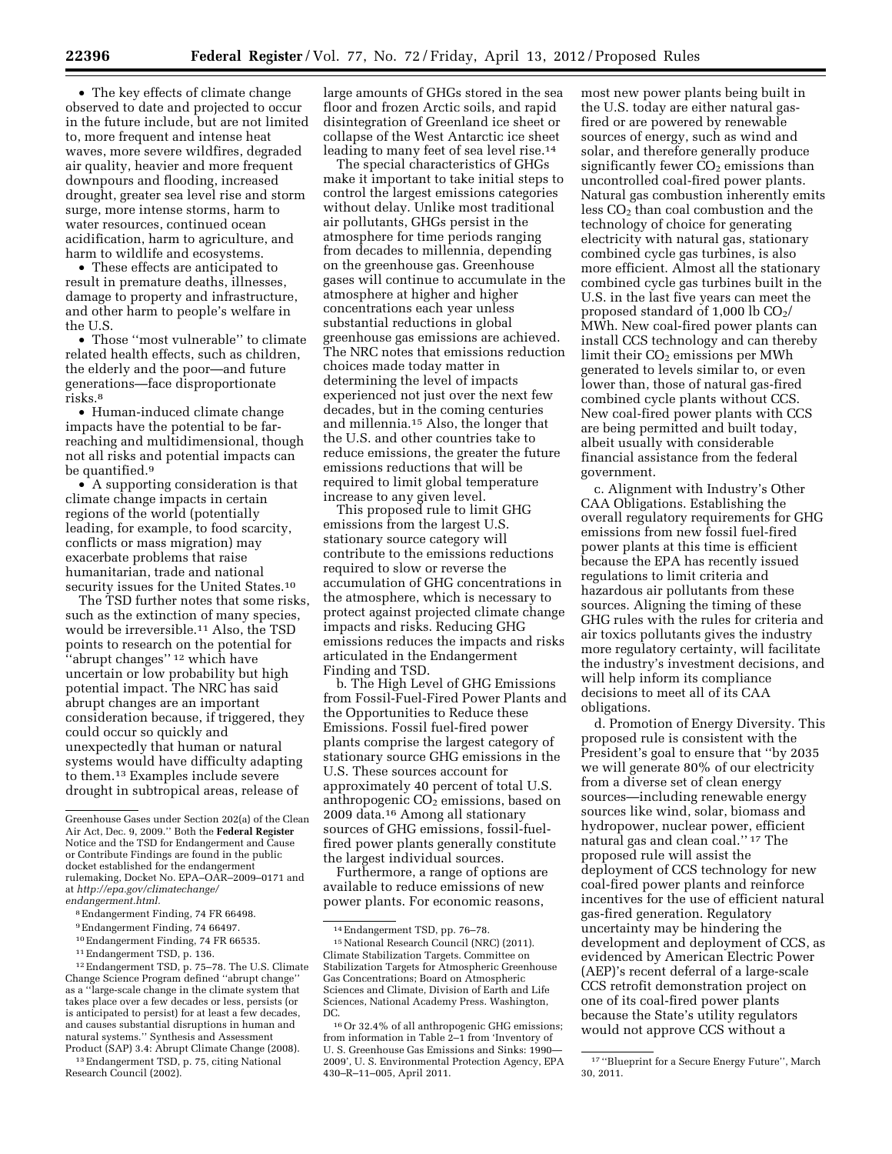• The key effects of climate change observed to date and projected to occur in the future include, but are not limited to, more frequent and intense heat waves, more severe wildfires, degraded air quality, heavier and more frequent downpours and flooding, increased drought, greater sea level rise and storm surge, more intense storms, harm to water resources, continued ocean acidification, harm to agriculture, and harm to wildlife and ecosystems.

• These effects are anticipated to result in premature deaths, illnesses, damage to property and infrastructure, and other harm to people's welfare in the U.S.

• Those ''most vulnerable'' to climate related health effects, such as children, the elderly and the poor—and future generations—face disproportionate risks.8

• Human-induced climate change impacts have the potential to be farreaching and multidimensional, though not all risks and potential impacts can be quantified.9

• A supporting consideration is that climate change impacts in certain regions of the world (potentially leading, for example, to food scarcity, conflicts or mass migration) may exacerbate problems that raise humanitarian, trade and national security issues for the United States.<sup>10</sup>

The TSD further notes that some risks, such as the extinction of many species, would be irreversible.11 Also, the TSD points to research on the potential for ''abrupt changes'' 12 which have uncertain or low probability but high potential impact. The NRC has said abrupt changes are an important consideration because, if triggered, they could occur so quickly and unexpectedly that human or natural systems would have difficulty adapting to them.13 Examples include severe drought in subtropical areas, release of

8Endangerment Finding, 74 FR 66498.

10Endangerment Finding, 74 FR 66535.

12Endangerment TSD, p. 75–78. The U.S. Climate Change Science Program defined ''abrupt change'' as a ''large-scale change in the climate system that takes place over a few decades or less, persists (or is anticipated to persist) for at least a few decades, and causes substantial disruptions in human and natural systems.'' Synthesis and Assessment Product (SAP) 3.4: Abrupt Climate Change (2008).

13Endangerment TSD, p. 75, citing National Research Council (2002).

large amounts of GHGs stored in the sea floor and frozen Arctic soils, and rapid disintegration of Greenland ice sheet or collapse of the West Antarctic ice sheet leading to many feet of sea level rise.14

The special characteristics of GHGs make it important to take initial steps to control the largest emissions categories without delay. Unlike most traditional air pollutants, GHGs persist in the atmosphere for time periods ranging from decades to millennia, depending on the greenhouse gas. Greenhouse gases will continue to accumulate in the atmosphere at higher and higher concentrations each year unless substantial reductions in global greenhouse gas emissions are achieved. The NRC notes that emissions reduction choices made today matter in determining the level of impacts experienced not just over the next few decades, but in the coming centuries and millennia.15 Also, the longer that the U.S. and other countries take to reduce emissions, the greater the future emissions reductions that will be required to limit global temperature increase to any given level.

This proposed rule to limit GHG emissions from the largest U.S. stationary source category will contribute to the emissions reductions required to slow or reverse the accumulation of GHG concentrations in the atmosphere, which is necessary to protect against projected climate change impacts and risks. Reducing GHG emissions reduces the impacts and risks articulated in the Endangerment Finding and TSD.

b. The High Level of GHG Emissions from Fossil-Fuel-Fired Power Plants and the Opportunities to Reduce these Emissions. Fossil fuel-fired power plants comprise the largest category of stationary source GHG emissions in the U.S. These sources account for approximately 40 percent of total U.S. anthropogenic  $CO<sub>2</sub>$  emissions, based on 2009 data.16 Among all stationary sources of GHG emissions, fossil-fuelfired power plants generally constitute the largest individual sources.

Furthermore, a range of options are available to reduce emissions of new power plants. For economic reasons,

most new power plants being built in the U.S. today are either natural gasfired or are powered by renewable sources of energy, such as wind and solar, and therefore generally produce significantly fewer  $\overline{CO}_2$  emissions than uncontrolled coal-fired power plants. Natural gas combustion inherently emits  $\cos CO_2$  than coal combustion and the technology of choice for generating electricity with natural gas, stationary combined cycle gas turbines, is also more efficient. Almost all the stationary combined cycle gas turbines built in the U.S. in the last five years can meet the proposed standard of  $1,000$  lb  $CO<sub>2</sub>/$ MWh. New coal-fired power plants can install CCS technology and can thereby limit their CO<sub>2</sub> emissions per MWh generated to levels similar to, or even lower than, those of natural gas-fired combined cycle plants without CCS. New coal-fired power plants with CCS are being permitted and built today, albeit usually with considerable financial assistance from the federal government.

c. Alignment with Industry's Other CAA Obligations. Establishing the overall regulatory requirements for GHG emissions from new fossil fuel-fired power plants at this time is efficient because the EPA has recently issued regulations to limit criteria and hazardous air pollutants from these sources. Aligning the timing of these GHG rules with the rules for criteria and air toxics pollutants gives the industry more regulatory certainty, will facilitate the industry's investment decisions, and will help inform its compliance decisions to meet all of its CAA obligations.

d. Promotion of Energy Diversity. This proposed rule is consistent with the President's goal to ensure that ''by 2035 we will generate 80% of our electricity from a diverse set of clean energy sources—including renewable energy sources like wind, solar, biomass and hydropower, nuclear power, efficient natural gas and clean coal.'' 17 The proposed rule will assist the deployment of CCS technology for new coal-fired power plants and reinforce incentives for the use of efficient natural gas-fired generation. Regulatory uncertainty may be hindering the development and deployment of CCS, as evidenced by American Electric Power (AEP)'s recent deferral of a large-scale CCS retrofit demonstration project on one of its coal-fired power plants because the State's utility regulators would not approve CCS without a

Greenhouse Gases under Section 202(a) of the Clean Air Act, Dec. 9, 2009.'' Both the **Federal Register**  Notice and the TSD for Endangerment and Cause or Contribute Findings are found in the public docket established for the endangerment rulemaking, Docket No. EPA–OAR–2009–0171 and at *[http://epa.gov/climatechange/](http://epa.gov/climatechange/endangerment.html) [endangerment.html.](http://epa.gov/climatechange/endangerment.html)* 

<sup>9</sup>Endangerment Finding, 74 66497.

<sup>11</sup>Endangerment TSD, p. 136.

<sup>14</sup>Endangerment TSD, pp. 76–78.

<sup>&</sup>lt;sup>15</sup> National Research Council (NRC) (2011). Climate Stabilization Targets. Committee on Stabilization Targets for Atmospheric Greenhouse Gas Concentrations; Board on Atmospheric Sciences and Climate, Division of Earth and Life Sciences, National Academy Press. Washington, DC.

<sup>16</sup>Or 32.4% of all anthropogenic GHG emissions; from information in Table  $2-1$  from 'Inventory of U. S. Greenhouse Gas Emissions and Sinks: 1990— 2009', U. S. Environmental Protection Agency, EPA 430–R–11–005, April 2011.

<sup>17</sup> ''Blueprint for a Secure Energy Future'', March 30, 2011.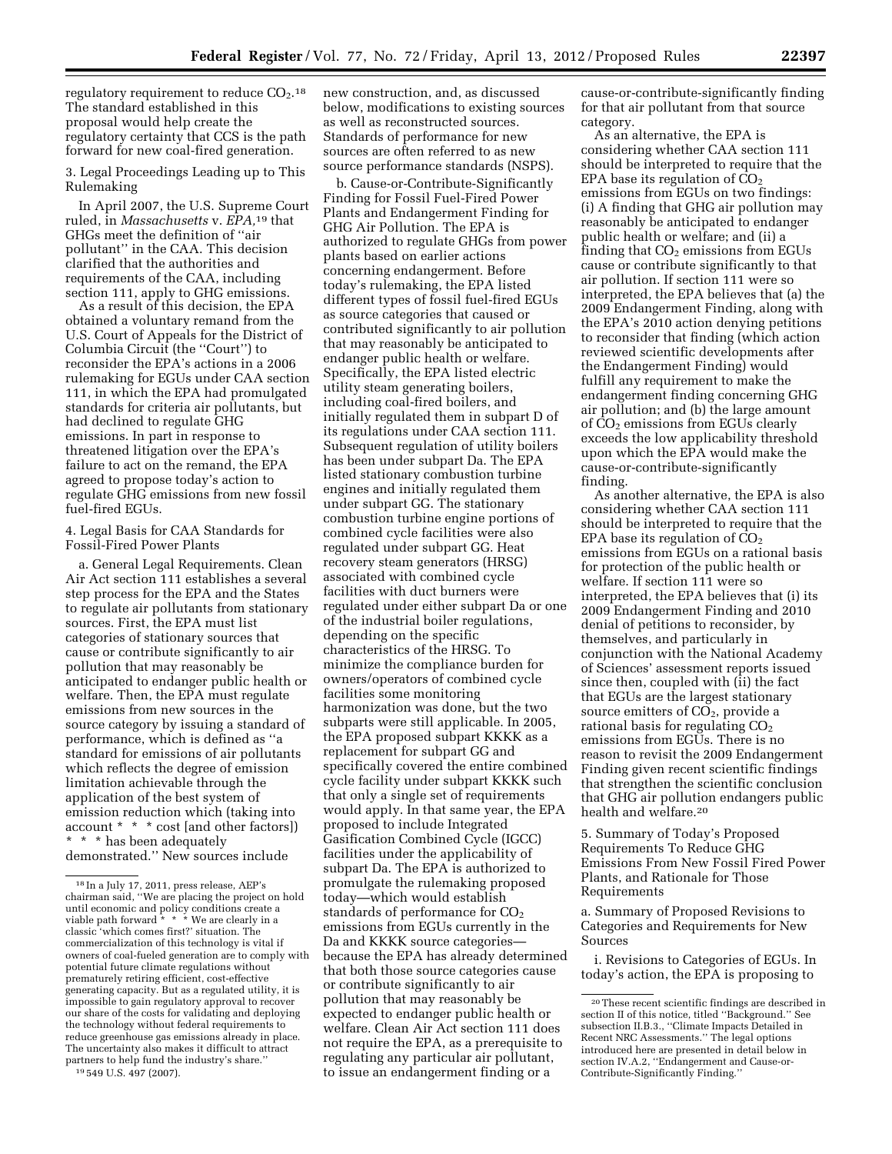regulatory requirement to reduce  $CO<sub>2</sub>$ .<sup>18</sup> The standard established in this proposal would help create the regulatory certainty that CCS is the path forward for new coal-fired generation.

3. Legal Proceedings Leading up to This Rulemaking

In April 2007, the U.S. Supreme Court ruled, in *Massachusetts* v. *EPA,*19 that GHGs meet the definition of ''air pollutant'' in the CAA. This decision clarified that the authorities and requirements of the CAA, including section 111, apply to GHG emissions.

As a result of this decision, the EPA obtained a voluntary remand from the U.S. Court of Appeals for the District of Columbia Circuit (the ''Court'') to reconsider the EPA's actions in a 2006 rulemaking for EGUs under CAA section 111, in which the EPA had promulgated standards for criteria air pollutants, but had declined to regulate GHG emissions. In part in response to threatened litigation over the EPA's failure to act on the remand, the EPA agreed to propose today's action to regulate GHG emissions from new fossil fuel-fired EGUs.

4. Legal Basis for CAA Standards for Fossil-Fired Power Plants

a. General Legal Requirements. Clean Air Act section 111 establishes a several step process for the EPA and the States to regulate air pollutants from stationary sources. First, the EPA must list categories of stationary sources that cause or contribute significantly to air pollution that may reasonably be anticipated to endanger public health or welfare. Then, the EPA must regulate emissions from new sources in the source category by issuing a standard of performance, which is defined as ''a standard for emissions of air pollutants which reflects the degree of emission limitation achievable through the application of the best system of emission reduction which (taking into account \* \* \* cost [and other factors]) \* \* \* has been adequately demonstrated.'' New sources include

new construction, and, as discussed below, modifications to existing sources as well as reconstructed sources. Standards of performance for new sources are often referred to as new source performance standards (NSPS).

b. Cause-or-Contribute-Significantly Finding for Fossil Fuel-Fired Power Plants and Endangerment Finding for GHG Air Pollution. The EPA is authorized to regulate GHGs from power plants based on earlier actions concerning endangerment. Before today's rulemaking, the EPA listed different types of fossil fuel-fired EGUs as source categories that caused or contributed significantly to air pollution that may reasonably be anticipated to endanger public health or welfare. Specifically, the EPA listed electric utility steam generating boilers, including coal-fired boilers, and initially regulated them in subpart D of its regulations under CAA section 111. Subsequent regulation of utility boilers has been under subpart Da. The EPA listed stationary combustion turbine engines and initially regulated them under subpart GG. The stationary combustion turbine engine portions of combined cycle facilities were also regulated under subpart GG. Heat recovery steam generators (HRSG) associated with combined cycle facilities with duct burners were regulated under either subpart Da or one of the industrial boiler regulations, depending on the specific characteristics of the HRSG. To minimize the compliance burden for owners/operators of combined cycle facilities some monitoring harmonization was done, but the two subparts were still applicable. In 2005, the EPA proposed subpart KKKK as a replacement for subpart GG and specifically covered the entire combined cycle facility under subpart KKKK such that only a single set of requirements would apply. In that same year, the EPA proposed to include Integrated Gasification Combined Cycle (IGCC) facilities under the applicability of subpart Da. The EPA is authorized to promulgate the rulemaking proposed today—which would establish standards of performance for  $CO<sub>2</sub>$ emissions from EGUs currently in the Da and KKKK source categories because the EPA has already determined that both those source categories cause or contribute significantly to air pollution that may reasonably be expected to endanger public health or welfare. Clean Air Act section 111 does not require the EPA, as a prerequisite to regulating any particular air pollutant, to issue an endangerment finding or a

cause-or-contribute-significantly finding for that air pollutant from that source category.

As an alternative, the EPA is considering whether CAA section 111 should be interpreted to require that the EPA base its regulation of  $CO<sub>2</sub>$ emissions from EGUs on two findings: (i) A finding that GHG air pollution may reasonably be anticipated to endanger public health or welfare; and (ii) a finding that  $CO<sub>2</sub>$  emissions from EGUs cause or contribute significantly to that air pollution. If section 111 were so interpreted, the EPA believes that (a) the 2009 Endangerment Finding, along with the EPA's 2010 action denying petitions to reconsider that finding (which action reviewed scientific developments after the Endangerment Finding) would fulfill any requirement to make the endangerment finding concerning GHG air pollution; and (b) the large amount of CO<sub>2</sub> emissions from EGUs clearly exceeds the low applicability threshold upon which the EPA would make the cause-or-contribute-significantly finding.

As another alternative, the EPA is also considering whether CAA section 111 should be interpreted to require that the EPA base its regulation of  $CO<sub>2</sub>$ emissions from EGUs on a rational basis for protection of the public health or welfare. If section 111 were so interpreted, the EPA believes that (i) its 2009 Endangerment Finding and 2010 denial of petitions to reconsider, by themselves, and particularly in conjunction with the National Academy of Sciences' assessment reports issued since then, coupled with (ii) the fact that EGUs are the largest stationary source emitters of  $\overline{CO_2}$ , provide a rational basis for regulating  $CO<sub>2</sub>$ emissions from EGUs. There is no reason to revisit the 2009 Endangerment Finding given recent scientific findings that strengthen the scientific conclusion that GHG air pollution endangers public health and welfare.20

5. Summary of Today's Proposed Requirements To Reduce GHG Emissions From New Fossil Fired Power Plants, and Rationale for Those Requirements

a. Summary of Proposed Revisions to Categories and Requirements for New Sources

i. Revisions to Categories of EGUs. In today's action, the EPA is proposing to

<sup>18</sup> In a July 17, 2011, press release, AEP's chairman said, ''We are placing the project on hold until economic and policy conditions create a viable path forward \* \* \* We are clearly in a classic 'which comes first?' situation. The commercialization of this technology is vital if owners of coal-fueled generation are to comply with potential future climate regulations without prematurely retiring efficient, cost-effective generating capacity. But as a regulated utility, it is impossible to gain regulatory approval to recover our share of the costs for validating and deploying the technology without federal requirements to reduce greenhouse gas emissions already in place. The uncertainty also makes it difficult to attract partners to help fund the industry's share. 19 549 U.S. 497 (2007).

<sup>20</sup>These recent scientific findings are described in section II of this notice, titled ''Background.'' See subsection II.B.3., ''Climate Impacts Detailed in Recent NRC Assessments.'' The legal options introduced here are presented in detail below in section IV.A.2, ''Endangerment and Cause-or-Contribute-Significantly Finding.''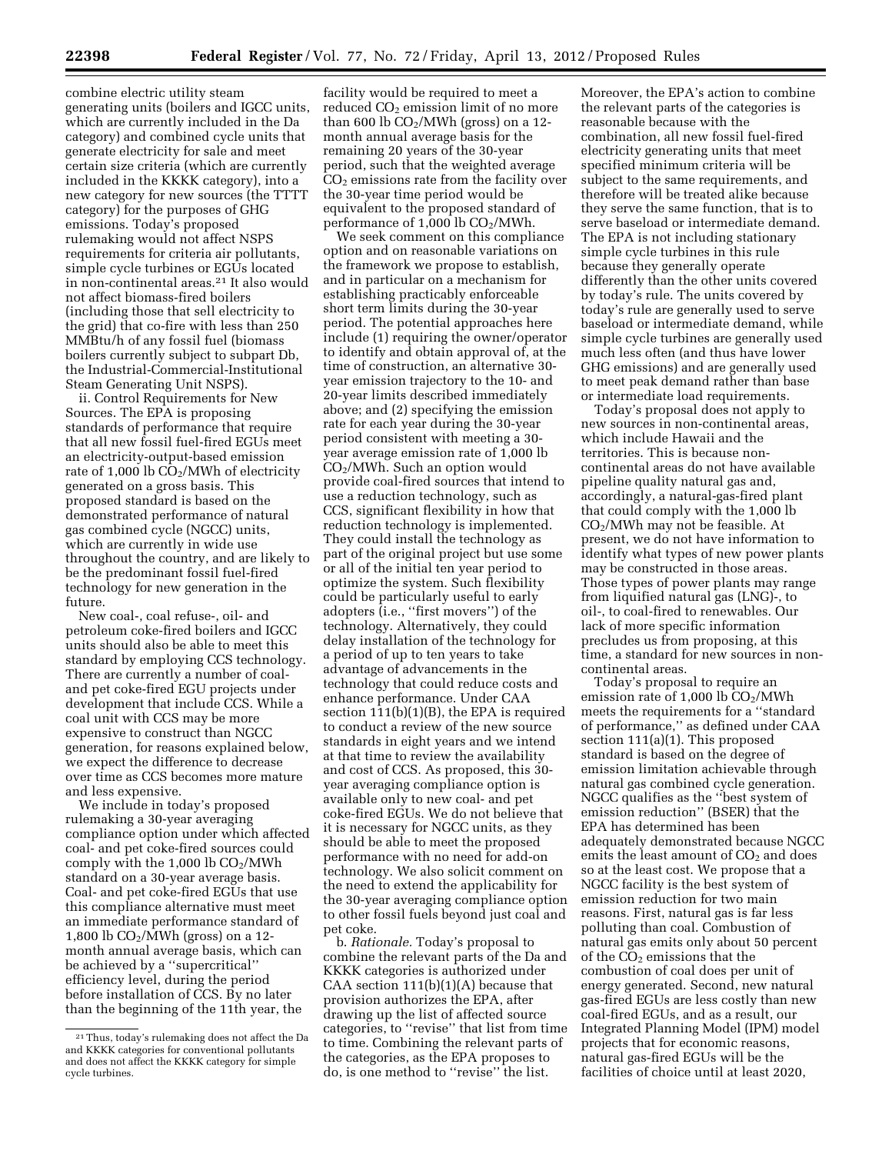combine electric utility steam generating units (boilers and IGCC units, which are currently included in the Da category) and combined cycle units that generate electricity for sale and meet certain size criteria (which are currently included in the KKKK category), into a new category for new sources (the TTTT category) for the purposes of GHG emissions. Today's proposed rulemaking would not affect NSPS requirements for criteria air pollutants, simple cycle turbines or EGUs located in non-continental areas.21 It also would not affect biomass-fired boilers (including those that sell electricity to the grid) that co-fire with less than 250 MMBtu/h of any fossil fuel (biomass boilers currently subject to subpart Db, the Industrial-Commercial-Institutional Steam Generating Unit NSPS).

ii. Control Requirements for New Sources. The EPA is proposing standards of performance that require that all new fossil fuel-fired EGUs meet an electricity-output-based emission rate of  $1,000$  lb  $CO<sub>2</sub>/MWh$  of electricity generated on a gross basis. This proposed standard is based on the demonstrated performance of natural gas combined cycle (NGCC) units, which are currently in wide use throughout the country, and are likely to be the predominant fossil fuel-fired technology for new generation in the future.

New coal-, coal refuse-, oil- and petroleum coke-fired boilers and IGCC units should also be able to meet this standard by employing CCS technology. There are currently a number of coaland pet coke-fired EGU projects under development that include CCS. While a coal unit with CCS may be more expensive to construct than NGCC generation, for reasons explained below, we expect the difference to decrease over time as CCS becomes more mature and less expensive.

We include in today's proposed rulemaking a 30-year averaging compliance option under which affected coal- and pet coke-fired sources could comply with the  $1,000$  lb  $CO<sub>2</sub>/MWh$ standard on a 30-year average basis. Coal- and pet coke-fired EGUs that use this compliance alternative must meet an immediate performance standard of 1,800 lb  $CO<sub>2</sub>/MWh$  (gross) on a 12month annual average basis, which can be achieved by a ''supercritical'' efficiency level, during the period before installation of CCS. By no later than the beginning of the 11th year, the

facility would be required to meet a reduced  $CO<sub>2</sub>$  emission limit of no more than 600 lb  $CO<sub>2</sub>/MWh$  (gross) on a 12month annual average basis for the remaining 20 years of the 30-year period, such that the weighted average  $CO<sub>2</sub>$  emissions rate from the facility over the 30-year time period would be equivalent to the proposed standard of performance of  $1,000$  lb  $CO<sub>2</sub>/MWh$ .

We seek comment on this compliance option and on reasonable variations on the framework we propose to establish, and in particular on a mechanism for establishing practicably enforceable short term limits during the 30-year period. The potential approaches here include (1) requiring the owner/operator to identify and obtain approval of, at the time of construction, an alternative 30 year emission trajectory to the 10- and 20-year limits described immediately above; and (2) specifying the emission rate for each year during the 30-year period consistent with meeting a 30 year average emission rate of 1,000 lb CO2/MWh. Such an option would provide coal-fired sources that intend to use a reduction technology, such as CCS, significant flexibility in how that reduction technology is implemented. They could install the technology as part of the original project but use some or all of the initial ten year period to optimize the system. Such flexibility could be particularly useful to early adopters (i.e., ''first movers'') of the technology. Alternatively, they could delay installation of the technology for a period of up to ten years to take advantage of advancements in the technology that could reduce costs and enhance performance. Under CAA section  $111(b)(1)(B)$ , the EPA is required to conduct a review of the new source standards in eight years and we intend at that time to review the availability and cost of CCS. As proposed, this 30 year averaging compliance option is available only to new coal- and pet coke-fired EGUs. We do not believe that it is necessary for NGCC units, as they should be able to meet the proposed performance with no need for add-on technology. We also solicit comment on the need to extend the applicability for the 30-year averaging compliance option to other fossil fuels beyond just coal and pet coke.

b. *Rationale.* Today's proposal to combine the relevant parts of the Da and KKKK categories is authorized under CAA section  $111(b)(1)(A)$  because that provision authorizes the EPA, after drawing up the list of affected source categories, to ''revise'' that list from time to time. Combining the relevant parts of the categories, as the EPA proposes to do, is one method to ''revise'' the list.

Moreover, the EPA's action to combine the relevant parts of the categories is reasonable because with the combination, all new fossil fuel-fired electricity generating units that meet specified minimum criteria will be subject to the same requirements, and therefore will be treated alike because they serve the same function, that is to serve baseload or intermediate demand. The EPA is not including stationary simple cycle turbines in this rule because they generally operate differently than the other units covered by today's rule. The units covered by today's rule are generally used to serve baseload or intermediate demand, while simple cycle turbines are generally used much less often (and thus have lower GHG emissions) and are generally used to meet peak demand rather than base or intermediate load requirements.

Today's proposal does not apply to new sources in non-continental areas, which include Hawaii and the territories. This is because noncontinental areas do not have available pipeline quality natural gas and, accordingly, a natural-gas-fired plant that could comply with the 1,000 lb CO2/MWh may not be feasible. At present, we do not have information to identify what types of new power plants may be constructed in those areas. Those types of power plants may range from liquified natural gas (LNG)-, to oil-, to coal-fired to renewables. Our lack of more specific information precludes us from proposing, at this time, a standard for new sources in noncontinental areas.

Today's proposal to require an emission rate of 1,000 lb CO<sub>2</sub>/MWh meets the requirements for a ''standard of performance,'' as defined under CAA section 111(a)(1). This proposed standard is based on the degree of emission limitation achievable through natural gas combined cycle generation. NGCC qualifies as the ''best system of emission reduction" (BSER) that the EPA has determined has been adequately demonstrated because NGCC emits the least amount of  $CO<sub>2</sub>$  and does so at the least cost. We propose that a NGCC facility is the best system of emission reduction for two main reasons. First, natural gas is far less polluting than coal. Combustion of natural gas emits only about 50 percent of the  $CO<sub>2</sub>$  emissions that the combustion of coal does per unit of energy generated. Second, new natural gas-fired EGUs are less costly than new coal-fired EGUs, and as a result, our Integrated Planning Model (IPM) model projects that for economic reasons, natural gas-fired EGUs will be the facilities of choice until at least 2020,

<sup>21</sup>Thus, today's rulemaking does not affect the Da and KKKK categories for conventional pollutants and does not affect the KKKK category for simple cycle turbines.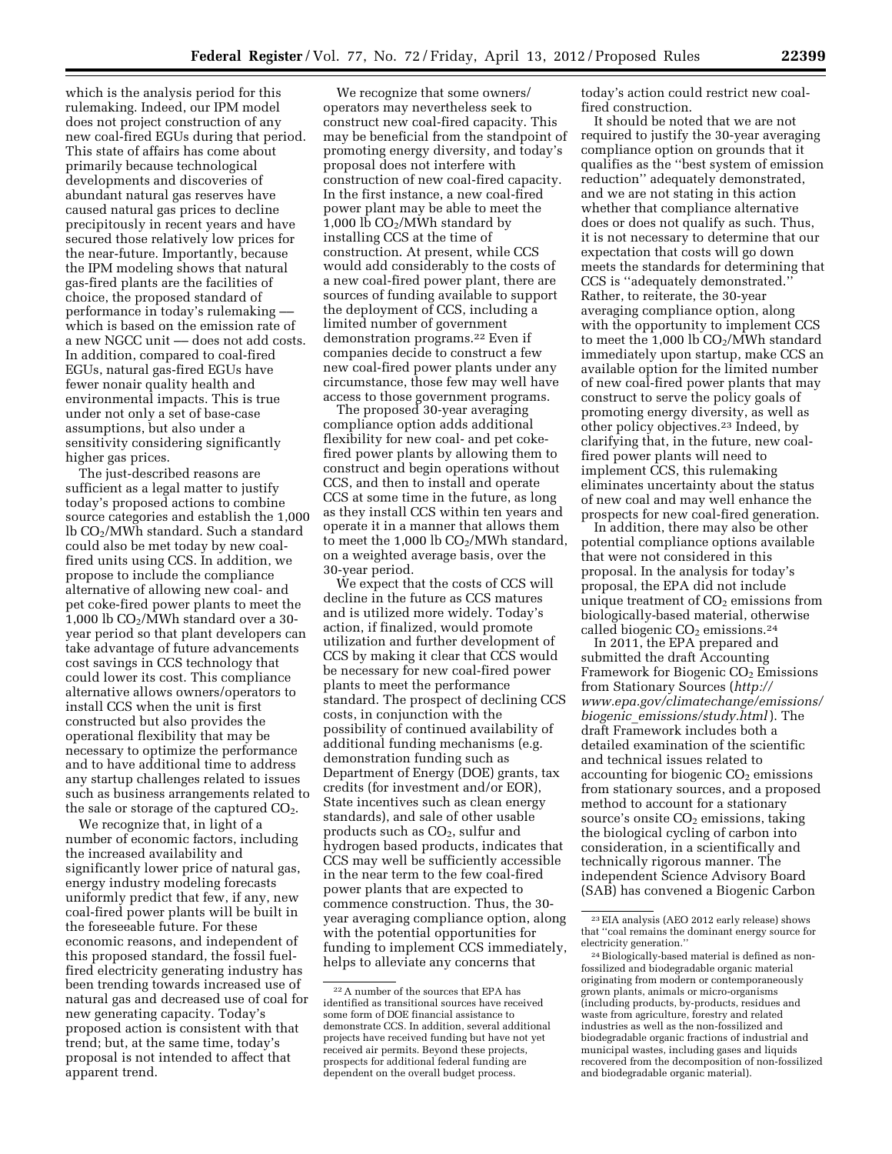which is the analysis period for this rulemaking. Indeed, our IPM model does not project construction of any new coal-fired EGUs during that period. This state of affairs has come about primarily because technological developments and discoveries of abundant natural gas reserves have caused natural gas prices to decline precipitously in recent years and have secured those relatively low prices for the near-future. Importantly, because the IPM modeling shows that natural gas-fired plants are the facilities of choice, the proposed standard of performance in today's rulemaking –– which is based on the emission rate of a new NGCC unit — does not add costs. In addition, compared to coal-fired EGUs, natural gas-fired EGUs have fewer nonair quality health and environmental impacts. This is true under not only a set of base-case assumptions, but also under a sensitivity considering significantly higher gas prices.

The just-described reasons are sufficient as a legal matter to justify today's proposed actions to combine source categories and establish the 1,000 lb CO2/MWh standard. Such a standard could also be met today by new coalfired units using CCS. In addition, we propose to include the compliance alternative of allowing new coal- and pet coke-fired power plants to meet the 1,000 lb  $CO<sub>2</sub>/MWh$  standard over a 30year period so that plant developers can take advantage of future advancements cost savings in CCS technology that could lower its cost. This compliance alternative allows owners/operators to install CCS when the unit is first constructed but also provides the operational flexibility that may be necessary to optimize the performance and to have additional time to address any startup challenges related to issues such as business arrangements related to the sale or storage of the captured  $CO<sub>2</sub>$ .

We recognize that, in light of a number of economic factors, including the increased availability and significantly lower price of natural gas, energy industry modeling forecasts uniformly predict that few, if any, new coal-fired power plants will be built in the foreseeable future. For these economic reasons, and independent of this proposed standard, the fossil fuelfired electricity generating industry has been trending towards increased use of natural gas and decreased use of coal for new generating capacity. Today's proposed action is consistent with that trend; but, at the same time, today's proposal is not intended to affect that apparent trend.

We recognize that some owners/ operators may nevertheless seek to construct new coal-fired capacity. This may be beneficial from the standpoint of promoting energy diversity, and today's proposal does not interfere with construction of new coal-fired capacity. In the first instance, a new coal-fired power plant may be able to meet the 1,000 lb  $CO<sub>2</sub>/MWh$  standard by installing CCS at the time of construction. At present, while CCS would add considerably to the costs of a new coal-fired power plant, there are sources of funding available to support the deployment of CCS, including a limited number of government demonstration programs.22 Even if companies decide to construct a few new coal-fired power plants under any circumstance, those few may well have access to those government programs.

The proposed 30-year averaging compliance option adds additional flexibility for new coal- and pet cokefired power plants by allowing them to construct and begin operations without CCS, and then to install and operate CCS at some time in the future, as long as they install CCS within ten years and operate it in a manner that allows them to meet the 1,000 lb  $CO<sub>2</sub>/MWh$  standard, on a weighted average basis, over the 30-year period.

We expect that the costs of CCS will decline in the future as CCS matures and is utilized more widely. Today's action, if finalized, would promote utilization and further development of CCS by making it clear that CCS would be necessary for new coal-fired power plants to meet the performance standard. The prospect of declining CCS costs, in conjunction with the possibility of continued availability of additional funding mechanisms (e.g. demonstration funding such as Department of Energy (DOE) grants, tax credits (for investment and/or EOR), State incentives such as clean energy standards), and sale of other usable products such as  $CO<sub>2</sub>$ , sulfur and hydrogen based products, indicates that CCS may well be sufficiently accessible in the near term to the few coal-fired power plants that are expected to commence construction. Thus, the 30 year averaging compliance option, along with the potential opportunities for funding to implement CCS immediately, helps to alleviate any concerns that

today's action could restrict new coalfired construction.

It should be noted that we are not required to justify the 30-year averaging compliance option on grounds that it qualifies as the ''best system of emission reduction'' adequately demonstrated, and we are not stating in this action whether that compliance alternative does or does not qualify as such. Thus, it is not necessary to determine that our expectation that costs will go down meets the standards for determining that CCS is ''adequately demonstrated.'' Rather, to reiterate, the 30-year averaging compliance option, along with the opportunity to implement CCS to meet the  $1,000$  lb  $CO<sub>2</sub>/MWh$  standard immediately upon startup, make CCS an available option for the limited number of new coal-fired power plants that may construct to serve the policy goals of promoting energy diversity, as well as other policy objectives.23 Indeed, by clarifying that, in the future, new coalfired power plants will need to implement CCS, this rulemaking eliminates uncertainty about the status of new coal and may well enhance the prospects for new coal-fired generation.

In addition, there may also be other potential compliance options available that were not considered in this proposal. In the analysis for today's proposal, the EPA did not include unique treatment of  $CO<sub>2</sub>$  emissions from biologically-based material, otherwise called biogenic  $CO<sub>2</sub>$  emissions.<sup>24</sup>

In 2011, the EPA prepared and submitted the draft Accounting Framework for Biogenic CO<sub>2</sub> Emissions from Stationary Sources (*[http://](http://www.epa.gov/climatechange/emissions/biogenic_emissions/study.html) [www.epa.gov/climatechange/emissions/](http://www.epa.gov/climatechange/emissions/biogenic_emissions/study.html) biogenic*\_*[emissions/study.html](http://www.epa.gov/climatechange/emissions/biogenic_emissions/study.html)* ). The draft Framework includes both a detailed examination of the scientific and technical issues related to accounting for biogenic  $CO<sub>2</sub>$  emissions from stationary sources, and a proposed method to account for a stationary source's onsite  $CO<sub>2</sub>$  emissions, taking the biological cycling of carbon into consideration, in a scientifically and technically rigorous manner. The independent Science Advisory Board (SAB) has convened a Biogenic Carbon

<sup>22</sup>A number of the sources that EPA has identified as transitional sources have received some form of DOE financial assistance to demonstrate CCS. In addition, several additional projects have received funding but have not yet received air permits. Beyond these projects, prospects for additional federal funding are dependent on the overall budget process.

<sup>23</sup>EIA analysis (AEO 2012 early release) shows that ''coal remains the dominant energy source for electricity generation.''

<sup>24</sup>Biologically-based material is defined as nonfossilized and biodegradable organic material originating from modern or contemporaneously grown plants, animals or micro-organisms (including products, by-products, residues and waste from agriculture, forestry and related industries as well as the non-fossilized and biodegradable organic fractions of industrial and municipal wastes, including gases and liquids recovered from the decomposition of non-fossilized and biodegradable organic material).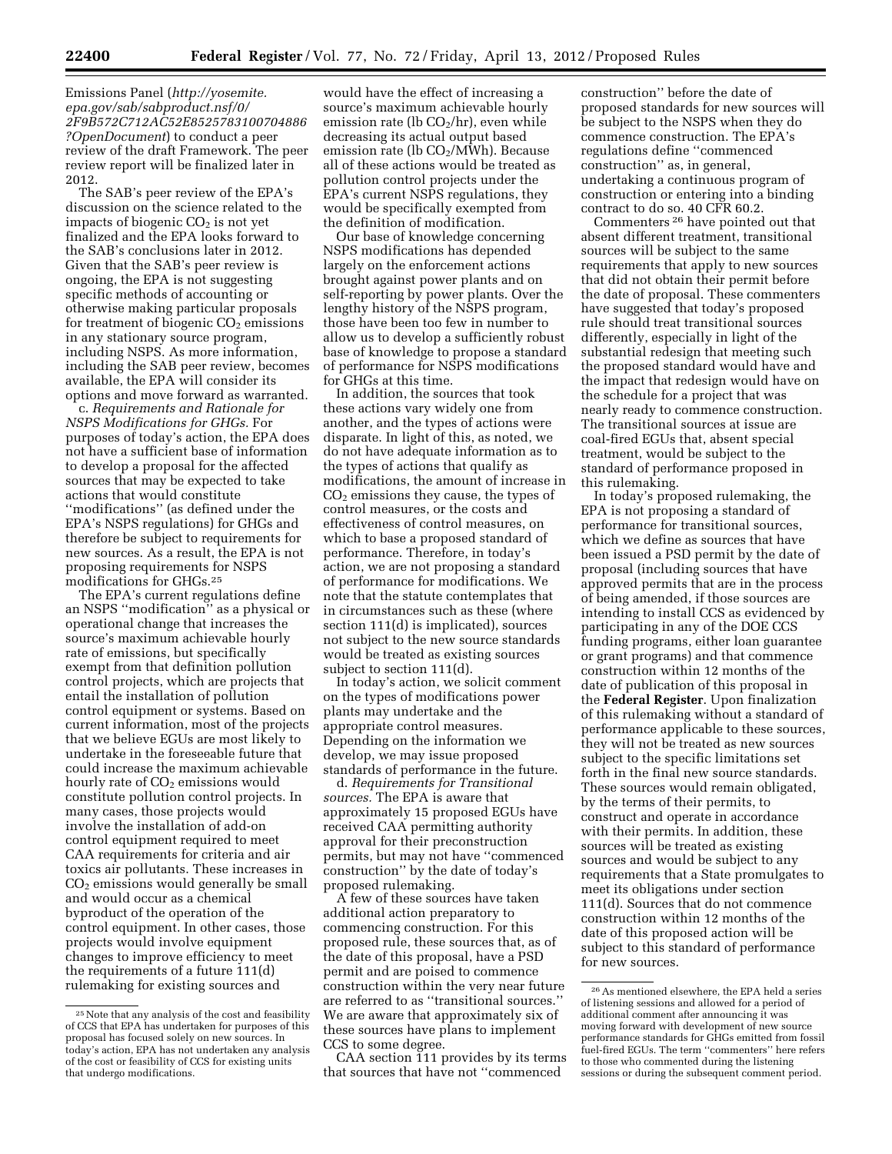Emissions Panel (*[http://yosemite.](http://yosemite.epa.gov/sab/sabproduct.nsf/0/2F9B572C712AC52E8525783100704886?OpenDocument) [epa.gov/sab/sabproduct.nsf/0/](http://yosemite.epa.gov/sab/sabproduct.nsf/0/2F9B572C712AC52E8525783100704886?OpenDocument) [2F9B572C712AC52E8525783100704886](http://yosemite.epa.gov/sab/sabproduct.nsf/0/2F9B572C712AC52E8525783100704886?OpenDocument) [?OpenDocument](http://yosemite.epa.gov/sab/sabproduct.nsf/0/2F9B572C712AC52E8525783100704886?OpenDocument)*) to conduct a peer review of the draft Framework. The peer review report will be finalized later in 2012.

The SAB's peer review of the EPA's discussion on the science related to the impacts of biogenic  $CO<sub>2</sub>$  is not yet finalized and the EPA looks forward to the SAB's conclusions later in 2012. Given that the SAB's peer review is ongoing, the EPA is not suggesting specific methods of accounting or otherwise making particular proposals for treatment of biogenic  $CO<sub>2</sub>$  emissions in any stationary source program, including NSPS. As more information, including the SAB peer review, becomes available, the EPA will consider its options and move forward as warranted.

c. *Requirements and Rationale for NSPS Modifications for GHGs.* For purposes of today's action, the EPA does not have a sufficient base of information to develop a proposal for the affected sources that may be expected to take actions that would constitute ''modifications'' (as defined under the EPA's NSPS regulations) for GHGs and therefore be subject to requirements for new sources. As a result, the EPA is not proposing requirements for NSPS modifications for GHGs.25

The EPA's current regulations define an NSPS ''modification'' as a physical or operational change that increases the source's maximum achievable hourly rate of emissions, but specifically exempt from that definition pollution control projects, which are projects that entail the installation of pollution control equipment or systems. Based on current information, most of the projects that we believe EGUs are most likely to undertake in the foreseeable future that could increase the maximum achievable hourly rate of  $CO<sub>2</sub>$  emissions would constitute pollution control projects. In many cases, those projects would involve the installation of add-on control equipment required to meet CAA requirements for criteria and air toxics air pollutants. These increases in  $CO<sub>2</sub>$  emissions would generally be small and would occur as a chemical byproduct of the operation of the control equipment. In other cases, those projects would involve equipment changes to improve efficiency to meet the requirements of a future 111(d) rulemaking for existing sources and

would have the effect of increasing a source's maximum achievable hourly emission rate (lb  $CO<sub>2</sub>/hr$ ), even while decreasing its actual output based emission rate (lb  $CO<sub>2</sub>/MWh$ ). Because all of these actions would be treated as pollution control projects under the EPA's current NSPS regulations, they would be specifically exempted from the definition of modification.

Our base of knowledge concerning NSPS modifications has depended largely on the enforcement actions brought against power plants and on self-reporting by power plants. Over the lengthy history of the NSPS program, those have been too few in number to allow us to develop a sufficiently robust base of knowledge to propose a standard of performance for NSPS modifications for GHGs at this time.

In addition, the sources that took these actions vary widely one from another, and the types of actions were disparate. In light of this, as noted, we do not have adequate information as to the types of actions that qualify as modifications, the amount of increase in  $CO<sub>2</sub>$  emissions they cause, the types of control measures, or the costs and effectiveness of control measures, on which to base a proposed standard of performance. Therefore, in today's action, we are not proposing a standard of performance for modifications. We note that the statute contemplates that in circumstances such as these (where section 111(d) is implicated), sources not subject to the new source standards would be treated as existing sources subject to section 111(d).

In today's action, we solicit comment on the types of modifications power plants may undertake and the appropriate control measures. Depending on the information we develop, we may issue proposed standards of performance in the future.

d. *Requirements for Transitional sources.* The EPA is aware that approximately 15 proposed EGUs have received CAA permitting authority approval for their preconstruction permits, but may not have ''commenced construction'' by the date of today's proposed rulemaking.

A few of these sources have taken additional action preparatory to commencing construction. For this proposed rule, these sources that, as of the date of this proposal, have a PSD permit and are poised to commence construction within the very near future are referred to as ''transitional sources.'' We are aware that approximately six of these sources have plans to implement CCS to some degree.

CAA section 111 provides by its terms that sources that have not ''commenced

construction'' before the date of proposed standards for new sources will be subject to the NSPS when they do commence construction. The EPA's regulations define ''commenced construction'' as, in general, undertaking a continuous program of construction or entering into a binding contract to do so. 40 CFR 60.2.

Commenters 26 have pointed out that absent different treatment, transitional sources will be subject to the same requirements that apply to new sources that did not obtain their permit before the date of proposal. These commenters have suggested that today's proposed rule should treat transitional sources differently, especially in light of the substantial redesign that meeting such the proposed standard would have and the impact that redesign would have on the schedule for a project that was nearly ready to commence construction. The transitional sources at issue are coal-fired EGUs that, absent special treatment, would be subject to the standard of performance proposed in this rulemaking.

In today's proposed rulemaking, the EPA is not proposing a standard of performance for transitional sources, which we define as sources that have been issued a PSD permit by the date of proposal (including sources that have approved permits that are in the process of being amended, if those sources are intending to install CCS as evidenced by participating in any of the DOE CCS funding programs, either loan guarantee or grant programs) and that commence construction within 12 months of the date of publication of this proposal in the **Federal Register**. Upon finalization of this rulemaking without a standard of performance applicable to these sources, they will not be treated as new sources subject to the specific limitations set forth in the final new source standards. These sources would remain obligated, by the terms of their permits, to construct and operate in accordance with their permits. In addition, these sources will be treated as existing sources and would be subject to any requirements that a State promulgates to meet its obligations under section 111(d). Sources that do not commence construction within 12 months of the date of this proposed action will be subject to this standard of performance for new sources.

<sup>25</sup>Note that any analysis of the cost and feasibility of CCS that EPA has undertaken for purposes of this proposal has focused solely on new sources. In today's action, EPA has not undertaken any analysis of the cost or feasibility of CCS for existing units that undergo modifications.

<sup>26</sup>As mentioned elsewhere, the EPA held a series of listening sessions and allowed for a period of additional comment after announcing it was moving forward with development of new source performance standards for GHGs emitted from fossil fuel-fired EGUs. The term ''commenters'' here refers to those who commented during the listening sessions or during the subsequent comment period.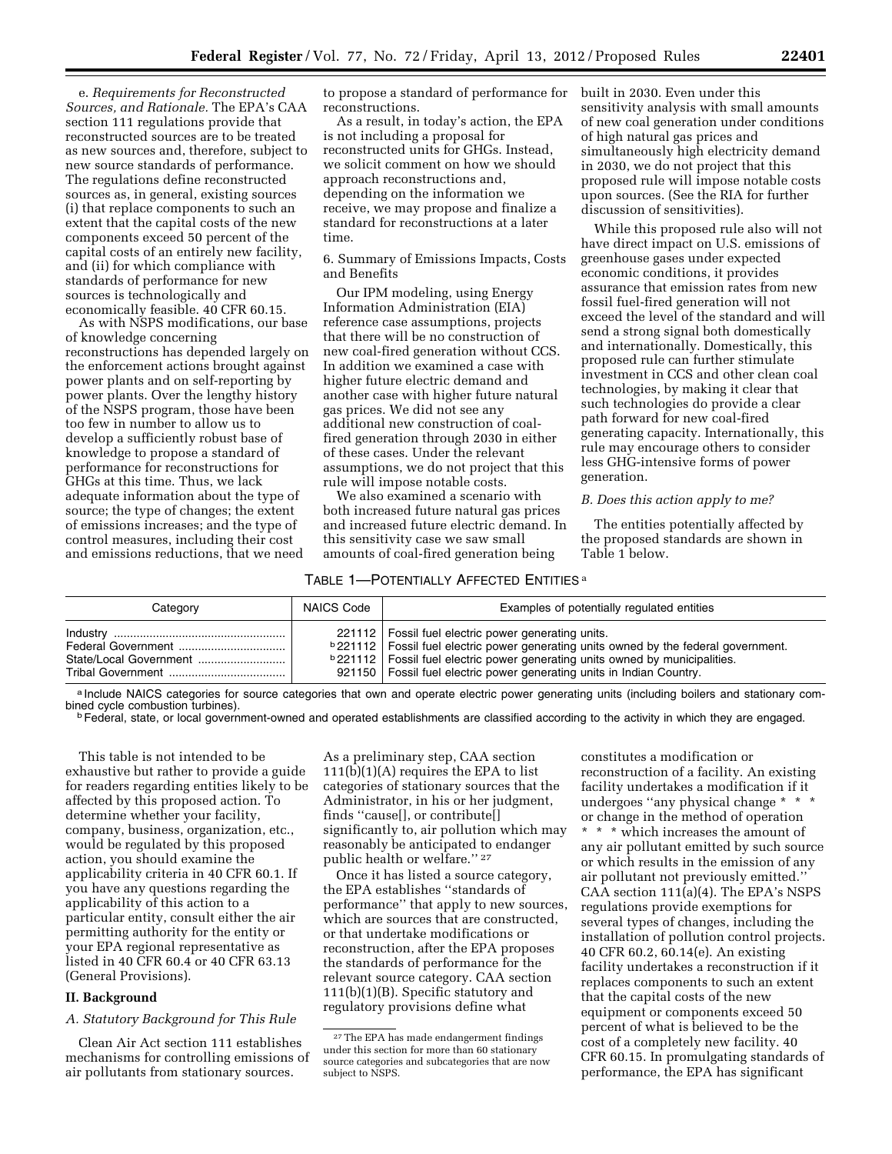e. *Requirements for Reconstructed Sources, and Rationale.* The EPA's CAA section 111 regulations provide that reconstructed sources are to be treated as new sources and, therefore, subject to new source standards of performance. The regulations define reconstructed sources as, in general, existing sources (i) that replace components to such an extent that the capital costs of the new components exceed 50 percent of the capital costs of an entirely new facility, and (ii) for which compliance with standards of performance for new sources is technologically and economically feasible. 40 CFR 60.15.

As with NSPS modifications, our base of knowledge concerning reconstructions has depended largely on the enforcement actions brought against power plants and on self-reporting by power plants. Over the lengthy history of the NSPS program, those have been too few in number to allow us to develop a sufficiently robust base of knowledge to propose a standard of performance for reconstructions for GHGs at this time. Thus, we lack adequate information about the type of source; the type of changes; the extent of emissions increases; and the type of control measures, including their cost and emissions reductions, that we need

to propose a standard of performance for reconstructions.

As a result, in today's action, the EPA is not including a proposal for reconstructed units for GHGs. Instead, we solicit comment on how we should approach reconstructions and, depending on the information we receive, we may propose and finalize a standard for reconstructions at a later time.

6. Summary of Emissions Impacts, Costs and Benefits

Our IPM modeling, using Energy Information Administration (EIA) reference case assumptions, projects that there will be no construction of new coal-fired generation without CCS. In addition we examined a case with higher future electric demand and another case with higher future natural gas prices. We did not see any additional new construction of coalfired generation through 2030 in either of these cases. Under the relevant assumptions, we do not project that this rule will impose notable costs.

We also examined a scenario with both increased future natural gas prices and increased future electric demand. In this sensitivity case we saw small amounts of coal-fired generation being

#### TABLE 1—POTENTIALLY AFFECTED ENTITIES a

built in 2030. Even under this sensitivity analysis with small amounts of new coal generation under conditions of high natural gas prices and simultaneously high electricity demand in 2030, we do not project that this proposed rule will impose notable costs upon sources. (See the RIA for further discussion of sensitivities).

While this proposed rule also will not have direct impact on U.S. emissions of greenhouse gases under expected economic conditions, it provides assurance that emission rates from new fossil fuel-fired generation will not exceed the level of the standard and will send a strong signal both domestically and internationally. Domestically, this proposed rule can further stimulate investment in CCS and other clean coal technologies, by making it clear that such technologies do provide a clear path forward for new coal-fired generating capacity. Internationally, this rule may encourage others to consider less GHG-intensive forms of power generation.

# *B. Does this action apply to me?*

The entities potentially affected by the proposed standards are shown in Table 1 below.

| Category                                | NAICS Code | Examples of potentially regulated entities                                                                                                                                                                                                                                                                                   |
|-----------------------------------------|------------|------------------------------------------------------------------------------------------------------------------------------------------------------------------------------------------------------------------------------------------------------------------------------------------------------------------------------|
| Federal Government<br>Tribal Government |            | 221112   Fossil fuel electric power generating units.<br><b>b</b> 221112   Fossil fuel electric power generating units owned by the federal government.<br><b>b</b> 221112   Fossil fuel electric power generating units owned by municipalities.<br>921150   Fossil fuel electric power generating units in Indian Country. |

a Include NAICS categories for source categories that own and operate electric power generating units (including boilers and stationary com-<br>bined cycle combustion turbines).

<sup>b</sup> Federal, state, or local government-owned and operated establishments are classified according to the activity in which they are engaged.

This table is not intended to be exhaustive but rather to provide a guide for readers regarding entities likely to be affected by this proposed action. To determine whether your facility, company, business, organization, etc., would be regulated by this proposed action, you should examine the applicability criteria in 40 CFR 60.1. If you have any questions regarding the applicability of this action to a particular entity, consult either the air permitting authority for the entity or your EPA regional representative as listed in 40 CFR 60.4 or 40 CFR 63.13 (General Provisions).

### **II. Background**

*A. Statutory Background for This Rule* 

Clean Air Act section 111 establishes mechanisms for controlling emissions of air pollutants from stationary sources.

As a preliminary step, CAA section 111(b)(1)(A) requires the EPA to list categories of stationary sources that the Administrator, in his or her judgment, finds ''cause[], or contribute[] significantly to, air pollution which may reasonably be anticipated to endanger public health or welfare.'' 27

Once it has listed a source category, the EPA establishes ''standards of performance'' that apply to new sources, which are sources that are constructed, or that undertake modifications or reconstruction, after the EPA proposes the standards of performance for the relevant source category. CAA section 111(b)(1)(B). Specific statutory and regulatory provisions define what

constitutes a modification or reconstruction of a facility. An existing facility undertakes a modification if it undergoes ''any physical change \* \* \* or change in the method of operation \* \* \* which increases the amount of any air pollutant emitted by such source or which results in the emission of any air pollutant not previously emitted.'' CAA section 111(a)(4). The EPA's NSPS regulations provide exemptions for several types of changes, including the installation of pollution control projects. 40 CFR 60.2, 60.14(e). An existing facility undertakes a reconstruction if it replaces components to such an extent that the capital costs of the new equipment or components exceed 50 percent of what is believed to be the cost of a completely new facility. 40 CFR 60.15. In promulgating standards of performance, the EPA has significant

<sup>27</sup>The EPA has made endangerment findings under this section for more than 60 stationary source categories and subcategories that are now subject to NSPS.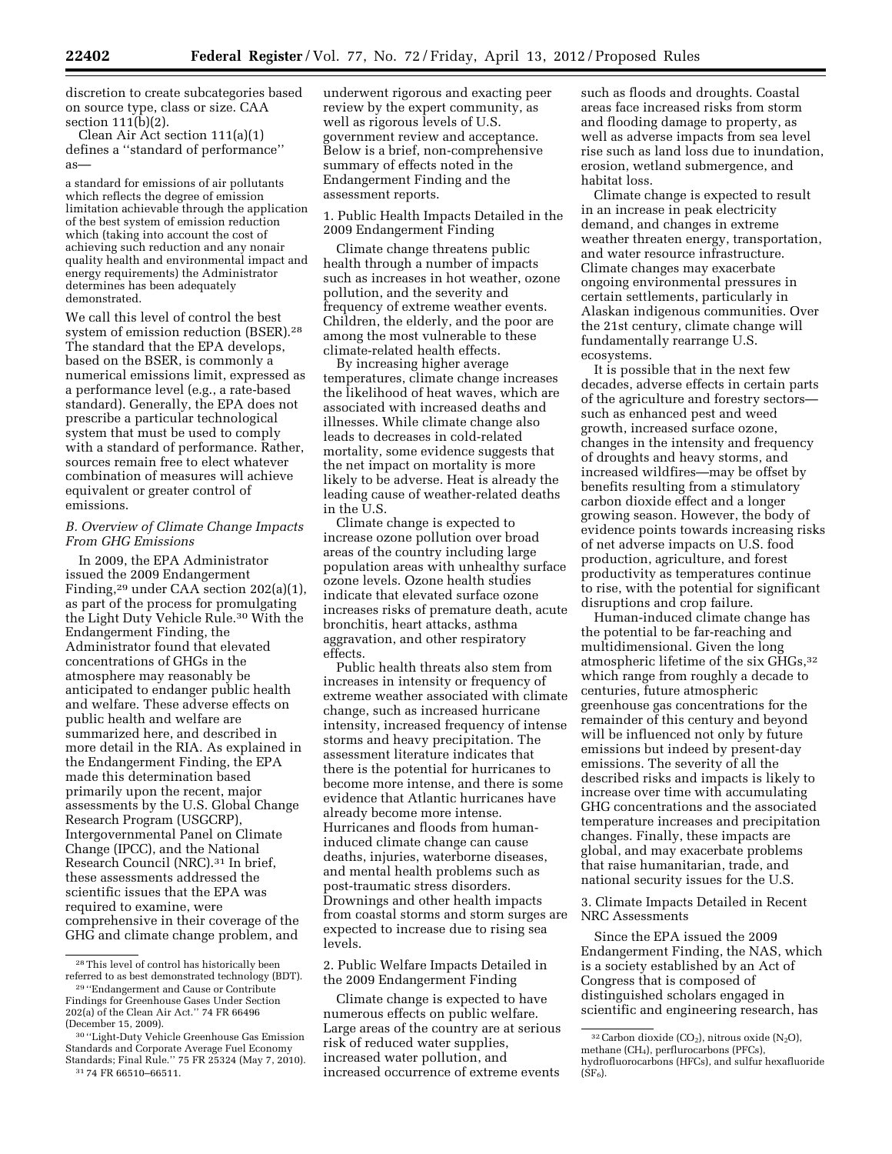discretion to create subcategories based on source type, class or size. CAA section 111(b)(2).

Clean Air Act section 111(a)(1) defines a ''standard of performance'' as—

a standard for emissions of air pollutants which reflects the degree of emission limitation achievable through the application of the best system of emission reduction which (taking into account the cost of achieving such reduction and any nonair quality health and environmental impact and energy requirements) the Administrator determines has been adequately demonstrated.

We call this level of control the best system of emission reduction (BSER).28 The standard that the EPA develops, based on the BSER, is commonly a numerical emissions limit, expressed as a performance level (e.g., a rate-based standard). Generally, the EPA does not prescribe a particular technological system that must be used to comply with a standard of performance. Rather, sources remain free to elect whatever combination of measures will achieve equivalent or greater control of emissions.

# *B. Overview of Climate Change Impacts From GHG Emissions*

In 2009, the EPA Administrator issued the 2009 Endangerment Finding,29 under CAA section 202(a)(1), as part of the process for promulgating the Light Duty Vehicle Rule.30 With the Endangerment Finding, the Administrator found that elevated concentrations of GHGs in the atmosphere may reasonably be anticipated to endanger public health and welfare. These adverse effects on public health and welfare are summarized here, and described in more detail in the RIA. As explained in the Endangerment Finding, the EPA made this determination based primarily upon the recent, major assessments by the U.S. Global Change Research Program (USGCRP), Intergovernmental Panel on Climate Change (IPCC), and the National Research Council (NRC).31 In brief, these assessments addressed the scientific issues that the EPA was required to examine, were comprehensive in their coverage of the GHG and climate change problem, and

underwent rigorous and exacting peer review by the expert community, as well as rigorous levels of U.S. government review and acceptance. Below is a brief, non-comprehensive summary of effects noted in the Endangerment Finding and the assessment reports.

1. Public Health Impacts Detailed in the 2009 Endangerment Finding

Climate change threatens public health through a number of impacts such as increases in hot weather, ozone pollution, and the severity and frequency of extreme weather events. Children, the elderly, and the poor are among the most vulnerable to these climate-related health effects.

By increasing higher average temperatures, climate change increases the likelihood of heat waves, which are associated with increased deaths and illnesses. While climate change also leads to decreases in cold-related mortality, some evidence suggests that the net impact on mortality is more likely to be adverse. Heat is already the leading cause of weather-related deaths in the U.S.

Climate change is expected to increase ozone pollution over broad areas of the country including large population areas with unhealthy surface ozone levels. Ozone health studies indicate that elevated surface ozone increases risks of premature death, acute bronchitis, heart attacks, asthma aggravation, and other respiratory effects.

Public health threats also stem from increases in intensity or frequency of extreme weather associated with climate change, such as increased hurricane intensity, increased frequency of intense storms and heavy precipitation. The assessment literature indicates that there is the potential for hurricanes to become more intense, and there is some evidence that Atlantic hurricanes have already become more intense. Hurricanes and floods from humaninduced climate change can cause deaths, injuries, waterborne diseases, and mental health problems such as post-traumatic stress disorders. Drownings and other health impacts from coastal storms and storm surges are expected to increase due to rising sea levels.

2. Public Welfare Impacts Detailed in the 2009 Endangerment Finding

Climate change is expected to have numerous effects on public welfare. Large areas of the country are at serious risk of reduced water supplies, increased water pollution, and increased occurrence of extreme events

such as floods and droughts. Coastal areas face increased risks from storm and flooding damage to property, as well as adverse impacts from sea level rise such as land loss due to inundation, erosion, wetland submergence, and habitat loss.

Climate change is expected to result in an increase in peak electricity demand, and changes in extreme weather threaten energy, transportation, and water resource infrastructure. Climate changes may exacerbate ongoing environmental pressures in certain settlements, particularly in Alaskan indigenous communities. Over the 21st century, climate change will fundamentally rearrange U.S. ecosystems.

It is possible that in the next few decades, adverse effects in certain parts of the agriculture and forestry sectors such as enhanced pest and weed growth, increased surface ozone, changes in the intensity and frequency of droughts and heavy storms, and increased wildfires—may be offset by benefits resulting from a stimulatory carbon dioxide effect and a longer growing season. However, the body of evidence points towards increasing risks of net adverse impacts on U.S. food production, agriculture, and forest productivity as temperatures continue to rise, with the potential for significant disruptions and crop failure.

Human-induced climate change has the potential to be far-reaching and multidimensional. Given the long atmospheric lifetime of the six GHGs,32 which range from roughly a decade to centuries, future atmospheric greenhouse gas concentrations for the remainder of this century and beyond will be influenced not only by future emissions but indeed by present-day emissions. The severity of all the described risks and impacts is likely to increase over time with accumulating GHG concentrations and the associated temperature increases and precipitation changes. Finally, these impacts are global, and may exacerbate problems that raise humanitarian, trade, and national security issues for the U.S.

3. Climate Impacts Detailed in Recent NRC Assessments

Since the EPA issued the 2009 Endangerment Finding, the NAS, which is a society established by an Act of Congress that is composed of distinguished scholars engaged in scientific and engineering research, has

<sup>28</sup>This level of control has historically been referred to as best demonstrated technology (BDT). 29 ''Endangerment and Cause or Contribute

Findings for Greenhouse Gases Under Section 202(a) of the Clean Air Act.'' 74 FR 66496 (December 15, 2009).

<sup>30</sup> ''Light-Duty Vehicle Greenhouse Gas Emission Standards and Corporate Average Fuel Economy Standards; Final Rule.'' 75 FR 25324 (May 7, 2010). 31 74 FR 66510–66511.

 $32$  Carbon dioxide (CO<sub>2</sub>), nitrous oxide (N<sub>2</sub>O), methane (CH4), perflurocarbons (PFCs), hydrofluorocarbons (HFCs), and sulfur hexafluoride  $(SF_6)$ .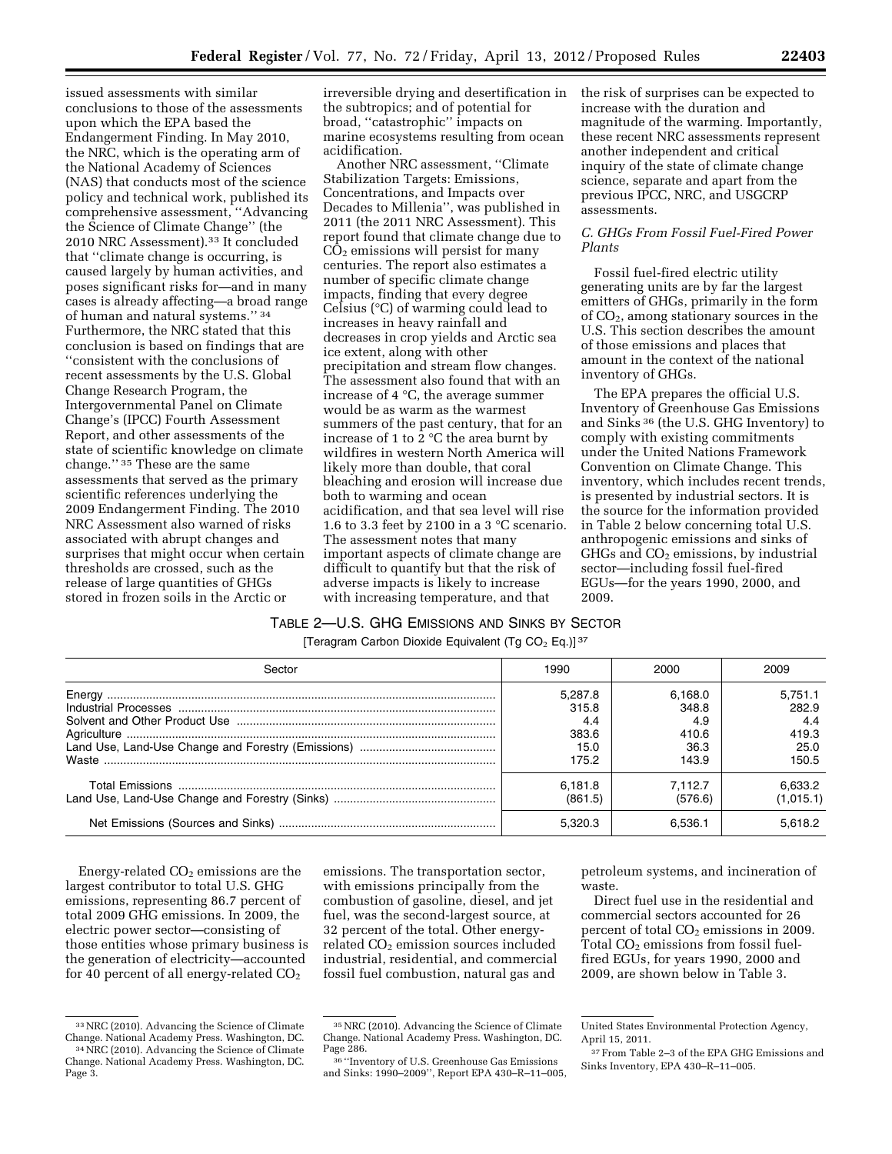issued assessments with similar conclusions to those of the assessments upon which the EPA based the Endangerment Finding. In May 2010, the NRC, which is the operating arm of the National Academy of Sciences (NAS) that conducts most of the science policy and technical work, published its comprehensive assessment, ''Advancing the Science of Climate Change'' (the 2010 NRC Assessment).33 It concluded that ''climate change is occurring, is caused largely by human activities, and poses significant risks for—and in many cases is already affecting—a broad range of human and natural systems.'' 34 Furthermore, the NRC stated that this conclusion is based on findings that are ''consistent with the conclusions of recent assessments by the U.S. Global Change Research Program, the Intergovernmental Panel on Climate Change's (IPCC) Fourth Assessment Report, and other assessments of the state of scientific knowledge on climate change.'' 35 These are the same assessments that served as the primary scientific references underlying the 2009 Endangerment Finding. The 2010 NRC Assessment also warned of risks associated with abrupt changes and surprises that might occur when certain thresholds are crossed, such as the

release of large quantities of GHGs stored in frozen soils in the Arctic or irreversible drying and desertification in the subtropics; and of potential for broad, ''catastrophic'' impacts on marine ecosystems resulting from ocean acidification.

Another NRC assessment, ''Climate Stabilization Targets: Emissions, Concentrations, and Impacts over Decades to Millenia'', was published in 2011 (the 2011 NRC Assessment). This report found that climate change due to  $CO<sub>2</sub>$  emissions will persist for many centuries. The report also estimates a number of specific climate change impacts, finding that every degree Celsius (°C) of warming could lead to increases in heavy rainfall and decreases in crop yields and Arctic sea ice extent, along with other precipitation and stream flow changes. The assessment also found that with an increase of 4 °C, the average summer would be as warm as the warmest summers of the past century, that for an increase of 1 to 2 °C the area burnt by wildfires in western North America will likely more than double, that coral bleaching and erosion will increase due both to warming and ocean acidification, and that sea level will rise 1.6 to 3.3 feet by 2100 in a 3 °C scenario. The assessment notes that many important aspects of climate change are difficult to quantify but that the risk of adverse impacts is likely to increase with increasing temperature, and that

the risk of surprises can be expected to increase with the duration and magnitude of the warming. Importantly, these recent NRC assessments represent another independent and critical inquiry of the state of climate change science, separate and apart from the previous IPCC, NRC, and USGCRP assessments.

# *C. GHGs From Fossil Fuel-Fired Power Plants*

Fossil fuel-fired electric utility generating units are by far the largest emitters of GHGs, primarily in the form of CO2, among stationary sources in the U.S. This section describes the amount of those emissions and places that amount in the context of the national inventory of GHGs.

The EPA prepares the official U.S. Inventory of Greenhouse Gas Emissions and Sinks 36 (the U.S. GHG Inventory) to comply with existing commitments under the United Nations Framework Convention on Climate Change. This inventory, which includes recent trends, is presented by industrial sectors. It is the source for the information provided in Table 2 below concerning total U.S. anthropogenic emissions and sinks of  $GHGs$  and  $CO<sub>2</sub>$  emissions, by industrial sector—including fossil fuel-fired EGUs—for the years 1990, 2000, and 2009.

# TABLE 2—U.S. GHG EMISSIONS AND SINKS BY SECTOR

[Teragram Carbon Dioxide Equivalent (Tg CO<sub>2</sub> Eq.)]<sup>37</sup>

| Sector | 1990    | 2000    | 2009      |
|--------|---------|---------|-----------|
|        | 5.287.8 | 6.168.0 | 5.751.1   |
|        | 315.8   | 348.8   | 282.9     |
|        | 4.4     | 4.9     | 4.4       |
|        | 383.6   | 410.6   | 419.3     |
|        | 15.0    | 36.3    | 25.0      |
|        | 175.2   | 143.9   | 150.5     |
|        | 6.181.8 | 7.112.7 | 6.633.2   |
|        | (861.5) | (576.6) | (1,015.1) |
|        | 5.320.3 | 6.536.1 | 5.618.2   |

Energy-related  $CO<sub>2</sub>$  emissions are the largest contributor to total U.S. GHG emissions, representing 86.7 percent of total 2009 GHG emissions. In 2009, the electric power sector—consisting of those entities whose primary business is the generation of electricity—accounted for 40 percent of all energy-related  $CO<sub>2</sub>$ 

emissions. The transportation sector, with emissions principally from the combustion of gasoline, diesel, and jet fuel, was the second-largest source, at 32 percent of the total. Other energyrelated CO<sub>2</sub> emission sources included industrial, residential, and commercial fossil fuel combustion, natural gas and

petroleum systems, and incineration of waste.

Direct fuel use in the residential and commercial sectors accounted for 26 percent of total  $CO<sub>2</sub>$  emissions in 2009. Total  $CO<sub>2</sub>$  emissions from fossil fuelfired EGUs, for years 1990, 2000 and 2009, are shown below in Table 3.

<sup>&</sup>lt;sup>33</sup> NRC (2010). Advancing the Science of Climate<br>Change. National Academy Press. Washington, DC. <sup>34</sup> NRC (2010). Advancing the Science of Climate

Change. National Academy Press. Washington, DC. Page  $\check{3}$ .

<sup>35</sup>NRC (2010). Advancing the Science of Climate Change. National Academy Press. Washington, DC.

<sup>36 &</sup>quot;Inventory of U.S. Greenhouse Gas Emissions and Sinks: 1990–2009'', Report EPA 430–R–11–005,

United States Environmental Protection Agency, April 15, 2011.

<sup>37</sup>From Table 2–3 of the EPA GHG Emissions and Sinks Inventory, EPA 430–R–11–005.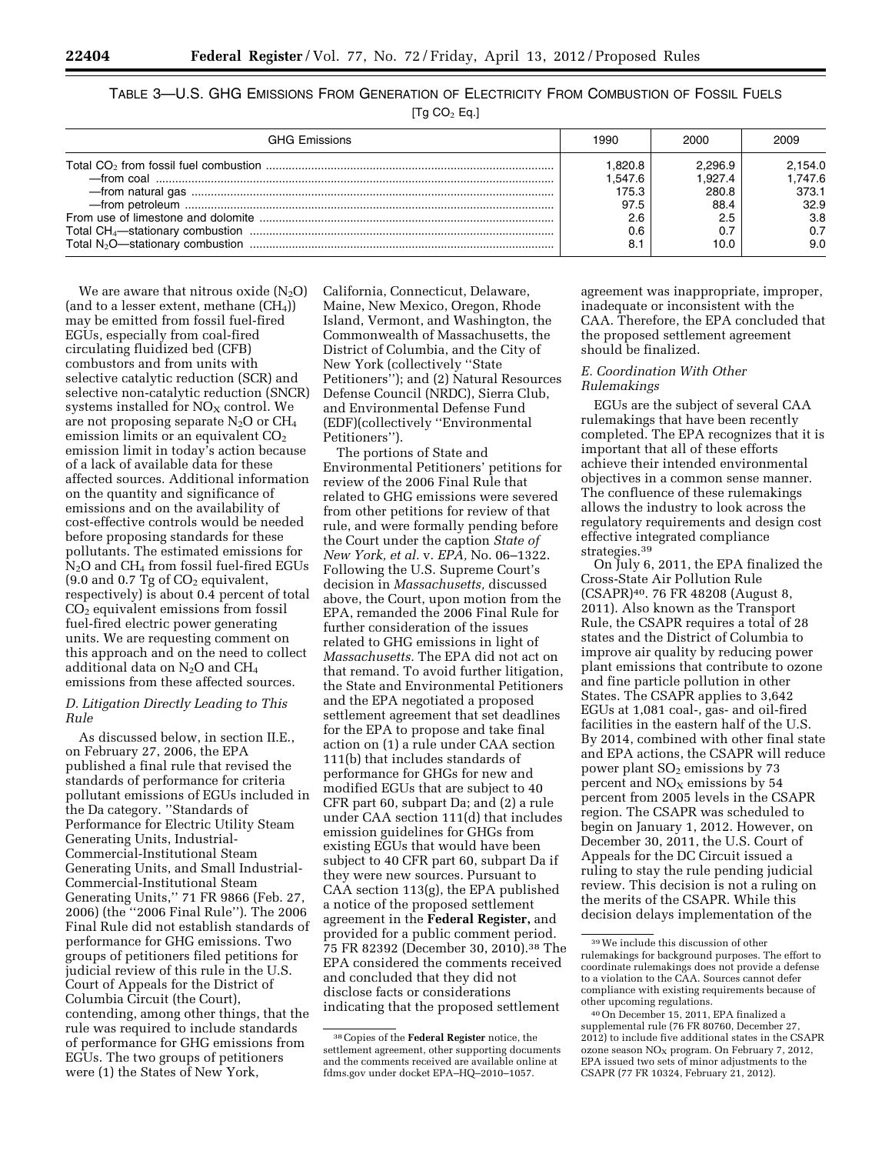# TABLE 3—U.S. GHG EMISSIONS FROM GENERATION OF ELECTRICITY FROM COMBUSTION OF FOSSIL FUELS

[Tg  $CO<sub>2</sub>$  Eq.]

| GHG Fmissions | 1990    | 2000    | 2009    |
|---------------|---------|---------|---------|
|               | 1.820.8 | 2.296.9 | 2.154.0 |
|               | 1.547.6 | 1.927.4 | 1.747.6 |
|               | 175.3   | 280.8   | 373.1   |
|               | 97.5    | 88.4    | 32.9    |
|               | 2.6     | 2.5     | 3.8     |
|               | 0.6     |         | 0.7     |
|               | 8.      | 10.0    | 9.0     |

We are aware that nitrous oxide  $(N_2O)$ (and to a lesser extent, methane  $(CH_4)$ ) may be emitted from fossil fuel-fired EGUs, especially from coal-fired circulating fluidized bed (CFB) combustors and from units with selective catalytic reduction (SCR) and selective non-catalytic reduction (SNCR) systems installed for  $NO<sub>X</sub>$  control. We are not proposing separate  $N_2O$  or  $CH_4$ emission limits or an equivalent  $CO<sub>2</sub>$ emission limit in today's action because of a lack of available data for these affected sources. Additional information on the quantity and significance of emissions and on the availability of cost-effective controls would be needed before proposing standards for these pollutants. The estimated emissions for  $N_2O$  and  $CH_4$  from fossil fuel-fired EGUs  $(9.0 \text{ and } 0.7 \text{ Tg of } CO<sub>2</sub>$  equivalent, respectively) is about 0.4 percent of total CO2 equivalent emissions from fossil fuel-fired electric power generating units. We are requesting comment on this approach and on the need to collect additional data on  $N_2O$  and  $CH_4$ emissions from these affected sources.

# *D. Litigation Directly Leading to This Rule*

As discussed below, in section II.E., on February 27, 2006, the EPA published a final rule that revised the standards of performance for criteria pollutant emissions of EGUs included in the Da category. ''Standards of Performance for Electric Utility Steam Generating Units, Industrial-Commercial-Institutional Steam Generating Units, and Small Industrial-Commercial-Institutional Steam Generating Units,'' 71 FR 9866 (Feb. 27, 2006) (the ''2006 Final Rule''). The 2006 Final Rule did not establish standards of performance for GHG emissions. Two groups of petitioners filed petitions for judicial review of this rule in the U.S. Court of Appeals for the District of Columbia Circuit (the Court), contending, among other things, that the rule was required to include standards of performance for GHG emissions from EGUs. The two groups of petitioners were (1) the States of New York,

California, Connecticut, Delaware, Maine, New Mexico, Oregon, Rhode Island, Vermont, and Washington, the Commonwealth of Massachusetts, the District of Columbia, and the City of New York (collectively ''State Petitioners''); and (2) Natural Resources Defense Council (NRDC), Sierra Club, and Environmental Defense Fund (EDF)(collectively ''Environmental Petitioners'').

The portions of State and Environmental Petitioners' petitions for review of the 2006 Final Rule that related to GHG emissions were severed from other petitions for review of that rule, and were formally pending before the Court under the caption *State of New York, et al.* v. *EPA,* No. 06–1322. Following the U.S. Supreme Court's decision in *Massachusetts,* discussed above, the Court, upon motion from the EPA, remanded the 2006 Final Rule for further consideration of the issues related to GHG emissions in light of *Massachusetts.* The EPA did not act on that remand. To avoid further litigation, the State and Environmental Petitioners and the EPA negotiated a proposed settlement agreement that set deadlines for the EPA to propose and take final action on (1) a rule under CAA section 111(b) that includes standards of performance for GHGs for new and modified EGUs that are subject to 40 CFR part 60, subpart Da; and (2) a rule under CAA section 111(d) that includes emission guidelines for GHGs from existing EGUs that would have been subject to 40 CFR part 60, subpart Da if they were new sources. Pursuant to CAA section 113(g), the EPA published a notice of the proposed settlement agreement in the **Federal Register,** and provided for a public comment period. 75 FR 82392 (December 30, 2010).38 The EPA considered the comments received and concluded that they did not disclose facts or considerations indicating that the proposed settlement

agreement was inappropriate, improper, inadequate or inconsistent with the CAA. Therefore, the EPA concluded that the proposed settlement agreement should be finalized.

# *E. Coordination With Other Rulemakings*

EGUs are the subject of several CAA rulemakings that have been recently completed. The EPA recognizes that it is important that all of these efforts achieve their intended environmental objectives in a common sense manner. The confluence of these rulemakings allows the industry to look across the regulatory requirements and design cost effective integrated compliance strategies.39

On July 6, 2011, the EPA finalized the Cross-State Air Pollution Rule (CSAPR)40. 76 FR 48208 (August 8, 2011). Also known as the Transport Rule, the CSAPR requires a total of 28 states and the District of Columbia to improve air quality by reducing power plant emissions that contribute to ozone and fine particle pollution in other States. The CSAPR applies to 3,642 EGUs at 1,081 coal-, gas- and oil-fired facilities in the eastern half of the U.S. By 2014, combined with other final state and EPA actions, the CSAPR will reduce power plant SO<sub>2</sub> emissions by 73 percent and  $NO<sub>x</sub>$  emissions by 54 percent from 2005 levels in the CSAPR region. The CSAPR was scheduled to begin on January 1, 2012. However, on December 30, 2011, the U.S. Court of Appeals for the DC Circuit issued a ruling to stay the rule pending judicial review. This decision is not a ruling on the merits of the CSAPR. While this decision delays implementation of the

<sup>38</sup>Copies of the **Federal Register** notice, the settlement agreement, other supporting documents and the comments received are available online at fdms.gov under docket EPA–HQ–2010–1057.

<sup>39</sup>We include this discussion of other rulemakings for background purposes. The effort to coordinate rulemakings does not provide a defense to a violation to the CAA. Sources cannot defer compliance with existing requirements because of other upcoming regulations.

<sup>40</sup>On December 15, 2011, EPA finalized a supplemental rule (76 FR 80760, December 27, 2012) to include five additional states in the CSAPR ozone season  $NO<sub>x</sub>$  program. On February 7, 2012, EPA issued two sets of minor adjustments to the CSAPR (77 FR 10324, February 21, 2012).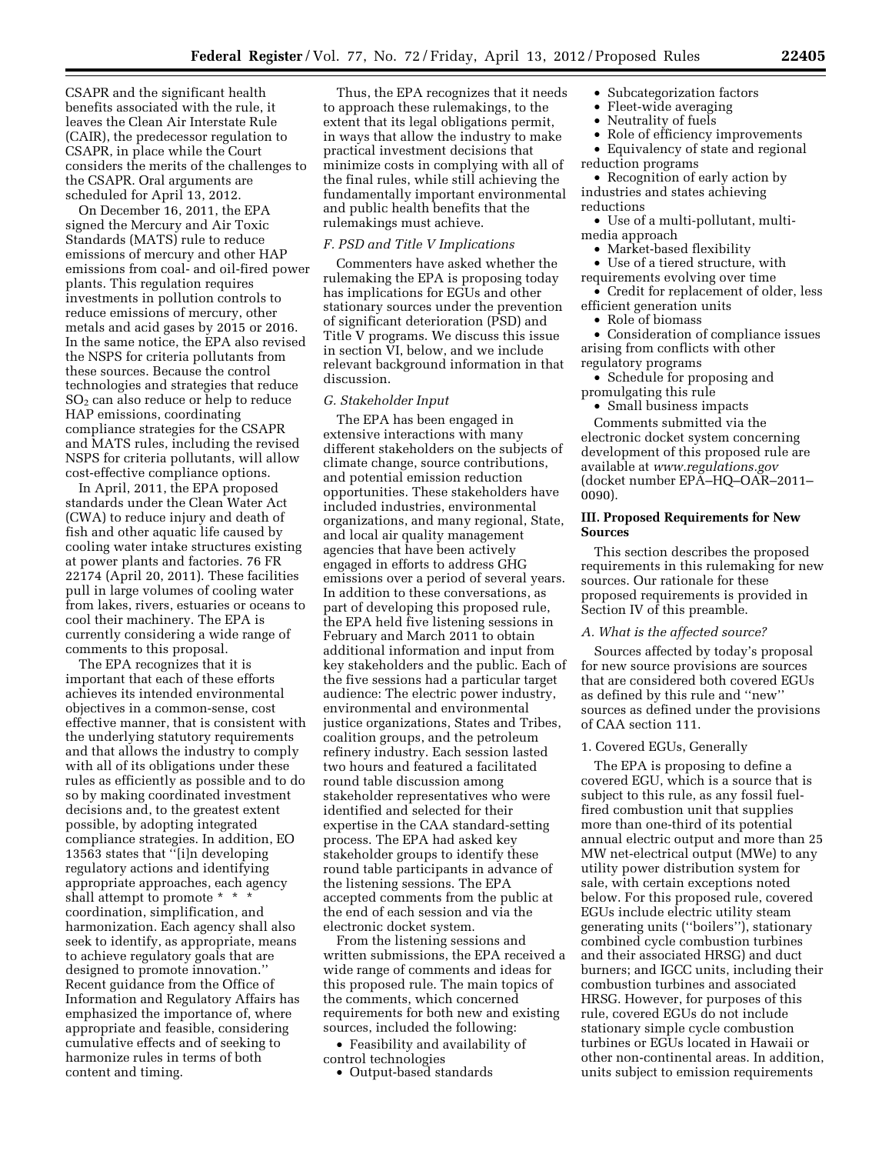CSAPR and the significant health benefits associated with the rule, it leaves the Clean Air Interstate Rule (CAIR), the predecessor regulation to CSAPR, in place while the Court considers the merits of the challenges to the CSAPR. Oral arguments are scheduled for April 13, 2012.

On December 16, 2011, the EPA signed the Mercury and Air Toxic Standards (MATS) rule to reduce emissions of mercury and other HAP emissions from coal- and oil-fired power plants. This regulation requires investments in pollution controls to reduce emissions of mercury, other metals and acid gases by 2015 or 2016. In the same notice, the EPA also revised the NSPS for criteria pollutants from these sources. Because the control technologies and strategies that reduce SO2 can also reduce or help to reduce HAP emissions, coordinating compliance strategies for the CSAPR and MATS rules, including the revised NSPS for criteria pollutants, will allow cost-effective compliance options.

In April, 2011, the EPA proposed standards under the Clean Water Act (CWA) to reduce injury and death of fish and other aquatic life caused by cooling water intake structures existing at power plants and factories. 76 FR 22174 (April 20, 2011). These facilities pull in large volumes of cooling water from lakes, rivers, estuaries or oceans to cool their machinery. The EPA is currently considering a wide range of comments to this proposal.

The EPA recognizes that it is important that each of these efforts achieves its intended environmental objectives in a common-sense, cost effective manner, that is consistent with the underlying statutory requirements and that allows the industry to comply with all of its obligations under these rules as efficiently as possible and to do so by making coordinated investment decisions and, to the greatest extent possible, by adopting integrated compliance strategies. In addition, EO 13563 states that ''[i]n developing regulatory actions and identifying appropriate approaches, each agency shall attempt to promote \* \* \* coordination, simplification, and harmonization. Each agency shall also seek to identify, as appropriate, means to achieve regulatory goals that are designed to promote innovation.'' Recent guidance from the Office of Information and Regulatory Affairs has emphasized the importance of, where appropriate and feasible, considering cumulative effects and of seeking to harmonize rules in terms of both content and timing.

Thus, the EPA recognizes that it needs to approach these rulemakings, to the extent that its legal obligations permit, in ways that allow the industry to make practical investment decisions that minimize costs in complying with all of the final rules, while still achieving the fundamentally important environmental and public health benefits that the rulemakings must achieve.

### *F. PSD and Title V Implications*

Commenters have asked whether the rulemaking the EPA is proposing today has implications for EGUs and other stationary sources under the prevention of significant deterioration (PSD) and Title V programs. We discuss this issue in section VI, below, and we include relevant background information in that discussion.

### *G. Stakeholder Input*

The EPA has been engaged in extensive interactions with many different stakeholders on the subjects of climate change, source contributions, and potential emission reduction opportunities. These stakeholders have included industries, environmental organizations, and many regional, State, and local air quality management agencies that have been actively engaged in efforts to address GHG emissions over a period of several years. In addition to these conversations, as part of developing this proposed rule, the EPA held five listening sessions in February and March 2011 to obtain additional information and input from key stakeholders and the public. Each of the five sessions had a particular target audience: The electric power industry, environmental and environmental justice organizations, States and Tribes, coalition groups, and the petroleum refinery industry. Each session lasted two hours and featured a facilitated round table discussion among stakeholder representatives who were identified and selected for their expertise in the CAA standard-setting process. The EPA had asked key stakeholder groups to identify these round table participants in advance of the listening sessions. The EPA accepted comments from the public at the end of each session and via the electronic docket system.

From the listening sessions and written submissions, the EPA received a wide range of comments and ideas for this proposed rule. The main topics of the comments, which concerned requirements for both new and existing sources, included the following:

• Feasibility and availability of control technologies

### • Output-based standards

- Subcategorization factors
- Fleet-wide averaging
- Neutrality of fuels<br>• Role of efficiency i
- Role of efficiency improvements
- Equivalency of state and regional reduction programs

• Recognition of early action by industries and states achieving reductions

- Use of a multi-pollutant, multimedia approach
	- Market-based flexibility
- Use of a tiered structure, with
- requirements evolving over time
- Credit for replacement of older, less efficient generation units
	- Role of biomass

• Consideration of compliance issues arising from conflicts with other regulatory programs

- Schedule for proposing and promulgating this rule
- Small business impacts

Comments submitted via the electronic docket system concerning development of this proposed rule are available at *[www.regulations.gov](http://www.regulations.gov)*  (docket number EPA–HQ–OAR–2011– 0090).

### **III. Proposed Requirements for New Sources**

This section describes the proposed requirements in this rulemaking for new sources. Our rationale for these proposed requirements is provided in Section IV of this preamble.

# *A. What is the affected source?*

Sources affected by today's proposal for new source provisions are sources that are considered both covered EGUs as defined by this rule and ''new'' sources as defined under the provisions of CAA section 111.

# 1. Covered EGUs, Generally

The EPA is proposing to define a covered EGU, which is a source that is subject to this rule, as any fossil fuelfired combustion unit that supplies more than one-third of its potential annual electric output and more than 25 MW net-electrical output (MWe) to any utility power distribution system for sale, with certain exceptions noted below. For this proposed rule, covered EGUs include electric utility steam generating units (''boilers''), stationary combined cycle combustion turbines and their associated HRSG) and duct burners; and IGCC units, including their combustion turbines and associated HRSG. However, for purposes of this rule, covered EGUs do not include stationary simple cycle combustion turbines or EGUs located in Hawaii or other non-continental areas. In addition, units subject to emission requirements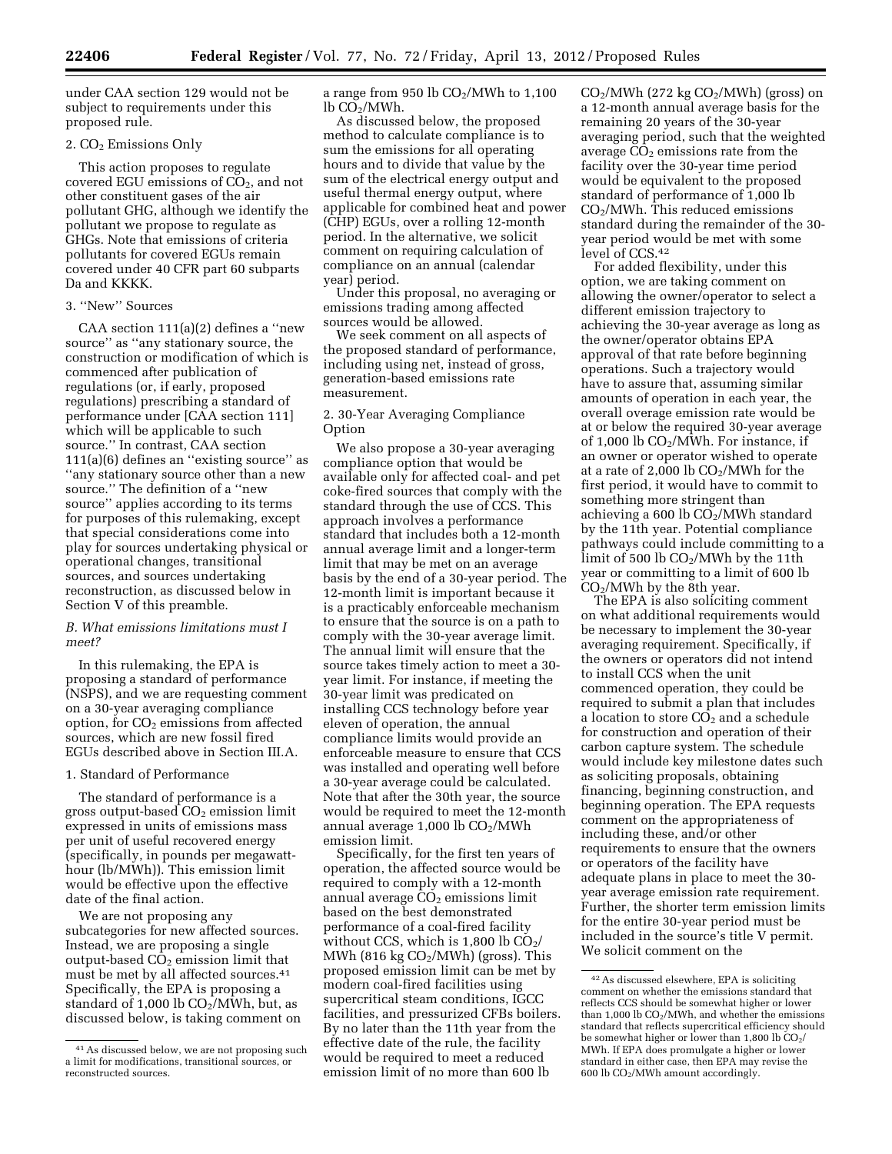under CAA section 129 would not be subject to requirements under this proposed rule.

### 2. CO2 Emissions Only

This action proposes to regulate covered EGU emissions of  $CO<sub>2</sub>$ , and not other constituent gases of the air pollutant GHG, although we identify the pollutant we propose to regulate as GHGs. Note that emissions of criteria pollutants for covered EGUs remain covered under 40 CFR part 60 subparts Da and KKKK.

# 3. ''New'' Sources

CAA section 111(a)(2) defines a ''new source'' as ''any stationary source, the construction or modification of which is commenced after publication of regulations (or, if early, proposed regulations) prescribing a standard of performance under [CAA section 111] which will be applicable to such source.'' In contrast, CAA section 111(a)(6) defines an ''existing source'' as ''any stationary source other than a new source.'' The definition of a ''new source'' applies according to its terms for purposes of this rulemaking, except that special considerations come into play for sources undertaking physical or operational changes, transitional sources, and sources undertaking reconstruction, as discussed below in Section V of this preamble.

# *B. What emissions limitations must I meet?*

In this rulemaking, the EPA is proposing a standard of performance (NSPS), and we are requesting comment on a 30-year averaging compliance option, for  $CO<sub>2</sub>$  emissions from affected sources, which are new fossil fired EGUs described above in Section III.A.

### 1. Standard of Performance

The standard of performance is a gross output-based  $CO<sub>2</sub>$  emission limit expressed in units of emissions mass per unit of useful recovered energy (specifically, in pounds per megawatthour (lb/MWh)). This emission limit would be effective upon the effective date of the final action.

We are not proposing any subcategories for new affected sources. Instead, we are proposing a single output-based  $CO<sub>2</sub>$  emission limit that must be met by all affected sources.41 Specifically, the EPA is proposing a standard of 1,000 lb  $CO<sub>2</sub>/MWh$ , but, as discussed below, is taking comment on a range from 950 lb  $CO<sub>2</sub>/MWh$  to 1,100  $lb$  CO<sub>2</sub>/MWh.

As discussed below, the proposed method to calculate compliance is to sum the emissions for all operating hours and to divide that value by the sum of the electrical energy output and useful thermal energy output, where applicable for combined heat and power (CHP) EGUs, over a rolling 12-month period. In the alternative, we solicit comment on requiring calculation of compliance on an annual (calendar year) period.

Under this proposal, no averaging or emissions trading among affected sources would be allowed.

We seek comment on all aspects of the proposed standard of performance, including using net, instead of gross, generation-based emissions rate measurement.

2. 30-Year Averaging Compliance Option

We also propose a 30-year averaging compliance option that would be available only for affected coal- and pet coke-fired sources that comply with the standard through the use of CCS. This approach involves a performance standard that includes both a 12-month annual average limit and a longer-term limit that may be met on an average basis by the end of a 30-year period. The 12-month limit is important because it is a practicably enforceable mechanism to ensure that the source is on a path to comply with the 30-year average limit. The annual limit will ensure that the source takes timely action to meet a 30 year limit. For instance, if meeting the 30-year limit was predicated on installing CCS technology before year eleven of operation, the annual compliance limits would provide an enforceable measure to ensure that CCS was installed and operating well before a 30-year average could be calculated. Note that after the 30th year, the source would be required to meet the 12-month annual average  $1,000$  lb  $CO<sub>2</sub>/MWh$ emission limit.

Specifically, for the first ten years of operation, the affected source would be required to comply with a 12-month annual average CO<sub>2</sub> emissions limit based on the best demonstrated performance of a coal-fired facility without CCS, which is  $1,800 \, \text{lb} \, \text{CO}_2$ / MWh (816 kg  $CO<sub>2</sub>/MWh$ ) (gross). This proposed emission limit can be met by modern coal-fired facilities using supercritical steam conditions, IGCC facilities, and pressurized CFBs boilers. By no later than the 11th year from the effective date of the rule, the facility would be required to meet a reduced emission limit of no more than 600 lb

 $CO<sub>2</sub>/MWh$  (272 kg  $CO<sub>2</sub>/MWh$ ) (gross) on a 12-month annual average basis for the remaining 20 years of the 30-year averaging period, such that the weighted average  $CO<sub>2</sub>$  emissions rate from the facility over the 30-year time period would be equivalent to the proposed standard of performance of 1,000 lb CO2/MWh. This reduced emissions standard during the remainder of the 30 year period would be met with some level of CCS.42

For added flexibility, under this option, we are taking comment on allowing the owner/operator to select a different emission trajectory to achieving the 30-year average as long as the owner/operator obtains EPA approval of that rate before beginning operations. Such a trajectory would have to assure that, assuming similar amounts of operation in each year, the overall overage emission rate would be at or below the required 30-year average of 1,000 lb  $CO<sub>2</sub>/MWh$ . For instance, if an owner or operator wished to operate at a rate of 2,000 lb  $CO<sub>2</sub>/MWh$  for the first period, it would have to commit to something more stringent than achieving a 600 lb  $CO<sub>2</sub>/MWh$  standard by the 11th year. Potential compliance pathways could include committing to a limit of 500 lb  $CO<sub>2</sub>/MWh$  by the 11th year or committing to a limit of 600 lb  $CO<sub>2</sub>/MWh$  by the 8th year.

The EPA is also soliciting comment on what additional requirements would be necessary to implement the 30-year averaging requirement. Specifically, if the owners or operators did not intend to install CCS when the unit commenced operation, they could be required to submit a plan that includes a location to store  $CO<sub>2</sub>$  and a schedule for construction and operation of their carbon capture system. The schedule would include key milestone dates such as soliciting proposals, obtaining financing, beginning construction, and beginning operation. The EPA requests comment on the appropriateness of including these, and/or other requirements to ensure that the owners or operators of the facility have adequate plans in place to meet the 30 year average emission rate requirement. Further, the shorter term emission limits for the entire 30-year period must be included in the source's title V permit. We solicit comment on the

<sup>41</sup>As discussed below, we are not proposing such a limit for modifications, transitional sources, or reconstructed sources.

<sup>42</sup>As discussed elsewhere, EPA is soliciting comment on whether the emissions standard that reflects CCS should be somewhat higher or lower than  $1,000$  lb  $CO<sub>2</sub>/MWh$ , and whether the emissions standard that reflects supercritical efficiency should be somewhat higher or lower than 1,800 lb  $CO<sub>2</sub>/$ MWh. If EPA does promulgate a higher or lower standard in either case, then EPA may revise the 600 lb  $CO<sub>2</sub>/MWh$  amount accordingly.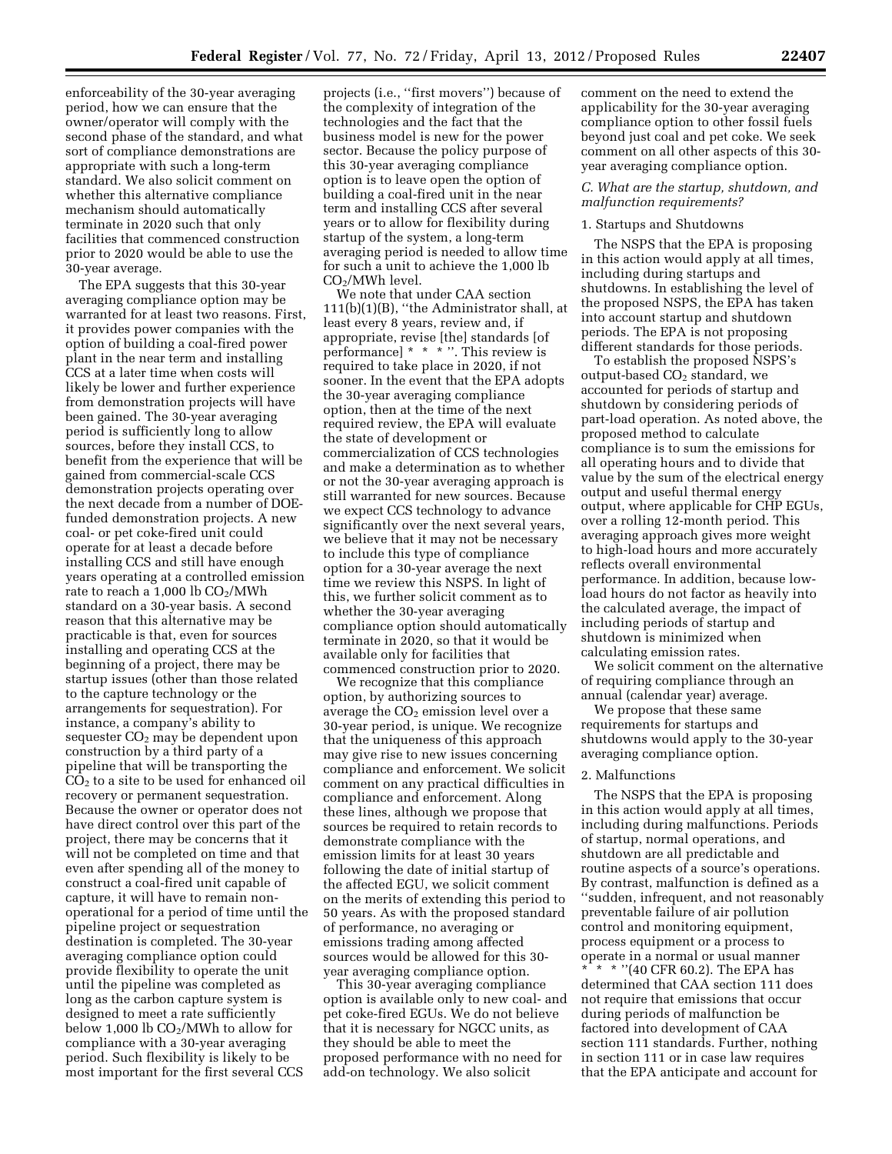enforceability of the 30-year averaging period, how we can ensure that the owner/operator will comply with the second phase of the standard, and what sort of compliance demonstrations are appropriate with such a long-term standard. We also solicit comment on whether this alternative compliance mechanism should automatically terminate in 2020 such that only facilities that commenced construction prior to 2020 would be able to use the 30-year average.

The EPA suggests that this 30-year averaging compliance option may be warranted for at least two reasons. First, it provides power companies with the option of building a coal-fired power plant in the near term and installing CCS at a later time when costs will likely be lower and further experience from demonstration projects will have been gained. The 30-year averaging period is sufficiently long to allow sources, before they install CCS, to benefit from the experience that will be gained from commercial-scale CCS demonstration projects operating over the next decade from a number of DOEfunded demonstration projects. A new coal- or pet coke-fired unit could operate for at least a decade before installing CCS and still have enough years operating at a controlled emission rate to reach a  $1,000$  lb  $CO<sub>2</sub>/MWh$ standard on a 30-year basis. A second reason that this alternative may be practicable is that, even for sources installing and operating CCS at the beginning of a project, there may be startup issues (other than those related to the capture technology or the arrangements for sequestration). For instance, a company's ability to sequester  $CO<sub>2</sub>$  may be dependent upon construction by a third party of a pipeline that will be transporting the  $CO<sub>2</sub>$  to a site to be used for enhanced oil recovery or permanent sequestration. Because the owner or operator does not have direct control over this part of the project, there may be concerns that it will not be completed on time and that even after spending all of the money to construct a coal-fired unit capable of capture, it will have to remain nonoperational for a period of time until the pipeline project or sequestration destination is completed. The 30-year averaging compliance option could provide flexibility to operate the unit until the pipeline was completed as long as the carbon capture system is designed to meet a rate sufficiently below 1,000 lb  $CO<sub>2</sub>/MWh$  to allow for compliance with a 30-year averaging period. Such flexibility is likely to be most important for the first several CCS

projects (i.e., ''first movers'') because of the complexity of integration of the technologies and the fact that the business model is new for the power sector. Because the policy purpose of this 30-year averaging compliance option is to leave open the option of building a coal-fired unit in the near term and installing CCS after several years or to allow for flexibility during startup of the system, a long-term averaging period is needed to allow time for such a unit to achieve the 1,000 lb  $CO<sub>2</sub>/MWh$  level.

We note that under CAA section 111(b)(1)(B), ''the Administrator shall, at least every 8 years, review and, if appropriate, revise [the] standards [of performance] \* \* \* ''. This review is required to take place in 2020, if not sooner. In the event that the EPA adopts the 30-year averaging compliance option, then at the time of the next required review, the EPA will evaluate the state of development or commercialization of CCS technologies and make a determination as to whether or not the 30-year averaging approach is still warranted for new sources. Because we expect CCS technology to advance significantly over the next several years, we believe that it may not be necessary to include this type of compliance option for a 30-year average the next time we review this NSPS. In light of this, we further solicit comment as to whether the 30-year averaging compliance option should automatically terminate in 2020, so that it would be available only for facilities that commenced construction prior to 2020.

We recognize that this compliance option, by authorizing sources to average the  $CO<sub>2</sub>$  emission level over a 30-year period, is unique. We recognize that the uniqueness of this approach may give rise to new issues concerning compliance and enforcement. We solicit comment on any practical difficulties in compliance and enforcement. Along these lines, although we propose that sources be required to retain records to demonstrate compliance with the emission limits for at least 30 years following the date of initial startup of the affected EGU, we solicit comment on the merits of extending this period to 50 years. As with the proposed standard of performance, no averaging or emissions trading among affected sources would be allowed for this 30 year averaging compliance option.

This 30-year averaging compliance option is available only to new coal- and pet coke-fired EGUs. We do not believe that it is necessary for NGCC units, as they should be able to meet the proposed performance with no need for add-on technology. We also solicit

comment on the need to extend the applicability for the 30-year averaging compliance option to other fossil fuels beyond just coal and pet coke. We seek comment on all other aspects of this 30 year averaging compliance option.

# *C. What are the startup, shutdown, and malfunction requirements?*

### 1. Startups and Shutdowns

The NSPS that the EPA is proposing in this action would apply at all times, including during startups and shutdowns. In establishing the level of the proposed NSPS, the EPA has taken into account startup and shutdown periods. The EPA is not proposing different standards for those periods.

To establish the proposed NSPS's output-based  $CO<sub>2</sub>$  standard, we accounted for periods of startup and shutdown by considering periods of part-load operation. As noted above, the proposed method to calculate compliance is to sum the emissions for all operating hours and to divide that value by the sum of the electrical energy output and useful thermal energy output, where applicable for CHP EGUs, over a rolling 12-month period. This averaging approach gives more weight to high-load hours and more accurately reflects overall environmental performance. In addition, because lowload hours do not factor as heavily into the calculated average, the impact of including periods of startup and shutdown is minimized when calculating emission rates.

We solicit comment on the alternative of requiring compliance through an annual (calendar year) average.

We propose that these same requirements for startups and shutdowns would apply to the 30-year averaging compliance option.

#### 2. Malfunctions

The NSPS that the EPA is proposing in this action would apply at all times, including during malfunctions. Periods of startup, normal operations, and shutdown are all predictable and routine aspects of a source's operations. By contrast, malfunction is defined as a ''sudden, infrequent, and not reasonably preventable failure of air pollution control and monitoring equipment, process equipment or a process to operate in a normal or usual manner \* \* \* ''(40 CFR 60.2). The EPA has determined that CAA section 111 does not require that emissions that occur during periods of malfunction be factored into development of CAA section 111 standards. Further, nothing in section 111 or in case law requires that the EPA anticipate and account for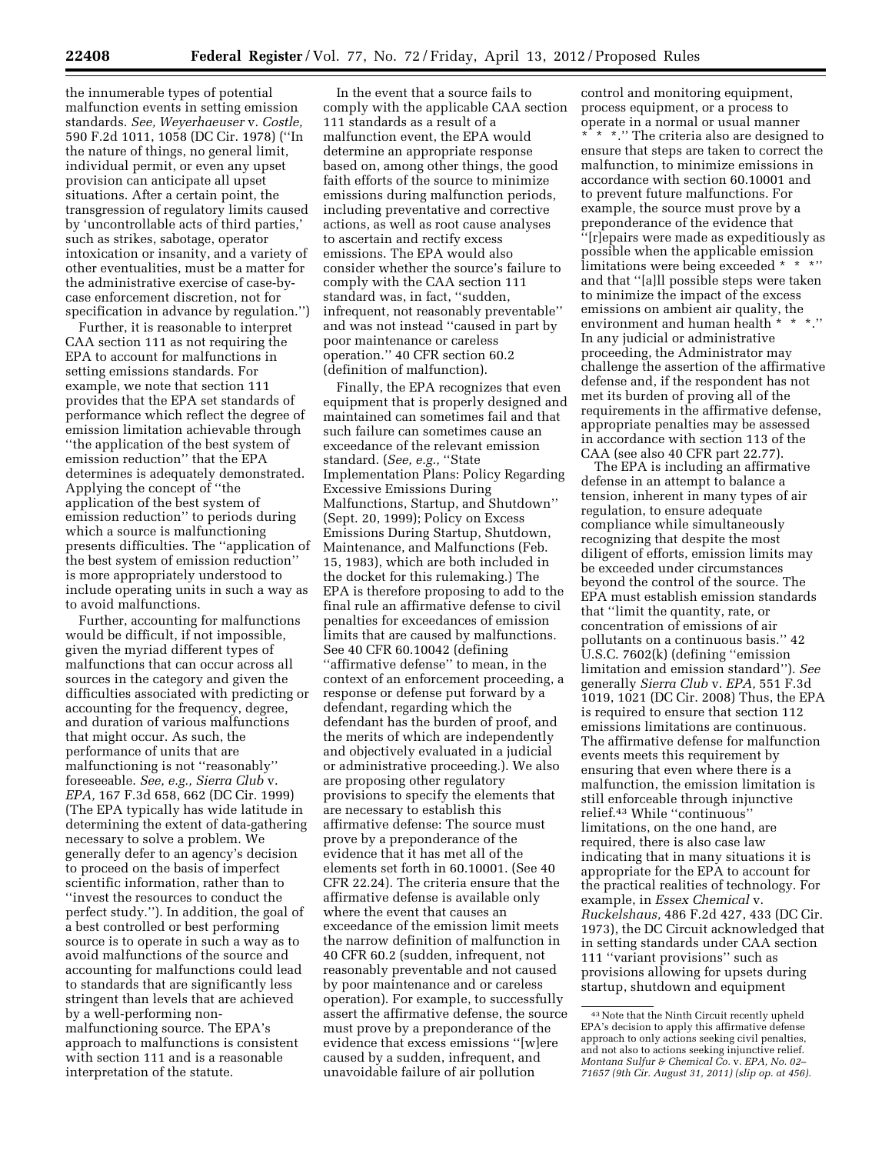the innumerable types of potential malfunction events in setting emission standards. *See, Weyerhaeuser* v. *Costle,*  590 F.2d 1011, 1058 (DC Cir. 1978) (''In the nature of things, no general limit, individual permit, or even any upset provision can anticipate all upset situations. After a certain point, the transgression of regulatory limits caused by 'uncontrollable acts of third parties,' such as strikes, sabotage, operator intoxication or insanity, and a variety of other eventualities, must be a matter for the administrative exercise of case-bycase enforcement discretion, not for specification in advance by regulation.'')

Further, it is reasonable to interpret CAA section 111 as not requiring the EPA to account for malfunctions in setting emissions standards. For example, we note that section 111 provides that the EPA set standards of performance which reflect the degree of emission limitation achievable through ''the application of the best system of emission reduction'' that the EPA determines is adequately demonstrated. Applying the concept of ''the application of the best system of emission reduction'' to periods during which a source is malfunctioning presents difficulties. The ''application of the best system of emission reduction'' is more appropriately understood to include operating units in such a way as to avoid malfunctions.

Further, accounting for malfunctions would be difficult, if not impossible, given the myriad different types of malfunctions that can occur across all sources in the category and given the difficulties associated with predicting or accounting for the frequency, degree, and duration of various malfunctions that might occur. As such, the performance of units that are malfunctioning is not ''reasonably'' foreseeable. *See, e.g., Sierra Club* v. *EPA,* 167 F.3d 658, 662 (DC Cir. 1999) (The EPA typically has wide latitude in determining the extent of data-gathering necessary to solve a problem. We generally defer to an agency's decision to proceed on the basis of imperfect scientific information, rather than to ''invest the resources to conduct the perfect study.''). In addition, the goal of a best controlled or best performing source is to operate in such a way as to avoid malfunctions of the source and accounting for malfunctions could lead to standards that are significantly less stringent than levels that are achieved by a well-performing nonmalfunctioning source. The EPA's approach to malfunctions is consistent with section 111 and is a reasonable interpretation of the statute.

In the event that a source fails to comply with the applicable CAA section 111 standards as a result of a malfunction event, the EPA would determine an appropriate response based on, among other things, the good faith efforts of the source to minimize emissions during malfunction periods, including preventative and corrective actions, as well as root cause analyses to ascertain and rectify excess emissions. The EPA would also consider whether the source's failure to comply with the CAA section 111 standard was, in fact, ''sudden, infrequent, not reasonably preventable'' and was not instead ''caused in part by poor maintenance or careless operation.'' 40 CFR section 60.2 (definition of malfunction).

Finally, the EPA recognizes that even equipment that is properly designed and maintained can sometimes fail and that such failure can sometimes cause an exceedance of the relevant emission standard. (*See, e.g.,* ''State Implementation Plans: Policy Regarding Excessive Emissions During Malfunctions, Startup, and Shutdown'' (Sept. 20, 1999); Policy on Excess Emissions During Startup, Shutdown, Maintenance, and Malfunctions (Feb. 15, 1983), which are both included in the docket for this rulemaking.) The EPA is therefore proposing to add to the final rule an affirmative defense to civil penalties for exceedances of emission limits that are caused by malfunctions. See 40 CFR 60.10042 (defining ''affirmative defense'' to mean, in the context of an enforcement proceeding, a response or defense put forward by a defendant, regarding which the defendant has the burden of proof, and the merits of which are independently and objectively evaluated in a judicial or administrative proceeding.). We also are proposing other regulatory provisions to specify the elements that are necessary to establish this affirmative defense: The source must prove by a preponderance of the evidence that it has met all of the elements set forth in 60.10001. (See 40 CFR 22.24). The criteria ensure that the affirmative defense is available only where the event that causes an exceedance of the emission limit meets the narrow definition of malfunction in 40 CFR 60.2 (sudden, infrequent, not reasonably preventable and not caused by poor maintenance and or careless operation). For example, to successfully assert the affirmative defense, the source must prove by a preponderance of the evidence that excess emissions ''[w]ere caused by a sudden, infrequent, and unavoidable failure of air pollution

control and monitoring equipment, process equipment, or a process to operate in a normal or usual manner \* \* \*.'' The criteria also are designed to ensure that steps are taken to correct the malfunction, to minimize emissions in accordance with section 60.10001 and to prevent future malfunctions. For example, the source must prove by a preponderance of the evidence that ''[r]epairs were made as expeditiously as possible when the applicable emission limitations were being exceeded \* \* \*'' and that ''[a]ll possible steps were taken to minimize the impact of the excess emissions on ambient air quality, the environment and human health \* \* \*.'' In any judicial or administrative proceeding, the Administrator may challenge the assertion of the affirmative defense and, if the respondent has not met its burden of proving all of the requirements in the affirmative defense, appropriate penalties may be assessed in accordance with section 113 of the CAA (see also 40 CFR part 22.77).

The EPA is including an affirmative defense in an attempt to balance a tension, inherent in many types of air regulation, to ensure adequate compliance while simultaneously recognizing that despite the most diligent of efforts, emission limits may be exceeded under circumstances beyond the control of the source. The EPA must establish emission standards that ''limit the quantity, rate, or concentration of emissions of air pollutants on a continuous basis.'' 42 U.S.C. 7602(k) (defining ''emission limitation and emission standard''). *See*  generally *Sierra Club* v. *EPA,* 551 F.3d 1019, 1021 (DC Cir. 2008) Thus, the EPA is required to ensure that section 112 emissions limitations are continuous. The affirmative defense for malfunction events meets this requirement by ensuring that even where there is a malfunction, the emission limitation is still enforceable through injunctive relief.43 While ''continuous'' limitations, on the one hand, are required, there is also case law indicating that in many situations it is appropriate for the EPA to account for the practical realities of technology. For example, in *Essex Chemical* v. *Ruckelshaus,* 486 F.2d 427, 433 (DC Cir. 1973), the DC Circuit acknowledged that in setting standards under CAA section 111 ''variant provisions'' such as provisions allowing for upsets during startup, shutdown and equipment

<sup>43</sup>Note that the Ninth Circuit recently upheld EPA's decision to apply this affirmative defense approach to only actions seeking civil penalties, and not also to actions seeking injunctive relief. *Montana Sulfur & Chemical Co.* v. *EPA, No. 02– 71657 (9th Cir. August 31, 2011) (slip op. at 456).*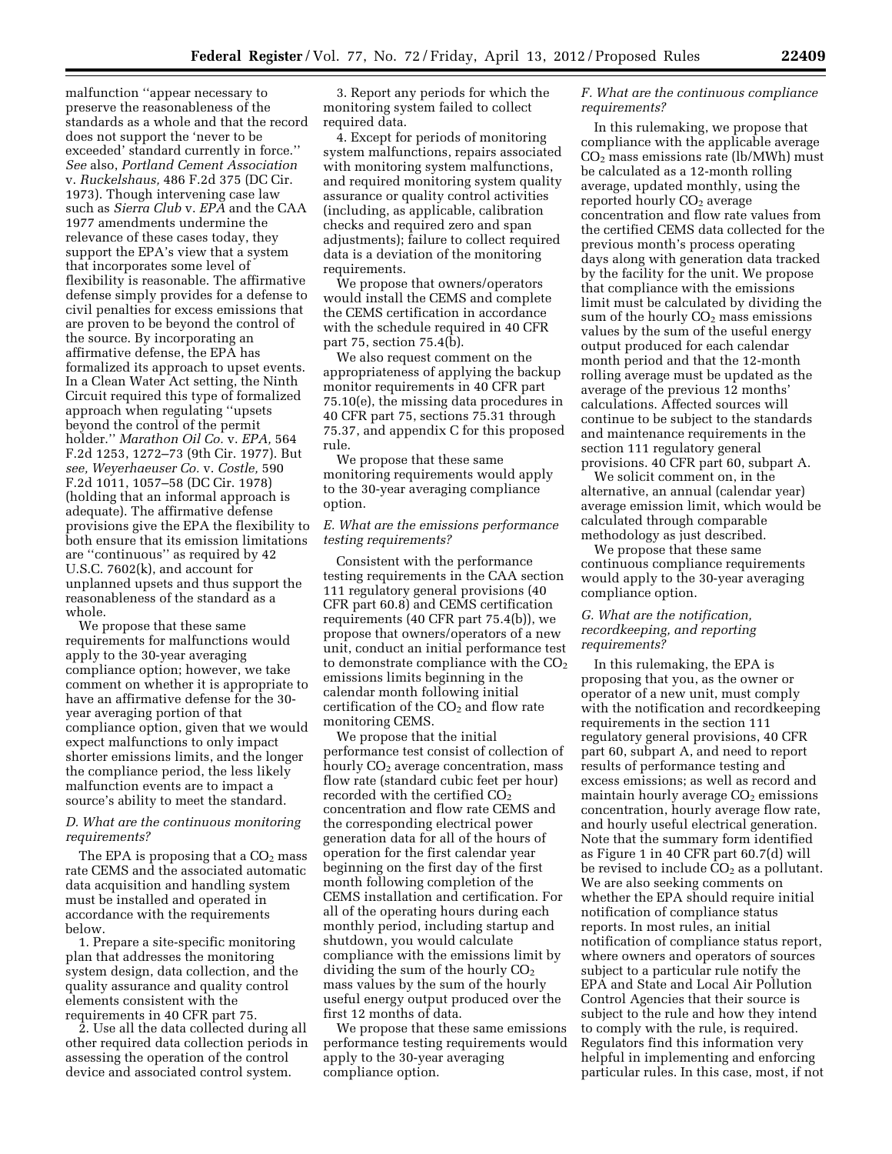malfunction ''appear necessary to preserve the reasonableness of the standards as a whole and that the record does not support the 'never to be exceeded' standard currently in force.'' *See* also, *Portland Cement Association*  v. *Ruckelshaus,* 486 F.2d 375 (DC Cir. 1973). Though intervening case law such as *Sierra Club* v. *EPA* and the CAA 1977 amendments undermine the relevance of these cases today, they support the EPA's view that a system that incorporates some level of flexibility is reasonable. The affirmative defense simply provides for a defense to civil penalties for excess emissions that are proven to be beyond the control of the source. By incorporating an affirmative defense, the EPA has formalized its approach to upset events. In a Clean Water Act setting, the Ninth Circuit required this type of formalized approach when regulating ''upsets beyond the control of the permit holder.'' *Marathon Oil Co.* v. *EPA,* 564 F.2d 1253, 1272–73 (9th Cir. 1977). But *see, Weyerhaeuser Co.* v. *Costle,* 590 F.2d 1011, 1057–58 (DC Cir. 1978) (holding that an informal approach is adequate). The affirmative defense provisions give the EPA the flexibility to both ensure that its emission limitations are ''continuous'' as required by 42 U.S.C. 7602(k), and account for unplanned upsets and thus support the reasonableness of the standard as a whole.

We propose that these same requirements for malfunctions would apply to the 30-year averaging compliance option; however, we take comment on whether it is appropriate to have an affirmative defense for the 30 year averaging portion of that compliance option, given that we would expect malfunctions to only impact shorter emissions limits, and the longer the compliance period, the less likely malfunction events are to impact a source's ability to meet the standard.

# *D. What are the continuous monitoring requirements?*

The EPA is proposing that a  $CO<sub>2</sub>$  mass rate CEMS and the associated automatic data acquisition and handling system must be installed and operated in accordance with the requirements below.

1. Prepare a site-specific monitoring plan that addresses the monitoring system design, data collection, and the quality assurance and quality control elements consistent with the requirements in 40 CFR part 75.

2. Use all the data collected during all other required data collection periods in assessing the operation of the control device and associated control system.

3. Report any periods for which the monitoring system failed to collect required data.

4. Except for periods of monitoring system malfunctions, repairs associated with monitoring system malfunctions, and required monitoring system quality assurance or quality control activities (including, as applicable, calibration checks and required zero and span adjustments); failure to collect required data is a deviation of the monitoring requirements.

We propose that owners/operators would install the CEMS and complete the CEMS certification in accordance with the schedule required in 40 CFR part 75, section 75.4(b).

We also request comment on the appropriateness of applying the backup monitor requirements in 40 CFR part 75.10(e), the missing data procedures in 40 CFR part 75, sections 75.31 through 75.37, and appendix C for this proposed rule.

We propose that these same monitoring requirements would apply to the 30-year averaging compliance option.

# *E. What are the emissions performance testing requirements?*

Consistent with the performance testing requirements in the CAA section 111 regulatory general provisions (40 CFR part 60.8) and CEMS certification requirements (40 CFR part 75.4(b)), we propose that owners/operators of a new unit, conduct an initial performance test to demonstrate compliance with the  $CO<sub>2</sub>$ emissions limits beginning in the calendar month following initial certification of the  $CO<sub>2</sub>$  and flow rate monitoring CEMS.

We propose that the initial performance test consist of collection of hourly CO<sub>2</sub> average concentration, mass flow rate (standard cubic feet per hour) recorded with the certified  $CO<sub>2</sub>$ concentration and flow rate CEMS and the corresponding electrical power generation data for all of the hours of operation for the first calendar year beginning on the first day of the first month following completion of the CEMS installation and certification. For all of the operating hours during each monthly period, including startup and shutdown, you would calculate compliance with the emissions limit by dividing the sum of the hourly  $CO<sub>2</sub>$ mass values by the sum of the hourly useful energy output produced over the first 12 months of data.

We propose that these same emissions performance testing requirements would apply to the 30-year averaging compliance option.

# *F. What are the continuous compliance requirements?*

In this rulemaking, we propose that compliance with the applicable average  $CO<sub>2</sub>$  mass emissions rate (lb/MWh) must be calculated as a 12-month rolling average, updated monthly, using the reported hourly CO<sub>2</sub> average concentration and flow rate values from the certified CEMS data collected for the previous month's process operating days along with generation data tracked by the facility for the unit. We propose that compliance with the emissions limit must be calculated by dividing the sum of the hourly  $CO<sub>2</sub>$  mass emissions values by the sum of the useful energy output produced for each calendar month period and that the 12-month rolling average must be updated as the average of the previous 12 months' calculations. Affected sources will continue to be subject to the standards and maintenance requirements in the section 111 regulatory general provisions. 40 CFR part 60, subpart A.

We solicit comment on, in the alternative, an annual (calendar year) average emission limit, which would be calculated through comparable methodology as just described.

We propose that these same continuous compliance requirements would apply to the 30-year averaging compliance option.

# *G. What are the notification, recordkeeping, and reporting requirements?*

In this rulemaking, the EPA is proposing that you, as the owner or operator of a new unit, must comply with the notification and recordkeeping requirements in the section 111 regulatory general provisions, 40 CFR part 60, subpart A, and need to report results of performance testing and excess emissions; as well as record and maintain hourly average  $CO<sub>2</sub>$  emissions concentration, hourly average flow rate, and hourly useful electrical generation. Note that the summary form identified as Figure 1 in 40 CFR part 60.7(d) will be revised to include  $CO<sub>2</sub>$  as a pollutant. We are also seeking comments on whether the EPA should require initial notification of compliance status reports. In most rules, an initial notification of compliance status report, where owners and operators of sources subject to a particular rule notify the EPA and State and Local Air Pollution Control Agencies that their source is subject to the rule and how they intend to comply with the rule, is required. Regulators find this information very helpful in implementing and enforcing particular rules. In this case, most, if not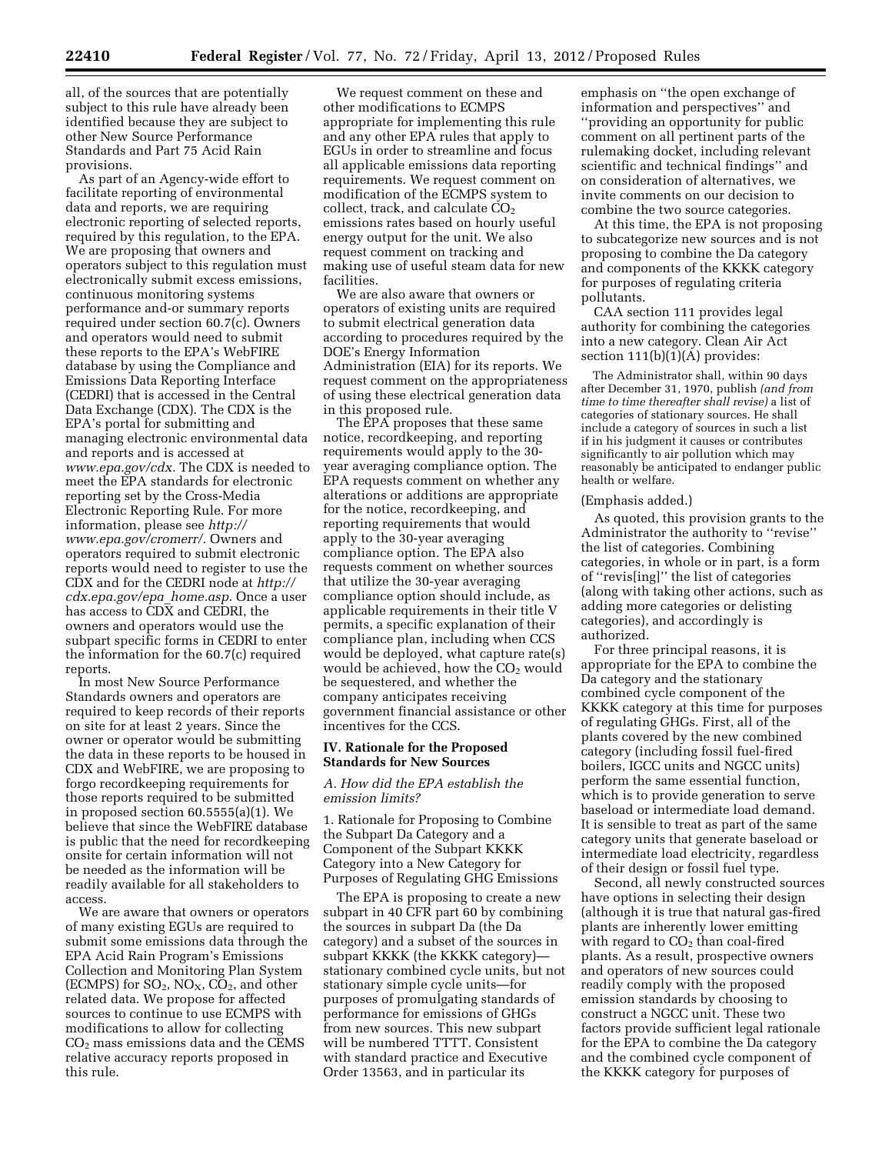all, of the sources that are potentially subject to this rule have already been identified because they are subject to other New Source Performance Standards and Part 75 Acid Rain provisions.

As part of an Agency-wide effort to facilitate reporting of environmental data and reports, we are requiring electronic reporting of selected reports, required by this regulation, to the EPA. We are proposing that owners and operators subject to this regulation must electronically submit excess emissions, continuous monitoring systems performance and-or summary reports required under section 60.7(c). Owners and operators would need to submit these reports to the EPA's WebFIRE database by using the Compliance and Emissions Data Reporting Interface (CEDRI) that is accessed in the Central Data Exchange (CDX). The CDX is the EPA's portal for submitting and managing electronic environmental data and reports and is accessed at *[www.epa.gov/cdx.](http://www.epa.gov/cdx)* The CDX is needed to meet the EPA standards for electronic reporting set by the Cross-Media Electronic Reporting Rule. For more information, please see *[http://](http://www.epa.gov/cromerr/) [www.epa.gov/cromerr/.](http://www.epa.gov/cromerr/)* Owners and operators required to submit electronic reports would need to register to use the CDX and for the CEDRI node at *[http://](http://cdx.epa.gov/epa_home.asp)  [cdx.epa.gov/epa](http://cdx.epa.gov/epa_home.asp)*\_*home.asp.* Once a user has access to CDX and CEDRI, the owners and operators would use the subpart specific forms in CEDRI to enter the information for the 60.7(c) required reports.

In most New Source Performance Standards owners and operators are required to keep records of their reports on site for at least 2 years. Since the owner or operator would be submitting the data in these reports to be housed in CDX and WebFIRE, we are proposing to forgo recordkeeping requirements for those reports required to be submitted in proposed section 60.5555(a)(1). We believe that since the WebFIRE database is public that the need for recordkeeping onsite for certain information will not be needed as the information will be readily available for all stakeholders to access.

We are aware that owners or operators of many existing EGUs are required to submit some emissions data through the EPA Acid Rain Program's Emissions Collection and Monitoring Plan System (ECMPS) for  $SO_2$ ,  $NO_X$ ,  $CO_2$ , and other related data. We propose for affected sources to continue to use ECMPS with modifications to allow for collecting  $CO<sub>2</sub>$  mass emissions data and the CEMS relative accuracy reports proposed in this rule.

We request comment on these and other modifications to ECMPS appropriate for implementing this rule and any other EPA rules that apply to EGUs in order to streamline and focus all applicable emissions data reporting requirements. We request comment on modification of the ECMPS system to collect, track, and calculate  $CO<sub>2</sub>$ emissions rates based on hourly useful energy output for the unit. We also request comment on tracking and making use of useful steam data for new facilities.

We are also aware that owners or operators of existing units are required to submit electrical generation data according to procedures required by the DOE's Energy Information Administration (EIA) for its reports. We request comment on the appropriateness of using these electrical generation data in this proposed rule.

The EPA proposes that these same notice, recordkeeping, and reporting requirements would apply to the 30 year averaging compliance option. The EPA requests comment on whether any alterations or additions are appropriate for the notice, recordkeeping, and reporting requirements that would apply to the 30-year averaging compliance option. The EPA also requests comment on whether sources that utilize the 30-year averaging compliance option should include, as applicable requirements in their title V permits, a specific explanation of their compliance plan, including when CCS would be deployed, what capture rate(s) would be achieved, how the  $CO<sub>2</sub>$  would be sequestered, and whether the company anticipates receiving government financial assistance or other incentives for the CCS.

### **IV. Rationale for the Proposed Standards for New Sources**

# *A. How did the EPA establish the emission limits?*

1. Rationale for Proposing to Combine the Subpart Da Category and a Component of the Subpart KKKK Category into a New Category for Purposes of Regulating GHG Emissions

The EPA is proposing to create a new subpart in 40 CFR part 60 by combining the sources in subpart Da (the Da category) and a subset of the sources in subpart KKKK (the KKKK category) stationary combined cycle units, but not stationary simple cycle units—for purposes of promulgating standards of performance for emissions of GHGs from new sources. This new subpart will be numbered TTTT. Consistent with standard practice and Executive Order 13563, and in particular its

emphasis on ''the open exchange of information and perspectives'' and ''providing an opportunity for public comment on all pertinent parts of the rulemaking docket, including relevant scientific and technical findings'' and on consideration of alternatives, we invite comments on our decision to combine the two source categories.

At this time, the EPA is not proposing to subcategorize new sources and is not proposing to combine the Da category and components of the KKKK category for purposes of regulating criteria pollutants.

CAA section 111 provides legal authority for combining the categories into a new category. Clean Air Act section 111(b)(1)(A) provides:

The Administrator shall, within 90 days after December 31, 1970, publish *(and from time to time thereafter shall revise)* a list of categories of stationary sources. He shall include a category of sources in such a list if in his judgment it causes or contributes significantly to air pollution which may reasonably be anticipated to endanger public health or welfare.

#### (Emphasis added.)

As quoted, this provision grants to the Administrator the authority to ''revise'' the list of categories. Combining categories, in whole or in part, is a form of ''revis[ing]'' the list of categories (along with taking other actions, such as adding more categories or delisting categories), and accordingly is authorized.

For three principal reasons, it is appropriate for the EPA to combine the Da category and the stationary combined cycle component of the KKKK category at this time for purposes of regulating GHGs. First, all of the plants covered by the new combined category (including fossil fuel-fired boilers, IGCC units and NGCC units) perform the same essential function, which is to provide generation to serve baseload or intermediate load demand. It is sensible to treat as part of the same category units that generate baseload or intermediate load electricity, regardless of their design or fossil fuel type.

Second, all newly constructed sources have options in selecting their design (although it is true that natural gas-fired plants are inherently lower emitting with regard to  $CO<sub>2</sub>$  than coal-fired plants. As a result, prospective owners and operators of new sources could readily comply with the proposed emission standards by choosing to construct a NGCC unit. These two factors provide sufficient legal rationale for the EPA to combine the Da category and the combined cycle component of the KKKK category for purposes of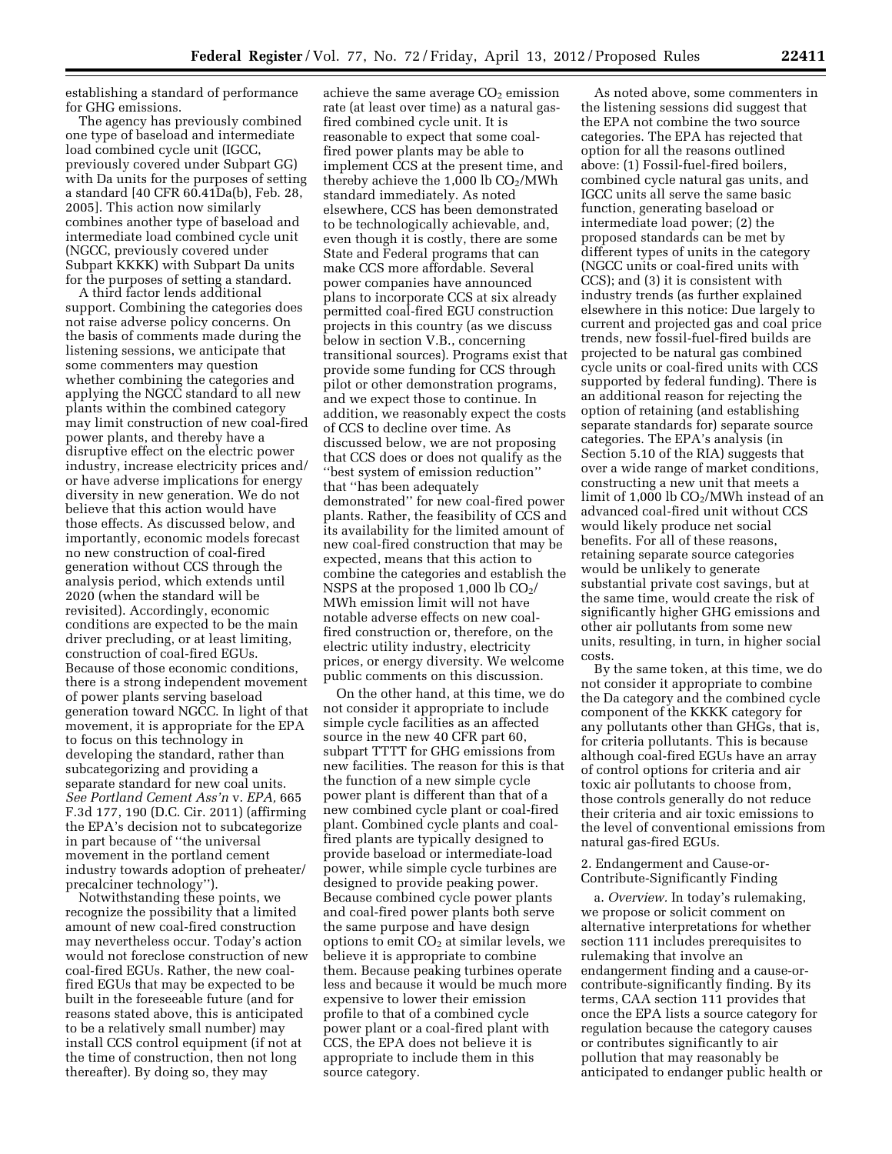establishing a standard of performance for GHG emissions.

The agency has previously combined one type of baseload and intermediate load combined cycle unit (IGCC, previously covered under Subpart GG) with Da units for the purposes of setting a standard [40 CFR 60.41Da(b), Feb. 28, 2005]. This action now similarly combines another type of baseload and intermediate load combined cycle unit (NGCC, previously covered under Subpart KKKK) with Subpart Da units for the purposes of setting a standard.

A third factor lends additional support. Combining the categories does not raise adverse policy concerns. On the basis of comments made during the listening sessions, we anticipate that some commenters may question whether combining the categories and applying the NGCC standard to all new plants within the combined category may limit construction of new coal-fired power plants, and thereby have a disruptive effect on the electric power industry, increase electricity prices and/ or have adverse implications for energy diversity in new generation. We do not believe that this action would have those effects. As discussed below, and importantly, economic models forecast no new construction of coal-fired generation without CCS through the analysis period, which extends until 2020 (when the standard will be revisited). Accordingly, economic conditions are expected to be the main driver precluding, or at least limiting, construction of coal-fired EGUs. Because of those economic conditions, there is a strong independent movement of power plants serving baseload generation toward NGCC. In light of that movement, it is appropriate for the EPA to focus on this technology in developing the standard, rather than subcategorizing and providing a separate standard for new coal units. *See Portland Cement Ass'n* v. *EPA,* 665 F.3d 177, 190 (D.C. Cir. 2011) (affirming the EPA's decision not to subcategorize in part because of ''the universal movement in the portland cement industry towards adoption of preheater/ precalciner technology'').

Notwithstanding these points, we recognize the possibility that a limited amount of new coal-fired construction may nevertheless occur. Today's action would not foreclose construction of new coal-fired EGUs. Rather, the new coalfired EGUs that may be expected to be built in the foreseeable future (and for reasons stated above, this is anticipated to be a relatively small number) may install CCS control equipment (if not at the time of construction, then not long thereafter). By doing so, they may

achieve the same average CO<sub>2</sub> emission rate (at least over time) as a natural gasfired combined cycle unit. It is reasonable to expect that some coalfired power plants may be able to implement CCS at the present time, and thereby achieve the  $1,000$  lb  $CO<sub>2</sub>/MWh$ standard immediately. As noted elsewhere, CCS has been demonstrated to be technologically achievable, and, even though it is costly, there are some State and Federal programs that can make CCS more affordable. Several power companies have announced plans to incorporate CCS at six already permitted coal-fired EGU construction projects in this country (as we discuss below in section V.B., concerning transitional sources). Programs exist that provide some funding for CCS through pilot or other demonstration programs, and we expect those to continue. In addition, we reasonably expect the costs of CCS to decline over time. As discussed below, we are not proposing that CCS does or does not qualify as the ''best system of emission reduction'' that ''has been adequately demonstrated'' for new coal-fired power plants. Rather, the feasibility of CCS and its availability for the limited amount of new coal-fired construction that may be expected, means that this action to combine the categories and establish the NSPS at the proposed 1,000 lb  $CO<sub>2</sub>/$ MWh emission limit will not have notable adverse effects on new coalfired construction or, therefore, on the electric utility industry, electricity prices, or energy diversity. We welcome public comments on this discussion.

On the other hand, at this time, we do not consider it appropriate to include simple cycle facilities as an affected source in the new 40 CFR part 60, subpart TTTT for GHG emissions from new facilities. The reason for this is that the function of a new simple cycle power plant is different than that of a new combined cycle plant or coal-fired plant. Combined cycle plants and coalfired plants are typically designed to provide baseload or intermediate-load power, while simple cycle turbines are designed to provide peaking power. Because combined cycle power plants and coal-fired power plants both serve the same purpose and have design options to emit  $CO<sub>2</sub>$  at similar levels, we believe it is appropriate to combine them. Because peaking turbines operate less and because it would be much more expensive to lower their emission profile to that of a combined cycle power plant or a coal-fired plant with CCS, the EPA does not believe it is appropriate to include them in this source category.

As noted above, some commenters in the listening sessions did suggest that the EPA not combine the two source categories. The EPA has rejected that option for all the reasons outlined above: (1) Fossil-fuel-fired boilers, combined cycle natural gas units, and IGCC units all serve the same basic function, generating baseload or intermediate load power; (2) the proposed standards can be met by different types of units in the category (NGCC units or coal-fired units with CCS); and (3) it is consistent with industry trends (as further explained elsewhere in this notice: Due largely to current and projected gas and coal price trends, new fossil-fuel-fired builds are projected to be natural gas combined cycle units or coal-fired units with CCS supported by federal funding). There is an additional reason for rejecting the option of retaining (and establishing separate standards for) separate source categories. The EPA's analysis (in Section 5.10 of the RIA) suggests that over a wide range of market conditions, constructing a new unit that meets a limit of 1,000 lb  $CO<sub>2</sub>/MWh$  instead of an advanced coal-fired unit without CCS would likely produce net social benefits. For all of these reasons, retaining separate source categories would be unlikely to generate substantial private cost savings, but at the same time, would create the risk of significantly higher GHG emissions and other air pollutants from some new units, resulting, in turn, in higher social costs.

By the same token, at this time, we do not consider it appropriate to combine the Da category and the combined cycle component of the KKKK category for any pollutants other than GHGs, that is, for criteria pollutants. This is because although coal-fired EGUs have an array of control options for criteria and air toxic air pollutants to choose from, those controls generally do not reduce their criteria and air toxic emissions to the level of conventional emissions from natural gas-fired EGUs.

# 2. Endangerment and Cause-or-Contribute-Significantly Finding

a. *Overview.* In today's rulemaking, we propose or solicit comment on alternative interpretations for whether section 111 includes prerequisites to rulemaking that involve an endangerment finding and a cause-orcontribute-significantly finding. By its terms, CAA section 111 provides that once the EPA lists a source category for regulation because the category causes or contributes significantly to air pollution that may reasonably be anticipated to endanger public health or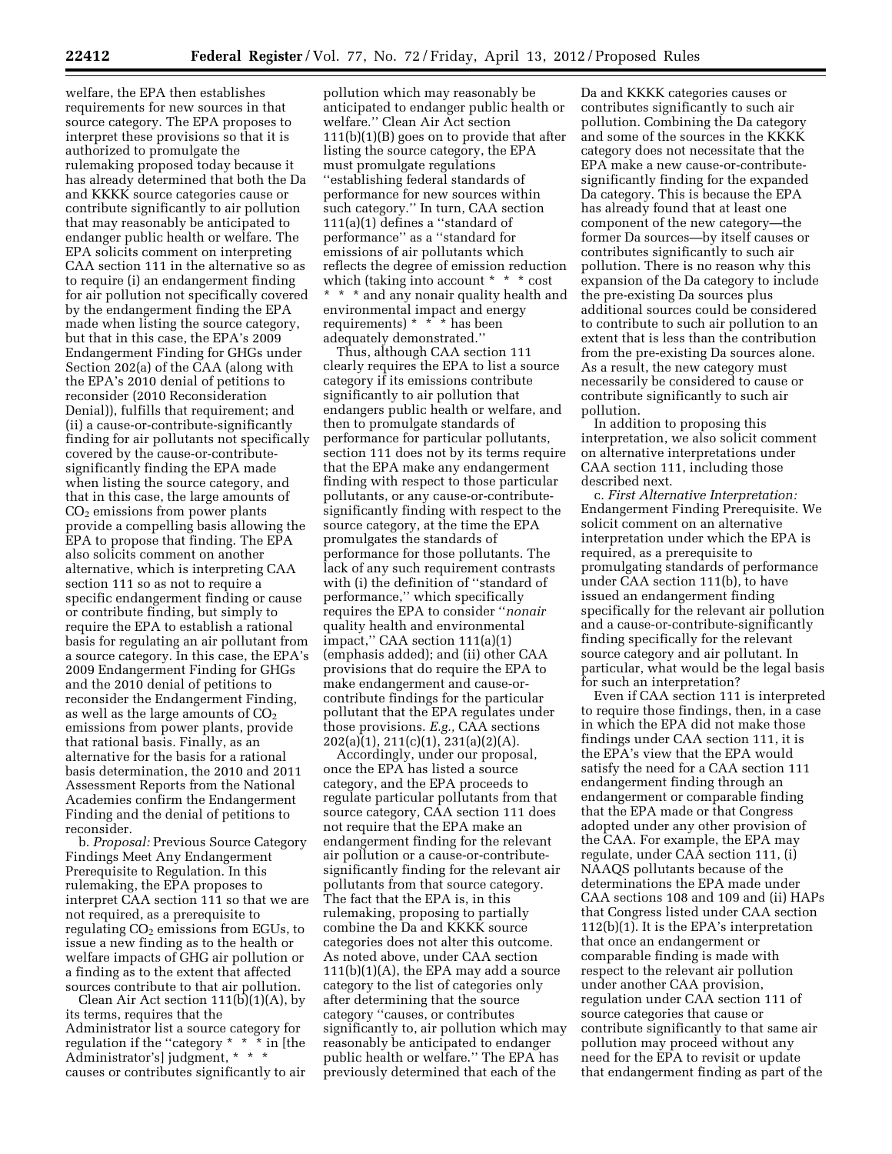welfare, the EPA then establishes requirements for new sources in that source category. The EPA proposes to interpret these provisions so that it is authorized to promulgate the rulemaking proposed today because it has already determined that both the Da and KKKK source categories cause or contribute significantly to air pollution that may reasonably be anticipated to endanger public health or welfare. The EPA solicits comment on interpreting CAA section 111 in the alternative so as to require (i) an endangerment finding for air pollution not specifically covered by the endangerment finding the EPA made when listing the source category, but that in this case, the EPA's 2009 Endangerment Finding for GHGs under Section 202(a) of the CAA (along with the EPA's 2010 denial of petitions to reconsider (2010 Reconsideration Denial)), fulfills that requirement; and (ii) a cause-or-contribute-significantly finding for air pollutants not specifically covered by the cause-or-contributesignificantly finding the EPA made when listing the source category, and that in this case, the large amounts of  $CO<sub>2</sub>$  emissions from power plants provide a compelling basis allowing the EPA to propose that finding. The EPA also solicits comment on another alternative, which is interpreting CAA section 111 so as not to require a specific endangerment finding or cause or contribute finding, but simply to require the EPA to establish a rational basis for regulating an air pollutant from a source category. In this case, the EPA's 2009 Endangerment Finding for GHGs and the 2010 denial of petitions to reconsider the Endangerment Finding, as well as the large amounts of  $CO<sub>2</sub>$ emissions from power plants, provide that rational basis. Finally, as an alternative for the basis for a rational basis determination, the 2010 and 2011 Assessment Reports from the National Academies confirm the Endangerment Finding and the denial of petitions to reconsider.

b. *Proposal:* Previous Source Category Findings Meet Any Endangerment Prerequisite to Regulation. In this rulemaking, the EPA proposes to interpret CAA section 111 so that we are not required, as a prerequisite to regulating  $CO<sub>2</sub>$  emissions from EGUs, to issue a new finding as to the health or welfare impacts of GHG air pollution or a finding as to the extent that affected sources contribute to that air pollution.

Clean Air Act section  $111(b)(1)(A)$ , by its terms, requires that the Administrator list a source category for regulation if the ''category \* \* \* in [the Administrator's] judgment, \* \* \* causes or contributes significantly to air

pollution which may reasonably be anticipated to endanger public health or welfare.'' Clean Air Act section 111(b)(1)(B) goes on to provide that after listing the source category, the EPA must promulgate regulations ''establishing federal standards of performance for new sources within such category.'' In turn, CAA section 111(a)(1) defines a ''standard of performance'' as a ''standard for emissions of air pollutants which reflects the degree of emission reduction which (taking into account \* \* \* cost \* \* \* and any nonair quality health and environmental impact and energy requirements) \* \* \* has been adequately demonstrated.''

Thus, although CAA section 111 clearly requires the EPA to list a source category if its emissions contribute significantly to air pollution that endangers public health or welfare, and then to promulgate standards of performance for particular pollutants, section 111 does not by its terms require that the EPA make any endangerment finding with respect to those particular pollutants, or any cause-or-contributesignificantly finding with respect to the source category, at the time the EPA promulgates the standards of performance for those pollutants. The lack of any such requirement contrasts with (i) the definition of ''standard of performance,'' which specifically requires the EPA to consider ''*nonair*  quality health and environmental impact,'' CAA section 111(a)(1) (emphasis added); and (ii) other CAA provisions that do require the EPA to make endangerment and cause-orcontribute findings for the particular pollutant that the EPA regulates under those provisions. *E.g.,* CAA sections 202(a)(1), 211(c)(1), 231(a)(2)(A).

Accordingly, under our proposal, once the EPA has listed a source category, and the EPA proceeds to regulate particular pollutants from that source category, CAA section 111 does not require that the EPA make an endangerment finding for the relevant air pollution or a cause-or-contributesignificantly finding for the relevant air pollutants from that source category. The fact that the EPA is, in this rulemaking, proposing to partially combine the Da and KKKK source categories does not alter this outcome. As noted above, under CAA section 111(b)(1)(A), the EPA may add a source category to the list of categories only after determining that the source category ''causes, or contributes significantly to, air pollution which may reasonably be anticipated to endanger public health or welfare.'' The EPA has previously determined that each of the

Da and KKKK categories causes or contributes significantly to such air pollution. Combining the Da category and some of the sources in the KKKK category does not necessitate that the EPA make a new cause-or-contributesignificantly finding for the expanded Da category. This is because the EPA has already found that at least one component of the new category—the former Da sources—by itself causes or contributes significantly to such air pollution. There is no reason why this expansion of the Da category to include the pre-existing Da sources plus additional sources could be considered to contribute to such air pollution to an extent that is less than the contribution from the pre-existing Da sources alone. As a result, the new category must necessarily be considered to cause or contribute significantly to such air pollution.

In addition to proposing this interpretation, we also solicit comment on alternative interpretations under CAA section 111, including those described next.

c. *First Alternative Interpretation:*  Endangerment Finding Prerequisite. We solicit comment on an alternative interpretation under which the EPA is required, as a prerequisite to promulgating standards of performance under CAA section 111(b), to have issued an endangerment finding specifically for the relevant air pollution and a cause-or-contribute-significantly finding specifically for the relevant source category and air pollutant. In particular, what would be the legal basis for such an interpretation?

Even if CAA section 111 is interpreted to require those findings, then, in a case in which the EPA did not make those findings under CAA section 111, it is the EPA's view that the EPA would satisfy the need for a CAA section 111 endangerment finding through an endangerment or comparable finding that the EPA made or that Congress adopted under any other provision of the CAA. For example, the EPA may regulate, under CAA section 111, (i) NAAQS pollutants because of the determinations the EPA made under CAA sections 108 and 109 and (ii) HAPs that Congress listed under CAA section 112(b)(1). It is the EPA's interpretation that once an endangerment or comparable finding is made with respect to the relevant air pollution under another CAA provision, regulation under CAA section 111 of source categories that cause or contribute significantly to that same air pollution may proceed without any need for the EPA to revisit or update that endangerment finding as part of the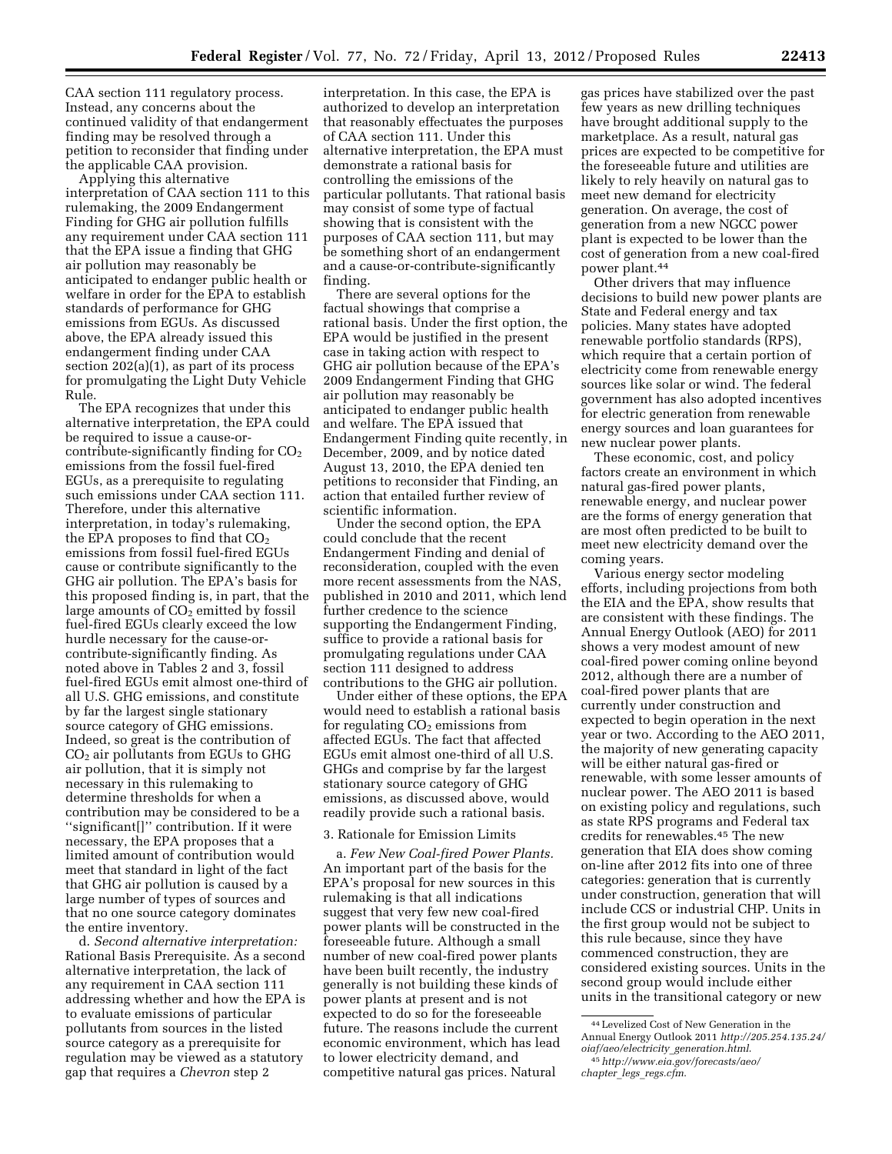CAA section 111 regulatory process. Instead, any concerns about the continued validity of that endangerment finding may be resolved through a petition to reconsider that finding under the applicable CAA provision.

Applying this alternative interpretation of CAA section 111 to this rulemaking, the 2009 Endangerment Finding for GHG air pollution fulfills any requirement under CAA section 111 that the EPA issue a finding that GHG air pollution may reasonably be anticipated to endanger public health or welfare in order for the EPA to establish standards of performance for GHG emissions from EGUs. As discussed above, the EPA already issued this endangerment finding under CAA section 202(a)(1), as part of its process for promulgating the Light Duty Vehicle Rule.

The EPA recognizes that under this alternative interpretation, the EPA could be required to issue a cause-orcontribute-significantly finding for  $CO<sub>2</sub>$ emissions from the fossil fuel-fired EGUs, as a prerequisite to regulating such emissions under CAA section 111. Therefore, under this alternative interpretation, in today's rulemaking, the EPA proposes to find that  $CO<sub>2</sub>$ emissions from fossil fuel-fired EGUs cause or contribute significantly to the GHG air pollution. The EPA's basis for this proposed finding is, in part, that the large amounts of  $CO<sub>2</sub>$  emitted by fossil fuel-fired EGUs clearly exceed the low hurdle necessary for the cause-orcontribute-significantly finding. As noted above in Tables 2 and 3, fossil fuel-fired EGUs emit almost one-third of all U.S. GHG emissions, and constitute by far the largest single stationary source category of GHG emissions. Indeed, so great is the contribution of  $CO<sub>2</sub>$  air pollutants from EGUs to GHG air pollution, that it is simply not necessary in this rulemaking to determine thresholds for when a contribution may be considered to be a ''significant[]'' contribution. If it were necessary, the EPA proposes that a limited amount of contribution would meet that standard in light of the fact that GHG air pollution is caused by a large number of types of sources and that no one source category dominates the entire inventory.

d. *Second alternative interpretation:*  Rational Basis Prerequisite. As a second alternative interpretation, the lack of any requirement in CAA section 111 addressing whether and how the EPA is to evaluate emissions of particular pollutants from sources in the listed source category as a prerequisite for regulation may be viewed as a statutory gap that requires a *Chevron* step 2

interpretation. In this case, the EPA is authorized to develop an interpretation that reasonably effectuates the purposes of CAA section 111. Under this alternative interpretation, the EPA must demonstrate a rational basis for controlling the emissions of the particular pollutants. That rational basis may consist of some type of factual showing that is consistent with the purposes of CAA section 111, but may be something short of an endangerment and a cause-or-contribute-significantly finding.

There are several options for the factual showings that comprise a rational basis. Under the first option, the EPA would be justified in the present case in taking action with respect to GHG air pollution because of the EPA's 2009 Endangerment Finding that GHG air pollution may reasonably be anticipated to endanger public health and welfare. The EPA issued that Endangerment Finding quite recently, in December, 2009, and by notice dated August 13, 2010, the EPA denied ten petitions to reconsider that Finding, an action that entailed further review of scientific information.

Under the second option, the EPA could conclude that the recent Endangerment Finding and denial of reconsideration, coupled with the even more recent assessments from the NAS, published in 2010 and 2011, which lend further credence to the science supporting the Endangerment Finding, suffice to provide a rational basis for promulgating regulations under CAA section 111 designed to address contributions to the GHG air pollution.

Under either of these options, the EPA would need to establish a rational basis for regulating  $CO<sub>2</sub>$  emissions from affected EGUs. The fact that affected EGUs emit almost one-third of all U.S. GHGs and comprise by far the largest stationary source category of GHG emissions, as discussed above, would readily provide such a rational basis.

### 3. Rationale for Emission Limits

a. *Few New Coal-fired Power Plants.*  An important part of the basis for the EPA's proposal for new sources in this rulemaking is that all indications suggest that very few new coal-fired power plants will be constructed in the foreseeable future. Although a small number of new coal-fired power plants have been built recently, the industry generally is not building these kinds of power plants at present and is not expected to do so for the foreseeable future. The reasons include the current economic environment, which has lead to lower electricity demand, and competitive natural gas prices. Natural

gas prices have stabilized over the past few years as new drilling techniques have brought additional supply to the marketplace. As a result, natural gas prices are expected to be competitive for the foreseeable future and utilities are likely to rely heavily on natural gas to meet new demand for electricity generation. On average, the cost of generation from a new NGCC power plant is expected to be lower than the cost of generation from a new coal-fired power plant.44

Other drivers that may influence decisions to build new power plants are State and Federal energy and tax policies. Many states have adopted renewable portfolio standards (RPS), which require that a certain portion of electricity come from renewable energy sources like solar or wind. The federal government has also adopted incentives for electric generation from renewable energy sources and loan guarantees for new nuclear power plants.

These economic, cost, and policy factors create an environment in which natural gas-fired power plants, renewable energy, and nuclear power are the forms of energy generation that are most often predicted to be built to meet new electricity demand over the coming years.

Various energy sector modeling efforts, including projections from both the EIA and the EPA, show results that are consistent with these findings. The Annual Energy Outlook (AEO) for 2011 shows a very modest amount of new coal-fired power coming online beyond 2012, although there are a number of coal-fired power plants that are currently under construction and expected to begin operation in the next year or two. According to the AEO 2011, the majority of new generating capacity will be either natural gas-fired or renewable, with some lesser amounts of nuclear power. The AEO 2011 is based on existing policy and regulations, such as state RPS programs and Federal tax credits for renewables.45 The new generation that EIA does show coming on-line after 2012 fits into one of three categories: generation that is currently under construction, generation that will include CCS or industrial CHP. Units in the first group would not be subject to this rule because, since they have commenced construction, they are considered existing sources. Units in the second group would include either units in the transitional category or new

<sup>44</sup>Levelized Cost of New Generation in the Annual Energy Outlook 2011 *[http://205.254.135.24/](http://205.254.135.24/oiaf/aeo/electricity_generation.html)  [oiaf/aeo/electricity](http://205.254.135.24/oiaf/aeo/electricity_generation.html)*\_*generation.html*.

<sup>45</sup>*[http://www.eia.gov/forecasts/aeo/](http://www.eia.gov/forecasts/aeo/chapter_legs_regs.cfm) chapter*\_*legs*\_*[regs.cfm](http://www.eia.gov/forecasts/aeo/chapter_legs_regs.cfm)*.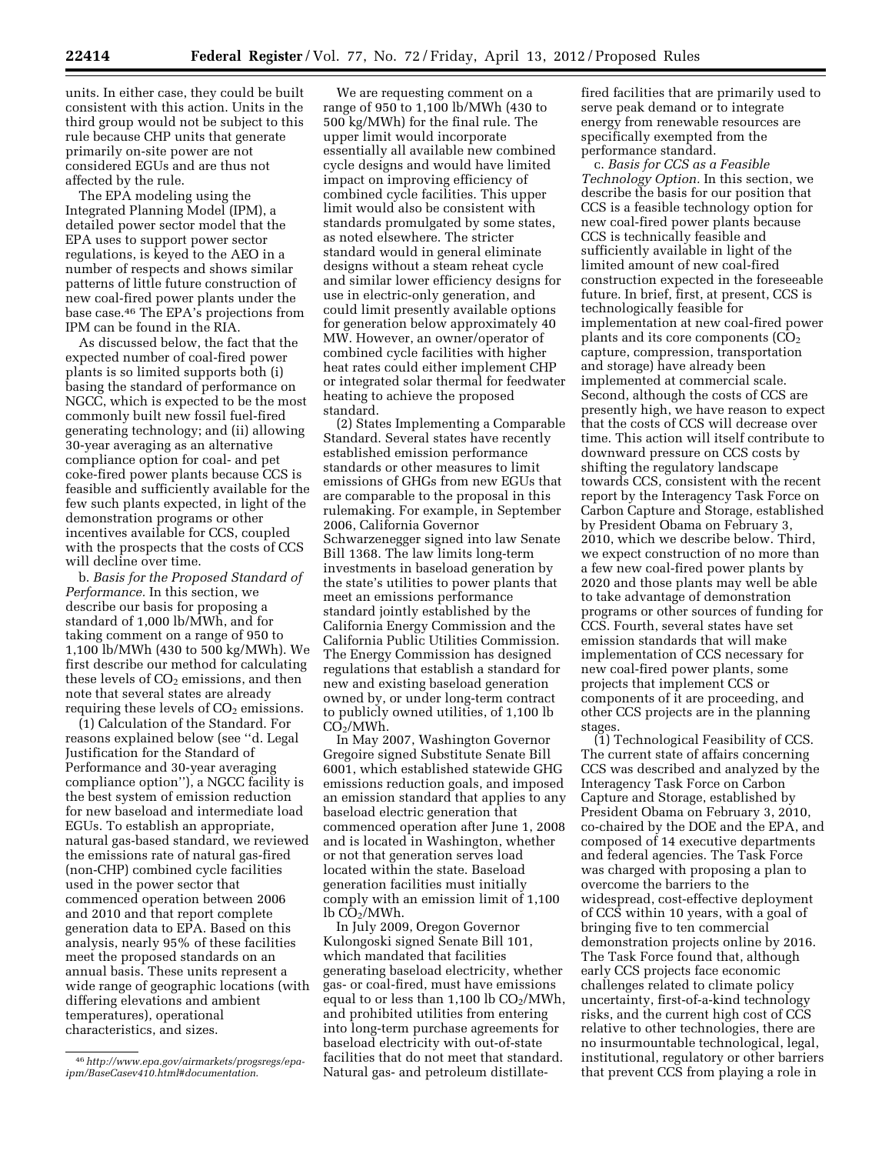units. In either case, they could be built consistent with this action. Units in the third group would not be subject to this rule because CHP units that generate primarily on-site power are not considered EGUs and are thus not affected by the rule.

The EPA modeling using the Integrated Planning Model (IPM), a detailed power sector model that the EPA uses to support power sector regulations, is keyed to the AEO in a number of respects and shows similar patterns of little future construction of new coal-fired power plants under the base case.46 The EPA's projections from IPM can be found in the RIA.

As discussed below, the fact that the expected number of coal-fired power plants is so limited supports both (i) basing the standard of performance on NGCC, which is expected to be the most commonly built new fossil fuel-fired generating technology; and (ii) allowing 30-year averaging as an alternative compliance option for coal- and pet coke-fired power plants because CCS is feasible and sufficiently available for the few such plants expected, in light of the demonstration programs or other incentives available for CCS, coupled with the prospects that the costs of CCS will decline over time.

b. *Basis for the Proposed Standard of Performance.* In this section, we describe our basis for proposing a standard of 1,000 lb/MWh, and for taking comment on a range of 950 to 1,100 lb/MWh (430 to 500 kg/MWh). We first describe our method for calculating these levels of  $CO<sub>2</sub>$  emissions, and then note that several states are already requiring these levels of  $CO<sub>2</sub>$  emissions.

(1) Calculation of the Standard. For reasons explained below (see ''d. Legal Justification for the Standard of Performance and 30-year averaging compliance option''), a NGCC facility is the best system of emission reduction for new baseload and intermediate load EGUs. To establish an appropriate, natural gas-based standard, we reviewed the emissions rate of natural gas-fired (non-CHP) combined cycle facilities used in the power sector that commenced operation between 2006 and 2010 and that report complete generation data to EPA. Based on this analysis, nearly 95% of these facilities meet the proposed standards on an annual basis. These units represent a wide range of geographic locations (with differing elevations and ambient temperatures), operational characteristics, and sizes.

We are requesting comment on a range of 950 to 1,100 lb/MWh (430 to 500 kg/MWh) for the final rule. The upper limit would incorporate essentially all available new combined cycle designs and would have limited impact on improving efficiency of combined cycle facilities. This upper limit would also be consistent with standards promulgated by some states, as noted elsewhere. The stricter standard would in general eliminate designs without a steam reheat cycle and similar lower efficiency designs for use in electric-only generation, and could limit presently available options for generation below approximately 40 MW. However, an owner/operator of combined cycle facilities with higher heat rates could either implement CHP or integrated solar thermal for feedwater heating to achieve the proposed standard.

(2) States Implementing a Comparable Standard. Several states have recently established emission performance standards or other measures to limit emissions of GHGs from new EGUs that are comparable to the proposal in this rulemaking. For example, in September 2006, California Governor Schwarzenegger signed into law Senate Bill 1368. The law limits long-term investments in baseload generation by the state's utilities to power plants that meet an emissions performance standard jointly established by the California Energy Commission and the California Public Utilities Commission. The Energy Commission has designed regulations that establish a standard for new and existing baseload generation owned by, or under long-term contract to publicly owned utilities, of 1,100 lb  $CO<sub>2</sub>/MWh.$ 

In May 2007, Washington Governor Gregoire signed Substitute Senate Bill 6001, which established statewide GHG emissions reduction goals, and imposed an emission standard that applies to any baseload electric generation that commenced operation after June 1, 2008 and is located in Washington, whether or not that generation serves load located within the state. Baseload generation facilities must initially comply with an emission limit of 1,100 lb CO<sub>2</sub>/MWh.

In July 2009, Oregon Governor Kulongoski signed Senate Bill 101, which mandated that facilities generating baseload electricity, whether gas- or coal-fired, must have emissions equal to or less than  $1,100$  lb  $CO<sub>2</sub>/MWh$ , and prohibited utilities from entering into long-term purchase agreements for baseload electricity with out-of-state facilities that do not meet that standard. Natural gas- and petroleum distillatefired facilities that are primarily used to serve peak demand or to integrate energy from renewable resources are specifically exempted from the performance standard.

c. *Basis for CCS as a Feasible Technology Option.* In this section, we describe the basis for our position that CCS is a feasible technology option for new coal-fired power plants because CCS is technically feasible and sufficiently available in light of the limited amount of new coal-fired construction expected in the foreseeable future. In brief, first, at present, CCS is technologically feasible for implementation at new coal-fired power plants and its core components  $(CO<sub>2</sub>)$ capture, compression, transportation and storage) have already been implemented at commercial scale. Second, although the costs of CCS are presently high, we have reason to expect that the costs of CCS will decrease over time. This action will itself contribute to downward pressure on CCS costs by shifting the regulatory landscape towards CCS, consistent with the recent report by the Interagency Task Force on Carbon Capture and Storage, established by President Obama on February 3, 2010, which we describe below. Third, we expect construction of no more than a few new coal-fired power plants by 2020 and those plants may well be able to take advantage of demonstration programs or other sources of funding for CCS. Fourth, several states have set emission standards that will make implementation of CCS necessary for new coal-fired power plants, some projects that implement CCS or components of it are proceeding, and other CCS projects are in the planning stages.

(1) Technological Feasibility of CCS. The current state of affairs concerning CCS was described and analyzed by the Interagency Task Force on Carbon Capture and Storage, established by President Obama on February 3, 2010, co-chaired by the DOE and the EPA, and composed of 14 executive departments and federal agencies. The Task Force was charged with proposing a plan to overcome the barriers to the widespread, cost-effective deployment of CCS within 10 years, with a goal of bringing five to ten commercial demonstration projects online by 2016. The Task Force found that, although early CCS projects face economic challenges related to climate policy uncertainty, first-of-a-kind technology risks, and the current high cost of CCS relative to other technologies, there are no insurmountable technological, legal, institutional, regulatory or other barriers that prevent CCS from playing a role in

<sup>46</sup>*[http://www.epa.gov/airmarkets/progsregs/epa](http://www.epa.gov/airmarkets/progsregs/epa-ipm/BaseCasev410.html#documentation)[ipm/BaseCasev410.html#documentation](http://www.epa.gov/airmarkets/progsregs/epa-ipm/BaseCasev410.html#documentation)*.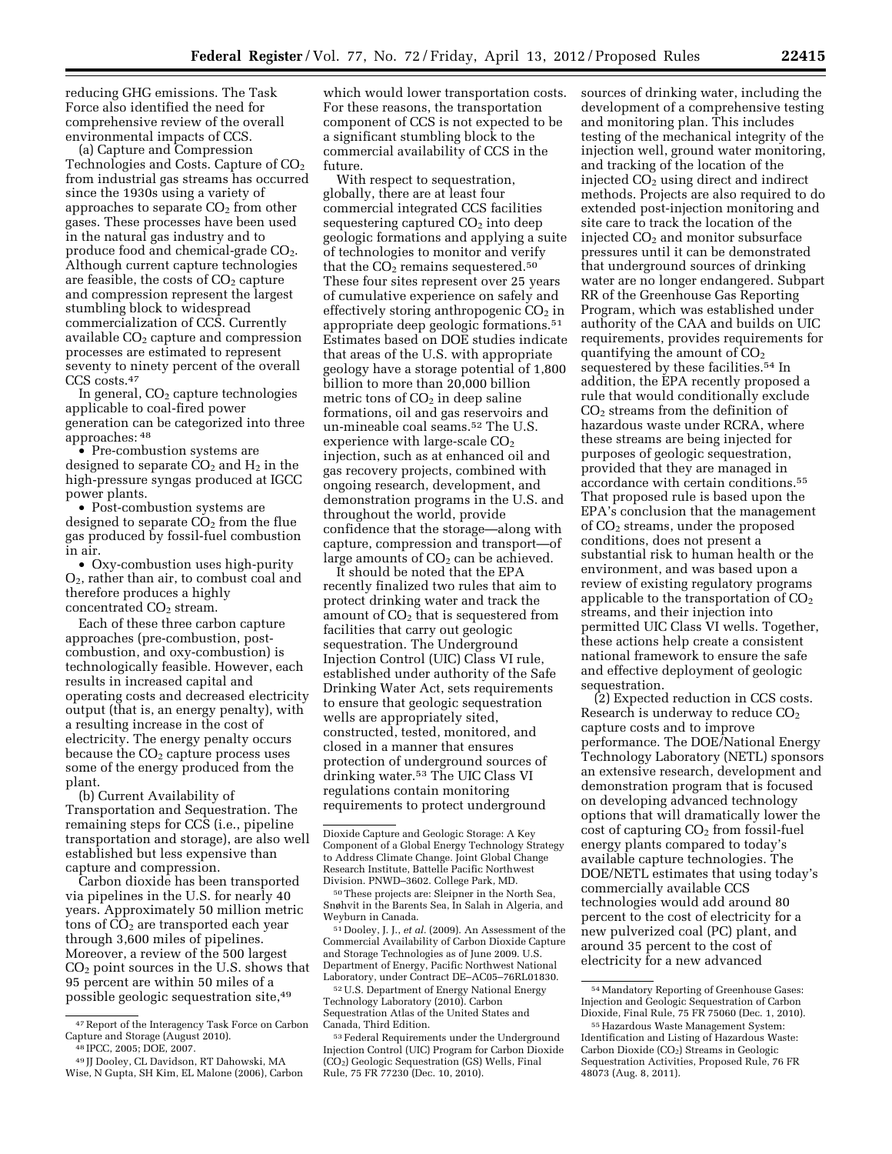reducing GHG emissions. The Task Force also identified the need for comprehensive review of the overall environmental impacts of CCS.

(a) Capture and Compression Technologies and Costs. Capture of  $CO<sub>2</sub>$ from industrial gas streams has occurred since the 1930s using a variety of approaches to separate  $CO<sub>2</sub>$  from other gases. These processes have been used in the natural gas industry and to produce food and chemical-grade CO<sub>2</sub>. Although current capture technologies are feasible, the costs of  $CO<sub>2</sub>$  capture and compression represent the largest stumbling block to widespread commercialization of CCS. Currently available CO<sub>2</sub> capture and compression processes are estimated to represent seventy to ninety percent of the overall CCS costs.47

In general,  $CO<sub>2</sub>$  capture technologies applicable to coal-fired power generation can be categorized into three approaches: 48

• Pre-combustion systems are designed to separate  $CO<sub>2</sub>$  and  $H<sub>2</sub>$  in the high-pressure syngas produced at IGCC power plants.

• Post-combustion systems are designed to separate  $CO<sub>2</sub>$  from the flue gas produced by fossil-fuel combustion in air.

• Oxy-combustion uses high-purity O2, rather than air, to combust coal and therefore produces a highly concentrated  $CO<sub>2</sub>$  stream.

Each of these three carbon capture approaches (pre-combustion, postcombustion, and oxy-combustion) is technologically feasible. However, each results in increased capital and operating costs and decreased electricity output (that is, an energy penalty), with a resulting increase in the cost of electricity. The energy penalty occurs because the  $CO<sub>2</sub>$  capture process uses some of the energy produced from the plant.

(b) Current Availability of Transportation and Sequestration. The remaining steps for CCS (i.e., pipeline transportation and storage), are also well established but less expensive than capture and compression.

Carbon dioxide has been transported via pipelines in the U.S. for nearly 40 years. Approximately 50 million metric tons of  $CO<sub>2</sub>$  are transported each year through 3,600 miles of pipelines. Moreover, a review of the 500 largest  $CO<sub>2</sub>$  point sources in the U.S. shows that 95 percent are within 50 miles of a possible geologic sequestration site,49

which would lower transportation costs. For these reasons, the transportation component of CCS is not expected to be a significant stumbling block to the commercial availability of CCS in the future.

With respect to sequestration, globally, there are at least four commercial integrated CCS facilities sequestering captured  $CO<sub>2</sub>$  into deep geologic formations and applying a suite of technologies to monitor and verify that the  $CO<sub>2</sub>$  remains sequestered.<sup>50</sup> These four sites represent over 25 years of cumulative experience on safely and effectively storing anthropogenic  $CO<sub>2</sub>$  in appropriate deep geologic formations.51 Estimates based on DOE studies indicate that areas of the U.S. with appropriate geology have a storage potential of 1,800 billion to more than 20,000 billion metric tons of  $CO<sub>2</sub>$  in deep saline formations, oil and gas reservoirs and un-mineable coal seams.52 The U.S. experience with large-scale CO<sub>2</sub> injection, such as at enhanced oil and gas recovery projects, combined with ongoing research, development, and demonstration programs in the U.S. and throughout the world, provide confidence that the storage—along with capture, compression and transport—of large amounts of  $CO<sub>2</sub>$  can be achieved.

It should be noted that the EPA recently finalized two rules that aim to protect drinking water and track the amount of  $CO<sub>2</sub>$  that is sequestered from facilities that carry out geologic sequestration. The Underground Injection Control (UIC) Class VI rule, established under authority of the Safe Drinking Water Act, sets requirements to ensure that geologic sequestration wells are appropriately sited, constructed, tested, monitored, and closed in a manner that ensures protection of underground sources of drinking water.53 The UIC Class VI regulations contain monitoring requirements to protect underground

51 Dooley, J. J., *et al.* (2009). An Assessment of the Commercial Availability of Carbon Dioxide Capture and Storage Technologies as of June 2009. U.S. Department of Energy, Pacific Northwest National Laboratory, under Contract DE–AC05–76RL01830.

52U.S. Department of Energy National Energy Technology Laboratory (2010). Carbon Sequestration Atlas of the United States and Canada, Third Edition.

sources of drinking water, including the development of a comprehensive testing and monitoring plan. This includes testing of the mechanical integrity of the injection well, ground water monitoring, and tracking of the location of the injected  $CO<sub>2</sub>$  using direct and indirect methods. Projects are also required to do extended post-injection monitoring and site care to track the location of the injected CO2 and monitor subsurface pressures until it can be demonstrated that underground sources of drinking water are no longer endangered. Subpart RR of the Greenhouse Gas Reporting Program, which was established under authority of the CAA and builds on UIC requirements, provides requirements for quantifying the amount of  $CO<sub>2</sub>$ sequestered by these facilities.54 In addition, the EPA recently proposed a rule that would conditionally exclude  $CO<sub>2</sub>$  streams from the definition of hazardous waste under RCRA, where these streams are being injected for purposes of geologic sequestration, provided that they are managed in accordance with certain conditions.55 That proposed rule is based upon the EPA's conclusion that the management of CO2 streams, under the proposed conditions, does not present a substantial risk to human health or the environment, and was based upon a review of existing regulatory programs applicable to the transportation of  $CO<sub>2</sub>$ streams, and their injection into permitted UIC Class VI wells. Together, these actions help create a consistent national framework to ensure the safe and effective deployment of geologic sequestration.

(2) Expected reduction in CCS costs. Research is underway to reduce  $CO<sub>2</sub>$ capture costs and to improve performance. The DOE/National Energy Technology Laboratory (NETL) sponsors an extensive research, development and demonstration program that is focused on developing advanced technology options that will dramatically lower the  $\cot$  of capturing  $CO<sub>2</sub>$  from fossil-fuel energy plants compared to today's available capture technologies. The DOE/NETL estimates that using today's commercially available CCS technologies would add around 80 percent to the cost of electricity for a new pulverized coal (PC) plant, and around 35 percent to the cost of electricity for a new advanced

 $47$  Report of the Interagency Task Force on Carbon Capture and Storage (August 2010).

<sup>&</sup>lt;sup>48</sup> IPCC, 2005; DOE, 2007.<br><sup>49</sup> JJ Dooley, CL Davidson, RT Dahowski, MA Wise, N Gupta, SH Kim, EL Malone (2006), Carbon

Dioxide Capture and Geologic Storage: A Key Component of a Global Energy Technology Strategy to Address Climate Change. Joint Global Change Research Institute, Battelle Pacific Northwest Division. PNWD–3602. College Park, MD.

<sup>50</sup>These projects are: Sleipner in the North Sea, Snøhvit in the Barents Sea, In Salah in Algeria, and Weyburn in Canada.

<sup>53</sup>Federal Requirements under the Underground Injection Control (UIC) Program for Carbon Dioxide (CO2) Geologic Sequestration (GS) Wells, Final Rule, 75 FR 77230 (Dec. 10, 2010).

<sup>54</sup>Mandatory Reporting of Greenhouse Gases: Injection and Geologic Sequestration of Carbon Dioxide, Final Rule, 75 FR 75060 (Dec. 1, 2010).

<sup>55</sup>Hazardous Waste Management System: Identification and Listing of Hazardous Waste: Carbon Dioxide (CO2) Streams in Geologic Sequestration Activities, Proposed Rule, 76 FR 48073 (Aug. 8, 2011).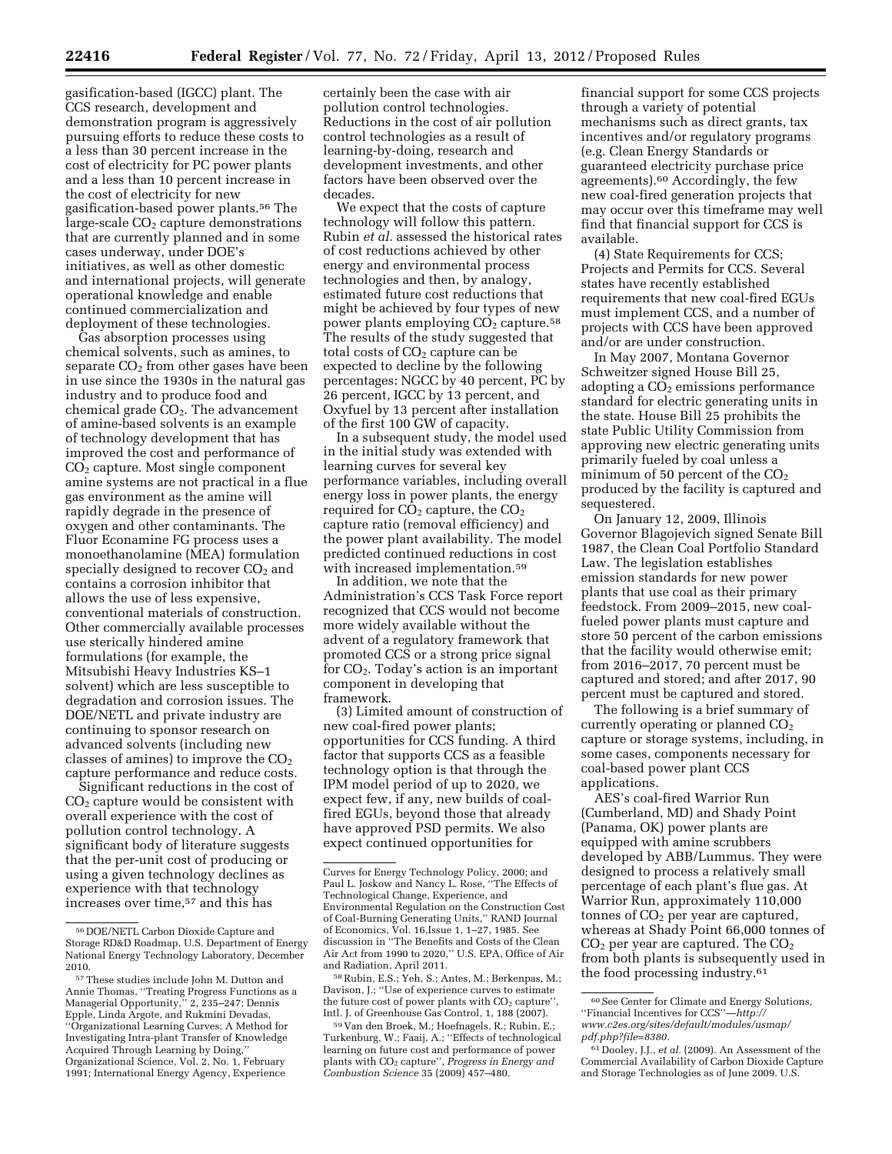gasification-based (IGCC) plant. The CCS research, development and demonstration program is aggressively pursuing efforts to reduce these costs to a less than 30 percent increase in the cost of electricity for PC power plants and a less than 10 percent increase in the cost of electricity for new gasification-based power plants.56 The large-scale  $CO<sub>2</sub>$  capture demonstrations that are currently planned and in some cases underway, under DOE's initiatives, as well as other domestic and international projects, will generate operational knowledge and enable continued commercialization and deployment of these technologies.

Gas absorption processes using chemical solvents, such as amines, to separate  $CO<sub>2</sub>$  from other gases have been in use since the 1930s in the natural gas industry and to produce food and  $chemical$  grade  $CO<sub>2</sub>$ . The advancement of amine-based solvents is an example of technology development that has improved the cost and performance of CO2 capture. Most single component amine systems are not practical in a flue gas environment as the amine will rapidly degrade in the presence of oxygen and other contaminants. The Fluor Econamine FG process uses a monoethanolamine (MEA) formulation specially designed to recover  $CO<sub>2</sub>$  and contains a corrosion inhibitor that allows the use of less expensive, conventional materials of construction. Other commercially available processes use sterically hindered amine formulations (for example, the Mitsubishi Heavy Industries KS–1 solvent) which are less susceptible to degradation and corrosion issues. The DOE/NETL and private industry are continuing to sponsor research on advanced solvents (including new classes of amines) to improve the  $CO<sub>2</sub>$ capture performance and reduce costs.

Significant reductions in the cost of CO2 capture would be consistent with overall experience with the cost of pollution control technology. A significant body of literature suggests that the per-unit cost of producing or using a given technology declines as experience with that technology increases over time,57 and this has

certainly been the case with air pollution control technologies. Reductions in the cost of air pollution control technologies as a result of learning-by-doing, research and development investments, and other factors have been observed over the decades.

We expect that the costs of capture technology will follow this pattern. Rubin *et al.* assessed the historical rates of cost reductions achieved by other energy and environmental process technologies and then, by analogy, estimated future cost reductions that might be achieved by four types of new power plants employing  $CO<sub>2</sub>$  capture.<sup>58</sup> The results of the study suggested that total costs of  $CO<sub>2</sub>$  capture can be expected to decline by the following percentages: NGCC by 40 percent, PC by 26 percent, IGCC by 13 percent, and Oxyfuel by 13 percent after installation of the first 100 GW of capacity.

In a subsequent study, the model used in the initial study was extended with learning curves for several key performance variables, including overall energy loss in power plants, the energy required for  $CO<sub>2</sub>$  capture, the  $CO<sub>2</sub>$ capture ratio (removal efficiency) and the power plant availability. The model predicted continued reductions in cost with increased implementation.59

In addition, we note that the Administration's CCS Task Force report recognized that CCS would not become more widely available without the advent of a regulatory framework that promoted CCS or a strong price signal for  $CO<sub>2</sub>$ . Today's action is an important component in developing that framework.

(3) Limited amount of construction of new coal-fired power plants; opportunities for CCS funding. A third factor that supports CCS as a feasible technology option is that through the IPM model period of up to 2020, we expect few, if any, new builds of coalfired EGUs, beyond those that already have approved PSD permits. We also expect continued opportunities for

financial support for some CCS projects through a variety of potential mechanisms such as direct grants, tax incentives and/or regulatory programs (e.g. Clean Energy Standards or guaranteed electricity purchase price agreements).60 Accordingly, the few new coal-fired generation projects that may occur over this timeframe may well find that financial support for CCS is available.

(4) State Requirements for CCS; Projects and Permits for CCS. Several states have recently established requirements that new coal-fired EGUs must implement CCS, and a number of projects with CCS have been approved and/or are under construction.

In May 2007, Montana Governor Schweitzer signed House Bill 25, adopting a  $CO<sub>2</sub>$  emissions performance standard for electric generating units in the state. House Bill 25 prohibits the state Public Utility Commission from approving new electric generating units primarily fueled by coal unless a minimum of 50 percent of the  $\mathrm{CO}_2$ produced by the facility is captured and sequestered.

On January 12, 2009, Illinois Governor Blagojevich signed Senate Bill 1987, the Clean Coal Portfolio Standard Law. The legislation establishes emission standards for new power plants that use coal as their primary feedstock. From 2009–2015, new coalfueled power plants must capture and store 50 percent of the carbon emissions that the facility would otherwise emit; from 2016–2017, 70 percent must be captured and stored; and after 2017, 90 percent must be captured and stored.

The following is a brief summary of currently operating or planned  $CO<sub>2</sub>$ capture or storage systems, including, in some cases, components necessary for coal-based power plant CCS applications.

AES's coal-fired Warrior Run (Cumberland, MD) and Shady Point (Panama, OK) power plants are equipped with amine scrubbers developed by ABB/Lummus. They were designed to process a relatively small percentage of each plant's flue gas. At Warrior Run, approximately 110,000 tonnes of CO<sub>2</sub> per year are captured, whereas at Shady Point 66,000 tonnes of  $CO<sub>2</sub>$  per year are captured. The  $CO<sub>2</sub>$ from both plants is subsequently used in the food processing industry.61

<sup>56</sup> DOE/NETL Carbon Dioxide Capture and Storage RD&D Roadmap, U.S. Department of Energy National Energy Technology Laboratory, December 2010.

<sup>57</sup>These studies include John M. Dutton and Annie Thomas, ''Treating Progress Functions as a Managerial Opportunity,'' 2, 235–247; Dennis Epple, Linda Argote, and Rukmini Devadas, ''Organizational Learning Curves: A Method for Investigating Intra-plant Transfer of Knowledge Acquired Through Learning by Doing,'' Organizational Science, Vol. 2, No. 1, February 1991; International Energy Agency, Experience

Curves for Energy Technology Policy, 2000; and Paul L. Joskow and Nancy L. Rose, ''The Effects of Technological Change, Experience, and Environmental Regulation on the Construction Cost of Coal-Burning Generating Units,'' RAND Journal of Economics, Vol. 16,Issue 1, 1–27, 1985. See discussion in ''The Benefits and Costs of the Clean Air Act from 1990 to 2020,'' U.S. EPA, Office of Air and Radiation, April 2011.

<sup>58</sup>Rubin, E.S.; Yeh, S.; Antes, M.; Berkenpas, M.; Davison, J.; ''Use of experience curves to estimate the future cost of power plants with  $CO<sub>2</sub>$  capture", Intl. J. of Greenhouse Gas Control, 1, 188 (2007).

<sup>59</sup> Van den Broek, M.; Hoefnagels, R.; Rubin, E.; Turkenburg, W.; Faaij, A.; ''Effects of technological learning on future cost and performance of power plants with CO2 capture'', *Progress in Energy and Combustion Science* 35 (2009) 457–480.

<sup>60</sup>See Center for Climate and Energy Solutions, ''Financial Incentives for CCS''—*[http://](http://www.c2es.org/sites/default/modules/usmap/pdf.php?file=8380) [www.c2es.org/sites/default/modules/usmap/](http://www.c2es.org/sites/default/modules/usmap/pdf.php?file=8380)  [pdf.php?file=8380.](http://www.c2es.org/sites/default/modules/usmap/pdf.php?file=8380)* 

<sup>61</sup> Dooley, J.J., *et al.* (2009). An Assessment of the Commercial Availability of Carbon Dioxide Capture and Storage Technologies as of June 2009. U.S.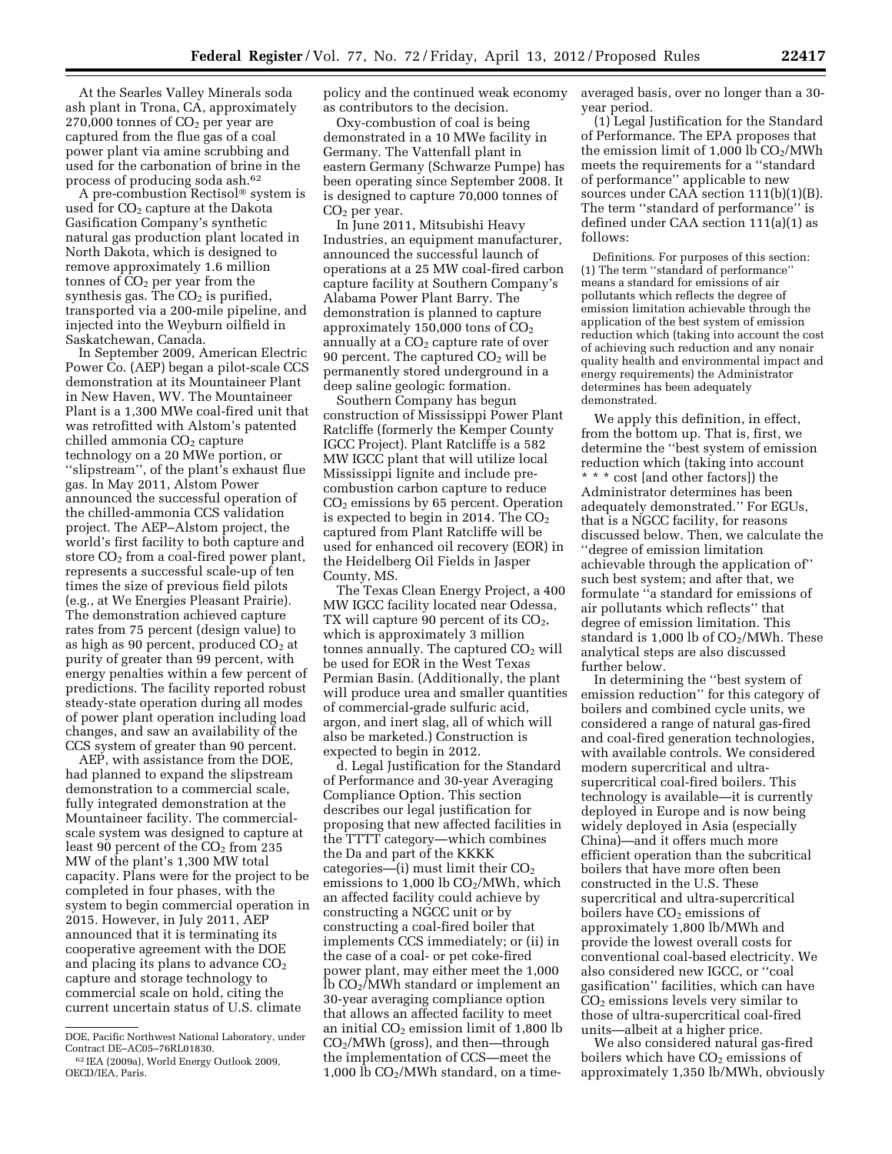At the Searles Valley Minerals soda ash plant in Trona, CA, approximately 270,000 tonnes of  $CO<sub>2</sub>$  per year are

captured from the flue gas of a coal power plant via amine scrubbing and used for the carbonation of brine in the process of producing soda ash.62

A pre-combustion Rectisol® system is used for CO<sub>2</sub> capture at the Dakota Gasification Company's synthetic natural gas production plant located in North Dakota, which is designed to remove approximately 1.6 million tonnes of  $CO<sub>2</sub>$  per year from the synthesis gas. The  $CO<sub>2</sub>$  is purified, transported via a 200-mile pipeline, and injected into the Weyburn oilfield in Saskatchewan, Canada.

In September 2009, American Electric Power Co. (AEP) began a pilot-scale CCS demonstration at its Mountaineer Plant in New Haven, WV. The Mountaineer Plant is a 1,300 MWe coal-fired unit that was retrofitted with Alstom's patented  $\text{children}$  ammonia  $\text{CO}_2$  capture technology on a 20 MWe portion, or ''slipstream'', of the plant's exhaust flue gas. In May 2011, Alstom Power announced the successful operation of the chilled-ammonia CCS validation project. The AEP–Alstom project, the world's first facility to both capture and store  $CO<sub>2</sub>$  from a coal-fired power plant, represents a successful scale-up of ten times the size of previous field pilots (e.g., at We Energies Pleasant Prairie). The demonstration achieved capture rates from 75 percent (design value) to as high as 90 percent, produced  $CO<sub>2</sub>$  at purity of greater than 99 percent, with energy penalties within a few percent of predictions. The facility reported robust steady-state operation during all modes of power plant operation including load changes, and saw an availability of the CCS system of greater than 90 percent.

AEP, with assistance from the DOE, had planned to expand the slipstream demonstration to a commercial scale, fully integrated demonstration at the Mountaineer facility. The commercialscale system was designed to capture at least 90 percent of the  $CO<sub>2</sub>$  from 235 MW of the plant's 1,300 MW total capacity. Plans were for the project to be completed in four phases, with the system to begin commercial operation in 2015. However, in July 2011, AEP announced that it is terminating its cooperative agreement with the DOE and placing its plans to advance  $CO<sub>2</sub>$ capture and storage technology to commercial scale on hold, citing the current uncertain status of U.S. climate

policy and the continued weak economy as contributors to the decision.

Oxy-combustion of coal is being demonstrated in a 10 MWe facility in Germany. The Vattenfall plant in eastern Germany (Schwarze Pumpe) has been operating since September 2008. It is designed to capture 70,000 tonnes of  $CO<sub>2</sub>$  per year.

In June 2011, Mitsubishi Heavy Industries, an equipment manufacturer, announced the successful launch of operations at a 25 MW coal-fired carbon capture facility at Southern Company's Alabama Power Plant Barry. The demonstration is planned to capture approximately  $150,000$  tons of  $CO<sub>2</sub>$ annually at a  $CO<sub>2</sub>$  capture rate of over 90 percent. The captured  $CO<sub>2</sub>$  will be permanently stored underground in a deep saline geologic formation.

Southern Company has begun construction of Mississippi Power Plant Ratcliffe (formerly the Kemper County IGCC Project). Plant Ratcliffe is a 582 MW IGCC plant that will utilize local Mississippi lignite and include precombustion carbon capture to reduce CO2 emissions by 65 percent. Operation is expected to begin in 2014. The  $CO<sub>2</sub>$ captured from Plant Ratcliffe will be used for enhanced oil recovery (EOR) in the Heidelberg Oil Fields in Jasper County, MS.

The Texas Clean Energy Project, a 400 MW IGCC facility located near Odessa, TX will capture 90 percent of its  $CO<sub>2</sub>$ , which is approximately 3 million tonnes annually. The captured  $CO<sub>2</sub>$  will be used for EOR in the West Texas Permian Basin. (Additionally, the plant will produce urea and smaller quantities of commercial-grade sulfuric acid, argon, and inert slag, all of which will also be marketed.) Construction is expected to begin in 2012.

d. Legal Justification for the Standard of Performance and 30-year Averaging Compliance Option. This section describes our legal justification for proposing that new affected facilities in the TTTT category—which combines the Da and part of the KKKK categories—(i) must limit their  $CO<sub>2</sub>$ emissions to  $1,000 \, \text{lb} \, \text{CO}_2/\text{MWh}$ , which an affected facility could achieve by constructing a NGCC unit or by constructing a coal-fired boiler that implements CCS immediately; or (ii) in the case of a coal- or pet coke-fired power plant, may either meet the 1,000 lb CO2/MWh standard or implement an 30-year averaging compliance option that allows an affected facility to meet an initial  $CO<sub>2</sub>$  emission limit of 1,800 lb CO2/MWh (gross), and then—through the implementation of CCS—meet the 1,000 lb  $CO<sub>2</sub>/MWh$  standard, on a timeaveraged basis, over no longer than a 30 year period.

(1) Legal Justification for the Standard of Performance. The EPA proposes that the emission limit of  $1,000$  lb  $CO<sub>2</sub>/MWh$ meets the requirements for a ''standard of performance'' applicable to new sources under CAA section 111(b)(1)(B). The term ''standard of performance'' is defined under CAA section 111(a)(1) as follows:

Definitions. For purposes of this section: (1) The term ''standard of performance'' means a standard for emissions of air pollutants which reflects the degree of emission limitation achievable through the application of the best system of emission reduction which (taking into account the cost of achieving such reduction and any nonair quality health and environmental impact and energy requirements) the Administrator determines has been adequately demonstrated.

We apply this definition, in effect, from the bottom up. That is, first, we determine the ''best system of emission reduction which (taking into account \* \* \* cost [and other factors]) the Administrator determines has been adequately demonstrated.'' For EGUs, that is a NGCC facility, for reasons discussed below. Then, we calculate the ''degree of emission limitation achievable through the application of'' such best system; and after that, we formulate ''a standard for emissions of air pollutants which reflects'' that degree of emission limitation. This standard is 1,000 lb of  $CO<sub>2</sub>/MWh$ . These analytical steps are also discussed further below.

In determining the ''best system of emission reduction'' for this category of boilers and combined cycle units, we considered a range of natural gas-fired and coal-fired generation technologies, with available controls. We considered modern supercritical and ultrasupercritical coal-fired boilers. This technology is available—it is currently deployed in Europe and is now being widely deployed in Asia (especially China)—and it offers much more efficient operation than the subcritical boilers that have more often been constructed in the U.S. These supercritical and ultra-supercritical boilers have  $CO<sub>2</sub>$  emissions of approximately 1,800 lb/MWh and provide the lowest overall costs for conventional coal-based electricity. We also considered new IGCC, or ''coal gasification'' facilities, which can have  $CO<sub>2</sub>$  emissions levels very similar to those of ultra-supercritical coal-fired units—albeit at a higher price.

We also considered natural gas-fired boilers which have  $CO<sub>2</sub>$  emissions of approximately 1,350 lb/MWh, obviously

DOE, Pacific Northwest National Laboratory, under Contract DE–AC05–76RL01830.

<sup>62</sup> IEA (2009a), World Energy Outlook 2009, OECD/IEA, Paris.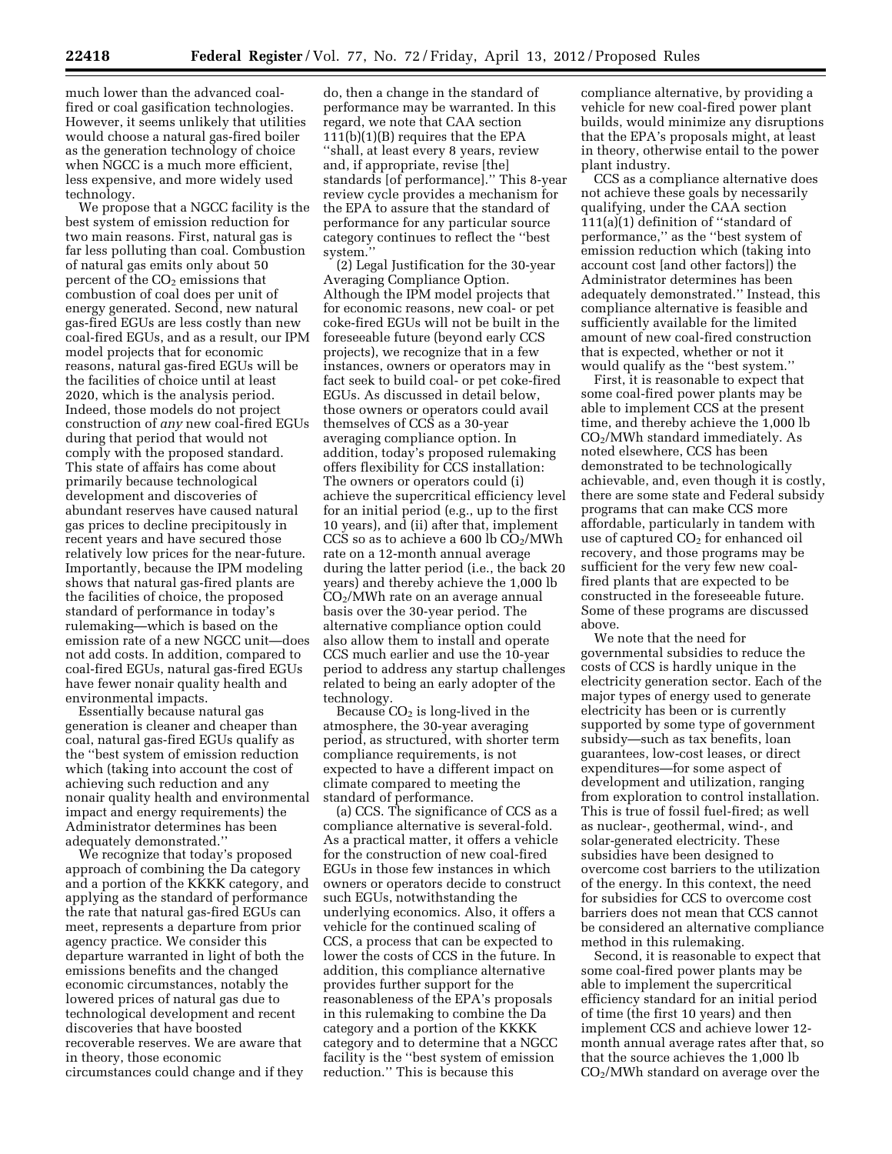much lower than the advanced coalfired or coal gasification technologies. However, it seems unlikely that utilities would choose a natural gas-fired boiler as the generation technology of choice when NGCC is a much more efficient, less expensive, and more widely used technology.

We propose that a NGCC facility is the best system of emission reduction for two main reasons. First, natural gas is far less polluting than coal. Combustion of natural gas emits only about 50 percent of the  $CO<sub>2</sub>$  emissions that combustion of coal does per unit of energy generated. Second, new natural gas-fired EGUs are less costly than new coal-fired EGUs, and as a result, our IPM model projects that for economic reasons, natural gas-fired EGUs will be the facilities of choice until at least 2020, which is the analysis period. Indeed, those models do not project construction of *any* new coal-fired EGUs during that period that would not comply with the proposed standard. This state of affairs has come about primarily because technological development and discoveries of abundant reserves have caused natural gas prices to decline precipitously in recent years and have secured those relatively low prices for the near-future. Importantly, because the IPM modeling shows that natural gas-fired plants are the facilities of choice, the proposed standard of performance in today's rulemaking—which is based on the emission rate of a new NGCC unit—does not add costs. In addition, compared to coal-fired EGUs, natural gas-fired EGUs have fewer nonair quality health and environmental impacts.

Essentially because natural gas generation is cleaner and cheaper than coal, natural gas-fired EGUs qualify as the ''best system of emission reduction which (taking into account the cost of achieving such reduction and any nonair quality health and environmental impact and energy requirements) the Administrator determines has been adequately demonstrated.''

We recognize that today's proposed approach of combining the Da category and a portion of the KKKK category, and applying as the standard of performance the rate that natural gas-fired EGUs can meet, represents a departure from prior agency practice. We consider this departure warranted in light of both the emissions benefits and the changed economic circumstances, notably the lowered prices of natural gas due to technological development and recent discoveries that have boosted recoverable reserves. We are aware that in theory, those economic circumstances could change and if they

do, then a change in the standard of performance may be warranted. In this regard, we note that CAA section 111(b)(1)(B) requires that the EPA ''shall, at least every 8 years, review and, if appropriate, revise [the] standards [of performance].'' This 8-year review cycle provides a mechanism for the EPA to assure that the standard of performance for any particular source category continues to reflect the ''best system.''

(2) Legal Justification for the 30-year Averaging Compliance Option. Although the IPM model projects that for economic reasons, new coal- or pet coke-fired EGUs will not be built in the foreseeable future (beyond early CCS projects), we recognize that in a few instances, owners or operators may in fact seek to build coal- or pet coke-fired EGUs. As discussed in detail below, those owners or operators could avail themselves of CCS as a 30-year averaging compliance option. In addition, today's proposed rulemaking offers flexibility for CCS installation: The owners or operators could (i) achieve the supercritical efficiency level for an initial period (e.g., up to the first 10 years), and (ii) after that, implement CCS so as to achieve a 600 lb  $CO<sub>2</sub>/MWh$ rate on a 12-month annual average during the latter period (i.e., the back 20 years) and thereby achieve the 1,000 lb CO2/MWh rate on an average annual basis over the 30-year period. The alternative compliance option could also allow them to install and operate CCS much earlier and use the 10-year period to address any startup challenges related to being an early adopter of the technology.

Because  $CO<sub>2</sub>$  is long-lived in the atmosphere, the 30-year averaging period, as structured, with shorter term compliance requirements, is not expected to have a different impact on climate compared to meeting the standard of performance.

(a) CCS. The significance of CCS as a compliance alternative is several-fold. As a practical matter, it offers a vehicle for the construction of new coal-fired EGUs in those few instances in which owners or operators decide to construct such EGUs, notwithstanding the underlying economics. Also, it offers a vehicle for the continued scaling of CCS, a process that can be expected to lower the costs of CCS in the future. In addition, this compliance alternative provides further support for the reasonableness of the EPA's proposals in this rulemaking to combine the Da category and a portion of the KKKK category and to determine that a NGCC facility is the ''best system of emission reduction.'' This is because this

compliance alternative, by providing a vehicle for new coal-fired power plant builds, would minimize any disruptions that the EPA's proposals might, at least in theory, otherwise entail to the power plant industry.

CCS as a compliance alternative does not achieve these goals by necessarily qualifying, under the CAA section 111(a)(1) definition of ''standard of performance,'' as the ''best system of emission reduction which (taking into account cost [and other factors]) the Administrator determines has been adequately demonstrated.'' Instead, this compliance alternative is feasible and sufficiently available for the limited amount of new coal-fired construction that is expected, whether or not it would qualify as the ''best system.''

First, it is reasonable to expect that some coal-fired power plants may be able to implement CCS at the present time, and thereby achieve the 1,000 lb CO2/MWh standard immediately. As noted elsewhere, CCS has been demonstrated to be technologically achievable, and, even though it is costly, there are some state and Federal subsidy programs that can make CCS more affordable, particularly in tandem with use of captured  $CO<sub>2</sub>$  for enhanced oil recovery, and those programs may be sufficient for the very few new coalfired plants that are expected to be constructed in the foreseeable future. Some of these programs are discussed above.

We note that the need for governmental subsidies to reduce the costs of CCS is hardly unique in the electricity generation sector. Each of the major types of energy used to generate electricity has been or is currently supported by some type of government subsidy—such as tax benefits, loan guarantees, low-cost leases, or direct expenditures—for some aspect of development and utilization, ranging from exploration to control installation. This is true of fossil fuel-fired; as well as nuclear-, geothermal, wind-, and solar-generated electricity. These subsidies have been designed to overcome cost barriers to the utilization of the energy. In this context, the need for subsidies for CCS to overcome cost barriers does not mean that CCS cannot be considered an alternative compliance method in this rulemaking.

Second, it is reasonable to expect that some coal-fired power plants may be able to implement the supercritical efficiency standard for an initial period of time (the first 10 years) and then implement CCS and achieve lower 12 month annual average rates after that, so that the source achieves the 1,000 lb CO2/MWh standard on average over the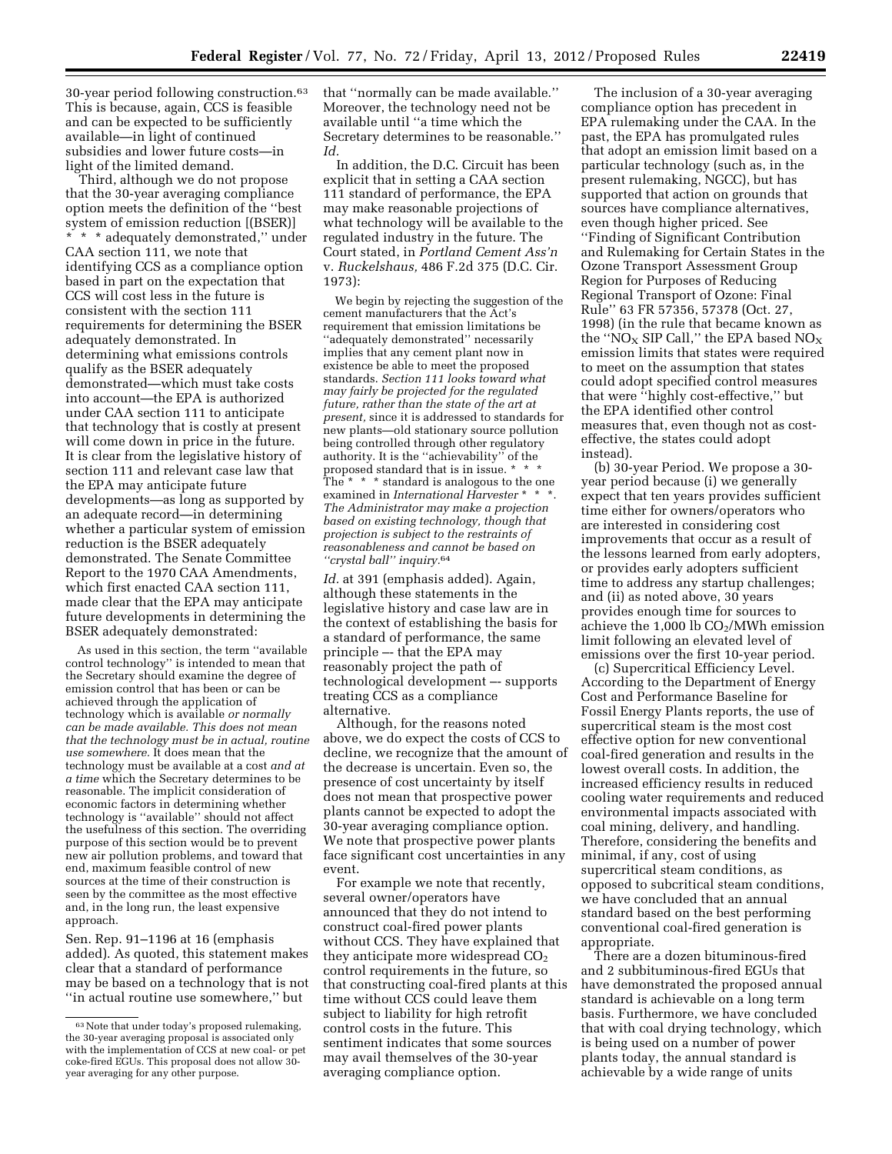30-year period following construction.63 This is because, again, CCS is feasible and can be expected to be sufficiently available—in light of continued subsidies and lower future costs—in light of the limited demand.

Third, although we do not propose that the 30-year averaging compliance option meets the definition of the ''best system of emission reduction [(BSER)] \* \* \* adequately demonstrated,'' under CAA section 111, we note that identifying CCS as a compliance option based in part on the expectation that CCS will cost less in the future is consistent with the section 111 requirements for determining the BSER adequately demonstrated. In determining what emissions controls qualify as the BSER adequately demonstrated—which must take costs into account—the EPA is authorized under CAA section 111 to anticipate that technology that is costly at present will come down in price in the future. It is clear from the legislative history of section 111 and relevant case law that the EPA may anticipate future developments—as long as supported by an adequate record—in determining whether a particular system of emission reduction is the BSER adequately demonstrated. The Senate Committee Report to the 1970 CAA Amendments, which first enacted CAA section 111, made clear that the EPA may anticipate future developments in determining the BSER adequately demonstrated:

As used in this section, the term ''available control technology'' is intended to mean that the Secretary should examine the degree of emission control that has been or can be achieved through the application of technology which is available *or normally can be made available. This does not mean that the technology must be in actual, routine use somewhere.* It does mean that the technology must be available at a cost *and at a time* which the Secretary determines to be reasonable. The implicit consideration of economic factors in determining whether technology is ''available'' should not affect the usefulness of this section. The overriding purpose of this section would be to prevent new air pollution problems, and toward that end, maximum feasible control of new sources at the time of their construction is seen by the committee as the most effective and, in the long run, the least expensive approach.

Sen. Rep. 91–1196 at 16 (emphasis added). As quoted, this statement makes clear that a standard of performance may be based on a technology that is not ''in actual routine use somewhere,'' but

that ''normally can be made available.'' Moreover, the technology need not be available until ''a time which the Secretary determines to be reasonable.'' *Id.* 

In addition, the D.C. Circuit has been explicit that in setting a CAA section 111 standard of performance, the EPA may make reasonable projections of what technology will be available to the regulated industry in the future. The Court stated, in *Portland Cement Ass'n*  v. *Ruckelshaus,* 486 F.2d 375 (D.C. Cir. 1973):

We begin by rejecting the suggestion of the cement manufacturers that the Act's requirement that emission limitations be ''adequately demonstrated'' necessarily implies that any cement plant now in existence be able to meet the proposed standards. *Section 111 looks toward what may fairly be projected for the regulated future, rather than the state of the art at present,* since it is addressed to standards for new plants—old stationary source pollution being controlled through other regulatory authority. It is the ''achievability'' of the proposed standard that is in issue. \* The \* \* \* standard is analogous to the one examined in *International Harvester* \* \* *The Administrator may make a projection based on existing technology, though that projection is subject to the restraints of reasonableness and cannot be based on ''crystal ball'' inquiry.*64

*Id.* at 391 (emphasis added). Again, although these statements in the legislative history and case law are in the context of establishing the basis for a standard of performance, the same principle –- that the EPA may reasonably project the path of technological development –- supports treating CCS as a compliance alternative.

Although, for the reasons noted above, we do expect the costs of CCS to decline, we recognize that the amount of the decrease is uncertain. Even so, the presence of cost uncertainty by itself does not mean that prospective power plants cannot be expected to adopt the 30-year averaging compliance option. We note that prospective power plants face significant cost uncertainties in any event.

For example we note that recently, several owner/operators have announced that they do not intend to construct coal-fired power plants without CCS. They have explained that they anticipate more widespread  $CO<sub>2</sub>$ control requirements in the future, so that constructing coal-fired plants at this time without CCS could leave them subject to liability for high retrofit control costs in the future. This sentiment indicates that some sources may avail themselves of the 30-year averaging compliance option.

The inclusion of a 30-year averaging compliance option has precedent in EPA rulemaking under the CAA. In the past, the EPA has promulgated rules that adopt an emission limit based on a particular technology (such as, in the present rulemaking, NGCC), but has supported that action on grounds that sources have compliance alternatives, even though higher priced. See ''Finding of Significant Contribution and Rulemaking for Certain States in the Ozone Transport Assessment Group Region for Purposes of Reducing Regional Transport of Ozone: Final Rule'' 63 FR 57356, 57378 (Oct. 27, 1998) (in the rule that became known as the "NO<sub>X</sub> SIP Call," the EPA based  $NO_X$ emission limits that states were required to meet on the assumption that states could adopt specified control measures that were ''highly cost-effective,'' but the EPA identified other control measures that, even though not as costeffective, the states could adopt instead).

(b) 30-year Period. We propose a 30 year period because (i) we generally expect that ten years provides sufficient time either for owners/operators who are interested in considering cost improvements that occur as a result of the lessons learned from early adopters, or provides early adopters sufficient time to address any startup challenges; and (ii) as noted above, 30 years provides enough time for sources to achieve the  $1,000$  lb  $CO<sub>2</sub>/MWh$  emission limit following an elevated level of emissions over the first 10-year period.

(c) Supercritical Efficiency Level. According to the Department of Energy Cost and Performance Baseline for Fossil Energy Plants reports, the use of supercritical steam is the most cost effective option for new conventional coal-fired generation and results in the lowest overall costs. In addition, the increased efficiency results in reduced cooling water requirements and reduced environmental impacts associated with coal mining, delivery, and handling. Therefore, considering the benefits and minimal, if any, cost of using supercritical steam conditions, as opposed to subcritical steam conditions, we have concluded that an annual standard based on the best performing conventional coal-fired generation is appropriate.

There are a dozen bituminous-fired and 2 subbituminous-fired EGUs that have demonstrated the proposed annual standard is achievable on a long term basis. Furthermore, we have concluded that with coal drying technology, which is being used on a number of power plants today, the annual standard is achievable by a wide range of units

<sup>63</sup>Note that under today's proposed rulemaking, the 30-year averaging proposal is associated only with the implementation of CCS at new coal- or pet coke-fired EGUs. This proposal does not allow 30 year averaging for any other purpose.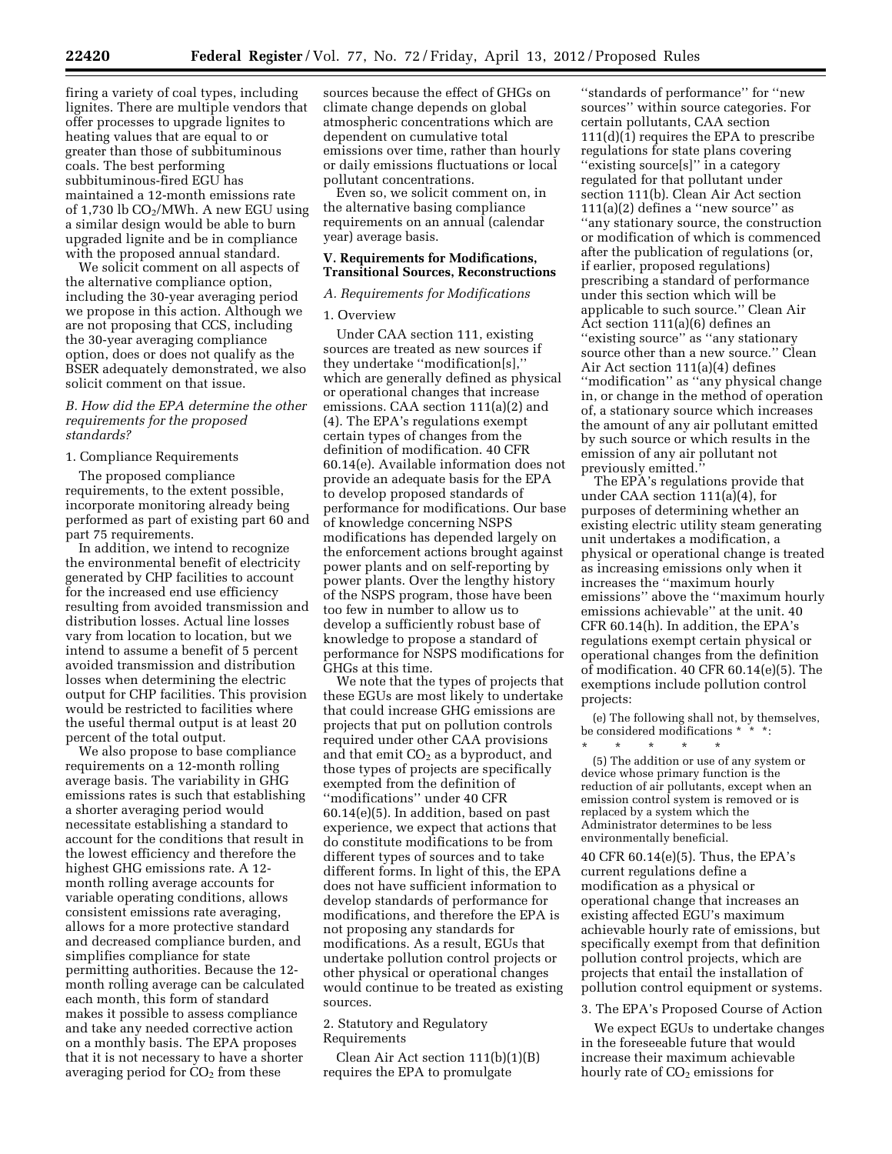firing a variety of coal types, including lignites. There are multiple vendors that offer processes to upgrade lignites to heating values that are equal to or greater than those of subbituminous coals. The best performing subbituminous-fired EGU has maintained a 12-month emissions rate of 1,730 lb  $CO<sub>2</sub>/MWh$ . A new EGU using a similar design would be able to burn upgraded lignite and be in compliance with the proposed annual standard.

We solicit comment on all aspects of the alternative compliance option, including the 30-year averaging period we propose in this action. Although we are not proposing that CCS, including the 30-year averaging compliance option, does or does not qualify as the BSER adequately demonstrated, we also solicit comment on that issue.

# *B. How did the EPA determine the other requirements for the proposed standards?*

# 1. Compliance Requirements

The proposed compliance requirements, to the extent possible, incorporate monitoring already being performed as part of existing part 60 and part 75 requirements.

In addition, we intend to recognize the environmental benefit of electricity generated by CHP facilities to account for the increased end use efficiency resulting from avoided transmission and distribution losses. Actual line losses vary from location to location, but we intend to assume a benefit of 5 percent avoided transmission and distribution losses when determining the electric output for CHP facilities. This provision would be restricted to facilities where the useful thermal output is at least 20 percent of the total output.

We also propose to base compliance requirements on a 12-month rolling average basis. The variability in GHG emissions rates is such that establishing a shorter averaging period would necessitate establishing a standard to account for the conditions that result in the lowest efficiency and therefore the highest GHG emissions rate. A 12 month rolling average accounts for variable operating conditions, allows consistent emissions rate averaging, allows for a more protective standard and decreased compliance burden, and simplifies compliance for state permitting authorities. Because the 12 month rolling average can be calculated each month, this form of standard makes it possible to assess compliance and take any needed corrective action on a monthly basis. The EPA proposes that it is not necessary to have a shorter averaging period for  $CO<sub>2</sub>$  from these

sources because the effect of GHGs on climate change depends on global atmospheric concentrations which are dependent on cumulative total emissions over time, rather than hourly or daily emissions fluctuations or local pollutant concentrations.

Even so, we solicit comment on, in the alternative basing compliance requirements on an annual (calendar year) average basis.

# **V. Requirements for Modifications, Transitional Sources, Reconstructions**

# *A. Requirements for Modifications*

# 1. Overview

Under CAA section 111, existing sources are treated as new sources if they undertake ''modification[s],'' which are generally defined as physical or operational changes that increase emissions. CAA section 111(a)(2) and (4). The EPA's regulations exempt certain types of changes from the definition of modification. 40 CFR 60.14(e). Available information does not provide an adequate basis for the EPA to develop proposed standards of performance for modifications. Our base of knowledge concerning NSPS modifications has depended largely on the enforcement actions brought against power plants and on self-reporting by power plants. Over the lengthy history of the NSPS program, those have been too few in number to allow us to develop a sufficiently robust base of knowledge to propose a standard of performance for NSPS modifications for GHGs at this time.

We note that the types of projects that these EGUs are most likely to undertake that could increase GHG emissions are projects that put on pollution controls required under other CAA provisions and that emit  $CO<sub>2</sub>$  as a byproduct, and those types of projects are specifically exempted from the definition of ''modifications'' under 40 CFR 60.14(e)(5). In addition, based on past experience, we expect that actions that do constitute modifications to be from different types of sources and to take different forms. In light of this, the EPA does not have sufficient information to develop standards of performance for modifications, and therefore the EPA is not proposing any standards for modifications. As a result, EGUs that undertake pollution control projects or other physical or operational changes would continue to be treated as existing sources.

### 2. Statutory and Regulatory Requirements

Clean Air Act section 111(b)(1)(B) requires the EPA to promulgate

''standards of performance'' for ''new sources'' within source categories. For certain pollutants, CAA section 111(d)(1) requires the EPA to prescribe regulations for state plans covering "existing source[s]" in a category regulated for that pollutant under section 111(b). Clean Air Act section  $111(a)(2)$  defines a "new source" as ''any stationary source, the construction or modification of which is commenced after the publication of regulations (or, if earlier, proposed regulations) prescribing a standard of performance under this section which will be applicable to such source.'' Clean Air Act section 111(a)(6) defines an ''existing source'' as ''any stationary source other than a new source.'' Clean Air Act section 111(a)(4) defines ''modification'' as ''any physical change in, or change in the method of operation of, a stationary source which increases the amount of any air pollutant emitted by such source or which results in the emission of any air pollutant not previously emitted.''

The EPA's regulations provide that under CAA section 111(a)(4), for purposes of determining whether an existing electric utility steam generating unit undertakes a modification, a physical or operational change is treated as increasing emissions only when it increases the ''maximum hourly emissions'' above the ''maximum hourly emissions achievable'' at the unit. 40 CFR 60.14(h). In addition, the EPA's regulations exempt certain physical or operational changes from the definition of modification. 40 CFR 60.14(e)(5). The exemptions include pollution control projects:

(e) The following shall not, by themselves, be considered modifications \* \* \* \* \* \*

(5) The addition or use of any system or device whose primary function is the reduction of air pollutants, except when an emission control system is removed or is replaced by a system which the Administrator determines to be less environmentally beneficial.

40 CFR 60.14(e)(5). Thus, the EPA's current regulations define a modification as a physical or operational change that increases an existing affected EGU's maximum achievable hourly rate of emissions, but specifically exempt from that definition pollution control projects, which are projects that entail the installation of pollution control equipment or systems.

#### 3. The EPA's Proposed Course of Action

We expect EGUs to undertake changes in the foreseeable future that would increase their maximum achievable hourly rate of CO<sub>2</sub> emissions for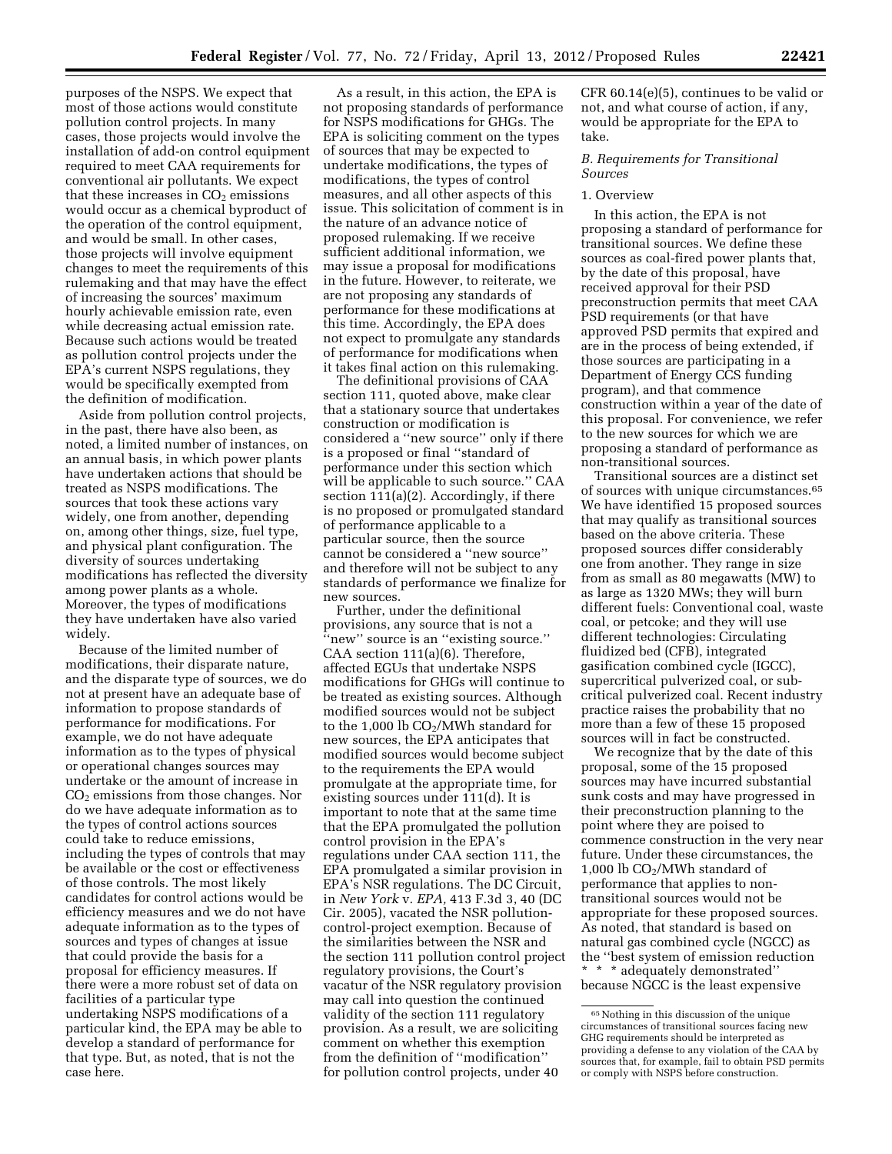purposes of the NSPS. We expect that most of those actions would constitute pollution control projects. In many cases, those projects would involve the installation of add-on control equipment required to meet CAA requirements for conventional air pollutants. We expect that these increases in  $CO<sub>2</sub>$  emissions would occur as a chemical byproduct of the operation of the control equipment, and would be small. In other cases, those projects will involve equipment changes to meet the requirements of this rulemaking and that may have the effect of increasing the sources' maximum hourly achievable emission rate, even while decreasing actual emission rate. Because such actions would be treated as pollution control projects under the EPA's current NSPS regulations, they would be specifically exempted from the definition of modification.

Aside from pollution control projects, in the past, there have also been, as noted, a limited number of instances, on an annual basis, in which power plants have undertaken actions that should be treated as NSPS modifications. The sources that took these actions vary widely, one from another, depending on, among other things, size, fuel type, and physical plant configuration. The diversity of sources undertaking modifications has reflected the diversity among power plants as a whole. Moreover, the types of modifications they have undertaken have also varied widely.

Because of the limited number of modifications, their disparate nature, and the disparate type of sources, we do not at present have an adequate base of information to propose standards of performance for modifications. For example, we do not have adequate information as to the types of physical or operational changes sources may undertake or the amount of increase in  $CO<sub>2</sub>$  emissions from those changes. Nor do we have adequate information as to the types of control actions sources could take to reduce emissions, including the types of controls that may be available or the cost or effectiveness of those controls. The most likely candidates for control actions would be efficiency measures and we do not have adequate information as to the types of sources and types of changes at issue that could provide the basis for a proposal for efficiency measures. If there were a more robust set of data on facilities of a particular type undertaking NSPS modifications of a particular kind, the EPA may be able to develop a standard of performance for that type. But, as noted, that is not the case here.

As a result, in this action, the EPA is not proposing standards of performance for NSPS modifications for GHGs. The EPA is soliciting comment on the types of sources that may be expected to undertake modifications, the types of modifications, the types of control measures, and all other aspects of this issue. This solicitation of comment is in the nature of an advance notice of proposed rulemaking. If we receive sufficient additional information, we may issue a proposal for modifications in the future. However, to reiterate, we are not proposing any standards of performance for these modifications at this time. Accordingly, the EPA does not expect to promulgate any standards of performance for modifications when it takes final action on this rulemaking.

The definitional provisions of CAA section 111, quoted above, make clear that a stationary source that undertakes construction or modification is considered a ''new source'' only if there is a proposed or final ''standard of performance under this section which will be applicable to such source.'' CAA section 111(a)(2). Accordingly, if there is no proposed or promulgated standard of performance applicable to a particular source, then the source cannot be considered a ''new source'' and therefore will not be subject to any standards of performance we finalize for new sources.

Further, under the definitional provisions, any source that is not a 'new" source is an "existing source." CAA section 111(a)(6). Therefore, affected EGUs that undertake NSPS modifications for GHGs will continue to be treated as existing sources. Although modified sources would not be subject to the 1,000 lb  $CO<sub>2</sub>/MWh$  standard for new sources, the EPA anticipates that modified sources would become subject to the requirements the EPA would promulgate at the appropriate time, for existing sources under 111(d). It is important to note that at the same time that the EPA promulgated the pollution control provision in the EPA's regulations under CAA section 111, the EPA promulgated a similar provision in EPA's NSR regulations. The DC Circuit, in *New York* v. *EPA,* 413 F.3d 3, 40 (DC Cir. 2005), vacated the NSR pollutioncontrol-project exemption. Because of the similarities between the NSR and the section 111 pollution control project regulatory provisions, the Court's vacatur of the NSR regulatory provision may call into question the continued validity of the section 111 regulatory provision. As a result, we are soliciting comment on whether this exemption from the definition of ''modification'' for pollution control projects, under 40

CFR 60.14(e)(5), continues to be valid or not, and what course of action, if any, would be appropriate for the EPA to take.

# *B. Requirements for Transitional Sources*

### 1. Overview

In this action, the EPA is not proposing a standard of performance for transitional sources. We define these sources as coal-fired power plants that, by the date of this proposal, have received approval for their PSD preconstruction permits that meet CAA PSD requirements (or that have approved PSD permits that expired and are in the process of being extended, if those sources are participating in a Department of Energy CCS funding program), and that commence construction within a year of the date of this proposal. For convenience, we refer to the new sources for which we are proposing a standard of performance as non-transitional sources.

Transitional sources are a distinct set of sources with unique circumstances.65 We have identified 15 proposed sources that may qualify as transitional sources based on the above criteria. These proposed sources differ considerably one from another. They range in size from as small as 80 megawatts (MW) to as large as 1320 MWs; they will burn different fuels: Conventional coal, waste coal, or petcoke; and they will use different technologies: Circulating fluidized bed (CFB), integrated gasification combined cycle (IGCC), supercritical pulverized coal, or subcritical pulverized coal. Recent industry practice raises the probability that no more than a few of these 15 proposed sources will in fact be constructed.

We recognize that by the date of this proposal, some of the 15 proposed sources may have incurred substantial sunk costs and may have progressed in their preconstruction planning to the point where they are poised to commence construction in the very near future. Under these circumstances, the 1,000 lb CO2/MWh standard of performance that applies to nontransitional sources would not be appropriate for these proposed sources. As noted, that standard is based on natural gas combined cycle (NGCC) as the ''best system of emission reduction \* \* \* adequately demonstrated'' because NGCC is the least expensive

<sup>65</sup>Nothing in this discussion of the unique circumstances of transitional sources facing new GHG requirements should be interpreted as providing a defense to any violation of the CAA by sources that, for example, fail to obtain PSD permits or comply with NSPS before construction.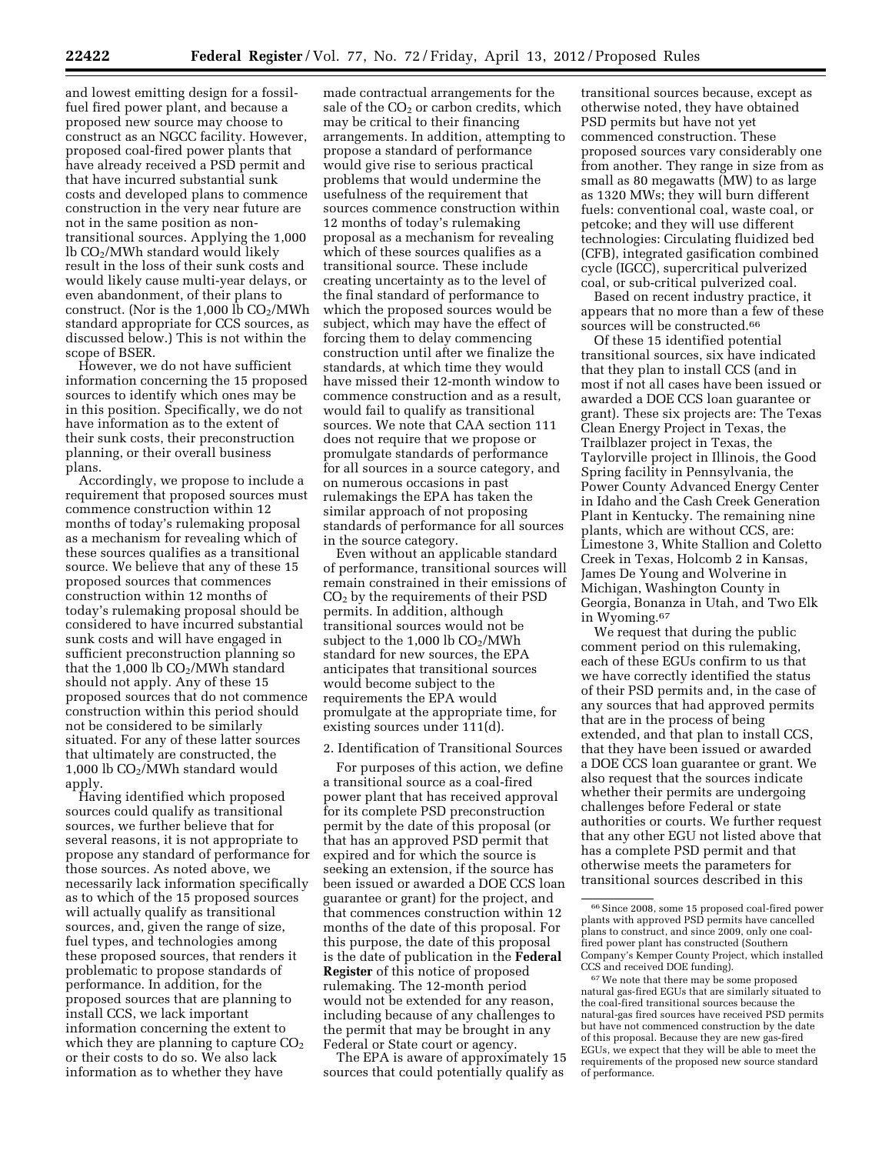and lowest emitting design for a fossilfuel fired power plant, and because a proposed new source may choose to construct as an NGCC facility. However, proposed coal-fired power plants that have already received a PSD permit and that have incurred substantial sunk costs and developed plans to commence construction in the very near future are not in the same position as nontransitional sources. Applying the 1,000 lb CO2/MWh standard would likely result in the loss of their sunk costs and would likely cause multi-year delays, or even abandonment, of their plans to construct. (Nor is the 1,000 lb  $CO<sub>2</sub>/MWh$ standard appropriate for CCS sources, as discussed below.) This is not within the scope of BSER.

However, we do not have sufficient information concerning the 15 proposed sources to identify which ones may be in this position. Specifically, we do not have information as to the extent of their sunk costs, their preconstruction planning, or their overall business plans.

Accordingly, we propose to include a requirement that proposed sources must commence construction within 12 months of today's rulemaking proposal as a mechanism for revealing which of these sources qualifies as a transitional source. We believe that any of these 15 proposed sources that commences construction within 12 months of today's rulemaking proposal should be considered to have incurred substantial sunk costs and will have engaged in sufficient preconstruction planning so that the 1,000 lb  $CO<sub>2</sub>/MWh$  standard should not apply. Any of these 15 proposed sources that do not commence construction within this period should not be considered to be similarly situated. For any of these latter sources that ultimately are constructed, the 1,000 lb CO2/MWh standard would apply.

Having identified which proposed sources could qualify as transitional sources, we further believe that for several reasons, it is not appropriate to propose any standard of performance for those sources. As noted above, we necessarily lack information specifically as to which of the 15 proposed sources will actually qualify as transitional sources, and, given the range of size, fuel types, and technologies among these proposed sources, that renders it problematic to propose standards of performance. In addition, for the proposed sources that are planning to install CCS, we lack important information concerning the extent to which they are planning to capture  $CO<sub>2</sub>$ or their costs to do so. We also lack information as to whether they have

made contractual arrangements for the sale of the  $CO<sub>2</sub>$  or carbon credits, which may be critical to their financing arrangements. In addition, attempting to propose a standard of performance would give rise to serious practical problems that would undermine the usefulness of the requirement that sources commence construction within 12 months of today's rulemaking proposal as a mechanism for revealing which of these sources qualifies as a transitional source. These include creating uncertainty as to the level of the final standard of performance to which the proposed sources would be subject, which may have the effect of forcing them to delay commencing construction until after we finalize the standards, at which time they would have missed their 12-month window to commence construction and as a result, would fail to qualify as transitional sources. We note that CAA section 111 does not require that we propose or promulgate standards of performance for all sources in a source category, and on numerous occasions in past rulemakings the EPA has taken the similar approach of not proposing standards of performance for all sources in the source category.

Even without an applicable standard of performance, transitional sources will remain constrained in their emissions of  $CO<sub>2</sub>$  by the requirements of their PSD permits. In addition, although transitional sources would not be subject to the  $1,000$  lb  $CO<sub>2</sub>/MWh$ standard for new sources, the EPA anticipates that transitional sources would become subject to the requirements the EPA would promulgate at the appropriate time, for existing sources under 111(d).

### 2. Identification of Transitional Sources

For purposes of this action, we define a transitional source as a coal-fired power plant that has received approval for its complete PSD preconstruction permit by the date of this proposal (or that has an approved PSD permit that expired and for which the source is seeking an extension, if the source has been issued or awarded a DOE CCS loan guarantee or grant) for the project, and that commences construction within 12 months of the date of this proposal. For this purpose, the date of this proposal is the date of publication in the **Federal Register** of this notice of proposed rulemaking. The 12-month period would not be extended for any reason, including because of any challenges to the permit that may be brought in any Federal or State court or agency.

The EPA is aware of approximately 15 sources that could potentially qualify as

transitional sources because, except as otherwise noted, they have obtained PSD permits but have not yet commenced construction. These proposed sources vary considerably one from another. They range in size from as small as 80 megawatts (MW) to as large as 1320 MWs; they will burn different fuels: conventional coal, waste coal, or petcoke; and they will use different technologies: Circulating fluidized bed (CFB), integrated gasification combined cycle (IGCC), supercritical pulverized coal, or sub-critical pulverized coal.

Based on recent industry practice, it appears that no more than a few of these sources will be constructed.66

Of these 15 identified potential transitional sources, six have indicated that they plan to install CCS (and in most if not all cases have been issued or awarded a DOE CCS loan guarantee or grant). These six projects are: The Texas Clean Energy Project in Texas, the Trailblazer project in Texas, the Taylorville project in Illinois, the Good Spring facility in Pennsylvania, the Power County Advanced Energy Center in Idaho and the Cash Creek Generation Plant in Kentucky. The remaining nine plants, which are without CCS, are: Limestone 3, White Stallion and Coletto Creek in Texas, Holcomb 2 in Kansas, James De Young and Wolverine in Michigan, Washington County in Georgia, Bonanza in Utah, and Two Elk in Wyoming.67

We request that during the public comment period on this rulemaking, each of these EGUs confirm to us that we have correctly identified the status of their PSD permits and, in the case of any sources that had approved permits that are in the process of being extended, and that plan to install CCS, that they have been issued or awarded a DOE CCS loan guarantee or grant. We also request that the sources indicate whether their permits are undergoing challenges before Federal or state authorities or courts. We further request that any other EGU not listed above that has a complete PSD permit and that otherwise meets the parameters for transitional sources described in this

<sup>66</sup>Since 2008, some 15 proposed coal-fired power plants with approved PSD permits have cancelled plans to construct, and since 2009, only one coalfired power plant has constructed (Southern Company's Kemper County Project, which installed CCS and received DOE funding).

<sup>67</sup>We note that there may be some proposed natural gas-fired EGUs that are similarly situated to the coal-fired transitional sources because the natural-gas fired sources have received PSD permits but have not commenced construction by the date of this proposal. Because they are new gas-fired EGUs, we expect that they will be able to meet the requirements of the proposed new source standard of performance.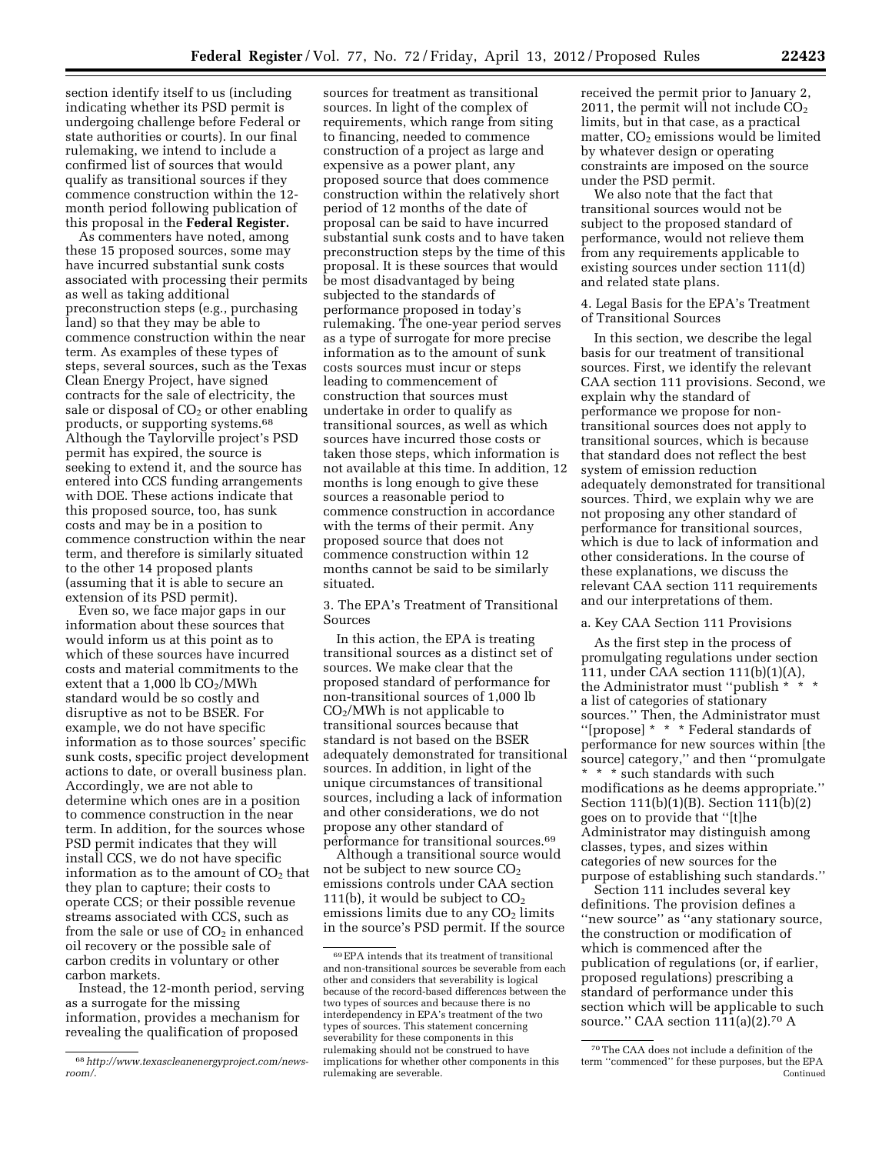section identify itself to us (including indicating whether its PSD permit is undergoing challenge before Federal or state authorities or courts). In our final rulemaking, we intend to include a confirmed list of sources that would qualify as transitional sources if they commence construction within the 12 month period following publication of this proposal in the **Federal Register.** 

As commenters have noted, among these 15 proposed sources, some may have incurred substantial sunk costs associated with processing their permits as well as taking additional preconstruction steps (e.g., purchasing land) so that they may be able to commence construction within the near term. As examples of these types of steps, several sources, such as the Texas Clean Energy Project, have signed contracts for the sale of electricity, the sale or disposal of  $CO<sub>2</sub>$  or other enabling products, or supporting systems.68 Although the Taylorville project's PSD permit has expired, the source is seeking to extend it, and the source has entered into CCS funding arrangements with DOE. These actions indicate that this proposed source, too, has sunk costs and may be in a position to commence construction within the near term, and therefore is similarly situated to the other 14 proposed plants (assuming that it is able to secure an extension of its PSD permit).

Even so, we face major gaps in our information about these sources that would inform us at this point as to which of these sources have incurred costs and material commitments to the extent that a  $1,000$  lb  $CO<sub>2</sub>/MWh$ standard would be so costly and disruptive as not to be BSER. For example, we do not have specific information as to those sources' specific sunk costs, specific project development actions to date, or overall business plan. Accordingly, we are not able to determine which ones are in a position to commence construction in the near term. In addition, for the sources whose PSD permit indicates that they will install CCS, we do not have specific information as to the amount of  $CO<sub>2</sub>$  that they plan to capture; their costs to operate CCS; or their possible revenue streams associated with CCS, such as from the sale or use of  $CO<sub>2</sub>$  in enhanced oil recovery or the possible sale of carbon credits in voluntary or other carbon markets.

Instead, the 12-month period, serving as a surrogate for the missing information, provides a mechanism for revealing the qualification of proposed

sources for treatment as transitional sources. In light of the complex of requirements, which range from siting to financing, needed to commence construction of a project as large and expensive as a power plant, any proposed source that does commence construction within the relatively short period of 12 months of the date of proposal can be said to have incurred substantial sunk costs and to have taken preconstruction steps by the time of this proposal. It is these sources that would be most disadvantaged by being subjected to the standards of performance proposed in today's rulemaking. The one-year period serves as a type of surrogate for more precise information as to the amount of sunk costs sources must incur or steps leading to commencement of construction that sources must undertake in order to qualify as transitional sources, as well as which sources have incurred those costs or taken those steps, which information is not available at this time. In addition, 12 months is long enough to give these sources a reasonable period to commence construction in accordance with the terms of their permit. Any proposed source that does not commence construction within 12 months cannot be said to be similarly situated.

3. The EPA's Treatment of Transitional Sources

In this action, the EPA is treating transitional sources as a distinct set of sources. We make clear that the proposed standard of performance for non-transitional sources of 1,000 lb  $CO<sub>2</sub>/MWh$  is not applicable to transitional sources because that standard is not based on the BSER adequately demonstrated for transitional sources. In addition, in light of the unique circumstances of transitional sources, including a lack of information and other considerations, we do not propose any other standard of performance for transitional sources.69

Although a transitional source would not be subject to new source  $CO<sub>2</sub>$ emissions controls under CAA section 111(b), it would be subject to  $CO<sub>2</sub>$ emissions limits due to any  $CO<sub>2</sub>$  limits in the source's PSD permit. If the source

received the permit prior to January 2, 2011, the permit will not include  $CO<sub>2</sub>$ limits, but in that case, as a practical matter,  $CO<sub>2</sub>$  emissions would be limited by whatever design or operating constraints are imposed on the source under the PSD permit.

We also note that the fact that transitional sources would not be subject to the proposed standard of performance, would not relieve them from any requirements applicable to existing sources under section 111(d) and related state plans.

4. Legal Basis for the EPA's Treatment of Transitional Sources

In this section, we describe the legal basis for our treatment of transitional sources. First, we identify the relevant CAA section 111 provisions. Second, we explain why the standard of performance we propose for nontransitional sources does not apply to transitional sources, which is because that standard does not reflect the best system of emission reduction adequately demonstrated for transitional sources. Third, we explain why we are not proposing any other standard of performance for transitional sources, which is due to lack of information and other considerations. In the course of these explanations, we discuss the relevant CAA section 111 requirements and our interpretations of them.

# a. Key CAA Section 111 Provisions

As the first step in the process of promulgating regulations under section 111, under CAA section 111(b)(1)(A), the Administrator must "publish \* a list of categories of stationary sources.'' Then, the Administrator must ''[propose] \* \* \* Federal standards of performance for new sources within [the source] category,'' and then ''promulgate \* \* \* such standards with such modifications as he deems appropriate.'' Section 111(b)(1)(B). Section 111(b)(2) goes on to provide that ''[t]he Administrator may distinguish among classes, types, and sizes within categories of new sources for the purpose of establishing such standards.''

Section 111 includes several key definitions. The provision defines a ''new source'' as ''any stationary source, the construction or modification of which is commenced after the publication of regulations (or, if earlier, proposed regulations) prescribing a standard of performance under this section which will be applicable to such source.'' CAA section 111(a)(2).70 A

<sup>68</sup>*http://www.texascleanenergyproject.com/newsroom/*.

<sup>69</sup>EPA intends that its treatment of transitional and non-transitional sources be severable from each other and considers that severability is logical because of the record-based differences between the two types of sources and because there is no interdependency in EPA's treatment of the two types of sources. This statement concerning severability for these components in this rulemaking should not be construed to have implications for whether other components in this rulemaking are severable.

<sup>70</sup>The CAA does not include a definition of the term ''commenced'' for these purposes, but the EPA Continued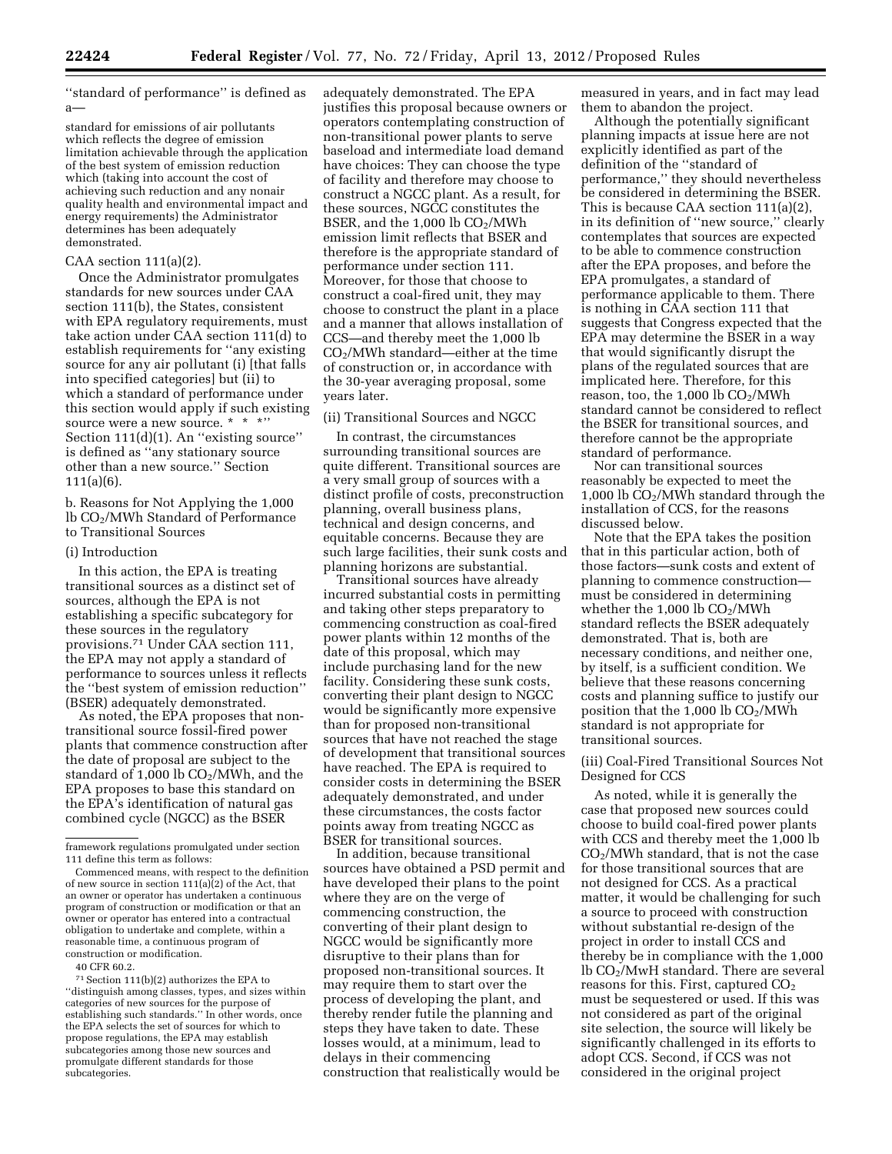''standard of performance'' is defined as a—

standard for emissions of air pollutants which reflects the degree of emission limitation achievable through the application of the best system of emission reduction which (taking into account the cost of achieving such reduction and any nonair quality health and environmental impact and energy requirements) the Administrator determines has been adequately demonstrated.

# $CAA$  section  $111(a)(2)$ .

Once the Administrator promulgates standards for new sources under CAA section 111(b), the States, consistent with EPA regulatory requirements, must take action under CAA section 111(d) to establish requirements for ''any existing source for any air pollutant (i) [that falls into specified categories] but (ii) to which a standard of performance under this section would apply if such existing source were a new source. \* \* \*'' Section 111(d)(1). An ''existing source'' is defined as ''any stationary source other than a new source.'' Section 111(a)(6).

b. Reasons for Not Applying the 1,000 lb CO2/MWh Standard of Performance to Transitional Sources

### (i) Introduction

In this action, the EPA is treating transitional sources as a distinct set of sources, although the EPA is not establishing a specific subcategory for these sources in the regulatory provisions.71 Under CAA section 111, the EPA may not apply a standard of performance to sources unless it reflects the ''best system of emission reduction'' (BSER) adequately demonstrated.

As noted, the EPA proposes that nontransitional source fossil-fired power plants that commence construction after the date of proposal are subject to the standard of 1,000 lb  $CO<sub>2</sub>/MWh$ , and the EPA proposes to base this standard on the EPA's identification of natural gas combined cycle (NGCC) as the BSER

40 CFR 60.2.

71Section 111(b)(2) authorizes the EPA to ''distinguish among classes, types, and sizes within categories of new sources for the purpose of establishing such standards.'' In other words, once the EPA selects the set of sources for which to propose regulations, the EPA may establish subcategories among those new sources and promulgate different standards for those subcategories.

adequately demonstrated. The EPA justifies this proposal because owners or operators contemplating construction of non-transitional power plants to serve baseload and intermediate load demand have choices: They can choose the type of facility and therefore may choose to construct a NGCC plant. As a result, for these sources, NGCC constitutes the BSER, and the  $1,000$  lb  $CO<sub>2</sub>/MWh$ emission limit reflects that BSER and therefore is the appropriate standard of performance under section 111. Moreover, for those that choose to construct a coal-fired unit, they may choose to construct the plant in a place and a manner that allows installation of CCS—and thereby meet the 1,000 lb CO2/MWh standard—either at the time of construction or, in accordance with the 30-year averaging proposal, some years later.

### (ii) Transitional Sources and NGCC

In contrast, the circumstances surrounding transitional sources are quite different. Transitional sources are a very small group of sources with a distinct profile of costs, preconstruction planning, overall business plans, technical and design concerns, and equitable concerns. Because they are such large facilities, their sunk costs and planning horizons are substantial.

Transitional sources have already incurred substantial costs in permitting and taking other steps preparatory to commencing construction as coal-fired power plants within 12 months of the date of this proposal, which may include purchasing land for the new facility. Considering these sunk costs, converting their plant design to NGCC would be significantly more expensive than for proposed non-transitional sources that have not reached the stage of development that transitional sources have reached. The EPA is required to consider costs in determining the BSER adequately demonstrated, and under these circumstances, the costs factor points away from treating NGCC as BSER for transitional sources.

In addition, because transitional sources have obtained a PSD permit and have developed their plans to the point where they are on the verge of commencing construction, the converting of their plant design to NGCC would be significantly more disruptive to their plans than for proposed non-transitional sources. It may require them to start over the process of developing the plant, and thereby render futile the planning and steps they have taken to date. These losses would, at a minimum, lead to delays in their commencing construction that realistically would be

measured in years, and in fact may lead them to abandon the project.

Although the potentially significant planning impacts at issue here are not explicitly identified as part of the definition of the ''standard of performance,'' they should nevertheless be considered in determining the BSER. This is because CAA section 111(a)(2), in its definition of ''new source,'' clearly contemplates that sources are expected to be able to commence construction after the EPA proposes, and before the EPA promulgates, a standard of performance applicable to them. There is nothing in CAA section 111 that suggests that Congress expected that the EPA may determine the BSER in a way that would significantly disrupt the plans of the regulated sources that are implicated here. Therefore, for this reason, too, the 1,000 lb  $CO<sub>2</sub>/MWh$ standard cannot be considered to reflect the BSER for transitional sources, and therefore cannot be the appropriate standard of performance.

Nor can transitional sources reasonably be expected to meet the 1,000 lb  $CO<sub>2</sub>/MWh$  standard through the installation of CCS, for the reasons discussed below.

Note that the EPA takes the position that in this particular action, both of those factors—sunk costs and extent of planning to commence construction must be considered in determining whether the  $1,000$  lb  $CO<sub>2</sub>/MWh$ standard reflects the BSER adequately demonstrated. That is, both are necessary conditions, and neither one, by itself, is a sufficient condition. We believe that these reasons concerning costs and planning suffice to justify our position that the  $1,000$  lb  $CO<sub>2</sub>/MWh$ standard is not appropriate for transitional sources.

# (iii) Coal-Fired Transitional Sources Not Designed for CCS

As noted, while it is generally the case that proposed new sources could choose to build coal-fired power plants with CCS and thereby meet the 1,000 lb  $CO<sub>2</sub>/MWh$  standard, that is not the case for those transitional sources that are not designed for CCS. As a practical matter, it would be challenging for such a source to proceed with construction without substantial re-design of the project in order to install CCS and thereby be in compliance with the 1,000 lb CO2/MwH standard. There are several reasons for this. First, captured CO<sub>2</sub> must be sequestered or used. If this was not considered as part of the original site selection, the source will likely be significantly challenged in its efforts to adopt CCS. Second, if CCS was not considered in the original project

framework regulations promulgated under section 111 define this term as follows:

Commenced means, with respect to the definition of new source in section  $111(a)\overline{(2)}$  of the Act, that an owner or operator has undertaken a continuous program of construction or modification or that an owner or operator has entered into a contractual obligation to undertake and complete, within a reasonable time, a continuous program of construction or modification.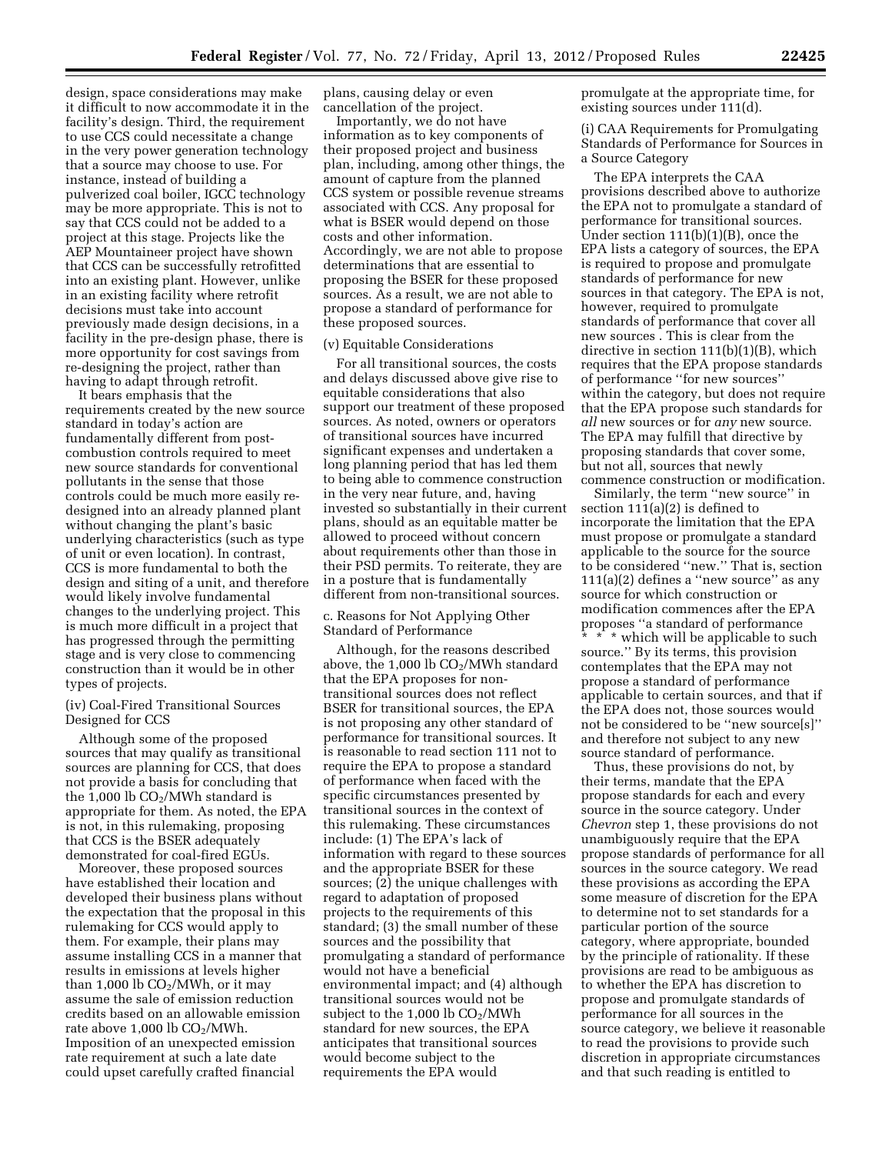design, space considerations may make it difficult to now accommodate it in the facility's design. Third, the requirement to use CCS could necessitate a change in the very power generation technology that a source may choose to use. For instance, instead of building a pulverized coal boiler, IGCC technology may be more appropriate. This is not to say that CCS could not be added to a project at this stage. Projects like the AEP Mountaineer project have shown that CCS can be successfully retrofitted into an existing plant. However, unlike in an existing facility where retrofit decisions must take into account previously made design decisions, in a facility in the pre-design phase, there is more opportunity for cost savings from re-designing the project, rather than having to adapt through retrofit.

It bears emphasis that the requirements created by the new source standard in today's action are fundamentally different from postcombustion controls required to meet new source standards for conventional pollutants in the sense that those controls could be much more easily redesigned into an already planned plant without changing the plant's basic underlying characteristics (such as type of unit or even location). In contrast, CCS is more fundamental to both the design and siting of a unit, and therefore would likely involve fundamental changes to the underlying project. This is much more difficult in a project that has progressed through the permitting stage and is very close to commencing construction than it would be in other types of projects.

# (iv) Coal-Fired Transitional Sources Designed for CCS

Although some of the proposed sources that may qualify as transitional sources are planning for CCS, that does not provide a basis for concluding that the 1,000 lb  $CO<sub>2</sub>/MWh$  standard is appropriate for them. As noted, the EPA is not, in this rulemaking, proposing that CCS is the BSER adequately demonstrated for coal-fired EGUs.

Moreover, these proposed sources have established their location and developed their business plans without the expectation that the proposal in this rulemaking for CCS would apply to them. For example, their plans may assume installing CCS in a manner that results in emissions at levels higher than  $1,000$  lb  $CO<sub>2</sub>/MWh$ , or it may assume the sale of emission reduction credits based on an allowable emission rate above  $1,000 \, \text{lb} \, \text{CO}_2/\text{MWh}.$ Imposition of an unexpected emission rate requirement at such a late date could upset carefully crafted financial

plans, causing delay or even cancellation of the project.

Importantly, we do not have information as to key components of their proposed project and business plan, including, among other things, the amount of capture from the planned CCS system or possible revenue streams associated with CCS. Any proposal for what is BSER would depend on those costs and other information. Accordingly, we are not able to propose determinations that are essential to proposing the BSER for these proposed sources. As a result, we are not able to propose a standard of performance for these proposed sources.

#### (v) Equitable Considerations

For all transitional sources, the costs and delays discussed above give rise to equitable considerations that also support our treatment of these proposed sources. As noted, owners or operators of transitional sources have incurred significant expenses and undertaken a long planning period that has led them to being able to commence construction in the very near future, and, having invested so substantially in their current plans, should as an equitable matter be allowed to proceed without concern about requirements other than those in their PSD permits. To reiterate, they are in a posture that is fundamentally different from non-transitional sources.

# c. Reasons for Not Applying Other Standard of Performance

Although, for the reasons described above, the  $1,000$  lb  $CO<sub>2</sub>/MWh$  standard that the EPA proposes for nontransitional sources does not reflect BSER for transitional sources, the EPA is not proposing any other standard of performance for transitional sources. It is reasonable to read section 111 not to require the EPA to propose a standard of performance when faced with the specific circumstances presented by transitional sources in the context of this rulemaking. These circumstances include: (1) The EPA's lack of information with regard to these sources and the appropriate BSER for these sources; (2) the unique challenges with regard to adaptation of proposed projects to the requirements of this standard; (3) the small number of these sources and the possibility that promulgating a standard of performance would not have a beneficial environmental impact; and (4) although transitional sources would not be subject to the  $1,000$  lb  $CO<sub>2</sub>/MWh$ standard for new sources, the EPA anticipates that transitional sources would become subject to the requirements the EPA would

promulgate at the appropriate time, for existing sources under 111(d).

(i) CAA Requirements for Promulgating Standards of Performance for Sources in a Source Category

The EPA interprets the CAA provisions described above to authorize the EPA not to promulgate a standard of performance for transitional sources. Under section 111(b)(1)(B), once the EPA lists a category of sources, the EPA is required to propose and promulgate standards of performance for new sources in that category. The EPA is not, however, required to promulgate standards of performance that cover all new sources . This is clear from the directive in section 111(b)(1)(B), which requires that the EPA propose standards of performance ''for new sources'' within the category, but does not require that the EPA propose such standards for *all* new sources or for *any* new source. The EPA may fulfill that directive by proposing standards that cover some, but not all, sources that newly commence construction or modification.

Similarly, the term ''new source'' in section 111(a)(2) is defined to incorporate the limitation that the EPA must propose or promulgate a standard applicable to the source for the source to be considered ''new.'' That is, section 111(a)(2) defines a ''new source'' as any source for which construction or modification commences after the EPA proposes ''a standard of performance \* \* \* which will be applicable to such source.'' By its terms, this provision contemplates that the EPA may not propose a standard of performance applicable to certain sources, and that if the EPA does not, those sources would not be considered to be ''new source[s]'' and therefore not subject to any new source standard of performance.

Thus, these provisions do not, by their terms, mandate that the EPA propose standards for each and every source in the source category. Under *Chevron* step 1, these provisions do not unambiguously require that the EPA propose standards of performance for all sources in the source category. We read these provisions as according the EPA some measure of discretion for the EPA to determine not to set standards for a particular portion of the source category, where appropriate, bounded by the principle of rationality. If these provisions are read to be ambiguous as to whether the EPA has discretion to propose and promulgate standards of performance for all sources in the source category, we believe it reasonable to read the provisions to provide such discretion in appropriate circumstances and that such reading is entitled to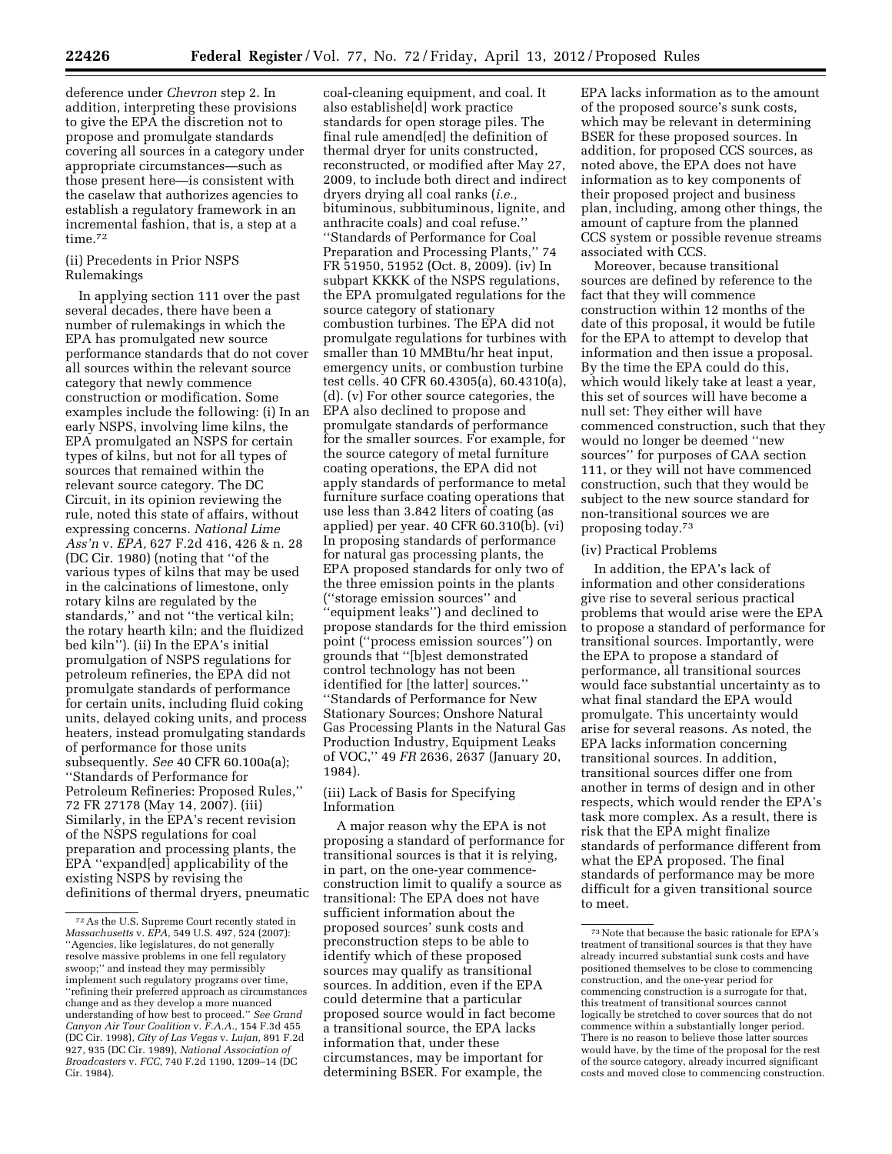deference under *Chevron* step 2. In addition, interpreting these provisions to give the EPA the discretion not to propose and promulgate standards covering all sources in a category under appropriate circumstances—such as those present here—is consistent with the caselaw that authorizes agencies to establish a regulatory framework in an incremental fashion, that is, a step at a time.<sup>72</sup>

# (ii) Precedents in Prior NSPS Rulemakings

In applying section 111 over the past several decades, there have been a number of rulemakings in which the EPA has promulgated new source performance standards that do not cover all sources within the relevant source category that newly commence construction or modification. Some examples include the following: (i) In an early NSPS, involving lime kilns, the EPA promulgated an NSPS for certain types of kilns, but not for all types of sources that remained within the relevant source category. The DC Circuit, in its opinion reviewing the rule, noted this state of affairs, without expressing concerns. *National Lime Ass'n* v. *EPA,* 627 F.2d 416, 426 & n. 28 (DC Cir. 1980) (noting that ''of the various types of kilns that may be used in the calcinations of limestone, only rotary kilns are regulated by the standards,'' and not ''the vertical kiln; the rotary hearth kiln; and the fluidized bed kiln''). (ii) In the EPA's initial promulgation of NSPS regulations for petroleum refineries, the EPA did not promulgate standards of performance for certain units, including fluid coking units, delayed coking units, and process heaters, instead promulgating standards of performance for those units subsequently. *See* 40 CFR 60.100a(a); ''Standards of Performance for Petroleum Refineries: Proposed Rules,'' 72 FR 27178 (May 14, 2007). (iii) Similarly, in the EPA's recent revision of the NSPS regulations for coal preparation and processing plants, the EPA ''expand[ed] applicability of the existing NSPS by revising the definitions of thermal dryers, pneumatic

coal-cleaning equipment, and coal. It also establishe[d] work practice standards for open storage piles. The final rule amend[ed] the definition of thermal dryer for units constructed, reconstructed, or modified after May 27, 2009, to include both direct and indirect dryers drying all coal ranks (*i.e.,*  bituminous, subbituminous, lignite, and anthracite coals) and coal refuse.'' ''Standards of Performance for Coal Preparation and Processing Plants,'' 74 FR 51950, 51952 (Oct. 8, 2009). (iv) In subpart KKKK of the NSPS regulations, the EPA promulgated regulations for the source category of stationary combustion turbines. The EPA did not promulgate regulations for turbines with smaller than 10 MMBtu/hr heat input, emergency units, or combustion turbine test cells. 40 CFR 60.4305(a), 60.4310(a), (d). (v) For other source categories, the EPA also declined to propose and promulgate standards of performance for the smaller sources. For example, for the source category of metal furniture coating operations, the EPA did not apply standards of performance to metal furniture surface coating operations that use less than 3.842 liters of coating (as applied) per year. 40 CFR 60.310(b). (vi) In proposing standards of performance for natural gas processing plants, the EPA proposed standards for only two of the three emission points in the plants (''storage emission sources'' and ''equipment leaks'') and declined to propose standards for the third emission point (''process emission sources'') on grounds that ''[b]est demonstrated control technology has not been identified for [the latter] sources.'' ''Standards of Performance for New Stationary Sources; Onshore Natural Gas Processing Plants in the Natural Gas Production Industry, Equipment Leaks of VOC,'' 49 *FR* 2636, 2637 (January 20, 1984).

# (iii) Lack of Basis for Specifying Information

A major reason why the EPA is not proposing a standard of performance for transitional sources is that it is relying, in part, on the one-year commenceconstruction limit to qualify a source as transitional: The EPA does not have sufficient information about the proposed sources' sunk costs and preconstruction steps to be able to identify which of these proposed sources may qualify as transitional sources. In addition, even if the EPA could determine that a particular proposed source would in fact become a transitional source, the EPA lacks information that, under these circumstances, may be important for determining BSER. For example, the

EPA lacks information as to the amount of the proposed source's sunk costs, which may be relevant in determining BSER for these proposed sources. In addition, for proposed CCS sources, as noted above, the EPA does not have information as to key components of their proposed project and business plan, including, among other things, the amount of capture from the planned CCS system or possible revenue streams associated with CCS.

Moreover, because transitional sources are defined by reference to the fact that they will commence construction within 12 months of the date of this proposal, it would be futile for the EPA to attempt to develop that information and then issue a proposal. By the time the EPA could do this, which would likely take at least a year, this set of sources will have become a null set: They either will have commenced construction, such that they would no longer be deemed ''new sources'' for purposes of CAA section 111, or they will not have commenced construction, such that they would be subject to the new source standard for non-transitional sources we are proposing today.73

# (iv) Practical Problems

In addition, the EPA's lack of information and other considerations give rise to several serious practical problems that would arise were the EPA to propose a standard of performance for transitional sources. Importantly, were the EPA to propose a standard of performance, all transitional sources would face substantial uncertainty as to what final standard the EPA would promulgate. This uncertainty would arise for several reasons. As noted, the EPA lacks information concerning transitional sources. In addition, transitional sources differ one from another in terms of design and in other respects, which would render the EPA's task more complex. As a result, there is risk that the EPA might finalize standards of performance different from what the EPA proposed. The final standards of performance may be more difficult for a given transitional source to meet.

<sup>72</sup>As the U.S. Supreme Court recently stated in *Massachusetts* v. *EPA,* 549 U.S. 497, 524 (2007): ''Agencies, like legislatures, do not generally resolve massive problems in one fell regulatory swoop;'' and instead they may permissibly implement such regulatory programs over time, ''refining their preferred approach as circumstances change and as they develop a more nuanced understanding of how best to proceed.'' *See Grand Canyon Air Tour Coalition* v. *F.A.A.,* 154 F.3d 455 (DC Cir. 1998), *City of Las Vegas* v. *Lujan,* 891 F.2d 927, 935 (DC Cir. 1989), *National Association of Broadcasters* v. *FCC,* 740 F.2d 1190, 1209–14 (DC Cir. 1984).

<sup>73</sup>Note that because the basic rationale for EPA's treatment of transitional sources is that they have already incurred substantial sunk costs and have positioned themselves to be close to commencing construction, and the one-year period for commencing construction is a surrogate for that, this treatment of transitional sources cannot logically be stretched to cover sources that do not commence within a substantially longer period. There is no reason to believe those latter sources would have, by the time of the proposal for the rest of the source category, already incurred significant costs and moved close to commencing construction.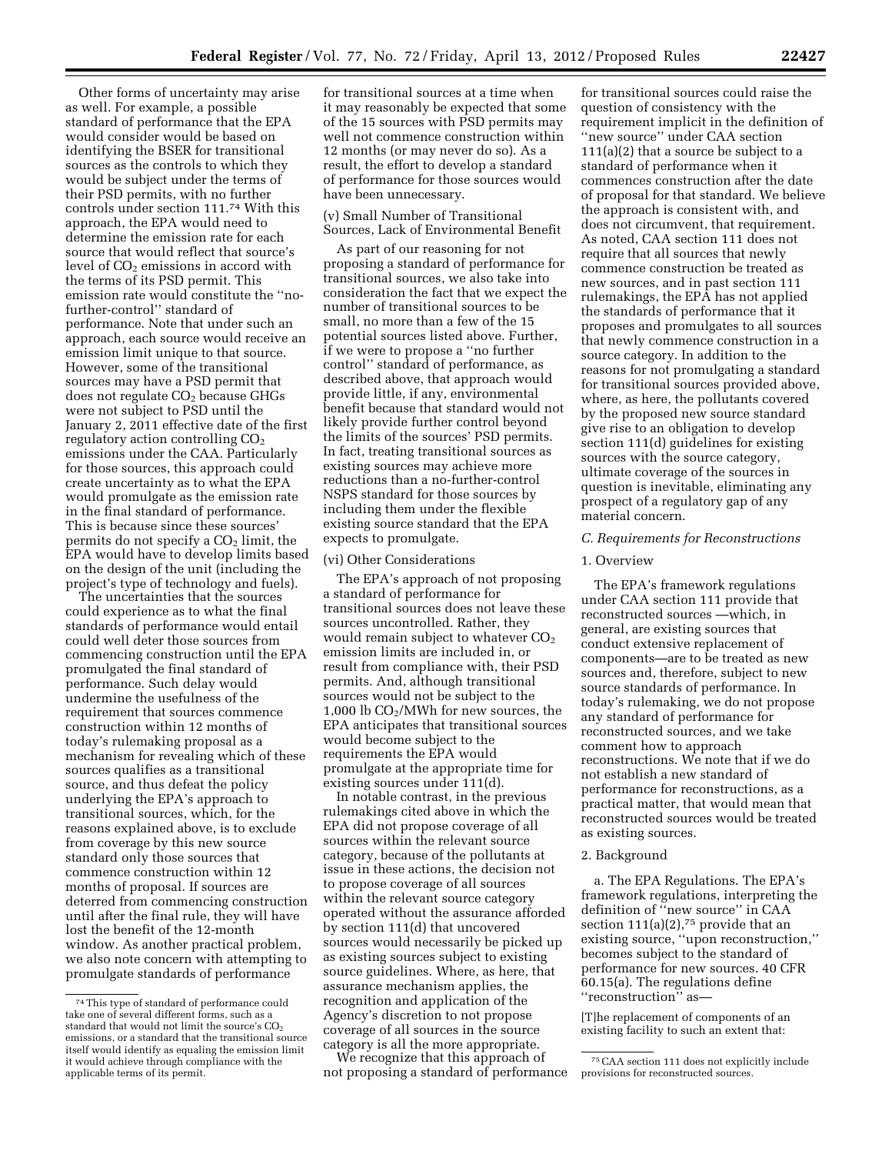Other forms of uncertainty may arise as well. For example, a possible standard of performance that the EPA would consider would be based on identifying the BSER for transitional sources as the controls to which they would be subject under the terms of their PSD permits, with no further controls under section 111.74 With this approach, the EPA would need to determine the emission rate for each source that would reflect that source's level of  $CO<sub>2</sub>$  emissions in accord with the terms of its PSD permit. This emission rate would constitute the ''nofurther-control'' standard of performance. Note that under such an approach, each source would receive an emission limit unique to that source. However, some of the transitional sources may have a PSD permit that does not regulate  $CO<sub>2</sub>$  because GHGs were not subject to PSD until the January 2, 2011 effective date of the first regulatory action controlling  $CO<sub>2</sub>$ emissions under the CAA. Particularly for those sources, this approach could create uncertainty as to what the EPA would promulgate as the emission rate in the final standard of performance. This is because since these sources' permits do not specify a  $CO<sub>2</sub>$  limit, the EPA would have to develop limits based on the design of the unit (including the project's type of technology and fuels).

The uncertainties that the sources could experience as to what the final standards of performance would entail could well deter those sources from commencing construction until the EPA promulgated the final standard of performance. Such delay would undermine the usefulness of the requirement that sources commence construction within 12 months of today's rulemaking proposal as a mechanism for revealing which of these sources qualifies as a transitional source, and thus defeat the policy underlying the EPA's approach to transitional sources, which, for the reasons explained above, is to exclude from coverage by this new source standard only those sources that commence construction within 12 months of proposal. If sources are deterred from commencing construction until after the final rule, they will have lost the benefit of the 12-month window. As another practical problem, we also note concern with attempting to promulgate standards of performance

for transitional sources at a time when it may reasonably be expected that some of the 15 sources with PSD permits may well not commence construction within 12 months (or may never do so). As a result, the effort to develop a standard of performance for those sources would have been unnecessary.

(v) Small Number of Transitional Sources, Lack of Environmental Benefit

As part of our reasoning for not proposing a standard of performance for transitional sources, we also take into consideration the fact that we expect the number of transitional sources to be small, no more than a few of the 15 potential sources listed above. Further, if we were to propose a ''no further control'' standard of performance, as described above, that approach would provide little, if any, environmental benefit because that standard would not likely provide further control beyond the limits of the sources' PSD permits. In fact, treating transitional sources as existing sources may achieve more reductions than a no-further-control NSPS standard for those sources by including them under the flexible existing source standard that the EPA expects to promulgate.

### (vi) Other Considerations

The EPA's approach of not proposing a standard of performance for transitional sources does not leave these sources uncontrolled. Rather, they would remain subject to whatever  $CO<sub>2</sub>$ emission limits are included in, or result from compliance with, their PSD permits. And, although transitional sources would not be subject to the 1,000 lb  $CO<sub>2</sub>/MWh$  for new sources, the EPA anticipates that transitional sources would become subject to the requirements the EPA would promulgate at the appropriate time for existing sources under 111(d).

In notable contrast, in the previous rulemakings cited above in which the EPA did not propose coverage of all sources within the relevant source category, because of the pollutants at issue in these actions, the decision not to propose coverage of all sources within the relevant source category operated without the assurance afforded by section 111(d) that uncovered sources would necessarily be picked up as existing sources subject to existing source guidelines. Where, as here, that assurance mechanism applies, the recognition and application of the Agency's discretion to not propose coverage of all sources in the source category is all the more appropriate.

We recognize that this approach of not proposing a standard of performance

for transitional sources could raise the question of consistency with the requirement implicit in the definition of ''new source'' under CAA section 111(a)(2) that a source be subject to a standard of performance when it commences construction after the date of proposal for that standard. We believe the approach is consistent with, and does not circumvent, that requirement. As noted, CAA section 111 does not require that all sources that newly commence construction be treated as new sources, and in past section 111 rulemakings, the EPA has not applied the standards of performance that it proposes and promulgates to all sources that newly commence construction in a source category. In addition to the reasons for not promulgating a standard for transitional sources provided above, where, as here, the pollutants covered by the proposed new source standard give rise to an obligation to develop section 111(d) guidelines for existing sources with the source category, ultimate coverage of the sources in question is inevitable, eliminating any prospect of a regulatory gap of any material concern.

### *C. Requirements for Reconstructions*

### 1. Overview

The EPA's framework regulations under CAA section 111 provide that reconstructed sources —which, in general, are existing sources that conduct extensive replacement of components—are to be treated as new sources and, therefore, subject to new source standards of performance. In today's rulemaking, we do not propose any standard of performance for reconstructed sources, and we take comment how to approach reconstructions. We note that if we do not establish a new standard of performance for reconstructions, as a practical matter, that would mean that reconstructed sources would be treated as existing sources.

### 2. Background

a. The EPA Regulations. The EPA's framework regulations, interpreting the definition of ''new source'' in CAA section  $111(a)(2)$ ,<sup>75</sup> provide that an existing source, ''upon reconstruction,'' becomes subject to the standard of performance for new sources. 40 CFR 60.15(a). The regulations define ''reconstruction'' as—

[T]he replacement of components of an existing facility to such an extent that:

<sup>74</sup>This type of standard of performance could take one of several different forms, such as a standard that would not limit the source's CO<sub>2</sub> emissions, or a standard that the transitional source itself would identify as equaling the emission limit it would achieve through compliance with the applicable terms of its permit.

<sup>75</sup>CAA section 111 does not explicitly include provisions for reconstructed sources.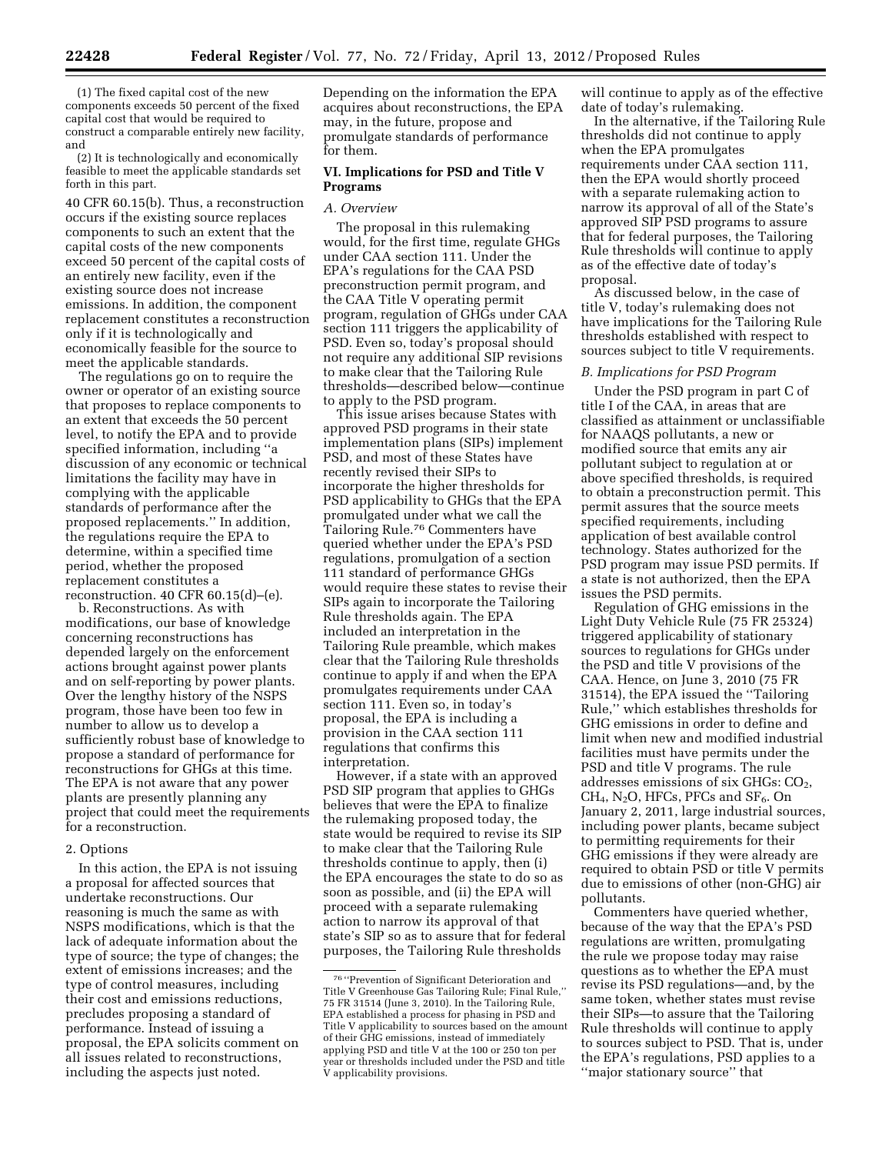(1) The fixed capital cost of the new components exceeds 50 percent of the fixed capital cost that would be required to construct a comparable entirely new facility, and

(2) It is technologically and economically feasible to meet the applicable standards set forth in this part.

40 CFR 60.15(b). Thus, a reconstruction occurs if the existing source replaces components to such an extent that the capital costs of the new components exceed 50 percent of the capital costs of an entirely new facility, even if the existing source does not increase emissions. In addition, the component replacement constitutes a reconstruction only if it is technologically and economically feasible for the source to meet the applicable standards.

The regulations go on to require the owner or operator of an existing source that proposes to replace components to an extent that exceeds the 50 percent level, to notify the EPA and to provide specified information, including ''a discussion of any economic or technical limitations the facility may have in complying with the applicable standards of performance after the proposed replacements.'' In addition, the regulations require the EPA to determine, within a specified time period, whether the proposed replacement constitutes a reconstruction. 40 CFR 60.15(d)–(e).

b. Reconstructions. As with modifications, our base of knowledge concerning reconstructions has depended largely on the enforcement actions brought against power plants and on self-reporting by power plants. Over the lengthy history of the NSPS program, those have been too few in number to allow us to develop a sufficiently robust base of knowledge to propose a standard of performance for reconstructions for GHGs at this time. The EPA is not aware that any power plants are presently planning any project that could meet the requirements for a reconstruction.

### 2. Options

In this action, the EPA is not issuing a proposal for affected sources that undertake reconstructions. Our reasoning is much the same as with NSPS modifications, which is that the lack of adequate information about the type of source; the type of changes; the extent of emissions increases; and the type of control measures, including their cost and emissions reductions, precludes proposing a standard of performance. Instead of issuing a proposal, the EPA solicits comment on all issues related to reconstructions, including the aspects just noted.

Depending on the information the EPA acquires about reconstructions, the EPA may, in the future, propose and promulgate standards of performance for them.

### **VI. Implications for PSD and Title V Programs**

# *A. Overview*

The proposal in this rulemaking would, for the first time, regulate GHGs under CAA section 111. Under the EPA's regulations for the CAA PSD preconstruction permit program, and the CAA Title V operating permit program, regulation of GHGs under CAA section 111 triggers the applicability of PSD. Even so, today's proposal should not require any additional SIP revisions to make clear that the Tailoring Rule thresholds—described below—continue to apply to the PSD program.

This issue arises because States with approved PSD programs in their state implementation plans (SIPs) implement PSD, and most of these States have recently revised their SIPs to incorporate the higher thresholds for PSD applicability to GHGs that the EPA promulgated under what we call the Tailoring Rule.76 Commenters have queried whether under the EPA's PSD regulations, promulgation of a section 111 standard of performance GHGs would require these states to revise their SIPs again to incorporate the Tailoring Rule thresholds again. The EPA included an interpretation in the Tailoring Rule preamble, which makes clear that the Tailoring Rule thresholds continue to apply if and when the EPA promulgates requirements under CAA section 111. Even so, in today's proposal, the EPA is including a provision in the CAA section 111 regulations that confirms this interpretation.

However, if a state with an approved PSD SIP program that applies to GHGs believes that were the EPA to finalize the rulemaking proposed today, the state would be required to revise its SIP to make clear that the Tailoring Rule thresholds continue to apply, then (i) the EPA encourages the state to do so as soon as possible, and (ii) the EPA will proceed with a separate rulemaking action to narrow its approval of that state's SIP so as to assure that for federal purposes, the Tailoring Rule thresholds

will continue to apply as of the effective date of today's rulemaking.

In the alternative, if the Tailoring Rule thresholds did not continue to apply when the EPA promulgates requirements under CAA section 111, then the EPA would shortly proceed with a separate rulemaking action to narrow its approval of all of the State's approved SIP PSD programs to assure that for federal purposes, the Tailoring Rule thresholds will continue to apply as of the effective date of today's proposal.

As discussed below, in the case of title V, today's rulemaking does not have implications for the Tailoring Rule thresholds established with respect to sources subject to title V requirements.

# *B. Implications for PSD Program*

Under the PSD program in part C of title I of the CAA, in areas that are classified as attainment or unclassifiable for NAAQS pollutants, a new or modified source that emits any air pollutant subject to regulation at or above specified thresholds, is required to obtain a preconstruction permit. This permit assures that the source meets specified requirements, including application of best available control technology. States authorized for the PSD program may issue PSD permits. If a state is not authorized, then the EPA issues the PSD permits.

Regulation of GHG emissions in the Light Duty Vehicle Rule (75 FR 25324) triggered applicability of stationary sources to regulations for GHGs under the PSD and title V provisions of the CAA. Hence, on June 3, 2010 (75 FR 31514), the EPA issued the ''Tailoring Rule,'' which establishes thresholds for GHG emissions in order to define and limit when new and modified industrial facilities must have permits under the PSD and title V programs. The rule addresses emissions of six  $GHGs: CO<sub>2</sub>$ ,  $CH<sub>4</sub>$ , N<sub>2</sub>O, HFCs, PFCs and SF<sub>6</sub>. On January 2, 2011, large industrial sources, including power plants, became subject to permitting requirements for their GHG emissions if they were already are required to obtain PSD or title V permits due to emissions of other (non-GHG) air pollutants.

Commenters have queried whether, because of the way that the EPA's PSD regulations are written, promulgating the rule we propose today may raise questions as to whether the EPA must revise its PSD regulations—and, by the same token, whether states must revise their SIPs—to assure that the Tailoring Rule thresholds will continue to apply to sources subject to PSD. That is, under the EPA's regulations, PSD applies to a ''major stationary source'' that

<sup>76</sup> ''Prevention of Significant Deterioration and Title V Greenhouse Gas Tailoring Rule; Final Rule,'' 75 FR 31514 (June 3, 2010). In the Tailoring Rule, EPA established a process for phasing in PSD and Title V applicability to sources based on the amount of their GHG emissions, instead of immediately applying PSD and title V at the 100 or 250 ton per year or thresholds included under the PSD and title V applicability provisions.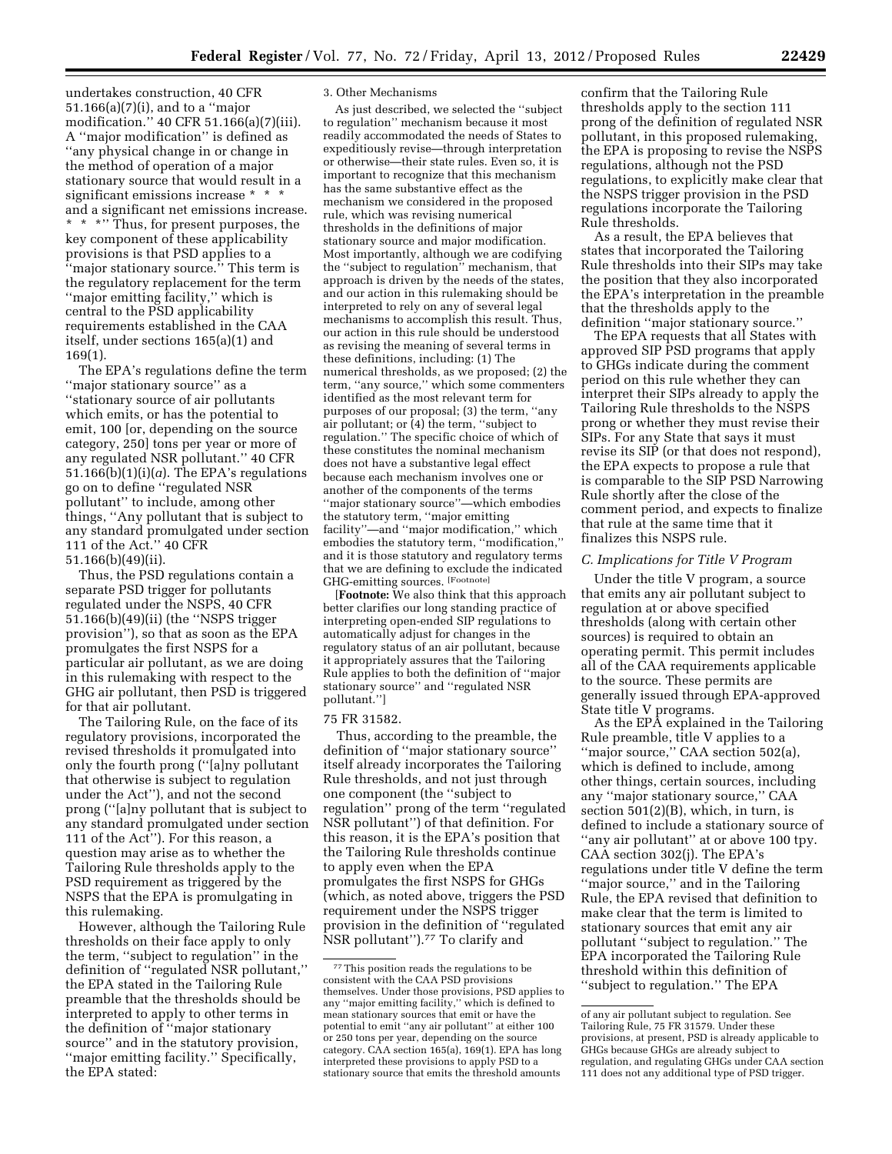undertakes construction, 40 CFR 51.166(a)(7)(i), and to a ''major modification.'' 40 CFR 51.166(a)(7)(iii). A ''major modification'' is defined as ''any physical change in or change in the method of operation of a major stationary source that would result in a significant emissions increase \* \* \* and a significant net emissions increase. \* \* \*'' Thus, for present purposes, the key component of these applicability provisions is that PSD applies to a ''major stationary source.'' This term is the regulatory replacement for the term ''major emitting facility,'' which is central to the PSD applicability requirements established in the CAA itself, under sections 165(a)(1) and 169(1).

The EPA's regulations define the term ''major stationary source'' as a ''stationary source of air pollutants which emits, or has the potential to emit, 100 [or, depending on the source category, 250] tons per year or more of any regulated NSR pollutant.'' 40 CFR 51.166(b)(1)(i)(*a*). The EPA's regulations go on to define ''regulated NSR pollutant'' to include, among other things, ''Any pollutant that is subject to any standard promulgated under section 111 of the Act.'' 40 CFR 51.166(b)(49)(ii).

Thus, the PSD regulations contain a separate PSD trigger for pollutants regulated under the NSPS, 40 CFR 51.166(b)(49)(ii) (the ''NSPS trigger provision''), so that as soon as the EPA promulgates the first NSPS for a particular air pollutant, as we are doing in this rulemaking with respect to the GHG air pollutant, then PSD is triggered for that air pollutant.

The Tailoring Rule, on the face of its regulatory provisions, incorporated the revised thresholds it promulgated into only the fourth prong (''[a]ny pollutant that otherwise is subject to regulation under the Act''), and not the second prong (''[a]ny pollutant that is subject to any standard promulgated under section 111 of the Act''). For this reason, a question may arise as to whether the Tailoring Rule thresholds apply to the PSD requirement as triggered by the NSPS that the EPA is promulgating in this rulemaking.

However, although the Tailoring Rule thresholds on their face apply to only the term, ''subject to regulation'' in the definition of ''regulated NSR pollutant,'' the EPA stated in the Tailoring Rule preamble that the thresholds should be interpreted to apply to other terms in the definition of ''major stationary source'' and in the statutory provision, ''major emitting facility.'' Specifically, the EPA stated:

#### 3. Other Mechanisms

As just described, we selected the ''subject to regulation'' mechanism because it most readily accommodated the needs of States to expeditiously revise—through interpretation or otherwise—their state rules. Even so, it is important to recognize that this mechanism has the same substantive effect as the mechanism we considered in the proposed rule, which was revising numerical thresholds in the definitions of major stationary source and major modification. Most importantly, although we are codifying the ''subject to regulation'' mechanism, that approach is driven by the needs of the states, and our action in this rulemaking should be interpreted to rely on any of several legal mechanisms to accomplish this result. Thus, our action in this rule should be understood as revising the meaning of several terms in these definitions, including: (1) The numerical thresholds, as we proposed; (2) the term, ''any source,'' which some commenters identified as the most relevant term for purposes of our proposal; (3) the term, ''any air pollutant; or (4) the term, ''subject to regulation.'' The specific choice of which of these constitutes the nominal mechanism does not have a substantive legal effect because each mechanism involves one or another of the components of the terms ''major stationary source''—which embodies the statutory term, ''major emitting facility''—and ''major modification,'' which embodies the statutory term, ''modification,'' and it is those statutory and regulatory terms that we are defining to exclude the indicated GHG-emitting sources. [Footnote]

[**Footnote:** We also think that this approach better clarifies our long standing practice of interpreting open-ended SIP regulations to automatically adjust for changes in the regulatory status of an air pollutant, because it appropriately assures that the Tailoring Rule applies to both the definition of ''major stationary source'' and ''regulated NSR pollutant.'']

### 75 FR 31582.

Thus, according to the preamble, the definition of ''major stationary source'' itself already incorporates the Tailoring Rule thresholds, and not just through one component (the ''subject to regulation'' prong of the term ''regulated NSR pollutant'') of that definition. For this reason, it is the EPA's position that the Tailoring Rule thresholds continue to apply even when the EPA promulgates the first NSPS for GHGs (which, as noted above, triggers the PSD requirement under the NSPS trigger provision in the definition of ''regulated NSR pollutant").<sup>77</sup> To clarify and

confirm that the Tailoring Rule thresholds apply to the section 111 prong of the definition of regulated NSR pollutant, in this proposed rulemaking, the EPA is proposing to revise the NSPS regulations, although not the PSD regulations, to explicitly make clear that the NSPS trigger provision in the PSD regulations incorporate the Tailoring Rule thresholds.

As a result, the EPA believes that states that incorporated the Tailoring Rule thresholds into their SIPs may take the position that they also incorporated the EPA's interpretation in the preamble that the thresholds apply to the definition ''major stationary source.''

The EPA requests that all States with approved SIP PSD programs that apply to GHGs indicate during the comment period on this rule whether they can interpret their SIPs already to apply the Tailoring Rule thresholds to the NSPS prong or whether they must revise their SIPs. For any State that says it must revise its SIP (or that does not respond), the EPA expects to propose a rule that is comparable to the SIP PSD Narrowing Rule shortly after the close of the comment period, and expects to finalize that rule at the same time that it finalizes this NSPS rule.

### *C. Implications for Title V Program*

Under the title V program, a source that emits any air pollutant subject to regulation at or above specified thresholds (along with certain other sources) is required to obtain an operating permit. This permit includes all of the CAA requirements applicable to the source. These permits are generally issued through EPA-approved State title V programs.

As the EPA explained in the Tailoring Rule preamble, title V applies to a "major source," CAA section 502(a), which is defined to include, among other things, certain sources, including any ''major stationary source,'' CAA section 501(2)(B), which, in turn, is defined to include a stationary source of ''any air pollutant'' at or above 100 tpy. CAA section 302(j). The EPA's regulations under title V define the term ''major source,'' and in the Tailoring Rule, the EPA revised that definition to make clear that the term is limited to stationary sources that emit any air pollutant ''subject to regulation.'' The EPA incorporated the Tailoring Rule threshold within this definition of ''subject to regulation.'' The EPA

<sup>77</sup>This position reads the regulations to be consistent with the CAA PSD provisions themselves. Under those provisions, PSD applies to any ''major emitting facility,'' which is defined to mean stationary sources that emit or have the potential to emit ''any air pollutant'' at either 100 or 250 tons per year, depending on the source category. CAA section 165(a), 169(1). EPA has long interpreted these provisions to apply PSD to a stationary source that emits the threshold amounts

of any air pollutant subject to regulation. See Tailoring Rule, 75 FR 31579. Under these provisions, at present, PSD is already applicable to GHGs because GHGs are already subject to regulation, and regulating GHGs under CAA section 111 does not any additional type of PSD trigger.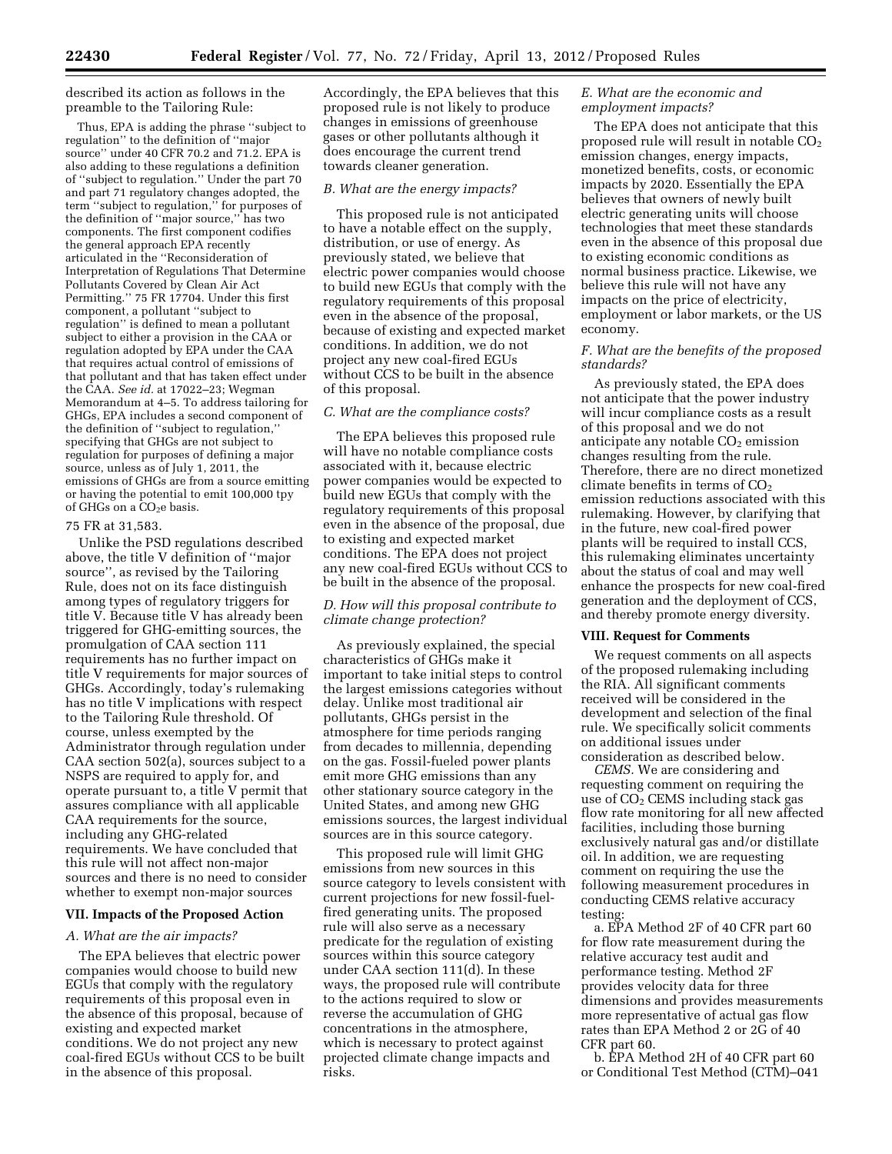described its action as follows in the preamble to the Tailoring Rule:

Thus, EPA is adding the phrase ''subject to regulation'' to the definition of ''major source'' under 40 CFR 70.2 and 71.2. EPA is also adding to these regulations a definition of ''subject to regulation.'' Under the part 70 and part 71 regulatory changes adopted, the term ''subject to regulation,'' for purposes of the definition of ''major source,'' has two components. The first component codifies the general approach EPA recently articulated in the ''Reconsideration of Interpretation of Regulations That Determine Pollutants Covered by Clean Air Act Permitting." 75 FR 17704. Under this first component, a pollutant ''subject to regulation'' is defined to mean a pollutant subject to either a provision in the CAA or regulation adopted by EPA under the CAA that requires actual control of emissions of that pollutant and that has taken effect under the CAA. *See id.* at 17022–23; Wegman Memorandum at 4–5. To address tailoring for GHGs, EPA includes a second component of the definition of ''subject to regulation,'' specifying that GHGs are not subject to regulation for purposes of defining a major source, unless as of July 1, 2011, the emissions of GHGs are from a source emitting or having the potential to emit 100,000 tpy of GHGs on a CO<sub>2</sub>e basis.

# 75 FR at 31,583.

Unlike the PSD regulations described above, the title V definition of ''major source'', as revised by the Tailoring Rule, does not on its face distinguish among types of regulatory triggers for title V. Because title V has already been triggered for GHG-emitting sources, the promulgation of CAA section 111 requirements has no further impact on title V requirements for major sources of GHGs. Accordingly, today's rulemaking has no title V implications with respect to the Tailoring Rule threshold. Of course, unless exempted by the Administrator through regulation under CAA section 502(a), sources subject to a NSPS are required to apply for, and operate pursuant to, a title V permit that assures compliance with all applicable CAA requirements for the source, including any GHG-related requirements. We have concluded that this rule will not affect non-major sources and there is no need to consider whether to exempt non-major sources

# **VII. Impacts of the Proposed Action**

# *A. What are the air impacts?*

The EPA believes that electric power companies would choose to build new EGUs that comply with the regulatory requirements of this proposal even in the absence of this proposal, because of existing and expected market conditions. We do not project any new coal-fired EGUs without CCS to be built in the absence of this proposal.

Accordingly, the EPA believes that this proposed rule is not likely to produce changes in emissions of greenhouse gases or other pollutants although it does encourage the current trend towards cleaner generation.

### *B. What are the energy impacts?*

This proposed rule is not anticipated to have a notable effect on the supply, distribution, or use of energy. As previously stated, we believe that electric power companies would choose to build new EGUs that comply with the regulatory requirements of this proposal even in the absence of the proposal, because of existing and expected market conditions. In addition, we do not project any new coal-fired EGUs without CCS to be built in the absence of this proposal.

### *C. What are the compliance costs?*

The EPA believes this proposed rule will have no notable compliance costs associated with it, because electric power companies would be expected to build new EGUs that comply with the regulatory requirements of this proposal even in the absence of the proposal, due to existing and expected market conditions. The EPA does not project any new coal-fired EGUs without CCS to be built in the absence of the proposal.

### *D. How will this proposal contribute to climate change protection?*

As previously explained, the special characteristics of GHGs make it important to take initial steps to control the largest emissions categories without delay. Unlike most traditional air pollutants, GHGs persist in the atmosphere for time periods ranging from decades to millennia, depending on the gas. Fossil-fueled power plants emit more GHG emissions than any other stationary source category in the United States, and among new GHG emissions sources, the largest individual sources are in this source category.

This proposed rule will limit GHG emissions from new sources in this source category to levels consistent with current projections for new fossil-fuelfired generating units. The proposed rule will also serve as a necessary predicate for the regulation of existing sources within this source category under CAA section 111(d). In these ways, the proposed rule will contribute to the actions required to slow or reverse the accumulation of GHG concentrations in the atmosphere, which is necessary to protect against projected climate change impacts and risks.

# *E. What are the economic and employment impacts?*

The EPA does not anticipate that this proposed rule will result in notable  $CO<sub>2</sub>$ emission changes, energy impacts, monetized benefits, costs, or economic impacts by 2020. Essentially the EPA believes that owners of newly built electric generating units will choose technologies that meet these standards even in the absence of this proposal due to existing economic conditions as normal business practice. Likewise, we believe this rule will not have any impacts on the price of electricity, employment or labor markets, or the US economy.

# *F. What are the benefits of the proposed standards?*

As previously stated, the EPA does not anticipate that the power industry will incur compliance costs as a result of this proposal and we do not anticipate any notable  $CO<sub>2</sub>$  emission changes resulting from the rule. Therefore, there are no direct monetized climate benefits in terms of  $CO<sub>2</sub>$ emission reductions associated with this rulemaking. However, by clarifying that in the future, new coal-fired power plants will be required to install CCS, this rulemaking eliminates uncertainty about the status of coal and may well enhance the prospects for new coal-fired generation and the deployment of CCS, and thereby promote energy diversity.

# **VIII. Request for Comments**

We request comments on all aspects of the proposed rulemaking including the RIA. All significant comments received will be considered in the development and selection of the final rule. We specifically solicit comments on additional issues under consideration as described below.

*CEMS.* We are considering and requesting comment on requiring the use of  $CO<sub>2</sub>$  CEMS including stack gas flow rate monitoring for all new affected facilities, including those burning exclusively natural gas and/or distillate oil. In addition, we are requesting comment on requiring the use the following measurement procedures in conducting CEMS relative accuracy testing:

a. EPA Method 2F of 40 CFR part 60 for flow rate measurement during the relative accuracy test audit and performance testing. Method 2F provides velocity data for three dimensions and provides measurements more representative of actual gas flow rates than EPA Method 2 or 2G of 40 CFR part 60.

b. EPA Method 2H of 40 CFR part 60 or Conditional Test Method (CTM)–041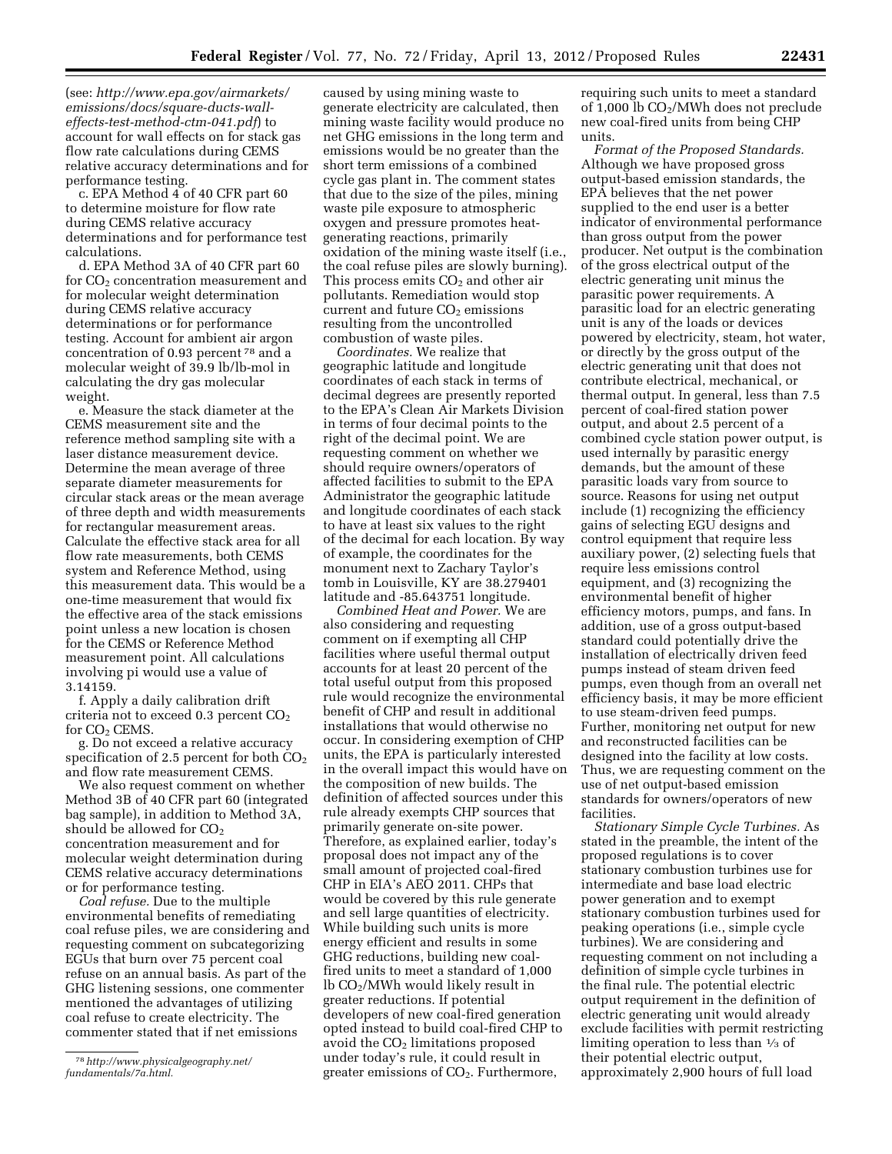(see: *[http://www.epa.gov/airmarkets/](http://www.epa.gov/airmarkets/emissions/docs/square-ducts-wall-effects-test-method-ctm-041.pdf) [emissions/docs/square-ducts-wall](http://www.epa.gov/airmarkets/emissions/docs/square-ducts-wall-effects-test-method-ctm-041.pdf)[effects-test-method-ctm-041.pdf](http://www.epa.gov/airmarkets/emissions/docs/square-ducts-wall-effects-test-method-ctm-041.pdf)*) to account for wall effects on for stack gas flow rate calculations during CEMS relative accuracy determinations and for performance testing.

c. EPA Method 4 of 40 CFR part 60 to determine moisture for flow rate during CEMS relative accuracy determinations and for performance test calculations.

d. EPA Method 3A of 40 CFR part 60 for  $CO<sub>2</sub>$  concentration measurement and for molecular weight determination during CEMS relative accuracy determinations or for performance testing. Account for ambient air argon concentration of 0.93 percent 78 and a molecular weight of 39.9 lb/lb-mol in calculating the dry gas molecular weight.

e. Measure the stack diameter at the CEMS measurement site and the reference method sampling site with a laser distance measurement device. Determine the mean average of three separate diameter measurements for circular stack areas or the mean average of three depth and width measurements for rectangular measurement areas. Calculate the effective stack area for all flow rate measurements, both CEMS system and Reference Method, using this measurement data. This would be a one-time measurement that would fix the effective area of the stack emissions point unless a new location is chosen for the CEMS or Reference Method measurement point. All calculations involving pi would use a value of 3.14159.

f. Apply a daily calibration drift criteria not to exceed  $0.3$  percent  $CO<sub>2</sub>$ for  $CO<sub>2</sub>$  CEMS.

g. Do not exceed a relative accuracy specification of 2.5 percent for both  $CO<sub>2</sub>$ and flow rate measurement CEMS.

We also request comment on whether Method 3B of 40 CFR part 60 (integrated bag sample), in addition to Method 3A, should be allowed for  $CO<sub>2</sub>$ concentration measurement and for molecular weight determination during CEMS relative accuracy determinations or for performance testing.

*Coal refuse.* Due to the multiple environmental benefits of remediating coal refuse piles, we are considering and requesting comment on subcategorizing EGUs that burn over 75 percent coal refuse on an annual basis. As part of the GHG listening sessions, one commenter mentioned the advantages of utilizing coal refuse to create electricity. The commenter stated that if net emissions

caused by using mining waste to generate electricity are calculated, then mining waste facility would produce no net GHG emissions in the long term and emissions would be no greater than the short term emissions of a combined cycle gas plant in. The comment states that due to the size of the piles, mining waste pile exposure to atmospheric oxygen and pressure promotes heatgenerating reactions, primarily oxidation of the mining waste itself (i.e., the coal refuse piles are slowly burning). This process emits  $CO<sub>2</sub>$  and other air pollutants. Remediation would stop current and future  $CO<sub>2</sub>$  emissions resulting from the uncontrolled combustion of waste piles.

*Coordinates.* We realize that geographic latitude and longitude coordinates of each stack in terms of decimal degrees are presently reported to the EPA's Clean Air Markets Division in terms of four decimal points to the right of the decimal point. We are requesting comment on whether we should require owners/operators of affected facilities to submit to the EPA Administrator the geographic latitude and longitude coordinates of each stack to have at least six values to the right of the decimal for each location. By way of example, the coordinates for the monument next to Zachary Taylor's tomb in Louisville, KY are 38.279401 latitude and -85.643751 longitude.

*Combined Heat and Power.* We are also considering and requesting comment on if exempting all CHP facilities where useful thermal output accounts for at least 20 percent of the total useful output from this proposed rule would recognize the environmental benefit of CHP and result in additional installations that would otherwise no occur. In considering exemption of CHP units, the EPA is particularly interested in the overall impact this would have on the composition of new builds. The definition of affected sources under this rule already exempts CHP sources that primarily generate on-site power. Therefore, as explained earlier, today's proposal does not impact any of the small amount of projected coal-fired CHP in EIA's AEO 2011. CHPs that would be covered by this rule generate and sell large quantities of electricity. While building such units is more energy efficient and results in some GHG reductions, building new coalfired units to meet a standard of 1,000 lb CO2/MWh would likely result in greater reductions. If potential developers of new coal-fired generation opted instead to build coal-fired CHP to avoid the  $CO<sub>2</sub>$  limitations proposed under today's rule, it could result in greater emissions of CO2. Furthermore,

requiring such units to meet a standard of  $1,000$  lb  $CO<sub>2</sub>/MWh$  does not preclude new coal-fired units from being CHP units.

*Format of the Proposed Standards.*  Although we have proposed gross output-based emission standards, the EPA believes that the net power supplied to the end user is a better indicator of environmental performance than gross output from the power producer. Net output is the combination of the gross electrical output of the electric generating unit minus the parasitic power requirements. A parasitic load for an electric generating unit is any of the loads or devices powered by electricity, steam, hot water, or directly by the gross output of the electric generating unit that does not contribute electrical, mechanical, or thermal output. In general, less than 7.5 percent of coal-fired station power output, and about 2.5 percent of a combined cycle station power output, is used internally by parasitic energy demands, but the amount of these parasitic loads vary from source to source. Reasons for using net output include (1) recognizing the efficiency gains of selecting EGU designs and control equipment that require less auxiliary power, (2) selecting fuels that require less emissions control equipment, and (3) recognizing the environmental benefit of higher efficiency motors, pumps, and fans. In addition, use of a gross output-based standard could potentially drive the installation of electrically driven feed pumps instead of steam driven feed pumps, even though from an overall net efficiency basis, it may be more efficient to use steam-driven feed pumps. Further, monitoring net output for new and reconstructed facilities can be designed into the facility at low costs. Thus, we are requesting comment on the use of net output-based emission standards for owners/operators of new facilities.

*Stationary Simple Cycle Turbines.* As stated in the preamble, the intent of the proposed regulations is to cover stationary combustion turbines use for intermediate and base load electric power generation and to exempt stationary combustion turbines used for peaking operations (i.e., simple cycle turbines). We are considering and requesting comment on not including a definition of simple cycle turbines in the final rule. The potential electric output requirement in the definition of electric generating unit would already exclude facilities with permit restricting limiting operation to less than 1⁄3 of their potential electric output, approximately 2,900 hours of full load

<sup>78</sup>*[http://www.physicalgeography.net/](http://www.physicalgeography.net/fundamentals/7a.html)  [fundamentals/7a.html.](http://www.physicalgeography.net/fundamentals/7a.html)*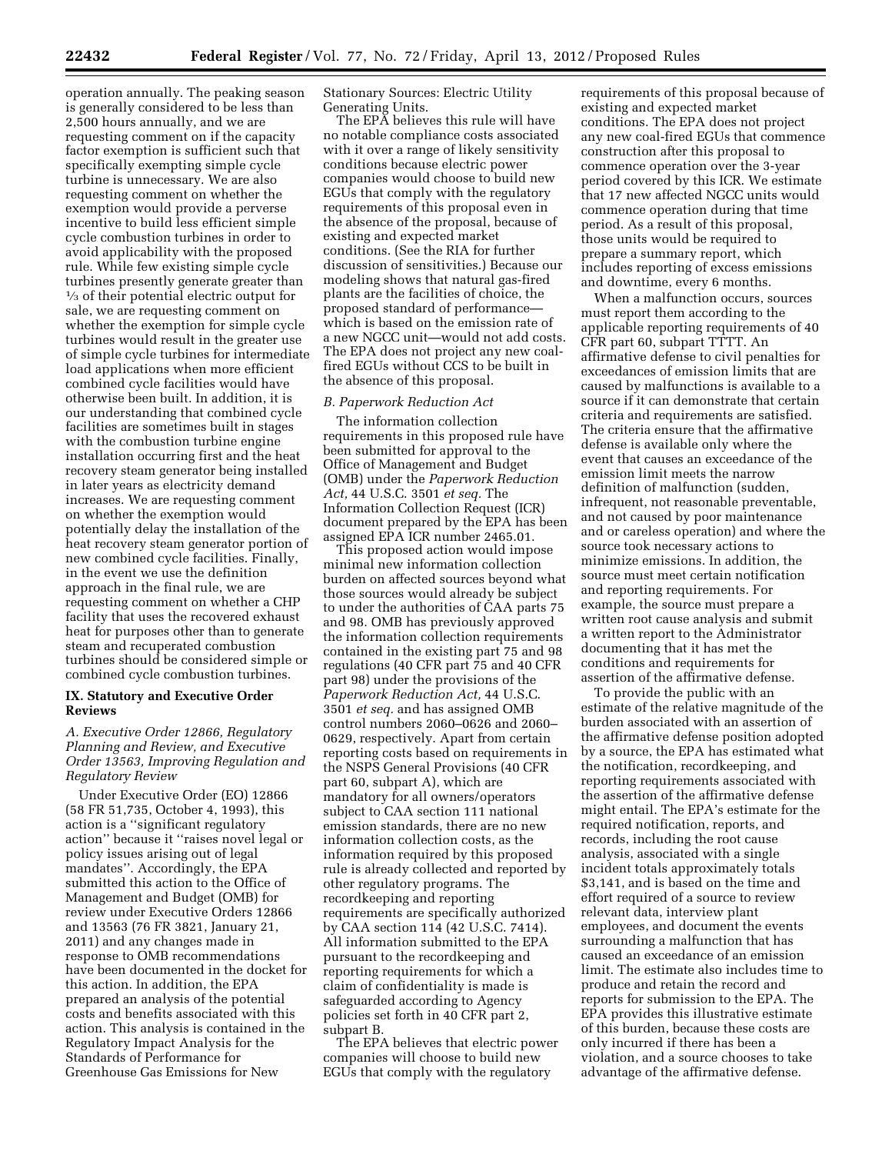operation annually. The peaking season is generally considered to be less than 2,500 hours annually, and we are requesting comment on if the capacity factor exemption is sufficient such that specifically exempting simple cycle turbine is unnecessary. We are also requesting comment on whether the exemption would provide a perverse incentive to build less efficient simple cycle combustion turbines in order to avoid applicability with the proposed rule. While few existing simple cycle turbines presently generate greater than 1⁄3 of their potential electric output for sale, we are requesting comment on whether the exemption for simple cycle turbines would result in the greater use of simple cycle turbines for intermediate load applications when more efficient combined cycle facilities would have otherwise been built. In addition, it is our understanding that combined cycle facilities are sometimes built in stages with the combustion turbine engine installation occurring first and the heat recovery steam generator being installed in later years as electricity demand increases. We are requesting comment on whether the exemption would potentially delay the installation of the heat recovery steam generator portion of new combined cycle facilities. Finally, in the event we use the definition approach in the final rule, we are requesting comment on whether a CHP facility that uses the recovered exhaust heat for purposes other than to generate steam and recuperated combustion turbines should be considered simple or combined cycle combustion turbines.

# **IX. Statutory and Executive Order Reviews**

# *A. Executive Order 12866, Regulatory Planning and Review, and Executive Order 13563, Improving Regulation and Regulatory Review*

Under Executive Order (EO) 12866 (58 FR 51,735, October 4, 1993), this action is a ''significant regulatory action'' because it ''raises novel legal or policy issues arising out of legal mandates''. Accordingly, the EPA submitted this action to the Office of Management and Budget (OMB) for review under Executive Orders 12866 and 13563 (76 FR 3821, January 21, 2011) and any changes made in response to OMB recommendations have been documented in the docket for this action. In addition, the EPA prepared an analysis of the potential costs and benefits associated with this action. This analysis is contained in the Regulatory Impact Analysis for the Standards of Performance for Greenhouse Gas Emissions for New

Stationary Sources: Electric Utility Generating Units.

The EPA believes this rule will have no notable compliance costs associated with it over a range of likely sensitivity conditions because electric power companies would choose to build new EGUs that comply with the regulatory requirements of this proposal even in the absence of the proposal, because of existing and expected market conditions. (See the RIA for further discussion of sensitivities.) Because our modeling shows that natural gas-fired plants are the facilities of choice, the proposed standard of performance which is based on the emission rate of a new NGCC unit—would not add costs. The EPA does not project any new coalfired EGUs without CCS to be built in the absence of this proposal.

### *B. Paperwork Reduction Act*

The information collection requirements in this proposed rule have been submitted for approval to the Office of Management and Budget (OMB) under the *Paperwork Reduction Act,* 44 U.S.C. 3501 *et seq.* The Information Collection Request (ICR) document prepared by the EPA has been assigned EPA ICR number 2465.01.

This proposed action would impose minimal new information collection burden on affected sources beyond what those sources would already be subject to under the authorities of CAA parts 75 and 98. OMB has previously approved the information collection requirements contained in the existing part 75 and 98 regulations (40 CFR part 75 and 40 CFR part 98) under the provisions of the *Paperwork Reduction Act,* 44 U.S.C. 3501 *et seq.* and has assigned OMB control numbers 2060–0626 and 2060– 0629, respectively. Apart from certain reporting costs based on requirements in the NSPS General Provisions (40 CFR part 60, subpart A), which are mandatory for all owners/operators subject to CAA section 111 national emission standards, there are no new information collection costs, as the information required by this proposed rule is already collected and reported by other regulatory programs. The recordkeeping and reporting requirements are specifically authorized by CAA section 114 (42 U.S.C. 7414). All information submitted to the EPA pursuant to the recordkeeping and reporting requirements for which a claim of confidentiality is made is safeguarded according to Agency policies set forth in 40 CFR part 2, subpart B.

The EPA believes that electric power companies will choose to build new EGUs that comply with the regulatory

requirements of this proposal because of existing and expected market conditions. The EPA does not project any new coal-fired EGUs that commence construction after this proposal to commence operation over the 3-year period covered by this ICR. We estimate that 17 new affected NGCC units would commence operation during that time period. As a result of this proposal, those units would be required to prepare a summary report, which includes reporting of excess emissions and downtime, every 6 months.

When a malfunction occurs, sources must report them according to the applicable reporting requirements of 40 CFR part 60, subpart TTTT. An affirmative defense to civil penalties for exceedances of emission limits that are caused by malfunctions is available to a source if it can demonstrate that certain criteria and requirements are satisfied. The criteria ensure that the affirmative defense is available only where the event that causes an exceedance of the emission limit meets the narrow definition of malfunction (sudden, infrequent, not reasonable preventable, and not caused by poor maintenance and or careless operation) and where the source took necessary actions to minimize emissions. In addition, the source must meet certain notification and reporting requirements. For example, the source must prepare a written root cause analysis and submit a written report to the Administrator documenting that it has met the conditions and requirements for assertion of the affirmative defense.

To provide the public with an estimate of the relative magnitude of the burden associated with an assertion of the affirmative defense position adopted by a source, the EPA has estimated what the notification, recordkeeping, and reporting requirements associated with the assertion of the affirmative defense might entail. The EPA's estimate for the required notification, reports, and records, including the root cause analysis, associated with a single incident totals approximately totals \$3,141, and is based on the time and effort required of a source to review relevant data, interview plant employees, and document the events surrounding a malfunction that has caused an exceedance of an emission limit. The estimate also includes time to produce and retain the record and reports for submission to the EPA. The EPA provides this illustrative estimate of this burden, because these costs are only incurred if there has been a violation, and a source chooses to take advantage of the affirmative defense.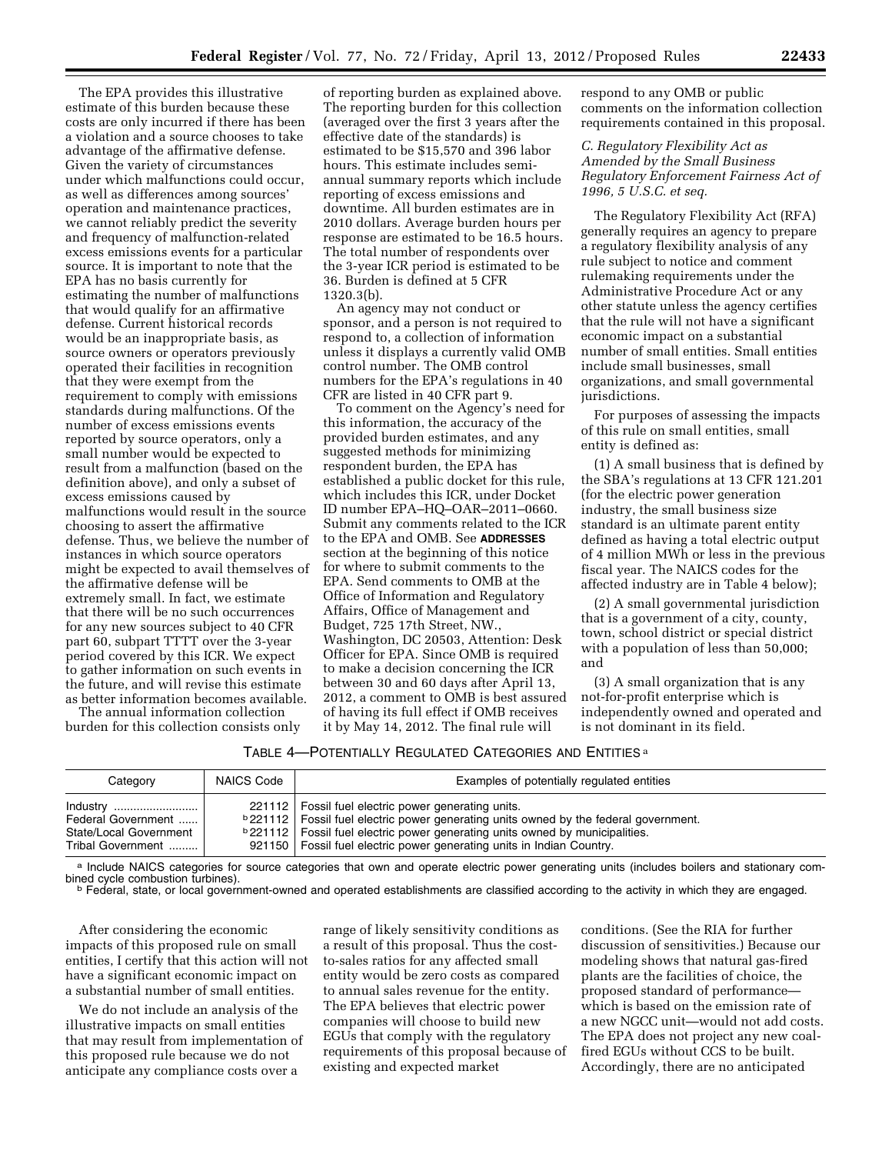The EPA provides this illustrative estimate of this burden because these costs are only incurred if there has been a violation and a source chooses to take advantage of the affirmative defense. Given the variety of circumstances under which malfunctions could occur, as well as differences among sources' operation and maintenance practices, we cannot reliably predict the severity and frequency of malfunction-related excess emissions events for a particular source. It is important to note that the EPA has no basis currently for estimating the number of malfunctions that would qualify for an affirmative defense. Current historical records would be an inappropriate basis, as source owners or operators previously operated their facilities in recognition that they were exempt from the requirement to comply with emissions standards during malfunctions. Of the number of excess emissions events reported by source operators, only a small number would be expected to result from a malfunction (based on the definition above), and only a subset of excess emissions caused by malfunctions would result in the source choosing to assert the affirmative defense. Thus, we believe the number of instances in which source operators might be expected to avail themselves of the affirmative defense will be extremely small. In fact, we estimate that there will be no such occurrences for any new sources subject to 40 CFR part 60, subpart TTTT over the 3-year period covered by this ICR. We expect to gather information on such events in the future, and will revise this estimate as better information becomes available.

The annual information collection burden for this collection consists only

of reporting burden as explained above. The reporting burden for this collection (averaged over the first 3 years after the effective date of the standards) is estimated to be \$15,570 and 396 labor hours. This estimate includes semiannual summary reports which include reporting of excess emissions and downtime. All burden estimates are in 2010 dollars. Average burden hours per response are estimated to be 16.5 hours. The total number of respondents over the 3-year ICR period is estimated to be 36. Burden is defined at 5 CFR 1320.3(b).

An agency may not conduct or sponsor, and a person is not required to respond to, a collection of information unless it displays a currently valid OMB control number. The OMB control numbers for the EPA's regulations in 40 CFR are listed in 40 CFR part 9.

To comment on the Agency's need for this information, the accuracy of the provided burden estimates, and any suggested methods for minimizing respondent burden, the EPA has established a public docket for this rule, which includes this ICR, under Docket ID number EPA–HQ–OAR–2011–0660. Submit any comments related to the ICR to the EPA and OMB. See **ADDRESSES** section at the beginning of this notice for where to submit comments to the EPA. Send comments to OMB at the Office of Information and Regulatory Affairs, Office of Management and Budget, 725 17th Street, NW., Washington, DC 20503, Attention: Desk Officer for EPA. Since OMB is required to make a decision concerning the ICR between 30 and 60 days after April 13, 2012, a comment to OMB is best assured of having its full effect if OMB receives it by May 14, 2012. The final rule will

respond to any OMB or public comments on the information collection requirements contained in this proposal.

*C. Regulatory Flexibility Act as Amended by the Small Business Regulatory Enforcement Fairness Act of 1996, 5 U.S.C. et seq.* 

The Regulatory Flexibility Act (RFA) generally requires an agency to prepare a regulatory flexibility analysis of any rule subject to notice and comment rulemaking requirements under the Administrative Procedure Act or any other statute unless the agency certifies that the rule will not have a significant economic impact on a substantial number of small entities. Small entities include small businesses, small organizations, and small governmental jurisdictions.

For purposes of assessing the impacts of this rule on small entities, small entity is defined as:

(1) A small business that is defined by the SBA's regulations at 13 CFR 121.201 (for the electric power generation industry, the small business size standard is an ultimate parent entity defined as having a total electric output of 4 million MWh or less in the previous fiscal year. The NAICS codes for the affected industry are in Table 4 below);

(2) A small governmental jurisdiction that is a government of a city, county, town, school district or special district with a population of less than 50,000; and

(3) A small organization that is any not-for-profit enterprise which is independently owned and operated and is not dominant in its field.

### TABLE 4—POTENTIALLY REGULATED CATEGORIES AND ENTITIES a

| Category                                                                         | NAICS Code | Examples of potentially regulated entities                                                                                                                                                                                                                                                                                       |
|----------------------------------------------------------------------------------|------------|----------------------------------------------------------------------------------------------------------------------------------------------------------------------------------------------------------------------------------------------------------------------------------------------------------------------------------|
| Industry<br>Federal Government   <br>State/Local Government<br>Tribal Government |            | 221112   Fossil fuel electric power generating units.<br><sup>b</sup> 221112   Fossil fuel electric power generating units owned by the federal government.<br><b>b</b> 221112   Fossil fuel electric power generating units owned by municipalities.<br>921150   Fossil fuel electric power generating units in Indian Country. |

a Include NAICS categories for source categories that own and operate electric power generating units (includes boilers and stationary com-<br>bined cycle combustion turbines).

**b Federal, state, or local government-owned and operated establishments are classified according to the activity in which they are engaged.** 

After considering the economic impacts of this proposed rule on small entities, I certify that this action will not have a significant economic impact on a substantial number of small entities.

We do not include an analysis of the illustrative impacts on small entities that may result from implementation of this proposed rule because we do not anticipate any compliance costs over a

range of likely sensitivity conditions as a result of this proposal. Thus the costto-sales ratios for any affected small entity would be zero costs as compared to annual sales revenue for the entity. The EPA believes that electric power companies will choose to build new EGUs that comply with the regulatory requirements of this proposal because of existing and expected market

conditions. (See the RIA for further discussion of sensitivities.) Because our modeling shows that natural gas-fired plants are the facilities of choice, the proposed standard of performance which is based on the emission rate of a new NGCC unit—would not add costs. The EPA does not project any new coalfired EGUs without CCS to be built. Accordingly, there are no anticipated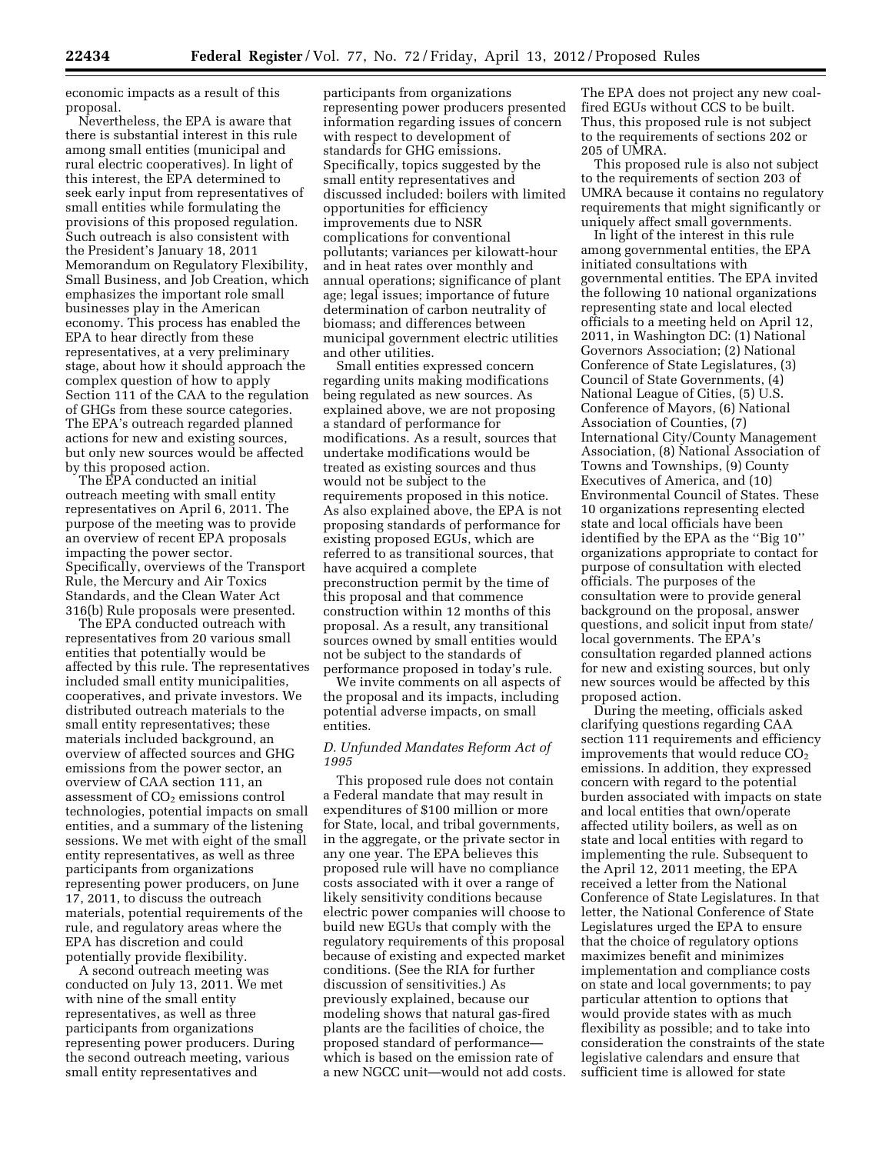economic impacts as a result of this proposal.

Nevertheless, the EPA is aware that there is substantial interest in this rule among small entities (municipal and rural electric cooperatives). In light of this interest, the EPA determined to seek early input from representatives of small entities while formulating the provisions of this proposed regulation. Such outreach is also consistent with the President's January 18, 2011 Memorandum on Regulatory Flexibility, Small Business, and Job Creation, which emphasizes the important role small businesses play in the American economy. This process has enabled the EPA to hear directly from these representatives, at a very preliminary stage, about how it should approach the complex question of how to apply Section 111 of the CAA to the regulation of GHGs from these source categories. The EPA's outreach regarded planned actions for new and existing sources, but only new sources would be affected by this proposed action.

The EPA conducted an initial outreach meeting with small entity representatives on April 6, 2011. The purpose of the meeting was to provide an overview of recent EPA proposals impacting the power sector. Specifically, overviews of the Transport Rule, the Mercury and Air Toxics Standards, and the Clean Water Act 316(b) Rule proposals were presented.

The EPA conducted outreach with representatives from 20 various small entities that potentially would be affected by this rule. The representatives included small entity municipalities, cooperatives, and private investors. We distributed outreach materials to the small entity representatives; these materials included background, an overview of affected sources and GHG emissions from the power sector, an overview of CAA section 111, an assessment of  $CO<sub>2</sub>$  emissions control technologies, potential impacts on small entities, and a summary of the listening sessions. We met with eight of the small entity representatives, as well as three participants from organizations representing power producers, on June 17, 2011, to discuss the outreach materials, potential requirements of the rule, and regulatory areas where the EPA has discretion and could potentially provide flexibility.

A second outreach meeting was conducted on July 13, 2011. We met with nine of the small entity representatives, as well as three participants from organizations representing power producers. During the second outreach meeting, various small entity representatives and

participants from organizations representing power producers presented information regarding issues of concern with respect to development of standards for GHG emissions. Specifically, topics suggested by the small entity representatives and discussed included: boilers with limited opportunities for efficiency improvements due to NSR complications for conventional pollutants; variances per kilowatt-hour and in heat rates over monthly and annual operations; significance of plant age; legal issues; importance of future determination of carbon neutrality of biomass; and differences between municipal government electric utilities and other utilities.

Small entities expressed concern regarding units making modifications being regulated as new sources. As explained above, we are not proposing a standard of performance for modifications. As a result, sources that undertake modifications would be treated as existing sources and thus would not be subject to the requirements proposed in this notice. As also explained above, the EPA is not proposing standards of performance for existing proposed EGUs, which are referred to as transitional sources, that have acquired a complete preconstruction permit by the time of this proposal and that commence construction within 12 months of this proposal. As a result, any transitional sources owned by small entities would not be subject to the standards of performance proposed in today's rule.

We invite comments on all aspects of the proposal and its impacts, including potential adverse impacts, on small entities.

### *D. Unfunded Mandates Reform Act of 1995*

This proposed rule does not contain a Federal mandate that may result in expenditures of \$100 million or more for State, local, and tribal governments, in the aggregate, or the private sector in any one year. The EPA believes this proposed rule will have no compliance costs associated with it over a range of likely sensitivity conditions because electric power companies will choose to build new EGUs that comply with the regulatory requirements of this proposal because of existing and expected market conditions. (See the RIA for further discussion of sensitivities.) As previously explained, because our modeling shows that natural gas-fired plants are the facilities of choice, the proposed standard of performance which is based on the emission rate of a new NGCC unit—would not add costs.

The EPA does not project any new coalfired EGUs without CCS to be built. Thus, this proposed rule is not subject to the requirements of sections 202 or 205 of UMRA.

This proposed rule is also not subject to the requirements of section 203 of UMRA because it contains no regulatory requirements that might significantly or uniquely affect small governments.

In light of the interest in this rule among governmental entities, the EPA initiated consultations with governmental entities. The EPA invited the following 10 national organizations representing state and local elected officials to a meeting held on April 12, 2011, in Washington DC: (1) National Governors Association; (2) National Conference of State Legislatures, (3) Council of State Governments, (4) National League of Cities, (5) U.S. Conference of Mayors, (6) National Association of Counties, (7) International City/County Management Association, (8) National Association of Towns and Townships, (9) County Executives of America, and (10) Environmental Council of States. These 10 organizations representing elected state and local officials have been identified by the EPA as the ''Big 10'' organizations appropriate to contact for purpose of consultation with elected officials. The purposes of the consultation were to provide general background on the proposal, answer questions, and solicit input from state/ local governments. The EPA's consultation regarded planned actions for new and existing sources, but only new sources would be affected by this proposed action.

During the meeting, officials asked clarifying questions regarding CAA section 111 requirements and efficiency improvements that would reduce  $CO<sub>2</sub>$ emissions. In addition, they expressed concern with regard to the potential burden associated with impacts on state and local entities that own/operate affected utility boilers, as well as on state and local entities with regard to implementing the rule. Subsequent to the April 12, 2011 meeting, the EPA received a letter from the National Conference of State Legislatures. In that letter, the National Conference of State Legislatures urged the EPA to ensure that the choice of regulatory options maximizes benefit and minimizes implementation and compliance costs on state and local governments; to pay particular attention to options that would provide states with as much flexibility as possible; and to take into consideration the constraints of the state legislative calendars and ensure that sufficient time is allowed for state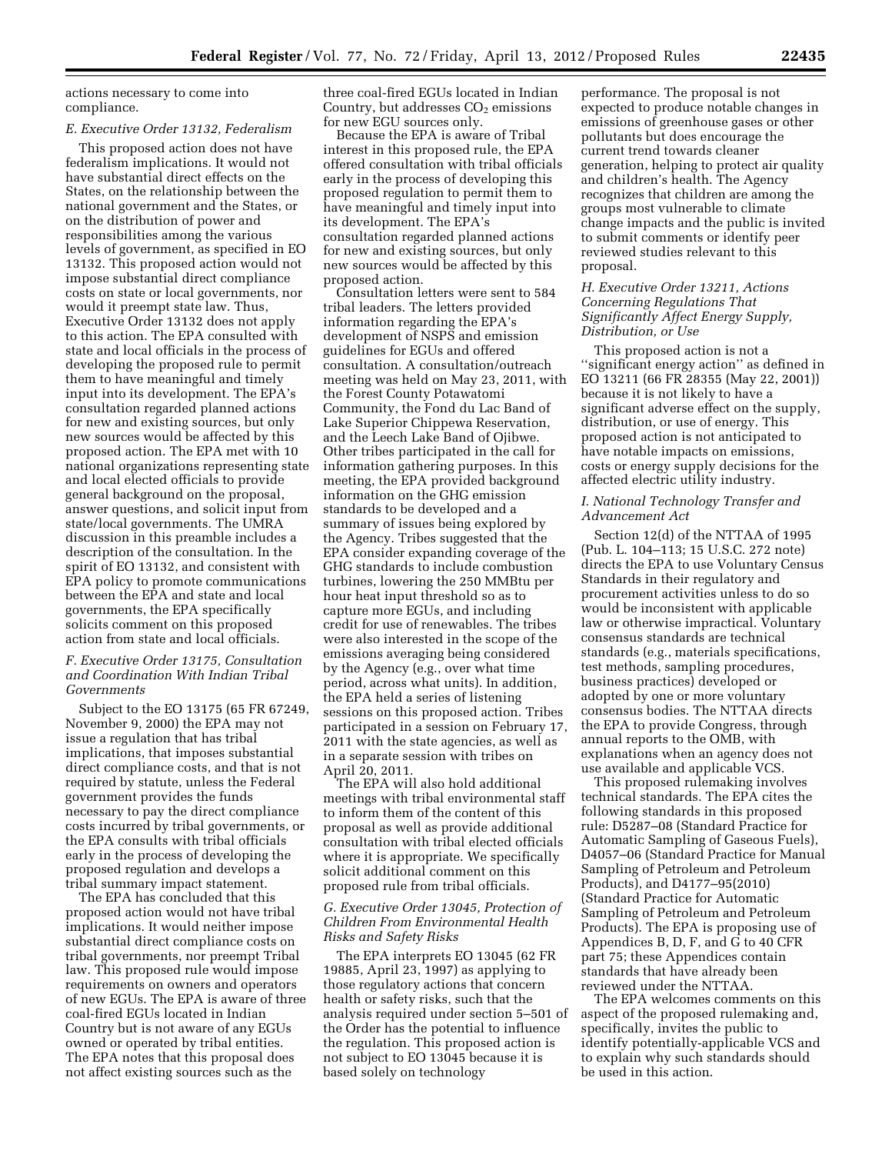actions necessary to come into compliance.

#### *E. Executive Order 13132, Federalism*

This proposed action does not have federalism implications. It would not have substantial direct effects on the States, on the relationship between the national government and the States, or on the distribution of power and responsibilities among the various levels of government, as specified in EO 13132. This proposed action would not impose substantial direct compliance costs on state or local governments, nor would it preempt state law. Thus, Executive Order 13132 does not apply to this action. The EPA consulted with state and local officials in the process of developing the proposed rule to permit them to have meaningful and timely input into its development. The EPA's consultation regarded planned actions for new and existing sources, but only new sources would be affected by this proposed action. The EPA met with 10 national organizations representing state and local elected officials to provide general background on the proposal, answer questions, and solicit input from state/local governments. The UMRA discussion in this preamble includes a description of the consultation. In the spirit of EO 13132, and consistent with EPA policy to promote communications between the EPA and state and local governments, the EPA specifically solicits comment on this proposed action from state and local officials.

# *F. Executive Order 13175, Consultation and Coordination With Indian Tribal Governments*

Subject to the EO 13175 (65 FR 67249, November 9, 2000) the EPA may not issue a regulation that has tribal implications, that imposes substantial direct compliance costs, and that is not required by statute, unless the Federal government provides the funds necessary to pay the direct compliance costs incurred by tribal governments, or the EPA consults with tribal officials early in the process of developing the proposed regulation and develops a tribal summary impact statement.

The EPA has concluded that this proposed action would not have tribal implications. It would neither impose substantial direct compliance costs on tribal governments, nor preempt Tribal law. This proposed rule would impose requirements on owners and operators of new EGUs. The EPA is aware of three coal-fired EGUs located in Indian Country but is not aware of any EGUs owned or operated by tribal entities. The EPA notes that this proposal does not affect existing sources such as the

three coal-fired EGUs located in Indian Country, but addresses  $CO<sub>2</sub>$  emissions for new EGU sources only.

Because the EPA is aware of Tribal interest in this proposed rule, the EPA offered consultation with tribal officials early in the process of developing this proposed regulation to permit them to have meaningful and timely input into its development. The EPA's consultation regarded planned actions for new and existing sources, but only new sources would be affected by this proposed action.

Consultation letters were sent to 584 tribal leaders. The letters provided information regarding the EPA's development of NSPS and emission guidelines for EGUs and offered consultation. A consultation/outreach meeting was held on May 23, 2011, with the Forest County Potawatomi Community, the Fond du Lac Band of Lake Superior Chippewa Reservation, and the Leech Lake Band of Ojibwe. Other tribes participated in the call for information gathering purposes. In this meeting, the EPA provided background information on the GHG emission standards to be developed and a summary of issues being explored by the Agency. Tribes suggested that the EPA consider expanding coverage of the GHG standards to include combustion turbines, lowering the 250 MMBtu per hour heat input threshold so as to capture more EGUs, and including credit for use of renewables. The tribes were also interested in the scope of the emissions averaging being considered by the Agency (e.g., over what time period, across what units). In addition, the EPA held a series of listening sessions on this proposed action. Tribes participated in a session on February 17, 2011 with the state agencies, as well as in a separate session with tribes on April 20, 2011.

The EPA will also hold additional meetings with tribal environmental staff to inform them of the content of this proposal as well as provide additional consultation with tribal elected officials where it is appropriate. We specifically solicit additional comment on this proposed rule from tribal officials.

# *G. Executive Order 13045, Protection of Children From Environmental Health Risks and Safety Risks*

The EPA interprets EO 13045 (62 FR 19885, April 23, 1997) as applying to those regulatory actions that concern health or safety risks, such that the analysis required under section 5–501 of the Order has the potential to influence the regulation. This proposed action is not subject to EO 13045 because it is based solely on technology

performance. The proposal is not expected to produce notable changes in emissions of greenhouse gases or other pollutants but does encourage the current trend towards cleaner generation, helping to protect air quality and children's health. The Agency recognizes that children are among the groups most vulnerable to climate change impacts and the public is invited to submit comments or identify peer reviewed studies relevant to this proposal.

# *H. Executive Order 13211, Actions Concerning Regulations That Significantly Affect Energy Supply, Distribution, or Use*

This proposed action is not a ''significant energy action'' as defined in EO 13211 (66 FR 28355 (May 22, 2001)) because it is not likely to have a significant adverse effect on the supply, distribution, or use of energy. This proposed action is not anticipated to have notable impacts on emissions, costs or energy supply decisions for the affected electric utility industry.

# *I. National Technology Transfer and Advancement Act*

Section 12(d) of the NTTAA of 1995 (Pub. L. 104–113; 15 U.S.C. 272 note) directs the EPA to use Voluntary Census Standards in their regulatory and procurement activities unless to do so would be inconsistent with applicable law or otherwise impractical. Voluntary consensus standards are technical standards (e.g., materials specifications, test methods, sampling procedures, business practices) developed or adopted by one or more voluntary consensus bodies. The NTTAA directs the EPA to provide Congress, through annual reports to the OMB, with explanations when an agency does not use available and applicable VCS.

This proposed rulemaking involves technical standards. The EPA cites the following standards in this proposed rule: D5287–08 (Standard Practice for Automatic Sampling of Gaseous Fuels), D4057–06 (Standard Practice for Manual Sampling of Petroleum and Petroleum Products), and D4177–95(2010) (Standard Practice for Automatic Sampling of Petroleum and Petroleum Products). The EPA is proposing use of Appendices B, D, F, and G to 40 CFR part 75; these Appendices contain standards that have already been reviewed under the NTTAA.

The EPA welcomes comments on this aspect of the proposed rulemaking and, specifically, invites the public to identify potentially-applicable VCS and to explain why such standards should be used in this action.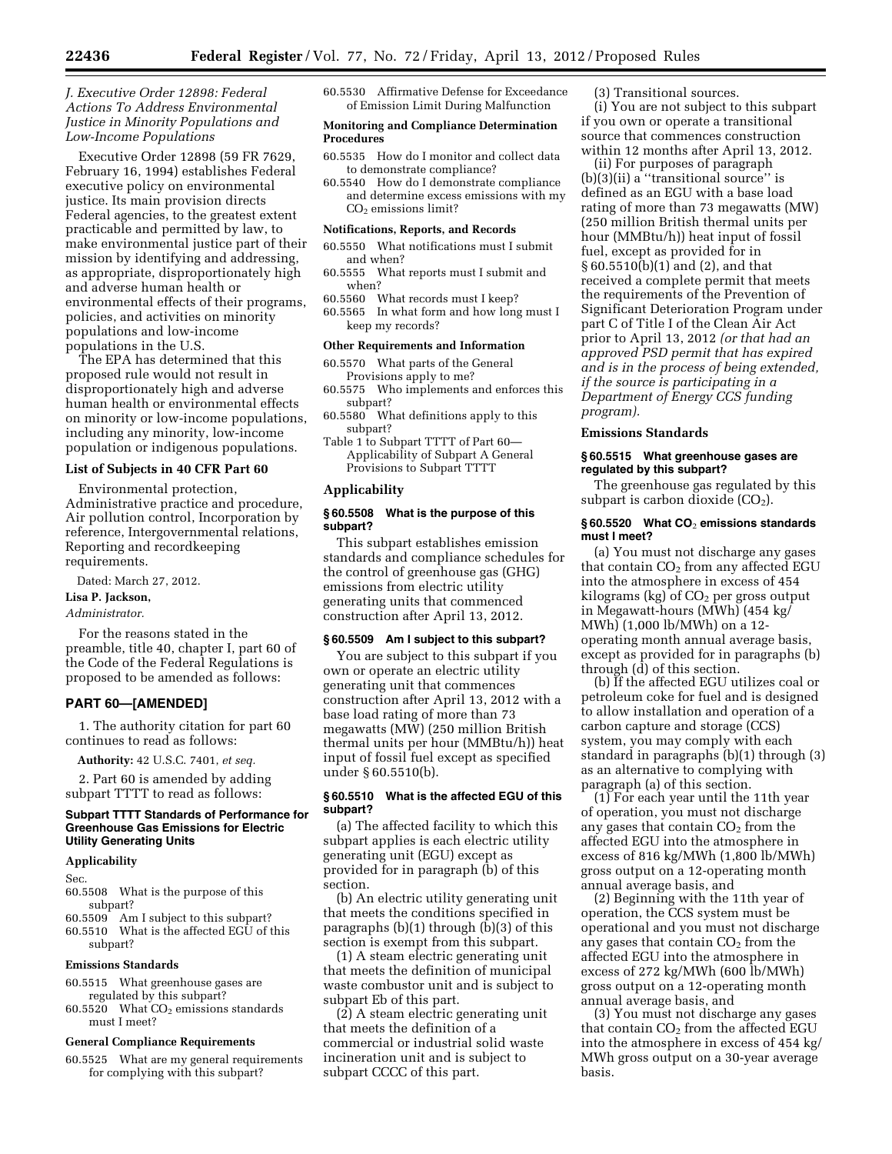# *J. Executive Order 12898: Federal Actions To Address Environmental Justice in Minority Populations and Low-Income Populations*

Executive Order 12898 (59 FR 7629, February 16, 1994) establishes Federal executive policy on environmental justice. Its main provision directs Federal agencies, to the greatest extent practicable and permitted by law, to make environmental justice part of their mission by identifying and addressing, as appropriate, disproportionately high and adverse human health or environmental effects of their programs, policies, and activities on minority populations and low-income populations in the U.S.

The EPA has determined that this proposed rule would not result in disproportionately high and adverse human health or environmental effects on minority or low-income populations, including any minority, low-income population or indigenous populations.

# **List of Subjects in 40 CFR Part 60**

Environmental protection, Administrative practice and procedure, Air pollution control, Incorporation by reference, Intergovernmental relations, Reporting and recordkeeping requirements.

Dated: March 27, 2012.

# **Lisa P. Jackson,**

*Administrator.* 

For the reasons stated in the preamble, title 40, chapter I, part 60 of the Code of the Federal Regulations is proposed to be amended as follows:

# **PART 60—[AMENDED]**

1. The authority citation for part 60 continues to read as follows:

**Authority:** 42 U.S.C. 7401, *et seq.* 

2. Part 60 is amended by adding subpart TTTT to read as follows:

### **Subpart TTTT Standards of Performance for Greenhouse Gas Emissions for Electric Utility Generating Units**

### **Applicability**

Sec.

- 60.5508 What is the purpose of this subpart?
- 60.5509 Am I subject to this subpart?
- 60.5510 What is the affected EGU of this subpart?

### **Emissions Standards**

- 60.5515 What greenhouse gases are regulated by this subpart?
- 60.5520 What  $CO<sub>2</sub>$  emissions standards must I meet?

### **General Compliance Requirements**

60.5525 What are my general requirements for complying with this subpart?

60.5530 Affirmative Defense for Exceedance of Emission Limit During Malfunction

# **Monitoring and Compliance Determination Procedures**

- 60.5535 How do I monitor and collect data to demonstrate compliance?
- 60.5540 How do I demonstrate compliance and determine excess emissions with my  $CO<sub>2</sub>$  emissions limit?

#### **Notifications, Reports, and Records**

- 60.5550 What notifications must I submit and when?
- 60.5555 What reports must I submit and when?
- 60.5560 What records must I keep?
- 60.5565 In what form and how long must I keep my records?

### **Other Requirements and Information**

- 60.5570 What parts of the General Provisions apply to me?
- 60.5575 Who implements and enforces this subpart?
- 60.5580 What definitions apply to this subpart?
- Table 1 to Subpart TTTT of Part 60— Applicability of Subpart A General Provisions to Subpart TTTT

# **Applicability**

# **§ 60.5508 What is the purpose of this subpart?**

This subpart establishes emission standards and compliance schedules for the control of greenhouse gas (GHG) emissions from electric utility generating units that commenced construction after April 13, 2012.

# **§ 60.5509 Am I subject to this subpart?**

You are subject to this subpart if you own or operate an electric utility generating unit that commences construction after April 13, 2012 with a base load rating of more than 73 megawatts (MW) (250 million British thermal units per hour (MMBtu/h)) heat input of fossil fuel except as specified under § 60.5510(b).

### **§ 60.5510 What is the affected EGU of this subpart?**

(a) The affected facility to which this subpart applies is each electric utility generating unit (EGU) except as provided for in paragraph (b) of this section.

(b) An electric utility generating unit that meets the conditions specified in paragraphs  $(b)(1)$  through  $(b)(3)$  of this section is exempt from this subpart.

(1) A steam electric generating unit that meets the definition of municipal waste combustor unit and is subject to subpart Eb of this part.

(2) A steam electric generating unit that meets the definition of a commercial or industrial solid waste incineration unit and is subject to subpart CCCC of this part.

(3) Transitional sources.

(i) You are not subject to this subpart if you own or operate a transitional source that commences construction within 12 months after April 13, 2012.

(ii) For purposes of paragraph (b)(3)(ii) a ''transitional source'' is defined as an EGU with a base load rating of more than 73 megawatts (MW) (250 million British thermal units per hour (MMBtu/h)) heat input of fossil fuel, except as provided for in § 60.5510(b)(1) and (2), and that received a complete permit that meets the requirements of the Prevention of Significant Deterioration Program under part C of Title I of the Clean Air Act prior to April 13, 2012 *(or that had an approved PSD permit that has expired and is in the process of being extended, if the source is participating in a Department of Energy CCS funding program).* 

#### **Emissions Standards**

# **§ 60.5515 What greenhouse gases are regulated by this subpart?**

The greenhouse gas regulated by this subpart is carbon dioxide  $(CO<sub>2</sub>)$ .

### **§ 60.5520 What CO**2 **emissions standards must I meet?**

(a) You must not discharge any gases that contain  $CO<sub>2</sub>$  from any affected EGU into the atmosphere in excess of 454 kilograms (kg) of  $CO<sub>2</sub>$  per gross output in Megawatt-hours (MWh) (454 kg/ MWh) (1,000 lb/MWh) on a 12 operating month annual average basis, except as provided for in paragraphs (b) through (d) of this section.

(b) If the affected EGU utilizes coal or petroleum coke for fuel and is designed to allow installation and operation of a carbon capture and storage (CCS) system, you may comply with each standard in paragraphs (b)(1) through (3) as an alternative to complying with paragraph (a) of this section.

(1) For each year until the 11th year of operation, you must not discharge any gases that contain  $CO<sub>2</sub>$  from the affected EGU into the atmosphere in excess of 816 kg/MWh (1,800 lb/MWh) gross output on a 12-operating month annual average basis, and

(2) Beginning with the 11th year of operation, the CCS system must be operational and you must not discharge any gases that contain  $CO<sub>2</sub>$  from the affected EGU into the atmosphere in excess of 272 kg/MWh (600 lb/MWh) gross output on a 12-operating month annual average basis, and

(3) You must not discharge any gases that contain  $CO<sub>2</sub>$  from the affected EGU into the atmosphere in excess of 454 kg/ MWh gross output on a 30-year average basis.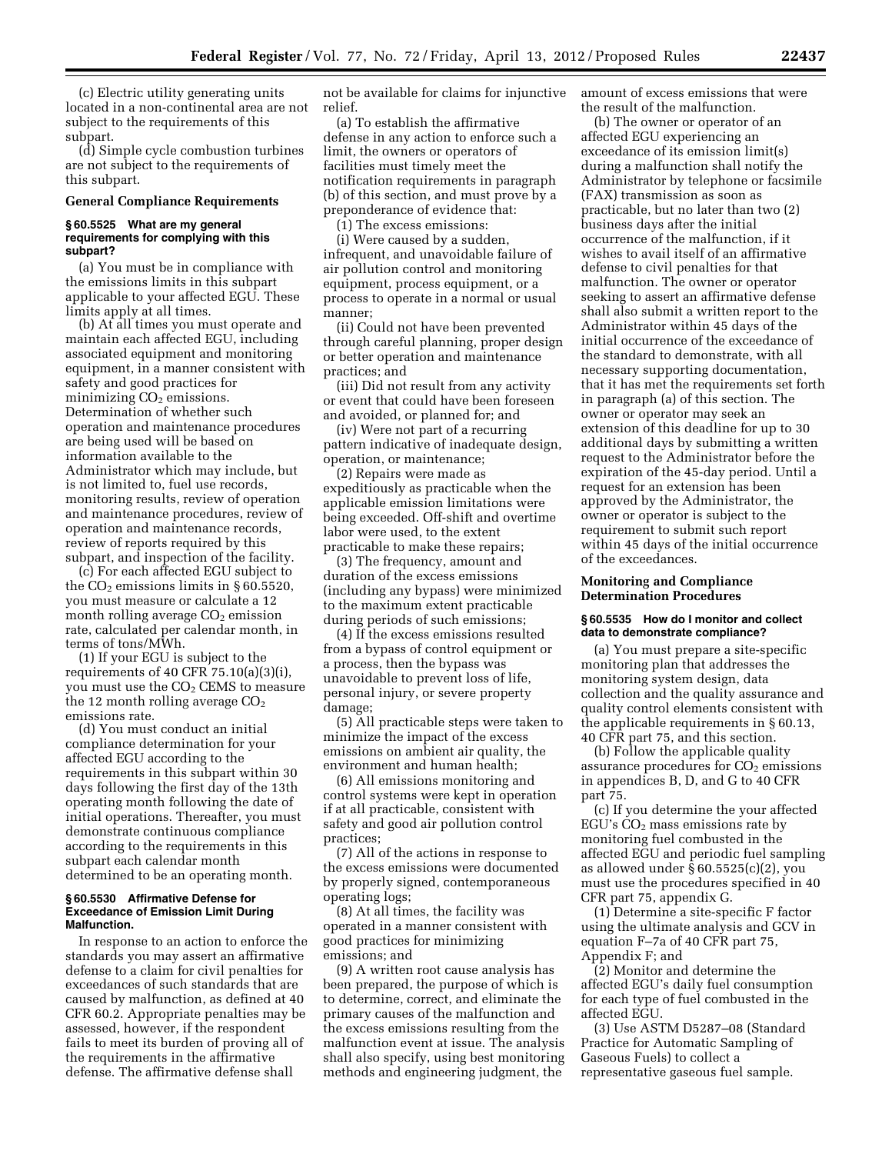(c) Electric utility generating units located in a non-continental area are not subject to the requirements of this subpart.

(d) Simple cycle combustion turbines are not subject to the requirements of this subpart.

# **General Compliance Requirements**

### **§ 60.5525 What are my general requirements for complying with this subpart?**

(a) You must be in compliance with the emissions limits in this subpart applicable to your affected EGU. These limits apply at all times.

(b) At all times you must operate and maintain each affected EGU, including associated equipment and monitoring equipment, in a manner consistent with safety and good practices for minimizing  $CO<sub>2</sub>$  emissions. Determination of whether such operation and maintenance procedures are being used will be based on information available to the Administrator which may include, but is not limited to, fuel use records, monitoring results, review of operation and maintenance procedures, review of operation and maintenance records, review of reports required by this subpart, and inspection of the facility.

(c) For each affected EGU subject to the  $CO<sub>2</sub>$  emissions limits in § 60.5520, you must measure or calculate a 12 month rolling average  $CO<sub>2</sub>$  emission rate, calculated per calendar month, in terms of tons/MWh.

(1) If your EGU is subject to the requirements of 40 CFR  $75.10(a)(3)(i)$ , you must use the  $CO<sub>2</sub>$  CEMS to measure the 12 month rolling average  $CO<sub>2</sub>$ emissions rate.

(d) You must conduct an initial compliance determination for your affected EGU according to the requirements in this subpart within 30 days following the first day of the 13th operating month following the date of initial operations. Thereafter, you must demonstrate continuous compliance according to the requirements in this subpart each calendar month determined to be an operating month.

### **§ 60.5530 Affirmative Defense for Exceedance of Emission Limit During Malfunction.**

In response to an action to enforce the standards you may assert an affirmative defense to a claim for civil penalties for exceedances of such standards that are caused by malfunction, as defined at 40 CFR 60.2. Appropriate penalties may be assessed, however, if the respondent fails to meet its burden of proving all of the requirements in the affirmative defense. The affirmative defense shall

not be available for claims for injunctive relief.

(a) To establish the affirmative defense in any action to enforce such a limit, the owners or operators of facilities must timely meet the notification requirements in paragraph (b) of this section, and must prove by a preponderance of evidence that:

(1) The excess emissions:

(i) Were caused by a sudden, infrequent, and unavoidable failure of air pollution control and monitoring equipment, process equipment, or a process to operate in a normal or usual manner;

(ii) Could not have been prevented through careful planning, proper design or better operation and maintenance practices; and

(iii) Did not result from any activity or event that could have been foreseen and avoided, or planned for; and

(iv) Were not part of a recurring pattern indicative of inadequate design, operation, or maintenance;

(2) Repairs were made as expeditiously as practicable when the applicable emission limitations were being exceeded. Off-shift and overtime labor were used, to the extent practicable to make these repairs;

(3) The frequency, amount and duration of the excess emissions (including any bypass) were minimized to the maximum extent practicable during periods of such emissions;

(4) If the excess emissions resulted from a bypass of control equipment or a process, then the bypass was unavoidable to prevent loss of life, personal injury, or severe property damage;

(5) All practicable steps were taken to minimize the impact of the excess emissions on ambient air quality, the environment and human health;

(6) All emissions monitoring and control systems were kept in operation if at all practicable, consistent with safety and good air pollution control practices;

(7) All of the actions in response to the excess emissions were documented by properly signed, contemporaneous operating logs;

(8) At all times, the facility was operated in a manner consistent with good practices for minimizing emissions; and

(9) A written root cause analysis has been prepared, the purpose of which is to determine, correct, and eliminate the primary causes of the malfunction and the excess emissions resulting from the malfunction event at issue. The analysis shall also specify, using best monitoring methods and engineering judgment, the

amount of excess emissions that were the result of the malfunction.

(b) The owner or operator of an affected EGU experiencing an exceedance of its emission limit(s) during a malfunction shall notify the Administrator by telephone or facsimile (FAX) transmission as soon as practicable, but no later than two (2) business days after the initial occurrence of the malfunction, if it wishes to avail itself of an affirmative defense to civil penalties for that malfunction. The owner or operator seeking to assert an affirmative defense shall also submit a written report to the Administrator within 45 days of the initial occurrence of the exceedance of the standard to demonstrate, with all necessary supporting documentation, that it has met the requirements set forth in paragraph (a) of this section. The owner or operator may seek an extension of this deadline for up to 30 additional days by submitting a written request to the Administrator before the expiration of the 45-day period. Until a request for an extension has been approved by the Administrator, the owner or operator is subject to the requirement to submit such report within 45 days of the initial occurrence of the exceedances.

# **Monitoring and Compliance Determination Procedures**

### **§ 60.5535 How do I monitor and collect data to demonstrate compliance?**

(a) You must prepare a site-specific monitoring plan that addresses the monitoring system design, data collection and the quality assurance and quality control elements consistent with the applicable requirements in § 60.13, 40 CFR part 75, and this section.

(b) Follow the applicable quality assurance procedures for  $CO<sub>2</sub>$  emissions in appendices B, D, and G to 40 CFR part 75.

(c) If you determine the your affected EGU's  $CO<sub>2</sub>$  mass emissions rate by monitoring fuel combusted in the affected EGU and periodic fuel sampling as allowed under § 60.5525(c)(2), you must use the procedures specified in 40 CFR part 75, appendix G.

(1) Determine a site-specific F factor using the ultimate analysis and GCV in equation F–7a of 40 CFR part 75, Appendix F; and

(2) Monitor and determine the affected EGU's daily fuel consumption for each type of fuel combusted in the affected EGU.

(3) Use ASTM D5287–08 (Standard Practice for Automatic Sampling of Gaseous Fuels) to collect a representative gaseous fuel sample.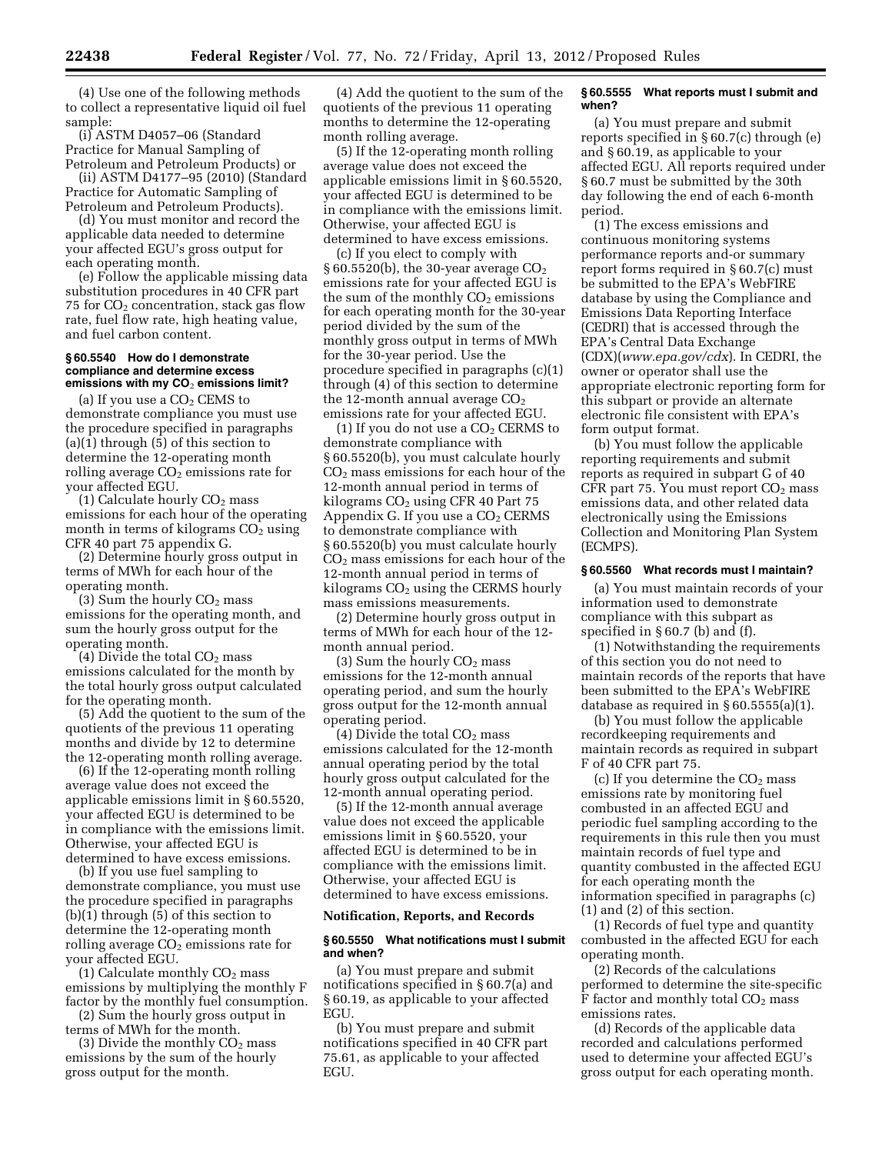(4) Use one of the following methods to collect a representative liquid oil fuel sample:

(i) ASTM D4057–06 (Standard Practice for Manual Sampling of Petroleum and Petroleum Products) or

(ii) ASTM D4177–95 (2010) (Standard Practice for Automatic Sampling of Petroleum and Petroleum Products).

(d) You must monitor and record the applicable data needed to determine your affected EGU's gross output for each operating month.

(e) Follow the applicable missing data substitution procedures in 40 CFR part 75 for  $CO<sub>2</sub>$  concentration, stack gas flow rate, fuel flow rate, high heating value, and fuel carbon content.

### **§ 60.5540 How do I demonstrate compliance and determine excess emissions with my CO**2 **emissions limit?**

(a) If you use a  $CO<sub>2</sub>$  CEMS to demonstrate compliance you must use the procedure specified in paragraphs  $(a)(1)$  through  $(5)$  of this section to determine the 12-operating month rolling average  $CO<sub>2</sub>$  emissions rate for your affected EGU.

(1) Calculate hourly  $CO<sub>2</sub>$  mass emissions for each hour of the operating month in terms of kilograms  $CO<sub>2</sub>$  using CFR 40 part 75 appendix G.

(2) Determine hourly gross output in terms of MWh for each hour of the operating month.

(3) Sum the hourly  $CO<sub>2</sub>$  mass emissions for the operating month, and sum the hourly gross output for the operating month.

(4) Divide the total  $CO<sub>2</sub>$  mass emissions calculated for the month by the total hourly gross output calculated for the operating month.

(5) Add the quotient to the sum of the quotients of the previous 11 operating months and divide by 12 to determine the 12-operating month rolling average.

(6) If the 12-operating month rolling average value does not exceed the applicable emissions limit in § 60.5520, your affected EGU is determined to be in compliance with the emissions limit. Otherwise, your affected EGU is determined to have excess emissions.

(b) If you use fuel sampling to demonstrate compliance, you must use the procedure specified in paragraphs (b)(1) through (5) of this section to determine the 12-operating month rolling average  $CO<sub>2</sub>$  emissions rate for your affected EGU.

(1) Calculate monthly  $CO<sub>2</sub>$  mass emissions by multiplying the monthly F factor by the monthly fuel consumption.

(2) Sum the hourly gross output in terms of MWh for the month.

(3) Divide the monthly  $CO<sub>2</sub>$  mass emissions by the sum of the hourly gross output for the month.

(4) Add the quotient to the sum of the quotients of the previous 11 operating months to determine the 12-operating month rolling average.

(5) If the 12-operating month rolling average value does not exceed the applicable emissions limit in § 60.5520, your affected EGU is determined to be in compliance with the emissions limit. Otherwise, your affected EGU is determined to have excess emissions.

(c) If you elect to comply with  $\S 60.5520(b)$ , the 30-year average  $CO<sub>2</sub>$ emissions rate for your affected EGU is the sum of the monthly  $CO<sub>2</sub>$  emissions for each operating month for the 30-year period divided by the sum of the monthly gross output in terms of MWh for the 30-year period. Use the procedure specified in paragraphs (c)(1) through (4) of this section to determine the 12-month annual average  $CO<sub>2</sub>$ emissions rate for your affected EGU.

(1) If you do not use a  $CO<sub>2</sub> CERNS$  to demonstrate compliance with § 60.5520(b), you must calculate hourly CO2 mass emissions for each hour of the 12-month annual period in terms of kilograms  $CO<sub>2</sub>$  using CFR 40 Part 75 Appendix G. If you use a  $CO<sub>2</sub> CERNS$ to demonstrate compliance with § 60.5520(b) you must calculate hourly CO2 mass emissions for each hour of the 12-month annual period in terms of kilograms  $CO<sub>2</sub>$  using the CERMS hourly mass emissions measurements.

(2) Determine hourly gross output in terms of MWh for each hour of the 12 month annual period.

(3) Sum the hourly CO2 mass emissions for the 12-month annual operating period, and sum the hourly gross output for the 12-month annual operating period.

(4) Divide the total  $CO<sub>2</sub>$  mass emissions calculated for the 12-month annual operating period by the total hourly gross output calculated for the 12-month annual operating period.

(5) If the 12-month annual average value does not exceed the applicable emissions limit in § 60.5520, your affected EGU is determined to be in compliance with the emissions limit. Otherwise, your affected EGU is determined to have excess emissions.

### **Notification, Reports, and Records**

### **§ 60.5550 What notifications must I submit and when?**

(a) You must prepare and submit notifications specified in § 60.7(a) and § 60.19, as applicable to your affected EGU.

(b) You must prepare and submit notifications specified in 40 CFR part 75.61, as applicable to your affected EGU.

#### **§ 60.5555 What reports must I submit and when?**

(a) You must prepare and submit reports specified in § 60.7(c) through (e) and § 60.19, as applicable to your affected EGU. All reports required under § 60.7 must be submitted by the 30th day following the end of each 6-month period.

(1) The excess emissions and continuous monitoring systems performance reports and-or summary report forms required in § 60.7(c) must be submitted to the EPA's WebFIRE database by using the Compliance and Emissions Data Reporting Interface (CEDRI) that is accessed through the EPA's Central Data Exchange (CDX)(*[www.epa.gov/cdx](http://www.epa.gov/cdx)*). In CEDRI, the owner or operator shall use the appropriate electronic reporting form for this subpart or provide an alternate electronic file consistent with EPA's form output format.

(b) You must follow the applicable reporting requirements and submit reports as required in subpart G of 40 CFR part 75. You must report  $CO<sub>2</sub>$  mass emissions data, and other related data electronically using the Emissions Collection and Monitoring Plan System (ECMPS).

### **§ 60.5560 What records must I maintain?**

(a) You must maintain records of your information used to demonstrate compliance with this subpart as specified in § 60.7 (b) and (f).

(1) Notwithstanding the requirements of this section you do not need to maintain records of the reports that have been submitted to the EPA's WebFIRE database as required in § 60.5555(a)(1).

(b) You must follow the applicable recordkeeping requirements and maintain records as required in subpart F of 40 CFR part 75.

(c) If you determine the  $CO<sub>2</sub>$  mass emissions rate by monitoring fuel combusted in an affected EGU and periodic fuel sampling according to the requirements in this rule then you must maintain records of fuel type and quantity combusted in the affected EGU for each operating month the information specified in paragraphs (c) (1) and (2) of this section.

(1) Records of fuel type and quantity combusted in the affected EGU for each operating month.

(2) Records of the calculations performed to determine the site-specific F factor and monthly total  $CO<sub>2</sub>$  mass emissions rates.

(d) Records of the applicable data recorded and calculations performed used to determine your affected EGU's gross output for each operating month.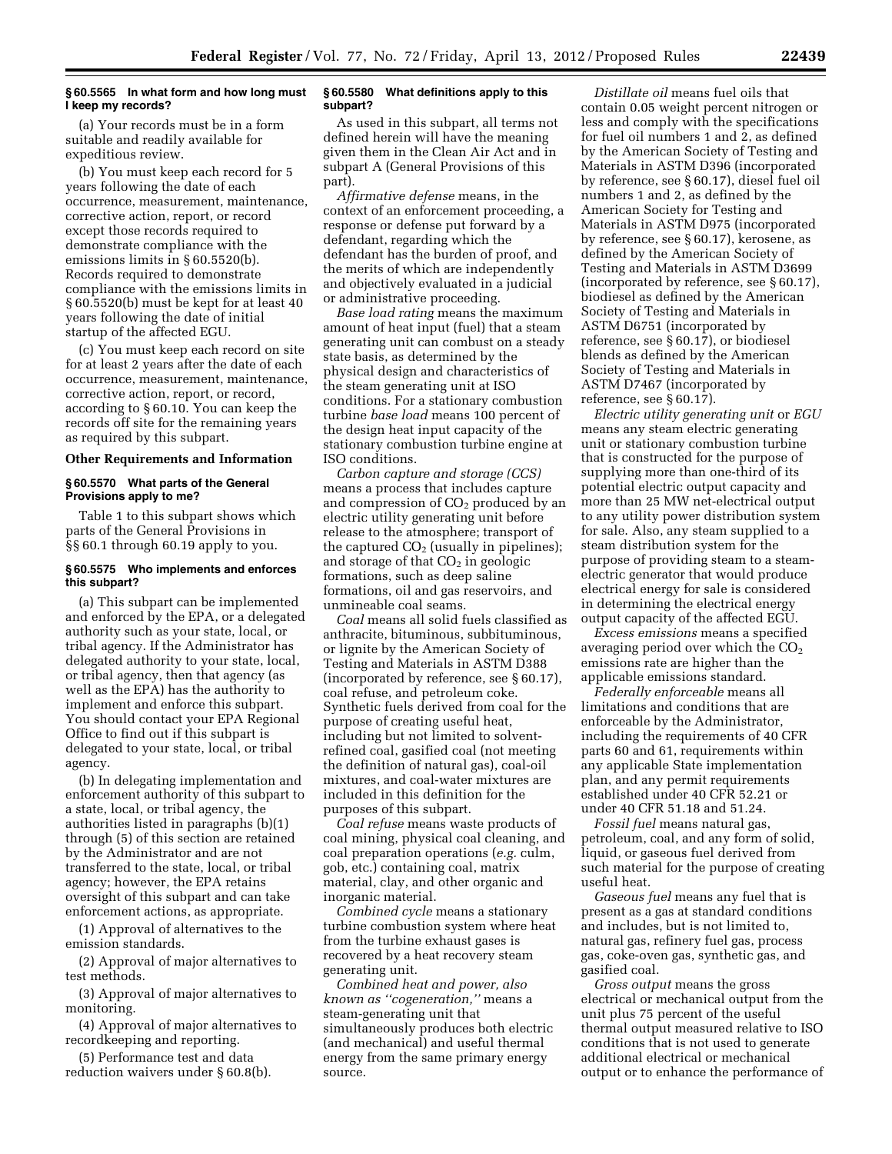### **§ 60.5565 In what form and how long must I keep my records?**

(a) Your records must be in a form suitable and readily available for expeditious review.

(b) You must keep each record for 5 years following the date of each occurrence, measurement, maintenance, corrective action, report, or record except those records required to demonstrate compliance with the emissions limits in § 60.5520(b). Records required to demonstrate compliance with the emissions limits in § 60.5520(b) must be kept for at least 40 years following the date of initial startup of the affected EGU.

(c) You must keep each record on site for at least 2 years after the date of each occurrence, measurement, maintenance, corrective action, report, or record, according to § 60.10. You can keep the records off site for the remaining years as required by this subpart.

#### **Other Requirements and Information**

#### **§ 60.5570 What parts of the General Provisions apply to me?**

Table 1 to this subpart shows which parts of the General Provisions in §§ 60.1 through 60.19 apply to you.

### **§ 60.5575 Who implements and enforces this subpart?**

(a) This subpart can be implemented and enforced by the EPA, or a delegated authority such as your state, local, or tribal agency. If the Administrator has delegated authority to your state, local, or tribal agency, then that agency (as well as the EPA) has the authority to implement and enforce this subpart. You should contact your EPA Regional Office to find out if this subpart is delegated to your state, local, or tribal agency.

(b) In delegating implementation and enforcement authority of this subpart to a state, local, or tribal agency, the authorities listed in paragraphs (b)(1) through (5) of this section are retained by the Administrator and are not transferred to the state, local, or tribal agency; however, the EPA retains oversight of this subpart and can take enforcement actions, as appropriate.

(1) Approval of alternatives to the emission standards.

(2) Approval of major alternatives to test methods.

(3) Approval of major alternatives to monitoring.

(4) Approval of major alternatives to recordkeeping and reporting.

(5) Performance test and data reduction waivers under § 60.8(b).

### **§ 60.5580 What definitions apply to this subpart?**

As used in this subpart, all terms not defined herein will have the meaning given them in the Clean Air Act and in subpart A (General Provisions of this part).

*Affirmative defense* means, in the context of an enforcement proceeding, a response or defense put forward by a defendant, regarding which the defendant has the burden of proof, and the merits of which are independently and objectively evaluated in a judicial or administrative proceeding.

*Base load rating* means the maximum amount of heat input (fuel) that a steam generating unit can combust on a steady state basis, as determined by the physical design and characteristics of the steam generating unit at ISO conditions. For a stationary combustion turbine *base load* means 100 percent of the design heat input capacity of the stationary combustion turbine engine at ISO conditions.

*Carbon capture and storage (CCS)*  means a process that includes capture and compression of  $CO<sub>2</sub>$  produced by an electric utility generating unit before release to the atmosphere; transport of the captured  $CO<sub>2</sub>$  (usually in pipelines); and storage of that  $CO<sub>2</sub>$  in geologic formations, such as deep saline formations, oil and gas reservoirs, and unmineable coal seams.

*Coal* means all solid fuels classified as anthracite, bituminous, subbituminous, or lignite by the American Society of Testing and Materials in ASTM D388 (incorporated by reference, see § 60.17), coal refuse, and petroleum coke. Synthetic fuels derived from coal for the purpose of creating useful heat, including but not limited to solventrefined coal, gasified coal (not meeting the definition of natural gas), coal-oil mixtures, and coal-water mixtures are included in this definition for the purposes of this subpart.

*Coal refuse* means waste products of coal mining, physical coal cleaning, and coal preparation operations (*e.g.* culm, gob, etc.) containing coal, matrix material, clay, and other organic and inorganic material.

*Combined cycle* means a stationary turbine combustion system where heat from the turbine exhaust gases is recovered by a heat recovery steam generating unit.

*Combined heat and power, also known as ''cogeneration,''* means a steam-generating unit that simultaneously produces both electric (and mechanical) and useful thermal energy from the same primary energy source.

*Distillate oil* means fuel oils that contain 0.05 weight percent nitrogen or less and comply with the specifications for fuel oil numbers 1 and 2, as defined by the American Society of Testing and Materials in ASTM D396 (incorporated by reference, see § 60.17), diesel fuel oil numbers 1 and 2, as defined by the American Society for Testing and Materials in ASTM D975 (incorporated by reference, see § 60.17), kerosene, as defined by the American Society of Testing and Materials in ASTM D3699 (incorporated by reference, see § 60.17), biodiesel as defined by the American Society of Testing and Materials in ASTM D6751 (incorporated by reference, see § 60.17), or biodiesel blends as defined by the American Society of Testing and Materials in ASTM D7467 (incorporated by reference, see § 60.17).

*Electric utility generating unit* or *EGU*  means any steam electric generating unit or stationary combustion turbine that is constructed for the purpose of supplying more than one-third of its potential electric output capacity and more than 25 MW net-electrical output to any utility power distribution system for sale. Also, any steam supplied to a steam distribution system for the purpose of providing steam to a steamelectric generator that would produce electrical energy for sale is considered in determining the electrical energy output capacity of the affected EGU.

*Excess emissions* means a specified averaging period over which the  $CO<sub>2</sub>$ emissions rate are higher than the applicable emissions standard.

*Federally enforceable* means all limitations and conditions that are enforceable by the Administrator, including the requirements of 40 CFR parts 60 and 61, requirements within any applicable State implementation plan, and any permit requirements established under 40 CFR 52.21 or under 40 CFR 51.18 and 51.24.

*Fossil fuel* means natural gas, petroleum, coal, and any form of solid, liquid, or gaseous fuel derived from such material for the purpose of creating useful heat.

*Gaseous fuel* means any fuel that is present as a gas at standard conditions and includes, but is not limited to, natural gas, refinery fuel gas, process gas, coke-oven gas, synthetic gas, and gasified coal.

*Gross output* means the gross electrical or mechanical output from the unit plus 75 percent of the useful thermal output measured relative to ISO conditions that is not used to generate additional electrical or mechanical output or to enhance the performance of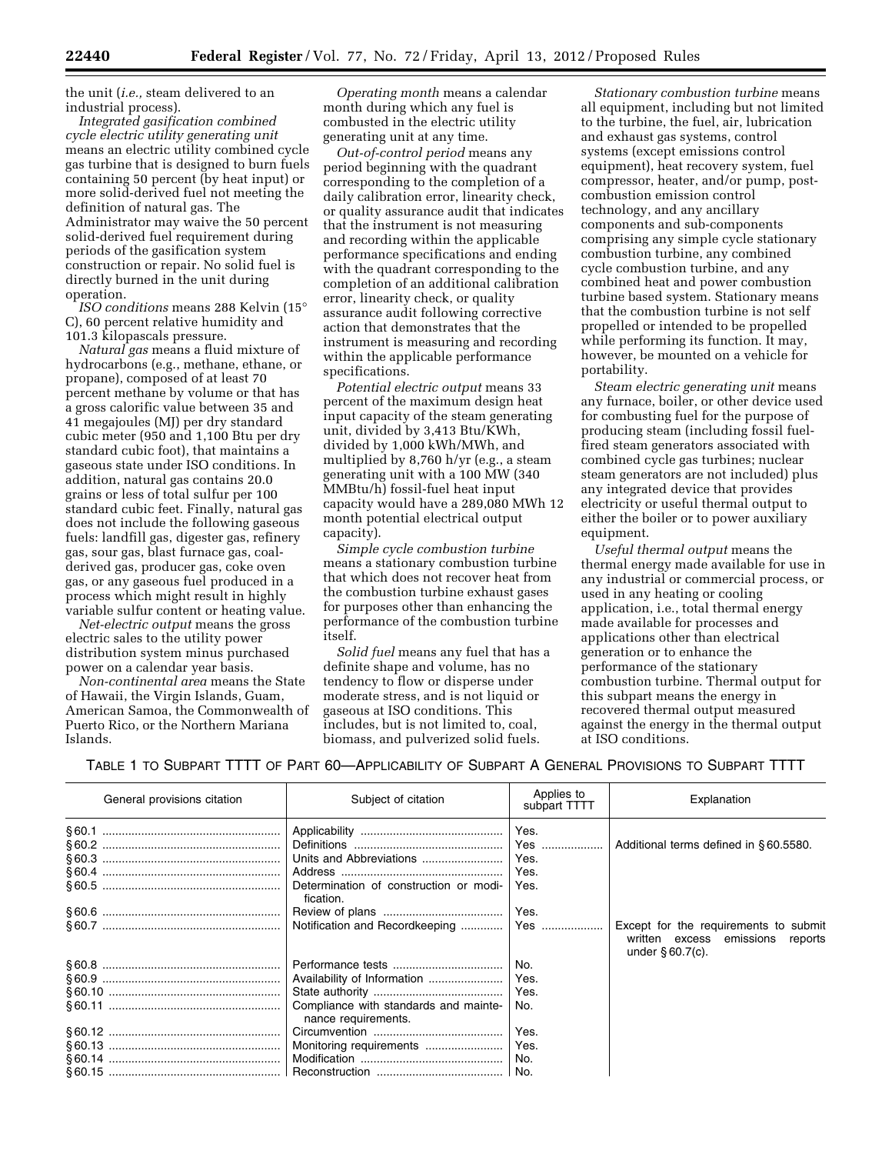the unit (*i.e.,* steam delivered to an industrial process).

*Integrated gasification combined cycle electric utility generating unit*  means an electric utility combined cycle gas turbine that is designed to burn fuels containing 50 percent (by heat input) or more solid-derived fuel not meeting the definition of natural gas. The Administrator may waive the 50 percent solid-derived fuel requirement during periods of the gasification system construction or repair. No solid fuel is directly burned in the unit during operation.

*ISO conditions* means 288 Kelvin (15° C), 60 percent relative humidity and 101.3 kilopascals pressure.

*Natural gas* means a fluid mixture of hydrocarbons (e.g., methane, ethane, or propane), composed of at least 70 percent methane by volume or that has a gross calorific value between 35 and 41 megajoules (MJ) per dry standard cubic meter (950 and 1,100 Btu per dry standard cubic foot), that maintains a gaseous state under ISO conditions. In addition, natural gas contains 20.0 grains or less of total sulfur per 100 standard cubic feet. Finally, natural gas does not include the following gaseous fuels: landfill gas, digester gas, refinery gas, sour gas, blast furnace gas, coalderived gas, producer gas, coke oven gas, or any gaseous fuel produced in a process which might result in highly variable sulfur content or heating value.

*Net-electric output* means the gross electric sales to the utility power distribution system minus purchased power on a calendar year basis.

*Non-continental area* means the State of Hawaii, the Virgin Islands, Guam, American Samoa, the Commonwealth of Puerto Rico, or the Northern Mariana Islands.

*Operating month* means a calendar month during which any fuel is combusted in the electric utility generating unit at any time.

*Out-of-control period* means any period beginning with the quadrant corresponding to the completion of a daily calibration error, linearity check, or quality assurance audit that indicates that the instrument is not measuring and recording within the applicable performance specifications and ending with the quadrant corresponding to the completion of an additional calibration error, linearity check, or quality assurance audit following corrective action that demonstrates that the instrument is measuring and recording within the applicable performance specifications.

*Potential electric output* means 33 percent of the maximum design heat input capacity of the steam generating unit, divided by 3,413 Btu/KWh, divided by 1,000 kWh/MWh, and multiplied by 8,760 h/yr (e.g., a steam generating unit with a 100 MW (340 MMBtu/h) fossil-fuel heat input capacity would have a 289,080 MWh 12 month potential electrical output capacity).

*Simple cycle combustion turbine*  means a stationary combustion turbine that which does not recover heat from the combustion turbine exhaust gases for purposes other than enhancing the performance of the combustion turbine itself.

*Solid fuel* means any fuel that has a definite shape and volume, has no tendency to flow or disperse under moderate stress, and is not liquid or gaseous at ISO conditions. This includes, but is not limited to, coal, biomass, and pulverized solid fuels.

*Stationary combustion turbine* means all equipment, including but not limited to the turbine, the fuel, air, lubrication and exhaust gas systems, control systems (except emissions control equipment), heat recovery system, fuel compressor, heater, and/or pump, postcombustion emission control technology, and any ancillary components and sub-components comprising any simple cycle stationary combustion turbine, any combined cycle combustion turbine, and any combined heat and power combustion turbine based system. Stationary means that the combustion turbine is not self propelled or intended to be propelled while performing its function. It may, however, be mounted on a vehicle for portability.

*Steam electric generating unit* means any furnace, boiler, or other device used for combusting fuel for the purpose of producing steam (including fossil fuelfired steam generators associated with combined cycle gas turbines; nuclear steam generators are not included) plus any integrated device that provides electricity or useful thermal output to either the boiler or to power auxiliary equipment.

*Useful thermal output* means the thermal energy made available for use in any industrial or commercial process, or used in any heating or cooling application, i.e., total thermal energy made available for processes and applications other than electrical generation or to enhance the performance of the stationary combustion turbine. Thermal output for this subpart means the energy in recovered thermal output measured against the energy in the thermal output at ISO conditions.

TABLE 1 TO SUBPART TTTT OF PART 60—APPLICABILITY OF SUBPART A GENERAL PROVISIONS TO SUBPART TTTT

| General provisions citation | Subject of citation                                               | Applies to<br>subpart TTTT          | Explanation                                                                                          |
|-----------------------------|-------------------------------------------------------------------|-------------------------------------|------------------------------------------------------------------------------------------------------|
|                             | Units and Abbreviations<br>Determination of construction or modi- | Yes.<br>Yes<br>Yes.<br>Yes.<br>Yes. | Additional terms defined in §60.5580.                                                                |
| § 60.6 …………………………………………………  | fication.                                                         | Yes.                                | Except for the requirements to submit<br>written excess emissions<br>reports<br>under $\S 60.7(c)$ . |
|                             |                                                                   | No.                                 |                                                                                                      |
|                             |                                                                   | Yes.<br>Yes.                        |                                                                                                      |
|                             | Compliance with standards and mainte-<br>nance requirements.      | No.                                 |                                                                                                      |
|                             |                                                                   | Yes.                                |                                                                                                      |
|                             | Monitoring requirements                                           | Yes.                                |                                                                                                      |
|                             |                                                                   | No.                                 |                                                                                                      |
|                             |                                                                   | No.                                 |                                                                                                      |